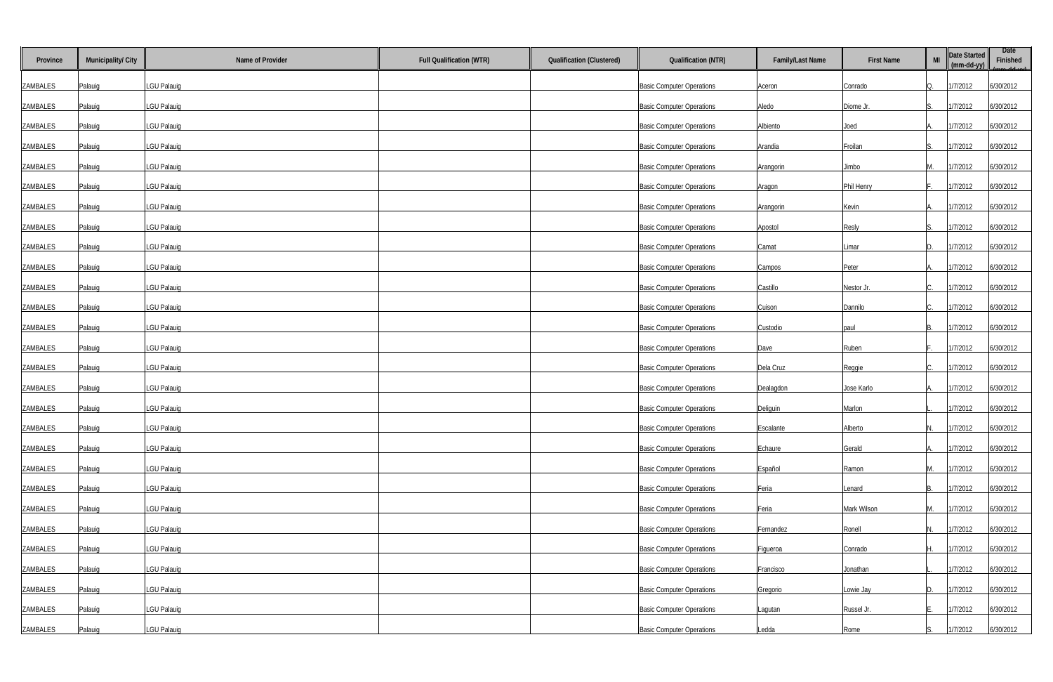| Province        | <b>Municipality/ City</b> | Name of Provider | <b>Full Qualification (WTR)</b> | <b>Qualification (Clustered)</b> | <b>Qualification (NTR)</b>       | <b>Family/Last Name</b> | <b>First Name</b> | M   | Date Started<br>(mm-dd-yy) | Date<br><b>Finished</b> |
|-----------------|---------------------------|------------------|---------------------------------|----------------------------------|----------------------------------|-------------------------|-------------------|-----|----------------------------|-------------------------|
| <b>ZAMBALES</b> | Palauig                   | LGU Palauig      |                                 |                                  | <b>Basic Computer Operations</b> | Aceron                  | Conrado           | IQ. | 1/7/2012                   | 6/30/2012               |
| <b>ZAMBALES</b> | Palauig                   | LGU Palauig      |                                 |                                  | <b>Basic Computer Operations</b> | Aledo                   | Diome Jr.         | IS. | 1/7/2012                   | 6/30/2012               |
| <b>ZAMBALES</b> | Palauig                   | LGU Palauig      |                                 |                                  | <b>Basic Computer Operations</b> | Albiento                | Joed              |     | 1/7/2012                   | 6/30/2012               |
| <b>ZAMBALES</b> | Palauig                   | LGU Palauig      |                                 |                                  | <b>Basic Computer Operations</b> | Arandia                 | Froilan           | IS. | 1/7/2012                   | 6/30/2012               |
| <b>ZAMBALES</b> | Palauig                   | LGU Palauig      |                                 |                                  | <b>Basic Computer Operations</b> | Arangorin               | Jimbo             | M.  | 1/7/2012                   | 6/30/2012               |
| <b>ZAMBALES</b> | Palauig                   | LGU Palauig      |                                 |                                  | <b>Basic Computer Operations</b> | Aragon                  | <b>Phil Henry</b> |     | 1/7/2012                   | 6/30/2012               |
| <b>ZAMBALES</b> | Palauig                   | LGU Palauig      |                                 |                                  | <b>Basic Computer Operations</b> | Arangorin               | Kevin             | A.  | 1/7/2012                   | 6/30/2012               |
| <b>ZAMBALES</b> | Palauig                   | LGU Palauig      |                                 |                                  | <b>Basic Computer Operations</b> | Apostol                 | <b>Resly</b>      | IS. | 1/7/2012                   | 6/30/2012               |
| <b>ZAMBALES</b> | Palauig                   | LGU Palauig      |                                 |                                  | <b>Basic Computer Operations</b> | Camat                   | Limar             | ID. | 1/7/2012                   | 6/30/2012               |
| <b>ZAMBALES</b> | Palauig                   | LGU Palauig      |                                 |                                  | <b>Basic Computer Operations</b> | Campos                  | Peter             | A.  | 1/7/2012                   | 6/30/2012               |
| <b>ZAMBALES</b> | Palauig                   | LGU Palauig      |                                 |                                  | Basic Computer Operations        | Castillo                | Nestor Jr.        |     | 1/7/2012                   | 6/30/2012               |
| <b>ZAMBALES</b> | Palauig                   | LGU Palauig      |                                 |                                  | <b>Basic Computer Operations</b> | Cuison                  | Dannilo           | C.  | 1/7/2012                   | 6/30/2012               |
| <b>ZAMBALES</b> | Palauig                   | LGU Palauig      |                                 |                                  | <b>Basic Computer Operations</b> | Custodio                | paul              | IB. | 1/7/2012                   | 6/30/2012               |
| <b>ZAMBALES</b> | Palauig                   | LGU Palauig      |                                 |                                  | <b>Basic Computer Operations</b> | Dave                    | Ruben             | IF. | 1/7/2012                   | 6/30/2012               |
| <b>ZAMBALES</b> | Palauig                   | LGU Palauig      |                                 |                                  | <b>Basic Computer Operations</b> | Dela Cruz               | Reggie            | C.  | 1/7/2012                   | 6/30/2012               |
| <b>ZAMBALES</b> | Palauig                   | LGU Palauig      |                                 |                                  | <b>Basic Computer Operations</b> | Dealagdon               | Jose Karlo        | A.  | 1/7/2012                   | 6/30/2012               |
| <b>ZAMBALES</b> | Palauig                   | LGU Palauig      |                                 |                                  | <b>Basic Computer Operations</b> | Deliguin                | Marlon            |     | 1/7/2012                   | 6/30/2012               |
| <b>ZAMBALES</b> | Palauig                   | LGU Palauig      |                                 |                                  | <b>Basic Computer Operations</b> | Escalante               | Alberto           | IN. | 1/7/2012                   | 6/30/2012               |
| <b>ZAMBALES</b> | Palauig                   | LGU Palauig      |                                 |                                  | <b>Basic Computer Operations</b> | Echaure                 | Gerald            | IA. | 1/7/2012                   | 6/30/2012               |
| <b>ZAMBALES</b> | Palauig                   | LGU Palauig      |                                 |                                  | <b>Basic Computer Operations</b> | Español                 | Ramon             | M.  | 1/7/2012                   | 6/30/2012               |
| <b>ZAMBALES</b> | Palauig                   | LGU Palauig      |                                 |                                  | <b>Basic Computer Operations</b> | Feria                   | Lenard            | IB. | 1/7/2012                   | 6/30/2012               |
| <b>ZAMBALES</b> | Palauig                   | LGU Palauig      |                                 |                                  | <b>Basic Computer Operations</b> | Feria                   | Mark Wilson       | M.  | 1/7/2012                   | 6/30/2012               |
| <b>ZAMBALES</b> | Palauig                   | LGU Palauig      |                                 |                                  | <b>Basic Computer Operations</b> | Fernandez               | Ronell            | IN. | 1/7/2012                   | 6/30/2012               |
| <b>ZAMBALES</b> | Palauig                   | LGU Palauig      |                                 |                                  | <b>Basic Computer Operations</b> | Figueroa                | Conrado           | IH. | 1/7/2012                   | 6/30/2012               |
| <b>ZAMBALES</b> | Palauig                   | LGU Palauig      |                                 |                                  | <b>Basic Computer Operations</b> | Francisco               | Jonathan          |     | 1/7/2012                   | 6/30/2012               |
| <b>ZAMBALES</b> | Palauig                   | LGU Palauig      |                                 |                                  | <b>Basic Computer Operations</b> | Gregorio                | Lowie Jay         | ID. | 1/7/2012                   | 6/30/2012               |
| <b>ZAMBALES</b> | Palauig                   | LGU Palauig      |                                 |                                  | <b>Basic Computer Operations</b> | Lagutan                 | Russel Jr.        | IE. | 1/7/2012                   | 6/30/2012               |
| <b>ZAMBALES</b> | Palauig                   | LGU Palauig      |                                 |                                  | <b>Basic Computer Operations</b> | Ledda                   | Rome              |     | 1/7/2012                   | 6/30/2012               |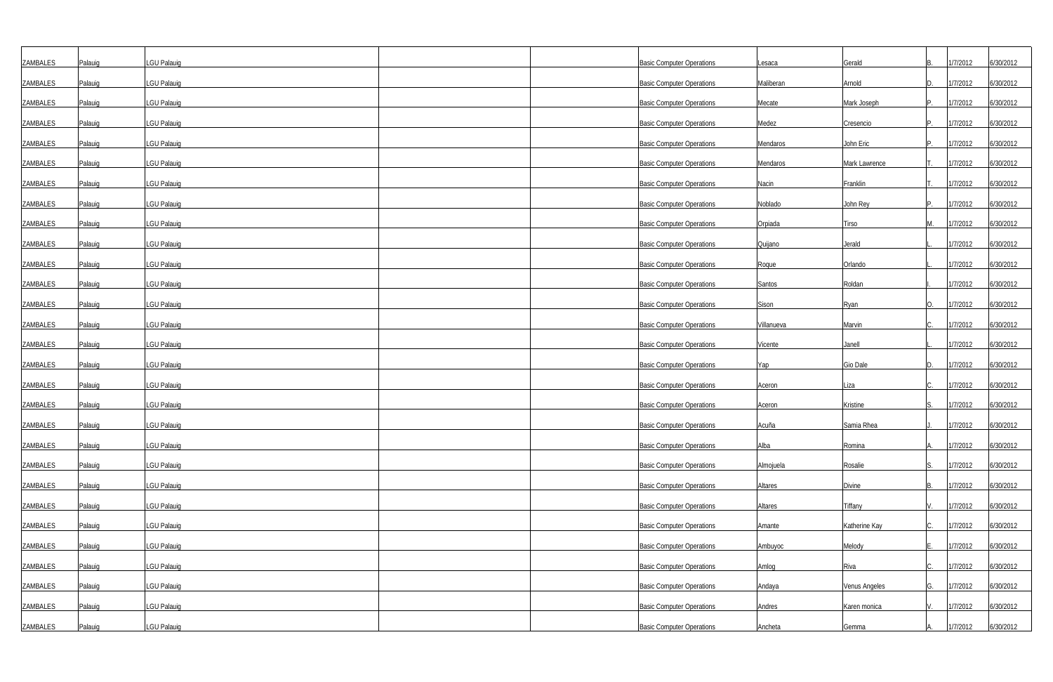| <b>ZAMBALES</b> | Palauig | LGU Palauig        | <b>Basic Computer Operations</b><br>Gerald<br>Lesaca               | <b>B</b> | 1/7/2012 | 6/30/2012 |
|-----------------|---------|--------------------|--------------------------------------------------------------------|----------|----------|-----------|
| <b>ZAMBALES</b> | Palauig | LGU Palauig        | <b>Basic Computer Operations</b><br>Maliberan<br>Arnold            | חו       | 1/7/2012 | 6/30/2012 |
| <b>ZAMBALES</b> | Palauig | LGU Palauig        | <b>Basic Computer Operations</b><br>Mark Joseph<br>Mecate          | P        | 1/7/2012 | 6/30/2012 |
| <b>ZAMBALES</b> | Palauig | LGU Palauig        | <b>Basic Computer Operations</b><br>Medez<br>Cresencio             | IP.      | 1/7/2012 | 6/30/2012 |
| <b>ZAMBALES</b> | Palauig | <b>LGU Palauig</b> | <b>Basic Computer Operations</b><br>John Eric<br>Mendaros          | IP.      | 1/7/2012 | 6/30/2012 |
| <b>ZAMBALES</b> | Palauig | <b>LGU Palauig</b> | <b>Basic Computer Operations</b><br>Mendaros<br>Mark Lawrence      |          | 1/7/2012 | 6/30/2012 |
| <b>ZAMBALES</b> | Palauig | LGU Palauig        | <b>Basic Computer Operations</b><br>Nacin<br>Franklin              |          | 1/7/2012 | 6/30/2012 |
| <b>ZAMBALES</b> | Palauig | LGU Palauig        | Noblado<br>John Rey<br><b>Basic Computer Operations</b>            | P        | 1/7/2012 | 6/30/2012 |
| <b>ZAMBALES</b> | Palauig | LGU Palauig        | <b>Basic Computer Operations</b><br>Orpiada<br>Tirso               | M.       | 1/7/2012 | 6/30/2012 |
| <b>ZAMBALES</b> | Palauig | LGU Palauig        | <b>Basic Computer Operations</b><br>Quijano<br>Jerald              |          | 1/7/2012 | 6/30/2012 |
| <b>ZAMBALES</b> | Palauig | LGU Palauig        | <b>Basic Computer Operations</b><br>Orlando<br>Roque               |          | 1/7/2012 | 6/30/2012 |
| <b>ZAMBALES</b> | Palauig | LGU Palauig        | <b>Basic Computer Operations</b><br>Roldan<br>Santos               |          | 1/7/2012 | 6/30/2012 |
| <b>ZAMBALES</b> | Palauig | LGU Palauig        | <b>Basic Computer Operations</b><br>Sison<br>Ryan                  | $\Omega$ | 1/7/2012 | 6/30/2012 |
| <b>ZAMBALES</b> | Palauig | LGU Palauig        | <b>Basic Computer Operations</b><br>Marvin<br>Villanueva           | C        | 1/7/2012 | 6/30/2012 |
| <b>ZAMBALES</b> | Palauig | LGU Palauig        | <b>Basic Computer Operations</b><br>Vicente<br>Janell              |          | 1/7/2012 | 6/30/2012 |
| <b>ZAMBALES</b> | Palauig | LGU Palauig        | Gio Dale<br><b>Basic Computer Operations</b><br>Yap                | ID.      | 1/7/2012 | 6/30/2012 |
| <b>ZAMBALES</b> | Palauig | LGU Palauig        | <b>Basic Computer Operations</b><br>Aceron<br>iza                  |          | 1/7/2012 | 6/30/2012 |
| <b>ZAMBALES</b> | Palauig | LGU Palauig        | <b>Basic Computer Operations</b><br>Kristine<br>Aceron             | S.       | 1/7/2012 | 6/30/2012 |
| <b>ZAMBALES</b> | Palauig | LGU Palauig        | <b>Basic Computer Operations</b><br>Samia Rhea<br>Acuña            |          | 1/7/2012 | 6/30/2012 |
| <b>ZAMBALES</b> | Palauig | LGU Palauig        | <b>Basic Computer Operations</b><br>Alba<br>Romina                 |          | 1/7/2012 | 6/30/2012 |
| <b>ZAMBALES</b> | Palauig | LGU Palauig        | <b>Basic Computer Operations</b><br>Almojuela<br>Rosalie           | IS.      | 1/7/2012 | 6/30/2012 |
| <b>ZAMBALES</b> | Palauig | LGU Palauig        | <b>Basic Computer Operations</b><br>Divine<br><b>Altares</b>       | R        | 1/7/2012 | 6/30/2012 |
| <b>ZAMBALES</b> | Palauig | LGU Palauig        | <b>Basic Computer Operations</b><br>Tiffany<br><b>Altares</b>      |          | 1/7/2012 | 6/30/2012 |
| <b>ZAMBALES</b> | Palauig | LGU Palauig        | <b>Basic Computer Operations</b><br>Katherine Kay<br>Amante        | IC.      | 1/7/2012 | 6/30/2012 |
| <b>ZAMBALES</b> | Palauig | LGU Palauig        | <b>Basic Computer Operations</b><br>Melody<br>Ambuyoc              | E        | 1/7/2012 | 6/30/2012 |
| <b>ZAMBALES</b> | Palauig | LGU Palauig        | <b>Basic Computer Operations</b><br>Amlog<br>Riva                  | $\cap$   | 1/7/2012 | 6/30/2012 |
| <b>ZAMBALES</b> | Palauig | LGU Palauig        | <b>Basic Computer Operations</b><br><b>Venus Angeles</b><br>Andaya | IG.      | 1/7/2012 | 6/30/2012 |
| <b>ZAMBALES</b> | Palauig | LGU Palauig        | <b>Basic Computer Operations</b><br>Karen monica<br><b>Andres</b>  |          | 1/7/2012 | 6/30/2012 |
| <b>ZAMBALES</b> | Palauig | LGU Palauig        | <b>Basic Computer Operations</b><br>Ancheta<br>Gemma               |          | 1/7/2012 | 6/30/2012 |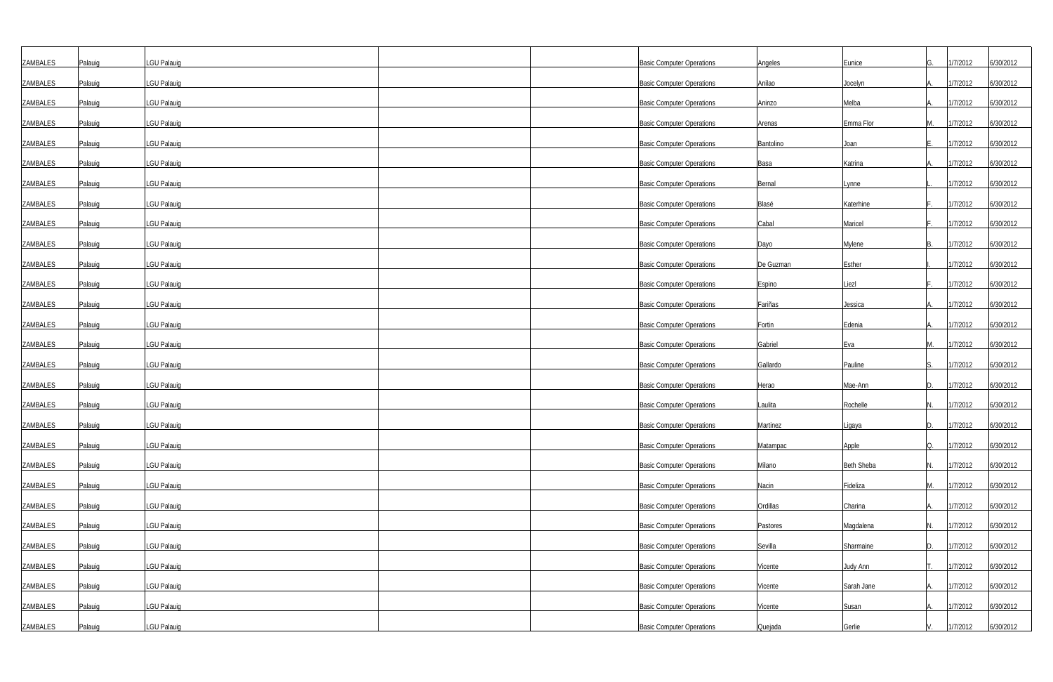| <b>ZAMBALES</b> | Palauig | LGU Palauig        | <b>Basic Computer Operations</b> | Angeles   | Eunice     | IG. | 1/7/2012 | 6/30/2012 |
|-----------------|---------|--------------------|----------------------------------|-----------|------------|-----|----------|-----------|
| <b>ZAMBALES</b> | Palauig | LGU Palauig        | <b>Basic Computer Operations</b> | Anilao    | Jocelyn    |     | 1/7/2012 | 6/30/2012 |
| <b>ZAMBALES</b> | Palauig | LGU Palauig        | <b>Basic Computer Operations</b> | Aninzo    | Melba      |     | 1/7/2012 | 6/30/2012 |
| <b>ZAMBALES</b> | Palauig | LGU Palauig        | <b>Basic Computer Operations</b> | Arenas    | Emma Flor  | M.  | 1/7/2012 | 6/30/2012 |
| <b>ZAMBALES</b> | Palauig | <b>LGU Palauig</b> | <b>Basic Computer Operations</b> | Bantolino | Joan       | E.  | 1/7/2012 | 6/30/2012 |
| <b>ZAMBALES</b> | Palauig | <b>LGU Palauig</b> | <b>Basic Computer Operations</b> | Basa      | Katrina    |     | 1/7/2012 | 6/30/2012 |
| <b>ZAMBALES</b> | Palauig | LGU Palauig        | <b>Basic Computer Operations</b> | Bernal    | ynne       |     | 1/7/2012 | 6/30/2012 |
| <b>ZAMBALES</b> | Palauig | LGU Palauig        | <b>Basic Computer Operations</b> | Blasé     | Katerhine  |     | 1/7/2012 | 6/30/2012 |
| <b>ZAMBALES</b> | Palauig | LGU Palauig        | <b>Basic Computer Operations</b> | Cabal     | Maricel    | F   | 1/7/2012 | 6/30/2012 |
| <b>ZAMBALES</b> | Palauig | LGU Palauig        | <b>Basic Computer Operations</b> | Dayo      | Mylene     | IB. | 1/7/2012 | 6/30/2012 |
| <b>ZAMBALES</b> | Palauig | LGU Palauig        | <b>Basic Computer Operations</b> | De Guzman | Esther     |     | 1/7/2012 | 6/30/2012 |
| <b>ZAMBALES</b> | Palauig | LGU Palauig        | <b>Basic Computer Operations</b> | Espino    | Liezl      |     | 1/7/2012 | 6/30/2012 |
| <b>ZAMBALES</b> | Palauig | LGU Palauig        | <b>Basic Computer Operations</b> | Fariñas   | Jessica    |     | 1/7/2012 | 6/30/2012 |
| <b>ZAMBALES</b> | Palauig | LGU Palauig        | <b>Basic Computer Operations</b> | Fortin    | Edenia     | A.  | 1/7/2012 | 6/30/2012 |
| <b>ZAMBALES</b> | Palauig | LGU Palauig        | <b>Basic Computer Operations</b> | Gabriel   | Eva        | IM. | 1/7/2012 | 6/30/2012 |
| <b>ZAMBALES</b> | Palauig | LGU Palauig        | <b>Basic Computer Operations</b> | Gallardo  | Pauline    | IS. | 1/7/2012 | 6/30/2012 |
| <b>ZAMBALES</b> | Palauig | LGU Palauig        | <b>Basic Computer Operations</b> | Herao     | Mae-Ann    | ID. | 1/7/2012 | 6/30/2012 |
| <b>ZAMBALES</b> | Palauig | LGU Palauig        | <b>Basic Computer Operations</b> | Laulita   | Rochelle   | IN. | 1/7/2012 | 6/30/2012 |
| <b>ZAMBALES</b> | Palauig | LGU Palauig        | <b>Basic Computer Operations</b> | Martinez  | Ligaya     | ID. | 1/7/2012 | 6/30/2012 |
| <b>ZAMBALES</b> | Palauig | LGU Palauig        | <b>Basic Computer Operations</b> | Matampac  | Apple      | lO. | 1/7/2012 | 6/30/2012 |
| <b>ZAMBALES</b> | Palauig | LGU Palauig        | <b>Basic Computer Operations</b> | Milano    | Beth Sheba | IN. | 1/7/2012 | 6/30/2012 |
| <b>ZAMBALES</b> | Palauig | LGU Palauig        | <b>Basic Computer Operations</b> | Nacin     | Fideliza   | IM. | 1/7/2012 | 6/30/2012 |
| <b>ZAMBALES</b> | Palauig | LGU Palauig        | <b>Basic Computer Operations</b> | Ordillas  | Charina    |     | 1/7/2012 | 6/30/2012 |
| <b>ZAMBALES</b> | Palauig | LGU Palauig        | <b>Basic Computer Operations</b> | Pastores  | Magdalena  | IN. | 1/7/2012 | 6/30/2012 |
| <b>ZAMBALES</b> | Palauig | LGU Palauig        | <b>Basic Computer Operations</b> | Sevilla   | Sharmaine  | ID. | 1/7/2012 | 6/30/2012 |
| <b>ZAMBALES</b> | Palauig | LGU Palauig        | <b>Basic Computer Operations</b> | Vicente   | Judy Ann   |     | 1/7/2012 | 6/30/2012 |
| <b>ZAMBALES</b> | Palauig | LGU Palauig        | <b>Basic Computer Operations</b> | Vicente   | Sarah Jane |     | 1/7/2012 | 6/30/2012 |
| <b>ZAMBALES</b> | Palauig | LGU Palauig        | <b>Basic Computer Operations</b> | Vicente   | Susan      |     | 1/7/2012 | 6/30/2012 |
| <b>ZAMBALES</b> | Palauig | LGU Palauig        | <b>Basic Computer Operations</b> | Quejada   | Gerlie     |     | 1/7/2012 | 6/30/2012 |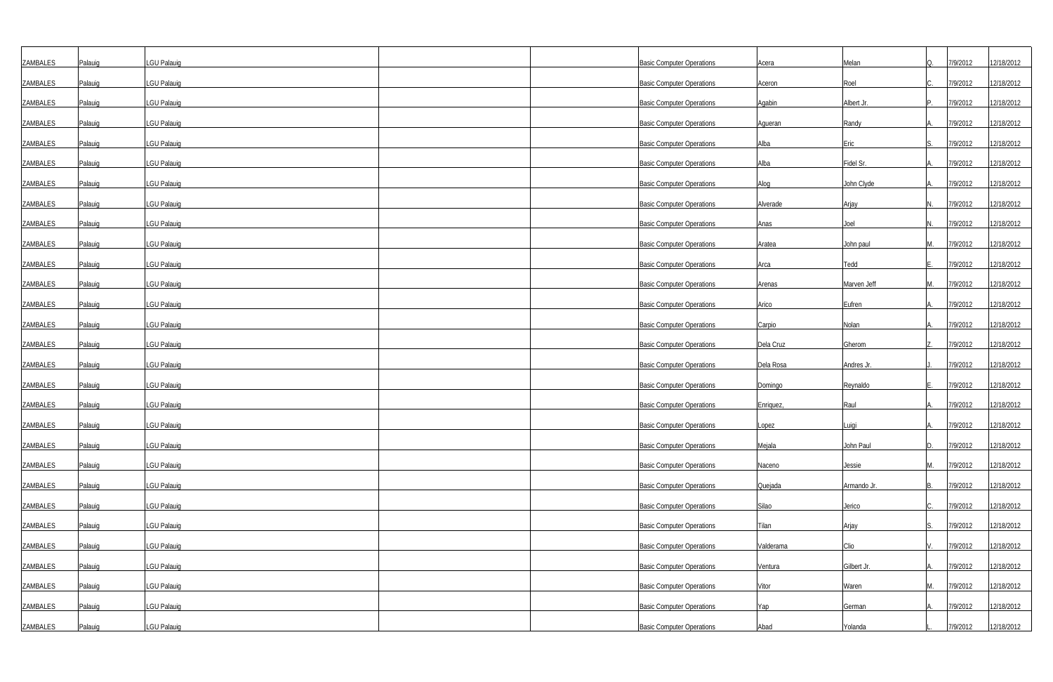| <b>ZAMBALES</b> | Palauig | LGU Palauig        | <b>Basic Computer Operations</b> | Acera     | Melan       | Q.          | 7/9/2012 | 12/18/2012 |
|-----------------|---------|--------------------|----------------------------------|-----------|-------------|-------------|----------|------------|
| <b>ZAMBALES</b> | Palauig | LGU Palauig        | <b>Basic Computer Operations</b> | Aceron    | Roel        | $\cap$      | 7/9/2012 | 12/18/2012 |
| <b>ZAMBALES</b> | Palauig | LGU Palauig        | <b>Basic Computer Operations</b> | Agabin    | Albert Jr.  | P           | 7/9/2012 | 12/18/2012 |
| <b>ZAMBALES</b> | Palauig | LGU Palauig        | <b>Basic Computer Operations</b> | Agueran   | Randy       | A.          | 7/9/2012 | 12/18/2012 |
| <b>ZAMBALES</b> | Palauig | LGU Palauig        | <b>Basic Computer Operations</b> | Alba      | Eric        | IS.         | 7/9/2012 | 12/18/2012 |
| <b>ZAMBALES</b> | Palauig | LGU Palauig        | <b>Basic Computer Operations</b> | Alba      | Fidel Sr.   | A.          | 7/9/2012 | 12/18/2012 |
| <b>ZAMBALES</b> | Palauig | LGU Palauig        | <b>Basic Computer Operations</b> | Alog      | John Clyde  | A.          | 7/9/2012 | 12/18/2012 |
| <b>ZAMBALES</b> | Palauig | LGU Palauig        | <b>Basic Computer Operations</b> | Alverade  | Arjay       | N.          | 7/9/2012 | 12/18/2012 |
| <b>ZAMBALES</b> | Palauig | LGU Palauig        | <b>Basic Computer Operations</b> | Anas      | Joel        | N.          | 7/9/2012 | 12/18/2012 |
| <b>ZAMBALES</b> | Palauig | <b>LGU Palauig</b> | <b>Basic Computer Operations</b> | Aratea    | John paul   | $M_{\cdot}$ | 7/9/2012 | 12/18/2012 |
| <b>ZAMBALES</b> | Palauig | LGU Palauig        | <b>Basic Computer Operations</b> | Arca      | Tedd        | İΕ.         | 7/9/2012 | 12/18/2012 |
| <b>ZAMBALES</b> | Palauig | LGU Palauig        | <b>Basic Computer Operations</b> | Arenas    | Marven Jeff | M.          | 7/9/2012 | 12/18/2012 |
| <b>ZAMBALES</b> | Palauig | LGU Palauig        | <b>Basic Computer Operations</b> | Arico     | Eufren      | IA.         | 7/9/2012 | 12/18/2012 |
| <b>ZAMBALES</b> | Palauig | LGU Palauig        | <b>Basic Computer Operations</b> | Carpio    | Nolan       | A.          | 7/9/2012 | 12/18/2012 |
| <b>ZAMBALES</b> | Palauig | LGU Palauig        | <b>Basic Computer Operations</b> | Dela Cruz | Gherom      |             | 7/9/2012 | 12/18/2012 |
| <b>ZAMBALES</b> | Palauig | LGU Palauig        | <b>Basic Computer Operations</b> | Dela Rosa | Andres Jr.  |             | 7/9/2012 | 12/18/2012 |
| <b>ZAMBALES</b> | Palauig | LGU Palauig        | <b>Basic Computer Operations</b> | Domingo   | Reynaldo    | E.          | 7/9/2012 | 12/18/2012 |
| <b>ZAMBALES</b> | Palauig | LGU Palauig        | <b>Basic Computer Operations</b> | Enriquez, | Raul        | IA.         | 7/9/2012 | 12/18/2012 |
| <b>ZAMBALES</b> | Palauig | LGU Palauig        | <b>Basic Computer Operations</b> | Lopez     | Luigi       |             | 7/9/2012 | 12/18/2012 |
| <b>ZAMBALES</b> | Palauig | <b>LGU Palauig</b> | Basic Computer Operations        | Mejala    | John Paul   | ID.         | 7/9/2012 | 12/18/2012 |
| <b>ZAMBALES</b> | Palauig | LGU Palauig        | <b>Basic Computer Operations</b> | Naceno    | Jessie      | M.          | 7/9/2012 | 12/18/2012 |
| <b>ZAMBALES</b> | Palauig | LGU Palauig        | <b>Basic Computer Operations</b> | Quejada   | Armando Jr. | B.          | 7/9/2012 | 12/18/2012 |
| <b>ZAMBALES</b> | Palauig | LGU Palauig        | <b>Basic Computer Operations</b> | Silao     | Jerico      | $\cap$      | 7/9/2012 | 12/18/2012 |
| <b>ZAMBALES</b> | Palauig | LGU Palauig        | <b>Basic Computer Operations</b> | Tilan     | Arjay       | IS.         | 7/9/2012 | 12/18/2012 |
| <b>ZAMBALES</b> | Palauig | LGU Palauig        | <b>Basic Computer Operations</b> | Valderama | Clio        |             | 7/9/2012 | 12/18/2012 |
|                 |         |                    |                                  |           |             |             |          |            |
| <b>ZAMBALES</b> | Palauig | LGU Palauig        | <b>Basic Computer Operations</b> | Ventura   | Gilbert Jr. | A.          | 7/9/2012 | 12/18/2012 |
| <b>ZAMBALES</b> | Palauig | LGU Palauig        | <b>Basic Computer Operations</b> | Vitor     | Waren       | M.          | 7/9/2012 | 12/18/2012 |
| <b>ZAMBALES</b> | Palauig | LGU Palauig        | <b>Basic Computer Operations</b> | Yap       | German      | IA.         | 7/9/2012 | 12/18/2012 |
| <b>ZAMBALES</b> | Palauig | <b>LGU Palauig</b> | <b>Basic Computer Operations</b> | Abad      | Yolanda     |             | 7/9/2012 | 12/18/2012 |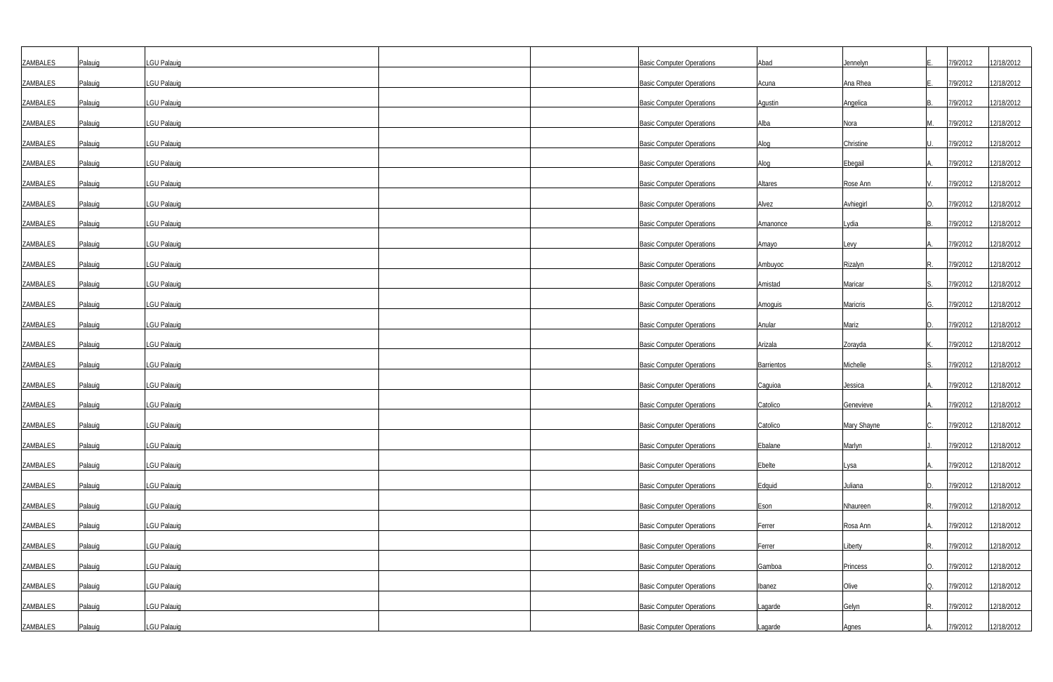| <b>ZAMBALES</b> | Palauig | LGU Palauig        | <b>Basic Computer Operations</b><br>Abad           | Jennelyn     | İΕ. | 7/9/2012 | 12/18/2012 |
|-----------------|---------|--------------------|----------------------------------------------------|--------------|-----|----------|------------|
| <b>ZAMBALES</b> | Palauig | LGU Palauig        | <b>Basic Computer Operations</b><br>Acuna          | Ana Rhea     | IF. | 7/9/2012 | 12/18/2012 |
| <b>ZAMBALES</b> | Palauig | LGU Palauig        | <b>Basic Computer Operations</b><br>Agustin        | Angelica     | IB. | 7/9/2012 | 12/18/2012 |
| <b>ZAMBALES</b> | Palauig | LGU Palauig        | <b>Basic Computer Operations</b><br>Alba           | Nora         | M.  | 7/9/2012 | 12/18/2012 |
| <b>ZAMBALES</b> | Palauig | LGU Palauig        | <b>Basic Computer Operations</b><br>Alog           | Christine    |     | 7/9/2012 | 12/18/2012 |
| <b>ZAMBALES</b> | Palauig | LGU Palauig        | <b>Basic Computer Operations</b><br>Alog           | Ebegail      | A.  | 7/9/2012 | 12/18/2012 |
| <b>ZAMBALES</b> | Palauig | LGU Palauig        | <b>Basic Computer Operations</b><br><b>Altares</b> | Rose Ann     |     | 7/9/2012 | 12/18/2012 |
| <b>ZAMBALES</b> | Palauig | LGU Palauig        | <b>Basic Computer Operations</b><br>Alvez          | Avhiegirl    | IO. | 7/9/2012 | 12/18/2012 |
| <b>ZAMBALES</b> | Palauig | LGU Palauig        | <b>Basic Computer Operations</b><br>Amanonce       | Lydia        | B.  | 7/9/2012 | 12/18/2012 |
| <b>ZAMBALES</b> | Palauig | <b>LGU Palauig</b> | <b>Basic Computer Operations</b><br>Amayo          | Levy         |     | 7/9/2012 | 12/18/2012 |
| <b>ZAMBALES</b> | Palauig | LGU Palauig        | <b>Basic Computer Operations</b><br>Ambuyoc        | Rizalyn      | R.  | 7/9/2012 | 12/18/2012 |
| <b>ZAMBALES</b> | Palauig | LGU Palauig        | <b>Basic Computer Operations</b><br>Amistad        | Maricar      | ls  | 7/9/2012 | 12/18/2012 |
| <b>ZAMBALES</b> | Palauig | LGU Palauig        | <b>Basic Computer Operations</b><br>Amoguis        | Maricris     | G.  | 7/9/2012 | 12/18/2012 |
| <b>ZAMBALES</b> | Palauig | LGU Palauig        | <b>Basic Computer Operations</b><br>Anular         | Mariz        | D.  | 7/9/2012 | 12/18/2012 |
| <b>ZAMBALES</b> | Palauig | LGU Palauig        | <b>Basic Computer Operations</b><br>Arizala        | Zorayda      | K.  | 7/9/2012 | 12/18/2012 |
| <b>ZAMBALES</b> | Palauig | LGU Palauig        | <b>Basic Computer Operations</b><br>Barrientos     | Michelle     | S.  | 7/9/2012 | 12/18/2012 |
| <b>ZAMBALES</b> | Palauig | LGU Palauig        | <b>Basic Computer Operations</b><br>Caguioa        | Jessica      |     | 7/9/2012 | 12/18/2012 |
| <b>ZAMBALES</b> | Palauig | LGU Palauig        | <b>Basic Computer Operations</b><br>Catolico       | Genevieve    | A.  | 7/9/2012 | 12/18/2012 |
| <b>ZAMBALES</b> | Palauig | LGU Palauig        | <b>Basic Computer Operations</b><br>Catolico       | Mary Shayne  | C.  | 7/9/2012 | 12/18/2012 |
| <b>ZAMBALES</b> | Palauig | LGU Palauig        | <b>Basic Computer Operations</b><br>Ebalane        | Marlyn       |     | 7/9/2012 | 12/18/2012 |
| <b>ZAMBALES</b> | Palauig | LGU Palauig        | <b>Basic Computer Operations</b><br>Ebelte         | Lysa         |     | 7/9/2012 | 12/18/2012 |
| <b>ZAMBALES</b> | Palauig | LGU Palauig        | <b>Basic Computer Operations</b><br>Edquid         | Juliana      | ID  | 7/9/2012 | 12/18/2012 |
| <b>ZAMBALES</b> | Palauig | LGU Palauig        | <b>Basic Computer Operations</b><br>Eson           | Nhaureen     | R.  | 7/9/2012 | 12/18/2012 |
| <b>ZAMBALES</b> | Palauig | LGU Palauig        | <b>Basic Computer Operations</b><br>Ferrer         | Rosa Ann     | A.  | 7/9/2012 | 12/18/2012 |
| <b>ZAMBALES</b> | Palauig | LGU Palauig        | <b>Basic Computer Operations</b><br>Ferrer         | Liberty      | IR. | 7/9/2012 | 12/18/2012 |
| <b>ZAMBALES</b> | Palauig | LGU Palauig        | <b>Basic Computer Operations</b><br>Gamboa         | Princess     | О.  | 7/9/2012 | 12/18/2012 |
| <b>ZAMBALES</b> | Palauig | LGU Palauig        | <b>Basic Computer Operations</b><br>Ibanez         | Olive        | O.  | 7/9/2012 | 12/18/2012 |
| <b>ZAMBALES</b> | Palauig | LGU Palauig        | <b>Basic Computer Operations</b><br>Lagarde        | Gelyn        | R.  | 7/9/2012 | 12/18/2012 |
| <b>ZAMBALES</b> | Palauig | LGU Palauig        | <b>Basic Computer Operations</b>                   |              |     | 7/9/2012 | 12/18/2012 |
|                 |         |                    | Lagarde                                            | <b>Agnes</b> | A.  |          |            |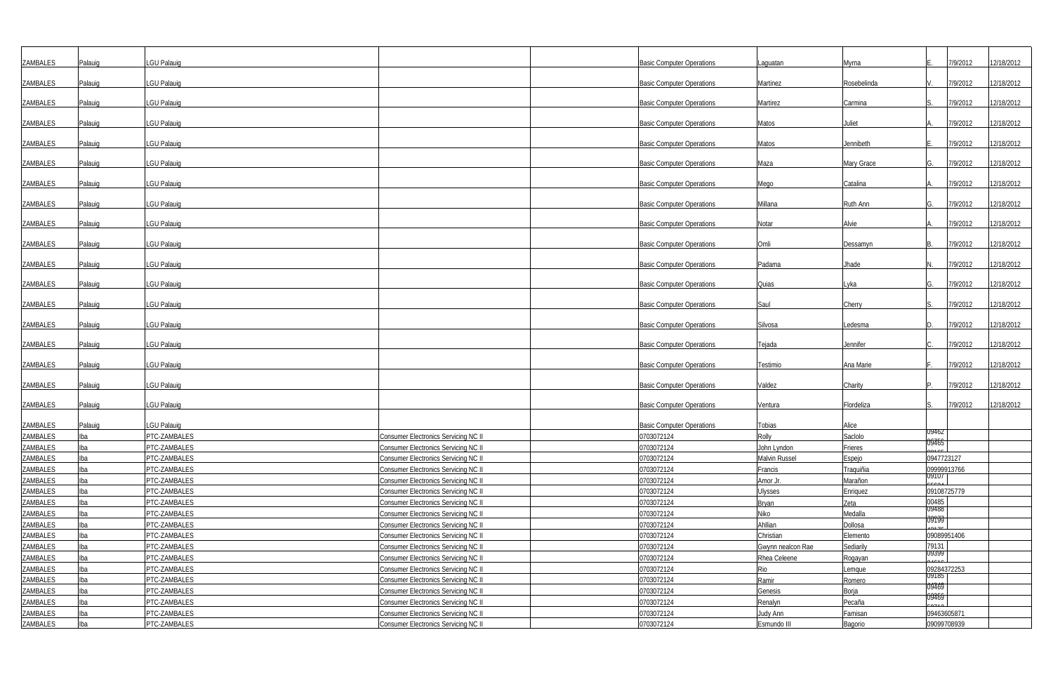| <b>ZAMBALES</b> | Palauig | <b>LGU Palauig</b>  |                                      | <b>Basic Computer Operations</b> | Laquatan             | Myma             | IF.           | 7/9/2012    | 12/18/2012 |
|-----------------|---------|---------------------|--------------------------------------|----------------------------------|----------------------|------------------|---------------|-------------|------------|
| <b>ZAMBALES</b> | Palauig | LGU Palauig         |                                      | <b>Basic Computer Operations</b> | Martinez             | Rosebelinda      |               | 7/9/2012    | 12/18/2012 |
| <b>ZAMBALES</b> | Palauig | <b>LGU Palauig</b>  |                                      | <b>Basic Computer Operations</b> | Martirez             | Carmina          | IS.           | 7/9/2012    | 12/18/2012 |
|                 | Palauig | LGU Palauig         |                                      | <b>Basic Computer Operations</b> | Matos                | Juliet           |               | 7/9/2012    | 12/18/2012 |
| <b>ZAMBALES</b> |         |                     |                                      |                                  |                      |                  | A.            |             |            |
| <b>ZAMBALES</b> | Palauig | <b>LGU Palauig</b>  |                                      | <b>Basic Computer Operations</b> | Matos                | Jennibeth        | E             | 7/9/2012    | 12/18/2012 |
| <b>ZAMBALES</b> | Palauig | <b>LGU Palauig</b>  |                                      | <b>Basic Computer Operations</b> | Maza                 | Mary Grace       | G.            | 7/9/2012    | 12/18/2012 |
| <b>ZAMBALES</b> | Palauig | LGU Palauig         |                                      | <b>Basic Computer Operations</b> | Mego                 | Catalina         |               | 7/9/2012    | 12/18/2012 |
| <b>ZAMBALES</b> | Palauig | LGU Palauig         |                                      | <b>Basic Computer Operations</b> | Millana              | Ruth Ann         | G.            | 7/9/2012    | 12/18/2012 |
| <b>ZAMBALES</b> | Palauig | LGU Palauig         |                                      | <b>Basic Computer Operations</b> | Notar                | Alvie            |               | 7/9/2012    | 12/18/2012 |
|                 |         |                     |                                      |                                  |                      |                  |               |             |            |
| <b>ZAMBALES</b> | Palauig | LGU Palauig         |                                      | <b>Basic Computer Operations</b> | Omli                 | Dessamyn         | IB.           | 7/9/2012    | 12/18/2012 |
| <b>ZAMBALES</b> | Palauig | <b>LGU Palauig</b>  |                                      | <b>Basic Computer Operations</b> | Padama               | Jhade            | N.            | 7/9/2012    | 12/18/2012 |
| <b>ZAMBALES</b> | Palauig | <b>LGU Palauig</b>  |                                      | <b>Basic Computer Operations</b> | Quias                | Lyka             | G.            | 7/9/2012    | 12/18/2012 |
| <b>ZAMBALES</b> | Palauig | <b>LGU Palauig</b>  |                                      | <b>Basic Computer Operations</b> | Saul                 | Cherry           | S.            | 7/9/2012    | 12/18/2012 |
|                 |         |                     |                                      |                                  |                      |                  |               |             |            |
| <b>ZAMBALES</b> | Palauig | <b>LGU Palauig</b>  |                                      | <b>Basic Computer Operations</b> | Silvosa              | Ledesma          | ID.           | 7/9/2012    | 12/18/2012 |
| <b>ZAMBALES</b> | Palauig | <b>LGU Palauig</b>  |                                      | <b>Basic Computer Operations</b> | Tejada               | Jennifer         |               | 7/9/2012    | 12/18/2012 |
| <b>ZAMBALES</b> | Palauig | <b>LGU Palauig</b>  |                                      | <b>Basic Computer Operations</b> | Testimio             | <b>Ana Marie</b> | E.            | 7/9/2012    | 12/18/2012 |
| <b>ZAMBALES</b> | Palauig | LGU Palauig         |                                      | <b>Basic Computer Operations</b> | Valdez               | Charity          | P             | 7/9/2012    | 12/18/2012 |
| <b>ZAMBALES</b> | Palauig | LGU Palauig         |                                      | <b>Basic Computer Operations</b> | Ventura              | Flordeliza       |               | 7/9/2012    | 12/18/2012 |
| <b>ZAMBALES</b> | Palauig | <b>LGU Palauig</b>  |                                      | <b>Basic Computer Operations</b> | <b>Tobias</b>        | Alice            |               |             |            |
| <b>ZAMBALES</b> | Iba     | <b>PTC-ZAMBALES</b> | Consumer Electronics Servicing NC II | 0703072124                       | Rolly                | Sadolo           | 09462         |             |            |
| <b>ZAMBALES</b> | Iba     | PTC-ZAMBALES        | Consumer Electronics Servicing NC II | 0703072124                       | John Lyndon          | Frieres          | 09465         |             |            |
| <b>ZAMBALES</b> | Iba     | PTC-ZAMBALES        | Consumer Electronics Servicing NC II | 0703072124                       | <b>Malvin Russel</b> | Espejo           |               | 0947723127  |            |
| <b>ZAMBALES</b> | Iba     | PTC-ZAMBALES        | Consumer Electronics Servicing NC II | 0703072124                       | Francis              | Traquiñia        |               | 09999913766 |            |
| <b>ZAMBALES</b> | Iba     | <b>PTC-ZAMBALES</b> | Consumer Electronics Servicing NC II | 0703072124                       | Amor Jr.             | Marañon          | 09107         |             |            |
| <b>ZAMBALES</b> | Iba     | PTC-ZAMBALES        | Consumer Electronics Servicing NC II | 0703072124                       | <b>Ulysses</b>       | Enriquez         |               | 09108725779 |            |
| <b>ZAMBALES</b> | Iba     | PTC-ZAMBALES        | Consumer Electronics Servicing NC II | 0703072124                       | Bryan                | Zeta             | 00485         |             |            |
| <b>ZAMBALES</b> | Iba     | PTC-ZAMBALES        | Consumer Electronics Servicing NC II | 0703072124                       | Niko                 | Medalla          | 09488         |             |            |
| <b>ZAMBALES</b> | Iba     | PTC-ZAMBALES        | Consumer Electronics Servicing NC II | 0703072124                       | Ahllian              | Dollosa          | <b>091991</b> |             |            |
| <b>ZAMBALES</b> | Iba     | PTC-ZAMBALES        | Consumer Electronics Servicing NC II | 0703072124                       | Christian            | Elemento         |               | 09089951406 |            |
| <b>ZAMBALES</b> | Iba     | PTC-ZAMBALES        | Consumer Electronics Servicing NC II | 0703072124                       | Gwynn nealcon Rae    | Sediarily        | 79131         |             |            |
| <b>ZAMBALES</b> | Iba     | PTC-ZAMBALES        | Consumer Electronics Servicing NC II | 0703072124                       | Rhea Celeene         | Rogayan          | 09399         |             |            |
| <b>ZAMBALES</b> | Iba     | PTC-ZAMBALES        | Consumer Electronics Servicing NC II | 0703072124                       | Rio                  | Lemque           |               | 09284372253 |            |
| <b>ZAMBALES</b> | Iba     | PTC-ZAMBALES        | Consumer Electronics Servicing NC II | 0703072124                       | Ramir                | Romero           | 09185         |             |            |
| <b>ZAMBALES</b> | Iba     | PTC-ZAMBALES        | Consumer Electronics Servicing NC II | 0703072124                       | Genesis              | Borja            | 09469         |             |            |
| <b>ZAMBALES</b> | Iba     | PTC-ZAMBALES        | Consumer Electronics Servicing NC II | 0703072124                       | Renalyn              | Pecaña           | 094691        |             |            |
| <b>ZAMBALES</b> | Iba     | PTC-ZAMBALES        | Consumer Electronics Servicing NC II | 0703072124                       | Judy Ann             | Famisan          |               | 09463605871 |            |
| <b>ZAMBALES</b> | Iba     | PTC-ZAMBALES        | Consumer Electronics Servicing NC II | 0703072124                       | Esmundo III          | Bagorio          |               | 09099708939 |            |
|                 |         |                     |                                      |                                  |                      |                  |               |             |            |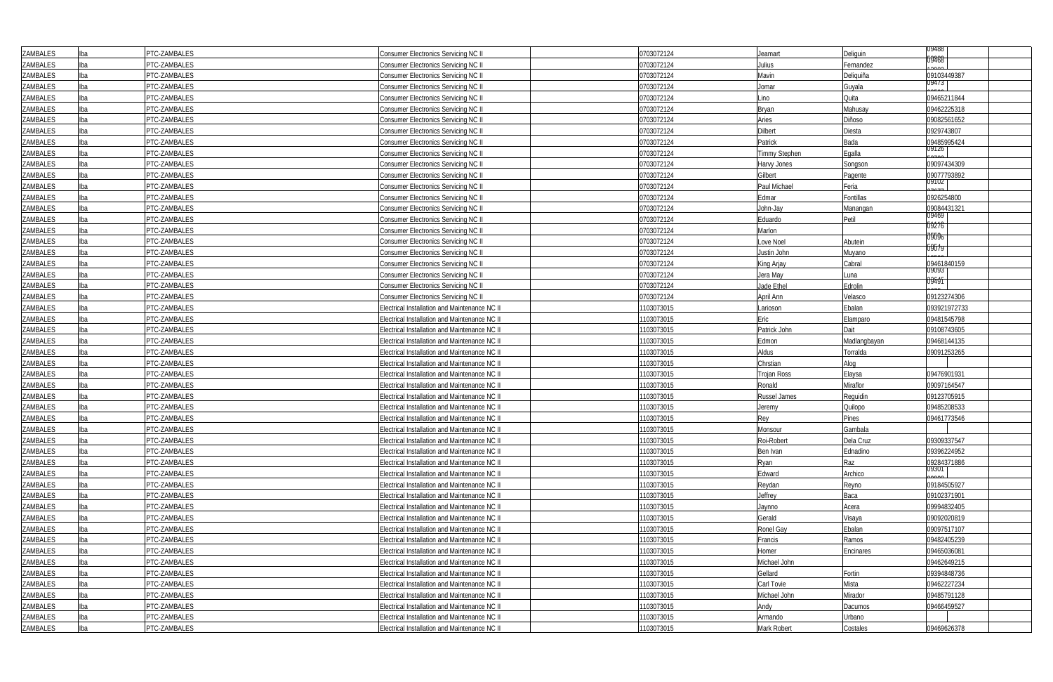| <b>ZAMBALES</b> | Iba  | <b>PTC-ZAMBALES</b> | Consumer Electronics Servicing NC II          | 0703072124 | Jeamart            | Deliguin     | 09488        |  |
|-----------------|------|---------------------|-----------------------------------------------|------------|--------------------|--------------|--------------|--|
| <b>ZAMBALES</b> | Iba  | PTC-ZAMBALES        | Consumer Electronics Servicing NC II          | 0703072124 | Julius             | Fernandez    | 09468        |  |
| <b>ZAMBALES</b> |      | PTC-ZAMBALES        | Consumer Electronics Servicing NC II          | 0703072124 | Mavin              | Deliquiña    | 09103449387  |  |
| <b>ZAMBALES</b> |      | <b>PTC-ZAMBALES</b> | Consumer Electronics Servicing NC II          | 0703072124 | Jomar              | Guyala       | 09473        |  |
| <b>ZAMBALES</b> | lba  | PTC-ZAMBALES        | Consumer Electronics Servicing NC II          | 0703072124 | _ino               | Quita        | 09465211844  |  |
| <b>ZAMBALES</b> | Iba  | <b>PTC-ZAMBALES</b> | Consumer Electronics Servicing NC II          | 0703072124 | <b>Bryan</b>       | Mahusay      | 09462225318  |  |
| <b>ZAMBALES</b> | Iba  | <b>PTC-ZAMBALES</b> | Consumer Electronics Servicing NC II          | 0703072124 | Aries              | Diñoso       | 09082561652  |  |
| <b>ZAMBALES</b> | lba  | PTC-ZAMBALES        | Consumer Electronics Servicing NC II          | 0703072124 | <b>Dilbert</b>     | Diesta       | 0929743807   |  |
| <b>ZAMBALES</b> | Iba  | PTC-ZAMBALES        | Consumer Electronics Servicing NC II          | 0703072124 | Patrick            | Bada         | 09485995424  |  |
| <b>ZAMBALES</b> | Ilba | <b>PTC-ZAMBALES</b> | Consumer Electronics Servicing NC II          | 0703072124 | Timmy Stephen      | Egalla       | 09126        |  |
| <b>ZAMBALES</b> | Iba  | PTC-ZAMBALES        | Consumer Electronics Servicing NC II          | 0703072124 | Harvy Jones        | Songson      | 09097434309  |  |
| <b>ZAMBALES</b> | lba  | PTC-ZAMBALES        | Consumer Electronics Servicing NC II          | 0703072124 | Gilbert            | Pagente      | 09077793892  |  |
| <b>ZAMBALES</b> | Iba  | <b>PTC-ZAMBALES</b> | Consumer Electronics Servicing NC II          | 0703072124 | Paul Michael       | Feria        | 09102        |  |
| <b>ZAMBALES</b> | Iba  | <b>PTC-ZAMBALES</b> | Consumer Electronics Servicing NC II          | 0703072124 | Edmar              | Fontillas    | 0926254800   |  |
| <b>ZAMBALES</b> | Iba  | PTC-ZAMBALES        | Consumer Electronics Servicing NC II          | 0703072124 | John-Jay           | Manangan     | 09084431321  |  |
| <b>ZAMBALES</b> | Ilba | PTC-ZAMBALES        | Consumer Electronics Servicing NC II          | 0703072124 | Eduardo            | Petil        | 09469        |  |
| <b>ZAMBALES</b> | Iba  | <b>PTC-ZAMBALES</b> | Consumer Electronics Servicing NC II          | 0703072124 | Marlon             |              | 09276        |  |
| <b>ZAMBALES</b> |      | PTC-ZAMBALES        | Consumer Electronics Servicing NC II          | 0703072124 | Love Noel          | Abutein      | 09096        |  |
| <b>ZAMBALES</b> | Iba  | <b>PTC-ZAMBALES</b> | Consumer Electronics Servicing NC II          | 0703072124 | Justin John        | Muyano       | 09079        |  |
| <b>ZAMBALES</b> | Iba  | PTC-ZAMBALES        | Consumer Electronics Servicing NC II          | 0703072124 | King Arjay         | Cabral       | 09461840159  |  |
| <b>ZAMBALES</b> | Iba  | <b>PTC-ZAMBALES</b> | Consumer Electronics Servicing NC II          | 0703072124 | Jera May           | Luna         | 09093        |  |
| <b>ZAMBALES</b> | Iba  | PTC-ZAMBALES        | Consumer Electronics Servicing NC II          | 0703072124 | Jade Ethel         | Edrolin      | 09491        |  |
| <b>ZAMBALES</b> | Iba  | PTC-ZAMBALES        | Consumer Electronics Servicing NC II          | 0703072124 | April Ann          | Velasco      | 09123274306  |  |
| <b>ZAMBALES</b> | Iba  | PTC-ZAMBALES        | Electrical Installation and Maintenance NC II | 1103073015 | arioson            | Ebalan       | 093921972733 |  |
| <b>ZAMBALES</b> | Iba  | PTC-ZAMBALES        | Electrical Installation and Maintenance NC II | 1103073015 | Eric               | Elamparo     | 09481545798  |  |
| <b>ZAMBALES</b> | Iba  | PTC-ZAMBALES        | Electrical Installation and Maintenance NC II | 1103073015 | Patrick John       | Dait         | 09108743605  |  |
| <b>ZAMBALES</b> | Iba  | PTC-ZAMBALES        | Electrical Installation and Maintenance NC II | 1103073015 | Edmon              | Madlangbayan | 09468144135  |  |
| <b>ZAMBALES</b> | Iba  | <b>PTC-ZAMBALES</b> | Electrical Installation and Maintenance NC II | 1103073015 | Aldus              | Torralda     | 09091253265  |  |
| <b>ZAMBALES</b> | Iba  | PTC-ZAMBALES        | Electrical Installation and Maintenance NC II | 1103073015 | Chrstian           | Alog         |              |  |
| <b>ZAMBALES</b> | Ilba | PTC-ZAMBALES        | Electrical Installation and Maintenance NC II | 1103073015 | <b>Trojan Ross</b> | Elaysa       | 09476901931  |  |
| <b>ZAMBALES</b> | Iba  | PTC-ZAMBALES        | Electrical Installation and Maintenance NC II | 1103073015 | Ronald             | Miraflor     | 09097164547  |  |
| <b>ZAMBALES</b> | Iba  | PTC-ZAMBALES        | Electrical Installation and Maintenance NC II | 1103073015 | Russel James       | Reguidin     | 09123705915  |  |
| <b>ZAMBALES</b> | Iba  | PTC-ZAMBALES        | Electrical Installation and Maintenance NC II | 1103073015 | Jeremy             | Quilopo      | 09485208533  |  |
| <b>ZAMBALES</b> | lba  | PTC-ZAMBALES        | Electrical Installation and Maintenance NC II | 1103073015 | Rev                | Pines        | 09461773546  |  |
| <b>ZAMBALES</b> | Iba  | <b>PTC-ZAMBALES</b> | Electrical Installation and Maintenance NC II | 1103073015 | Monsour            | Gambala      |              |  |
| <b>ZAMBALES</b> | Iba  | <b>PTC-ZAMBALES</b> | Electrical Installation and Maintenance NC II | 1103073015 | Roi-Robert         | Dela Cruz    | 09309337547  |  |
| <b>ZAMBALES</b> | lba  | PTC-ZAMBALES        | Electrical Installation and Maintenance NC II | 1103073015 | Ben Ivan           | Ednadino     | 09396224952  |  |
| <b>ZAMBALES</b> | Iba  | PTC-ZAMBALES        | Electrical Installation and Maintenance NC II | 1103073015 | Ryan               | Raz          | 09284371886  |  |
| <b>ZAMBALES</b> | Iba  | PTC-ZAMBALES        | Electrical Installation and Maintenance NC II | 1103073015 | Edward             | Archico      | 09301        |  |
| <b>ZAMBALES</b> | Iba  | <b>PTC-ZAMBALES</b> | Electrical Installation and Maintenance NC II | 1103073015 | Reydan             | Reyno        | 09184505927  |  |
| <b>ZAMBALES</b> | Iba  | PTC-ZAMBALES        | Electrical Installation and Maintenance NC II | 1103073015 | <b>Jeffrey</b>     | Baca         | 09102371901  |  |
| <b>ZAMBALES</b> | Iba  | <b>PTC-ZAMBALES</b> | Electrical Installation and Maintenance NC II | 1103073015 | Jaynno             | Acera        | 09994832405  |  |
| <b>ZAMBALES</b> | Iba  | <b>PTC-ZAMBALES</b> | Electrical Installation and Maintenance NC II | 1103073015 | Gerald             | Visaya       | 09092020819  |  |
| <b>ZAMBALES</b> | Iba  | PTC-ZAMBALES        | Electrical Installation and Maintenance NC II | 1103073015 | Ronel Gay          | Ebalan       | 09097517107  |  |
| <b>ZAMBALES</b> | lba  | <b>PTC-ZAMBALES</b> | Electrical Installation and Maintenance NC II | 1103073015 | Francis            | Ramos        | 09482405239  |  |
| <b>ZAMBALES</b> | Iba  | PTC-ZAMBALES        | Electrical Installation and Maintenance NC II | 1103073015 | Homer              | Encinares    | 09465036081  |  |
| <b>ZAMBALES</b> | Iba  | <b>PTC-ZAMBALES</b> | Electrical Installation and Maintenance NC II | 1103073015 | Michael John       |              | 09462649215  |  |
| <b>ZAMBALES</b> | Iba  | <b>PTC-ZAMBALES</b> | Electrical Installation and Maintenance NC II | 1103073015 | Gellard            | Fortin       | 09394848736  |  |
| <b>ZAMBALES</b> | Iba  | <b>PTC-ZAMBALES</b> | Electrical Installation and Maintenance NC II | 1103073015 | Carl Tovie         | Mista        | 09462227234  |  |
| <b>ZAMBALES</b> |      | PTC-ZAMBALES        | Electrical Installation and Maintenance NC II | 1103073015 | Michael John       | Mirador      | 09485791128  |  |
| <b>ZAMBALES</b> | lba  | PTC-ZAMBALES        | Electrical Installation and Maintenance NC II | 1103073015 | Andy               | Dacumos      | 09466459527  |  |
| <b>ZAMBALES</b> | lba  | PTC-ZAMBALES        | Electrical Installation and Maintenance NC II | 1103073015 | Armando            | Urbano       |              |  |
|                 |      | <b>PTC-ZAMBALES</b> | Electrical Installation and Maintenance NC II | 1103073015 | Mark Robert        | Costales     | 09469626378  |  |
| <b>ZAMBALES</b> | Iba  |                     |                                               |            |                    |              |              |  |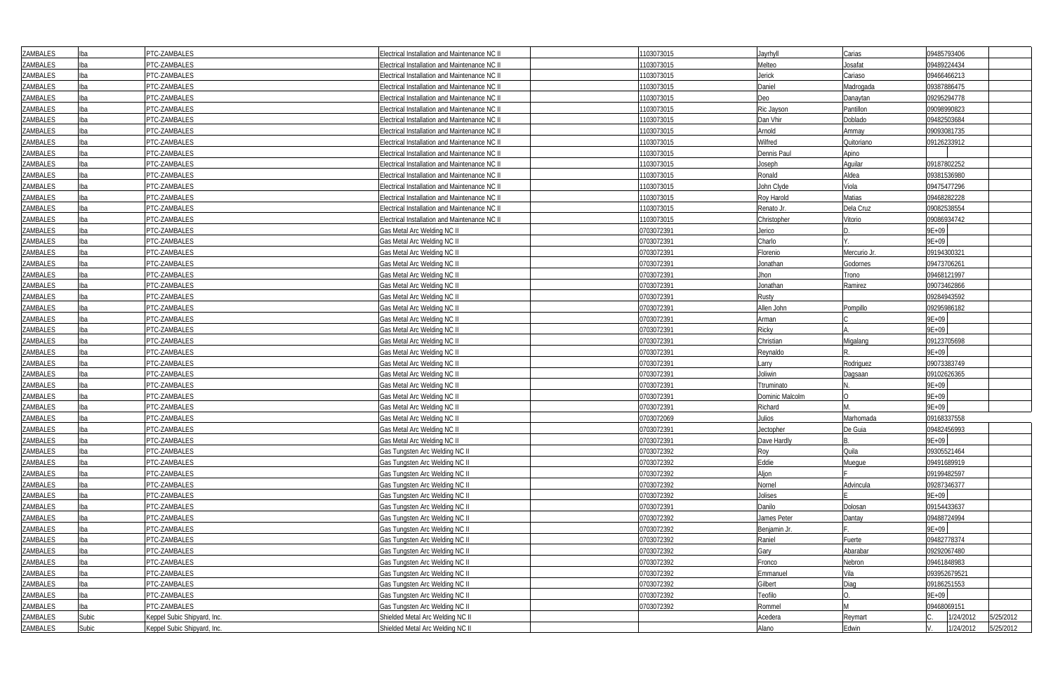| <b>ZAMBALES</b> | Iba        | PTC-ZAMBALES                | Electrical Installation and Maintenance NC II | 1103073015 | Jayrhyll         | Carias       | 09485793406  |           |           |
|-----------------|------------|-----------------------------|-----------------------------------------------|------------|------------------|--------------|--------------|-----------|-----------|
| <b>ZAMBALES</b> | Iba        | PTC-ZAMBALES                | Electrical Installation and Maintenance NC II | 1103073015 | Melteo           | Josafat      | 09489224434  |           |           |
| <b>ZAMBALES</b> | lba        | PTC-ZAMBALES                | Electrical Installation and Maintenance NC II | 1103073015 | <b>Jerick</b>    | Cariaso      | 09466466213  |           |           |
| <b>ZAMBALES</b> | lba        | PTC-ZAMBALES                | Electrical Installation and Maintenance NC II | 1103073015 | Daniel           | Madrogada    | 09387886475  |           |           |
| <b>ZAMBALES</b> | lba        | PTC-ZAMBALES                | Electrical Installation and Maintenance NC II | 1103073015 | Deo              | Danaytan     | 09295294778  |           |           |
| <b>ZAMBALES</b> | Iba        | <b>PTC-ZAMBALES</b>         | Electrical Installation and Maintenance NC II | 1103073015 | Ric Jayson       | Pantillon    | 09098990823  |           |           |
| <b>ZAMBALES</b> | lba        | PTC-ZAMBALES                | Electrical Installation and Maintenance NC II | 1103073015 | Dan Vhir         | Doblado      | 09482503684  |           |           |
| <b>ZAMBALES</b> | lba        | PTC-ZAMBALES                | Electrical Installation and Maintenance NC II | 1103073015 | Arnold           | Ammay        | 09093081735  |           |           |
| <b>ZAMBALES</b> | lba        | <b>PTC-ZAMBALES</b>         | Electrical Installation and Maintenance NC II | 1103073015 | Wilfred          | Quitoriano   | 09126233912  |           |           |
| <b>ZAMBALES</b> | Iba        | PTC-ZAMBALES                | Electrical Installation and Maintenance NC II | 1103073015 | Dennis Paul      | Apino        |              |           |           |
| <b>ZAMBALES</b> | lba        | <b>PTC-ZAMBALES</b>         | Electrical Installation and Maintenance NC II | 1103073015 | Joseph           | Aguilar      | 09187802252  |           |           |
| <b>ZAMBALES</b> | lba        | PTC-ZAMBALES                | Electrical Installation and Maintenance NC II | 103073015  | Ronald           | Aldea        | 09381536980  |           |           |
| <b>ZAMBALES</b> | lba        | PTC-ZAMBALES                | Electrical Installation and Maintenance NC II | 1103073015 | John Clyde       | Viola        | 09475477296  |           |           |
| <b>ZAMBALES</b> | Iba        | <b>PTC-ZAMBALES</b>         | Electrical Installation and Maintenance NC II | 1103073015 | Roy Harold       | Matias       | 09468282228  |           |           |
| <b>ZAMBALES</b> | Iba        | PTC-ZAMBALES                | Electrical Installation and Maintenance NC II | 1103073015 | Renato Jr.       | Dela Cruz    | 09082538554  |           |           |
| <b>ZAMBALES</b> | lba        | PTC-ZAMBALES                | Electrical Installation and Maintenance NC II | 1103073015 | Christopher      | Vitorio      | 09086934742  |           |           |
| <b>ZAMBALES</b> | lba        | PTC-ZAMBALES                | Gas Metal Arc Welding NC II                   | 0703072391 | Jerico           |              | 9E+09        |           |           |
| <b>ZAMBALES</b> | Iba        | PTC-ZAMBALES                | Gas Metal Arc Welding NC II                   | 0703072391 | Charlo           |              | 9E+09        |           |           |
| <b>ZAMBALES</b> | lba        | <b>PTC-ZAMBALES</b>         | Gas Metal Arc Welding NC II                   | 0703072391 | Florenio         | Mercurio Jr. | 09194300321  |           |           |
| <b>ZAMBALES</b> | lba        | <b>PTC-ZAMBALES</b>         | Gas Metal Arc Welding NC II                   | 0703072391 | Jonathan         | Godornes     | 09473706261  |           |           |
| <b>ZAMBALES</b> | Iba        | PTC-ZAMBALES                | Gas Metal Arc Welding NC II                   | 0703072391 | Jhon             | Trono        | 09468121997  |           |           |
| <b>ZAMBALES</b> | lba        | PTC-ZAMBALES                | Gas Metal Arc Welding NC II                   | 0703072391 | Jonathan         | Ramirez      | 09073462866  |           |           |
| <b>ZAMBALES</b> | lba        | PTC-ZAMBALES                | Gas Metal Arc Welding NC II                   | 0703072391 | <b>Rusty</b>     |              | 09284943592  |           |           |
| <b>ZAMBALES</b> | Iba        | PTC-ZAMBALES                | Gas Metal Arc Welding NC II                   | 0703072391 | Allen John       | Pompillo     | 09295986182  |           |           |
| <b>ZAMBALES</b> | lba        | PTC-ZAMBALES                | Gas Metal Arc Welding NC II                   | 0703072391 | <u>Arman</u>     |              | 9E+09        |           |           |
| <b>ZAMBALES</b> | lba        | PTC-ZAMBALES                | Gas Metal Arc Welding NC II                   | 0703072391 | <b>Ricky</b>     |              | 9E+09        |           |           |
| <b>ZAMBALES</b> | Iba        | PTC-ZAMBALES                | Gas Metal Arc Welding NC II                   | 0703072391 | Christian        | Migalang     | 09123705698  |           |           |
| <b>ZAMBALES</b> | lba        | PTC-ZAMBALES                | Gas Metal Arc Welding NC II                   | 0703072391 | Reynaldo         |              | 9E+09        |           |           |
| <b>ZAMBALES</b> | lba        | PTC-ZAMBALES                | Gas Metal Arc Welding NC II                   | 0703072391 | arry             | Rodriguez    | 09073383749  |           |           |
| <b>ZAMBALES</b> | lba        | PTC-ZAMBALES                | Gas Metal Arc Welding NC II                   | 0703072391 | Joliwin          | Dagsaan      | 09102626365  |           |           |
| <b>ZAMBALES</b> | lba        | PTC-ZAMBALES                | Gas Metal Arc Welding NC II                   | 0703072391 | Ttruminato       |              | 9E+09        |           |           |
| <b>ZAMBALES</b> | lba        | PTC-ZAMBALES                | Gas Metal Arc Welding NC II                   | 0703072391 | Dominic Malcolm  |              | 9E+09        |           |           |
| <b>ZAMBALES</b> | lba        | PTC-ZAMBALES                | Gas Metal Arc Welding NC II                   | 0703072391 | Richard          |              | 9E+09        |           |           |
| <b>ZAMBALES</b> | lba        | <b>TC-ZAMBALES</b>          | Gas Metal Arc Welding NC II                   | 0703072069 | Julios           | Marhomada    | 09168337558  |           |           |
| <b>ZAMBALES</b> |            | PTC-ZAMBALES                | Gas Metal Arc Welding NC II                   | 0703072391 | <b>Jectopher</b> | De Guia      | 09482456993  |           |           |
| <b>ZAMBALES</b> | Iba        | PTC-ZAMBALES                | Gas Metal Arc Welding NC II                   | 0703072391 | Dave Hardly      |              | 9E+09        |           |           |
| <b>ZAMBALES</b> |            | PTC-ZAMBALES                | <b>Gas Tungsten Arc Welding NC II</b>         | 0703072392 | Roy              | Quila        | 09305521464  |           |           |
| <b>ZAMBALES</b> | lba        | PTC-ZAMBALES                | Gas Tungsten Arc Welding NC II                | 0703072392 | Eddie            | Muegue       | 09491689919  |           |           |
| <b>ZAMBALES</b> | Iba        | <b>PTC-ZAMBALES</b>         | Gas Tungsten Arc Welding NC II                | 0703072392 | Aljon            |              | 09199482597  |           |           |
| <b>ZAMBALES</b> | Iba        | PTC-ZAMBALES                | Gas Tungsten Arc Welding NC II                | 0703072392 | Nornel           | Advincula    | 09287346377  |           |           |
| <b>ZAMBALES</b> | lba        | PTC-ZAMBALES                | Gas Tungsten Arc Welding NC II                | 0703072392 | <b>Jolises</b>   |              | 9E+09        |           |           |
| <b>ZAMBALES</b> | Iba        | PTC-ZAMBALES                | Gas Tungsten Arc Welding NC II                | 0703072391 | Danilo           | Dolosan      | 09154433637  |           |           |
| <b>ZAMBALES</b> | Iba        | PTC-ZAMBALES                | Gas Tungsten Arc Welding NC II                | 0703072392 | James Peter      | Dantay       | 09488724994  |           |           |
| <b>ZAMBALES</b> | Iba        | PTC-ZAMBALES                | Gas Tungsten Arc Welding NC II                | 0703072392 | Benjamin Jr.     |              | 9E+09        |           |           |
| <b>ZAMBALES</b> | lba        | PTC-ZAMBALES                | Gas Tungsten Arc Welding NC II                | 0703072392 | Raniel           | Fuerte       | 09482778374  |           |           |
| <b>ZAMBALES</b> | lba        | PTC-ZAMBALES                | Gas Tungsten Arc Welding NC II                | 0703072392 | Gary             | Abarabar     | 09292067480  |           |           |
| <b>ZAMBALES</b> | lba        | PTC-ZAMBALES                | Gas Tungsten Arc Welding NC II                | 0703072392 | Fronco           | Nebron       | 09461848983  |           |           |
| <b>ZAMBALES</b> | Iba        | PTC-ZAMBALES                | Gas Tungsten Arc Welding NC II                | 0703072392 | Emmanuel         | √ila         | 093952679521 |           |           |
| <b>ZAMBALES</b> |            | PTC-ZAMBALES                | Gas Tungsten Arc Welding NC II                | 0703072392 | Gilbert          | Diag         | 09186251553  |           |           |
| <b>ZAMBALES</b> | Iba<br>lba | PTC-ZAMBALES                | Gas Tungsten Arc Welding NC II                | 0703072392 | Teofilo          |              | 9E+09        |           |           |
| <b>ZAMBALES</b> |            | PTC-ZAMBALES                | Gas Tungsten Arc Welding NC II                | 0703072392 | Rommel           | М            | 09468069151  |           |           |
| <b>ZAMBALES</b> | Subic      | Keppel Subic Shipyard, Inc. | Shielded Metal Arc Welding NC II              |            | Acedera          | Reymart      |              | 1/24/2012 | 5/25/2012 |
| <b>ZAMBALES</b> | Subic      | Keppel Subic Shipyard, Inc. |                                               |            | Alano            | Edwin        |              | 1/24/2012 | 5/25/2012 |
|                 |            |                             | Shielded Metal Arc Welding NC II              |            |                  |              |              |           |           |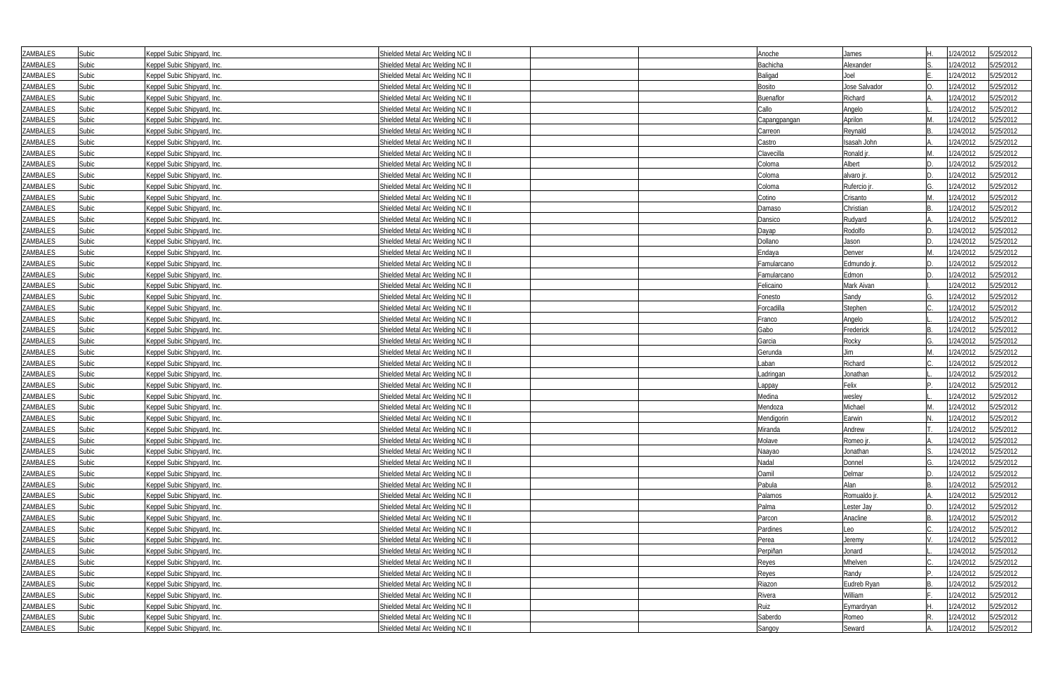| <b>ZAMBALES</b> | <b>Subic</b> | Keppel Subic Shipyard, Inc. | Shielded Metal Arc Welding NC II | Anoche           | James         |     | 1/24/2012 | 5/25/2012 |
|-----------------|--------------|-----------------------------|----------------------------------|------------------|---------------|-----|-----------|-----------|
| <b>ZAMBALES</b> | Subic        | Keppel Subic Shipyard, Inc. | Shielded Metal Arc Welding NC II | Bachicha         | Alexander     |     | 1/24/2012 | 5/25/2012 |
| <b>ZAMBALES</b> | <b>Subic</b> | Keppel Subic Shipyard, Inc. | Shielded Metal Arc Welding NC II | Baligad          | Joel          |     | 1/24/2012 | 5/25/2012 |
| <b>ZAMBALES</b> | <b>Subic</b> | Keppel Subic Shipyard, Inc. | Shielded Metal Arc Welding NC II | Bosito           | Jose Salvador |     | 1/24/2012 | 5/25/2012 |
| <b>ZAMBALES</b> | Subic        | Keppel Subic Shipyard, Inc. | Shielded Metal Arc Welding NC II | <b>Buenaflor</b> | Richard       |     | 1/24/2012 | 5/25/2012 |
| <b>ZAMBALES</b> | Subic        | Keppel Subic Shipyard, Inc. | Shielded Metal Arc Welding NC II | Callo            | Angelo        |     | 1/24/2012 | 5/25/2012 |
| <b>ZAMBALES</b> | Subic        | Keppel Subic Shipyard, Inc. | Shielded Metal Arc Welding NC II | Capangpangan     | Aprilon       |     | 1/24/2012 | 5/25/2012 |
| <b>ZAMBALES</b> | Subic        | Keppel Subic Shipyard, Inc. | Shielded Metal Arc Welding NC II | Carreon          | Reynald       | B.  | 1/24/2012 | 5/25/2012 |
| <b>ZAMBALES</b> | Subic        | Keppel Subic Shipyard, Inc. | Shielded Metal Arc Welding NC II | Castro           | Isasah John   |     | 1/24/2012 | 5/25/2012 |
| <b>ZAMBALES</b> | Subic        | Keppel Subic Shipyard, Inc. | Shielded Metal Arc Welding NC II | Clavecilla       | Ronald jr.    |     | 1/24/2012 | 5/25/2012 |
| <b>ZAMBALES</b> | Subic        | Keppel Subic Shipyard, Inc. | Shielded Metal Arc Welding NC II | Coloma           | Albert        |     | 1/24/2012 | 5/25/2012 |
| <b>ZAMBALES</b> | Subic        | Keppel Subic Shipyard, Inc. | Shielded Metal Arc Welding NC II | Coloma           | alvaro jr.    |     | 1/24/2012 | 5/25/2012 |
| <b>ZAMBALES</b> | <b>Subic</b> | Keppel Subic Shipyard, Inc. | Shielded Metal Arc Welding NC II | Coloma           | Rufercio jr.  |     | 1/24/2012 | 5/25/2012 |
| <b>ZAMBALES</b> | Subic        | Keppel Subic Shipyard, Inc. | Shielded Metal Arc Welding NC II | Cotino           | Crisanto      |     | 1/24/2012 | 5/25/2012 |
| <b>ZAMBALES</b> | Subic        | Keppel Subic Shipyard, Inc. | Shielded Metal Arc Welding NC II | Damaso           | Christian     |     | 1/24/2012 | 5/25/2012 |
| <b>ZAMBALES</b> | Subic        | Keppel Subic Shipyard, Inc. | Shielded Metal Arc Welding NC II | Dansico          | Rudvard       |     | 1/24/2012 | 5/25/2012 |
| <b>ZAMBALES</b> | <b>Subic</b> | Keppel Subic Shipyard, Inc. | Shielded Metal Arc Welding NC II | Dayap            | Rodolfo       |     | 1/24/2012 | 5/25/2012 |
| <b>ZAMBALES</b> | <b>Subic</b> | Keppel Subic Shipyard, Inc. | Shielded Metal Arc Welding NC II | Dollano          | Jason         | ID  | 1/24/2012 | 5/25/2012 |
| <b>ZAMBALES</b> | <b>Subic</b> | Keppel Subic Shipyard, Inc. | Shielded Metal Arc Welding NC II | Endaya           | Denver        |     | 1/24/2012 | 5/25/2012 |
| <b>ZAMBALES</b> | <b>Subic</b> | Keppel Subic Shipyard, Inc. | Shielded Metal Arc Welding NC II | Famularcano      | Edmundo ir.   |     | 1/24/2012 | 5/25/2012 |
| <b>ZAMBALES</b> | Subic        | Keppel Subic Shipyard, Inc. | Shielded Metal Arc Welding NC II | Famularcano      | Edmon         | ח   | 1/24/2012 | 5/25/2012 |
| <b>ZAMBALES</b> | Subic        | Keppel Subic Shipyard, Inc. | Shielded Metal Arc Welding NC II | Felicaino        | Mark Aivan    |     | 1/24/2012 | 5/25/2012 |
| <b>ZAMBALES</b> | Subic        | Keppel Subic Shipyard, Inc. | Shielded Metal Arc Welding NC II | Fonesto          | Sandy         | G   | 1/24/2012 | 5/25/2012 |
| <b>ZAMBALES</b> | Subic        |                             |                                  | Forcadilla       |               |     | 1/24/2012 | 5/25/2012 |
|                 | Subic        | Keppel Subic Shipyard, Inc. | Shielded Metal Arc Welding NC II |                  | Stephen       |     |           |           |
| <b>ZAMBALES</b> |              | Keppel Subic Shipyard, Inc. | Shielded Metal Arc Welding NC II | Franco           | Angelo        |     | 1/24/2012 | 5/25/2012 |
| <b>ZAMBALES</b> | <b>Subic</b> | Keppel Subic Shipyard, Inc. | Shielded Metal Arc Welding NC II | Gabo             | Frederick     |     | 1/24/2012 | 5/25/2012 |
| <b>ZAMBALES</b> | Subic        | Keppel Subic Shipyard, Inc. | Shielded Metal Arc Welding NC II | Garcia           | Rocky         |     | 1/24/2012 | 5/25/2012 |
| <b>ZAMBALES</b> | Subic        | Keppel Subic Shipyard, Inc. | Shielded Metal Arc Welding NC II | Gerunda          | Jim           |     | 1/24/2012 | 5/25/2012 |
| <b>ZAMBALES</b> | Subic        | Keppel Subic Shipyard, Inc. | Shielded Metal Arc Welding NC II | Laban            | Richard       |     | 1/24/2012 | 5/25/2012 |
| <b>ZAMBALES</b> | Subic        | Keppel Subic Shipyard, Inc. | Shielded Metal Arc Welding NC II | Ladringan        | Jonathan      |     | 1/24/2012 | 5/25/2012 |
| <b>ZAMBALES</b> | Subic        | Keppel Subic Shipyard, Inc. | Shielded Metal Arc Welding NC II | Lappay           | Felix         |     | 1/24/2012 | 5/25/2012 |
| <b>ZAMBALES</b> | <b>Subic</b> | Keppel Subic Shipyard, Inc. | Shielded Metal Arc Welding NC II | Medina           | wesley        |     | 1/24/2012 | 5/25/2012 |
| <b>ZAMBALES</b> | <b>Subic</b> | Keppel Subic Shipyard, Inc. | Shielded Metal Arc Welding NC II | Mendoza          | Michael       |     | 1/24/2012 | 5/25/2012 |
| <b>ZAMBALES</b> | Subic        | Keppel Subic Shipyard, Inc. | Shielded Metal Arc Welding NC II | Mendigorin       | Earwin        |     | 1/24/2012 | 5/25/2012 |
| <b>ZAMBALES</b> | <b>Subic</b> | Keppel Subic Shipyard, Inc. | Shielded Metal Arc Welding NC II | Miranda          | Andrew        |     | 1/24/2012 | 5/25/2012 |
| <b>ZAMBALES</b> | Subic        | Keppel Subic Shipyard, Inc. | Shielded Metal Arc Welding NC II | Molave           | Romeo jr.     |     | 1/24/2012 | 5/25/2012 |
| <b>ZAMBALES</b> | Subic        | Keppel Subic Shipyard, Inc. | Shielded Metal Arc Welding NC II | Naayao           | Jonathan      |     | 1/24/2012 | 5/25/2012 |
| <b>ZAMBALES</b> | Subic        | Keppel Subic Shipyard, Inc. | Shielded Metal Arc Welding NC II | Nadal            | Donnel        |     | 1/24/2012 | 5/25/2012 |
| <b>ZAMBALES</b> | Subic        | Keppel Subic Shipyard, Inc. | Shielded Metal Arc Welding NC II | Oamil            | Delmar        |     | 1/24/2012 | 5/25/2012 |
| <b>ZAMBALES</b> | Subic        | Keppel Subic Shipyard, Inc. | Shielded Metal Arc Welding NC II | Pabula           | Alan          |     | 1/24/2012 | 5/25/2012 |
| <b>ZAMBALES</b> | Subic        | Keppel Subic Shipyard, Inc. | Shielded Metal Arc Welding NC II | Palamos          | Romualdo jr.  |     | 1/24/2012 | 5/25/2012 |
| <b>ZAMBALES</b> | Subic        | Keppel Subic Shipyard, Inc. | Shielded Metal Arc Welding NC II | Palma            | Lester Jay    | ח   | 1/24/2012 | 5/25/2012 |
| <b>ZAMBALES</b> | Subic        | Keppel Subic Shipyard, Inc. | Shielded Metal Arc Welding NC II | Parcon           | Anadine       | R   | 1/24/2012 | 5/25/2012 |
| <b>ZAMBALES</b> | Subic        | Keppel Subic Shipyard, Inc. | Shielded Metal Arc Welding NC II | Pardines         | Leo           |     | 1/24/2012 | 5/25/2012 |
| <b>ZAMBALES</b> | Subic        | Keppel Subic Shipyard, Inc. | Shielded Metal Arc Welding NC II | Perea            | Jeremy        |     | 1/24/2012 | 5/25/2012 |
| <b>ZAMBALES</b> | Subic        | Keppel Subic Shipyard, Inc. | Shielded Metal Arc Welding NC II | Perpiñan         | Jonard        |     | 1/24/2012 | 5/25/2012 |
| <b>ZAMBALES</b> | Subic        | Keppel Subic Shipyard, Inc. | Shielded Metal Arc Welding NC II | <b>Reyes</b>     | Mhelven       |     | 1/24/2012 | 5/25/2012 |
| <b>ZAMBALES</b> | Subic        | Keppel Subic Shipyard, Inc. | Shielded Metal Arc Welding NC II | <b>Reyes</b>     | Randy         |     | 1/24/2012 | 5/25/2012 |
| <b>ZAMBALES</b> | Subic        | Keppel Subic Shipyard, Inc. | Shielded Metal Arc Welding NC II | Riazon           | Eudreb Ryan   | IB. | 1/24/2012 | 5/25/2012 |
| <b>ZAMBALES</b> | Subic        | Keppel Subic Shipyard, Inc. | Shielded Metal Arc Welding NC II | Rivera           | William       |     | 1/24/2012 | 5/25/2012 |
| <b>ZAMBALES</b> | Subic        | Keppel Subic Shipyard, Inc. | Shielded Metal Arc Welding NC II | Ruiz             | Eymardryan    |     | 1/24/2012 | 5/25/2012 |
| <b>ZAMBALES</b> | Subic        | Keppel Subic Shipyard, Inc. | Shielded Metal Arc Welding NC II | Saberdo          | Romeo         |     | 1/24/2012 | 5/25/2012 |
| <b>ZAMBALES</b> | Subic        | Keppel Subic Shipyard, Inc. | Shielded Metal Arc Welding NC II | Sangoy           | Seward        |     | 1/24/2012 | 5/25/2012 |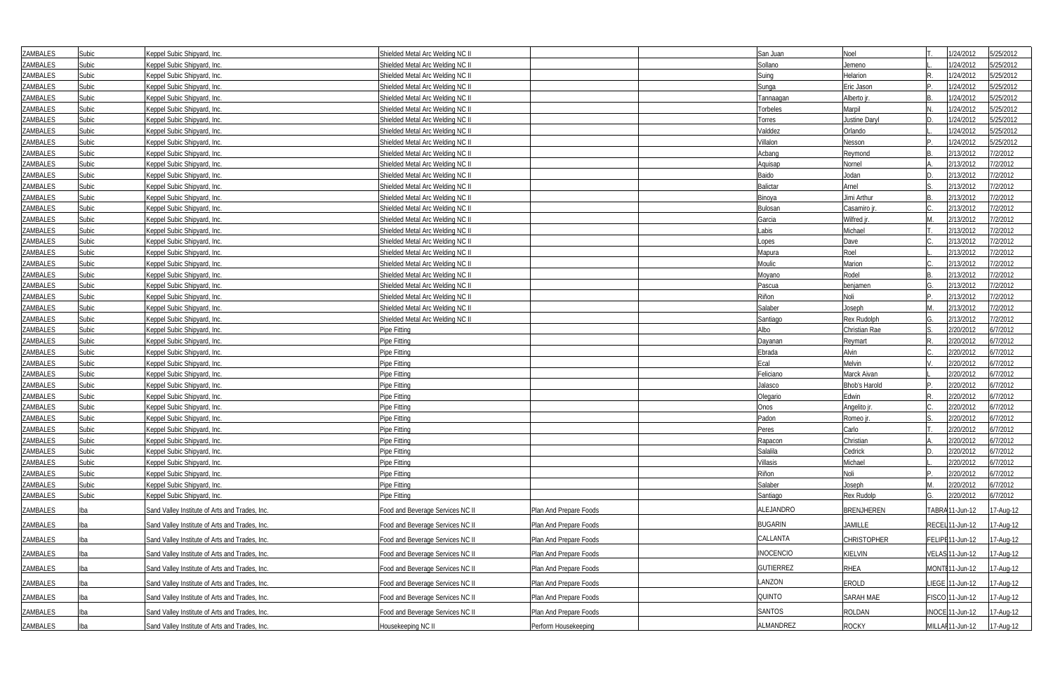| <b>ZAMBALES</b> | Subic        | Keppel Subic Shipyard, Inc.                    | Shielded Metal Arc Welding NC II |                        | San Juan         | Noel                 |                | 1/24/2012        | 5/25/2012 |
|-----------------|--------------|------------------------------------------------|----------------------------------|------------------------|------------------|----------------------|----------------|------------------|-----------|
| <b>ZAMBALES</b> | Subic        | Keppel Subic Shipyard, Inc.                    | Shielded Metal Arc Welding NC II |                        | Sollano          | Jemeno               |                | 1/24/2012        | 5/25/2012 |
| <b>ZAMBALES</b> | Subic        | Keppel Subic Shipyard, Inc.                    | Shielded Metal Arc Welding NC II |                        | Suing            | Helarion             |                | 1/24/2012        | 5/25/2012 |
| <b>ZAMBALES</b> | Subic        | Keppel Subic Shipyard, Inc.                    | Shielded Metal Arc Welding NC II |                        | Sunga            | Eric Jason           |                | 1/24/2012        | 5/25/2012 |
| <b>ZAMBALES</b> | <b>Subic</b> | Keppel Subic Shipyard, Inc.                    | Shielded Metal Arc Welding NC II |                        | Tannaagan        | Alberto jr           |                | 1/24/2012        | 5/25/2012 |
| <b>ZAMBALES</b> | Subic        | Keppel Subic Shipyard, Inc.                    | Shielded Metal Arc Welding NC II |                        | <b>Torbeles</b>  | Marpil               |                | 1/24/2012        | 5/25/2012 |
| <b>ZAMBALES</b> | Subic        | Keppel Subic Shipyard, Inc.                    | Shielded Metal Arc Welding NC II |                        | <b>Torres</b>    | <b>Justine Daryl</b> |                | 1/24/2012        | 5/25/2012 |
| <b>ZAMBALES</b> | Subic        | Keppel Subic Shipyard, Inc.                    | Shielded Metal Arc Welding NC II |                        | Valddez          | Orlando              |                | 1/24/2012        | 5/25/2012 |
| <b>ZAMBALES</b> | Subic        | Keppel Subic Shipyard, Inc.                    | Shielded Metal Arc Welding NC II |                        | Villalon         | Nesson               | Þ              | 1/24/2012        | 5/25/2012 |
| <b>ZAMBALES</b> | Subic        | Keppel Subic Shipyard, Inc.                    | Shielded Metal Arc Welding NC II |                        | Acbang           | Reymond              |                | 2/13/2012        | 7/2/2012  |
| <b>ZAMBALES</b> | Subic        | Keppel Subic Shipyard, Inc.                    | Shielded Metal Arc Welding NC II |                        | Aquisap          | Nomel                |                | 2/13/2012        | 7/2/2012  |
| <b>ZAMBALES</b> | Subic        | Keppel Subic Shipyard, Inc.                    | Shielded Metal Arc Welding NC II |                        | Baido            | Jodan                |                | 2/13/2012        | 7/2/2012  |
| <b>ZAMBALES</b> | Subic        | Keppel Subic Shipyard, Inc.                    | Shielded Metal Arc Welding NC II |                        | Balictar         | Arnel                |                | 2/13/2012        | 7/2/2012  |
| <b>ZAMBALES</b> | Subic        | Keppel Subic Shipyard, Inc.                    | Shielded Metal Arc Welding NC II |                        | Binoya           | Jimi Arthur          |                | 2/13/2012        | 7/2/2012  |
| <b>ZAMBALES</b> | Subic        | Keppel Subic Shipyard, Inc.                    | Shielded Metal Arc Welding NC II |                        | Bulosan          | Casamiro jr          |                | 2/13/2012        | 7/2/2012  |
| <b>ZAMBALES</b> | Subic        | Keppel Subic Shipyard, Inc.                    | Shielded Metal Arc Welding NC II |                        | Garcia           | Wilfred jr.          |                | 2/13/2012        | 7/2/2012  |
| <b>ZAMBALES</b> | Subic        | Keppel Subic Shipyard, Inc.                    | Shielded Metal Arc Welding NC II |                        | Labis            | Michael              |                | 2/13/2012        | 7/2/2012  |
| <b>ZAMBALES</b> | Subic        | Keppel Subic Shipyard, Inc.                    | Shielded Metal Arc Welding NC II |                        | Lopes            | Dave                 |                | 2/13/2012        | 7/2/2012  |
| <b>ZAMBALES</b> | <b>Subic</b> | Keppel Subic Shipyard, Inc.                    | Shielded Metal Arc Welding NC II |                        | Mapura           | Roel                 |                | 2/13/2012        | 7/2/2012  |
| <b>ZAMBALES</b> | Subic        | Keppel Subic Shipyard, Inc.                    | Shielded Metal Arc Welding NC II |                        | <b>Moulic</b>    | Marion               |                | 2/13/2012        | 7/2/2012  |
| <b>ZAMBALES</b> | <b>Subic</b> | Keppel Subic Shipyard, Inc.                    | Shielded Metal Arc Welding NC II |                        | Moyano           | Rodel                |                | 2/13/2012        | 7/2/2012  |
| <b>ZAMBALES</b> | Subic        | Keppel Subic Shipyard, Inc.                    | Shielded Metal Arc Welding NC II |                        | Pascua           | benjamen             | G.             | 2/13/2012        | 7/2/2012  |
| <b>ZAMBALES</b> | Subic        | Keppel Subic Shipyard, Inc.                    | Shielded Metal Arc Welding NC II |                        | Riñon            | Noli                 | <b>P</b>       | 2/13/2012        | 7/2/2012  |
| <b>ZAMBALES</b> | Subic        | Keppel Subic Shipyard, Inc.                    | Shielded Metal Arc Welding NC II |                        | Salaber          | Joseph               | M.             | 2/13/2012        | 7/2/2012  |
| <b>ZAMBALES</b> | Subic        | Keppel Subic Shipyard, Inc.                    | Shielded Metal Arc Welding NC II |                        | Santiago         | <b>Rex Rudolph</b>   | G.             | 2/13/2012        | 7/2/2012  |
| <b>ZAMBALES</b> | Subic        | Keppel Subic Shipyard, Inc.                    | Pipe Fitting                     |                        | Albo             | <b>Christian Rae</b> |                | 2/20/2012        | 6/7/2012  |
| <b>ZAMBALES</b> | Subic        | Keppel Subic Shipyard, Inc.                    | <b>Pipe Fitting</b>              |                        | Dayanan          | Reymart              | R              | 2/20/2012        | 6/7/2012  |
| <b>ZAMBALES</b> | Subic        | Keppel Subic Shipyard, Inc.                    | <b>Pipe Fitting</b>              |                        | Ebrada           | Alvin                |                | 2/20/2012        | 6/7/2012  |
| <b>ZAMBALES</b> | Subic        | Keppel Subic Shipyard, Inc.                    | Pipe Fitting                     |                        | Ecal             | Melvin               |                | 2/20/2012        | 6/7/2012  |
| <b>ZAMBALES</b> | Subic        | Keppel Subic Shipyard, Inc.                    | <b>Pipe Fitting</b>              |                        | Feliciano        | Marck Aivan          |                | 2/20/2012        | 6/7/2012  |
| <b>ZAMBALES</b> | Subic        | Keppel Subic Shipyard, Inc.                    | Pipe Fitting                     |                        | Jalasco          | <b>Bhob's Harold</b> |                | 2/20/2012        | 6/7/2012  |
| <b>ZAMBALES</b> | Subic        | Keppel Subic Shipyard, Inc.                    | Pipe Fitting                     |                        | Olegario         | Edwin                |                | 2/20/2012        | 6/7/2012  |
| <b>ZAMBALES</b> | <b>Subic</b> | Keppel Subic Shipyard, Inc.                    | <b>Pipe Fitting</b>              |                        | <b>Onos</b>      | Angelito jr.         |                | 2/20/2012        | 6/7/2012  |
| <b>ZAMBALES</b> | Subic        | Keppel Subic Shipyard, Inc.                    | <b>Pipe Fitting</b>              |                        | Padon            | Romeo ir.            |                | 2/20/2012        | 6/7/2012  |
| <b>ZAMBALES</b> | Subic        | Keppel Subic Shipyard, Inc.                    | Pipe Fitting                     |                        | Peres            | Carlo                |                | 2/20/2012        | 6/7/2012  |
| <b>ZAMBALES</b> | Subic        | Keppel Subic Shipyard, Inc.                    | <b>Pipe Fitting</b>              |                        | Rapacon          | Christian            | $\overline{A}$ | 2/20/2012        | 6/7/2012  |
| <b>ZAMBALES</b> | Subic        | Keppel Subic Shipyard, Inc.                    | <b>Pipe Fitting</b>              |                        | Salalila         | Cedrick              |                | 2/20/2012        | 6/7/2012  |
| <b>ZAMBALES</b> | Subic        | Keppel Subic Shipyard, Inc.                    | Pipe Fitting                     |                        | Villasis         | Michael              |                | 2/20/2012        | 6/7/2012  |
| <b>ZAMBALES</b> | Subic        | Keppel Subic Shipyard, Inc.                    | Pipe Fitting                     |                        | Riñon            | Noli                 | P              | 2/20/2012        | 6/7/2012  |
| <b>ZAMBALES</b> | Subic        | Keppel Subic Shipyard, Inc.                    | <b>Pipe Fitting</b>              |                        | Salaber          | Joseph               | M.             | 2/20/2012        | 6/7/2012  |
| <b>ZAMBALES</b> | Subic        | Keppel Subic Shipyard, Inc.                    | Pipe Fitting                     |                        | Santiago         | Rex Rudolp           |                | 2/20/2012        | 6/7/2012  |
| <b>ZAMBALES</b> | Iba          | Sand Valley Institute of Arts and Trades, Inc. | Food and Beverage Services NC II | Plan And Prepare Foods | <b>ALEJANDRO</b> | <b>BRENJHEREN</b>    |                | TABRA 11-Jun-12  | 17-Aug-12 |
| <b>ZAMBALES</b> | lba          | Sand Valley Institute of Arts and Trades, Inc. | Food and Beverage Services NC II | Plan And Prepare Foods | <b>BUGARIN</b>   | <b>JAMILLE</b>       |                | RECEL 11-Jun-12  | 17-Aug-12 |
| <b>ZAMBALES</b> | lba          | Sand Valley Institute of Arts and Trades, Inc. | Food and Beverage Services NC II | Plan And Prepare Foods | <b>CALLANTA</b>  | <b>CHRISTOPHER</b>   |                | FELIPE 11-Jun-12 | 17-Aug-12 |
| <b>ZAMBALES</b> | Iba          | Sand Valley Institute of Arts and Trades, Inc. | Food and Beverage Services NC II | Plan And Prepare Foods | <b>INOCENCIO</b> | <b>KIELVIN</b>       |                | VELAS 11-Jun-12  | 17-Aug-12 |
| <b>ZAMBALES</b> | Iba          | Sand Valley Institute of Arts and Trades, Inc. | Food and Beverage Services NC II | Plan And Prepare Foods | <b>GUTIERREZ</b> | <b>RHEA</b>          |                | MONTI 11-Jun-12  | 17-Aug-12 |
| <b>ZAMBALES</b> | Iba          | Sand Valley Institute of Arts and Trades, Inc. | Food and Beverage Services NC II | Plan And Prepare Foods | <b>LANZON</b>    | <b>EROLD</b>         |                | LIEGE 11-Jun-12  | 17-Aug-12 |
| <b>ZAMBALES</b> | Iba          | Sand Valley Institute of Arts and Trades, Inc. | Food and Beverage Services NC II | Plan And Prepare Foods | <b>QUINTO</b>    | <b>SARAH MAE</b>     |                | FISCO 11-Jun-12  | 17-Aug-12 |
| <b>ZAMBALES</b> |              | Sand Valley Institute of Arts and Trades, Inc. | Food and Beverage Services NC II | Plan And Prepare Foods | <b>SANTOS</b>    | <b>ROLDAN</b>        |                | INOCE 11-Jun-12  | 17-Aug-12 |
| <b>ZAMBALES</b> | Iba          | Sand Valley Institute of Arts and Trades, Inc. | Housekeeping NC II               | Perform Housekeeping   | <b>ALMANDREZ</b> | <b>ROCKY</b>         |                | MILLAI 11-Jun-12 | 17-Aug-12 |
|                 |              |                                                |                                  |                        |                  |                      |                |                  |           |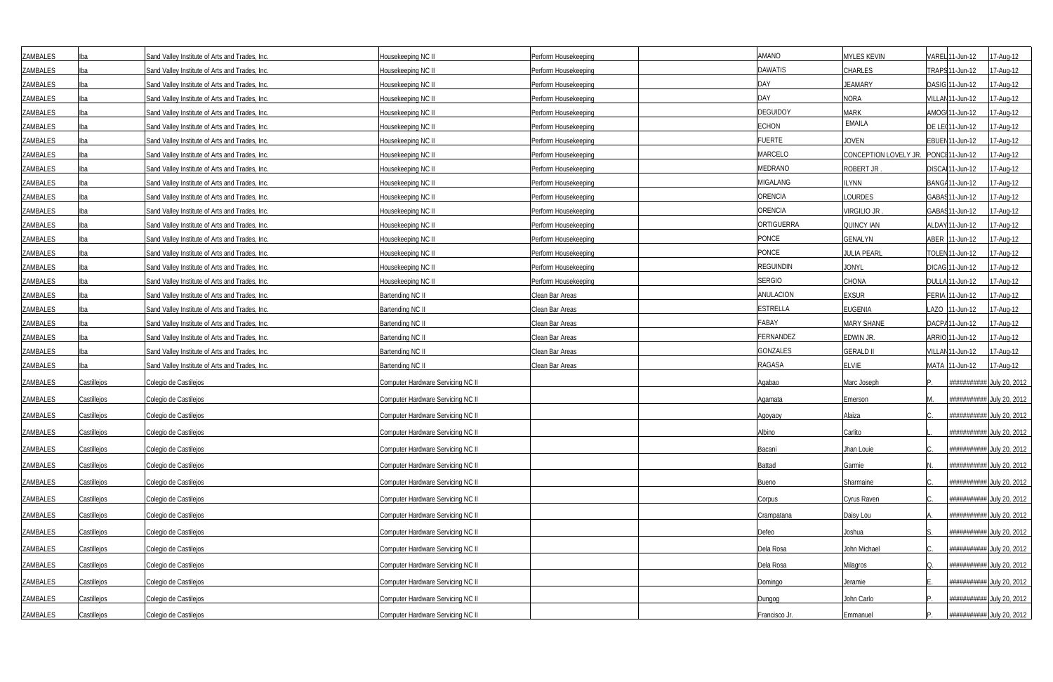| <b>ZAMBALES</b> | lba         | Sand Valley Institute of Arts and Trades, Inc. | Housekeeping NC II                | Perform Housekeeping | <b>AMANO</b>      | MMLES KEVIN                           |    | VAREL 11-Jun-12             | 17-Aug-12          |
|-----------------|-------------|------------------------------------------------|-----------------------------------|----------------------|-------------------|---------------------------------------|----|-----------------------------|--------------------|
| <b>ZAMBALES</b> | lba         | Sand Valley Institute of Arts and Trades, Inc. | Housekeeping NC II                | Perform Housekeeping | <b>DAWATIS</b>    | <b>CHARLES</b>                        |    | <b>TRAPS 11-Jun-12</b>      | 17-Aug-12          |
| <b>ZAMBALES</b> | lba         | Sand Valley Institute of Arts and Trades, Inc. | Housekeeping NC II                | Perform Housekeeping | <b>DAY</b>        | <b>JEAMARY</b>                        |    | DASIG 11-Jun-12             | 17-Aug-12          |
| <b>ZAMBALES</b> | lba         | Sand Valley Institute of Arts and Trades, Inc. | Housekeeping NC II                | Perform Housekeeping | <b>DAY</b>        | <b>NORA</b>                           |    | VILLAN <sub>11-Jun-12</sub> | 17-Aug-12          |
| <b>ZAMBALES</b> | Ilba        | Sand Valley Institute of Arts and Trades, Inc. | Housekeeping NC II                | Perform Housekeeping | <b>DEGUIDOY</b>   | <b>MARK</b>                           |    | AMOG 11-Jun-12              | 17-Aug-12          |
| <b>ZAMBALES</b> | Ilba        | Sand Valley Institute of Arts and Trades, Inc. | Housekeeping NC II                | Perform Housekeeping | <b>ECHON</b>      | <b>EMAILA</b>                         |    | DE LE(11-Jun-12             | 17-Aug-12          |
| <b>ZAMBALES</b> | lba         | Sand Valley Institute of Arts and Trades, Inc. | Housekeeping NC II                | Perform Housekeeping | <b>FUERTE</b>     | <b>JOVEN</b>                          |    | <b>EBUEN</b> 11-Jun-12      | 17-Aug-12          |
| <b>ZAMBALES</b> | Iba         | Sand Valley Institute of Arts and Trades, Inc. | Housekeeping NC II                | Perform Housekeeping | <b>MARCELO</b>    | CONCEPTION LOVELY JR. PONCE 11-Jun-12 |    |                             | 17-Aug-12          |
| <b>ZAMBALES</b> | lba         | Sand Valley Institute of Arts and Trades, Inc. | Housekeeping NC II                | Perform Housekeeping | <b>MEDRANO</b>    | ROBERT JR.                            |    | DISCA 11-Jun-12             | 17-Aug-12          |
| <b>ZAMBALES</b> | lba         | Sand Valley Institute of Arts and Trades, Inc. | Housekeeping NC II                | Perform Housekeeping | <b>MIGALANG</b>   | <b>ILYNN</b>                          |    | <b>BANG411-Jun-12</b>       | 17-Aug-12          |
| <b>ZAMBALES</b> | Iba         | Sand Valley Institute of Arts and Trades, Inc. | Housekeeping NC II                | Perform Housekeeping | <b>ORENCIA</b>    | <b>LOURDES</b>                        |    | GABAS 11-Jun-12             | 17-Aug-12          |
| <b>ZAMBALES</b> | lba         | Sand Valley Institute of Arts and Trades, Inc. | Housekeeping NC II                | Perform Housekeeping | <b>ORENCIA</b>    | VIRGILIOJR.                           |    | <b>GABAS 11-Jun-12</b>      | 17-Aug-12          |
| <b>ZAMBALES</b> | lba l       | Sand Valley Institute of Arts and Trades, Inc. | Housekeeping NC II                | Perform Housekeeping | <b>ORTIGUERRA</b> | QUINCY IAN                            |    | ALDAY 11-Jun-12             | 17-Aug-12          |
| <b>ZAMBALES</b> | lba         | Sand Valley Institute of Arts and Trades, Inc. | Housekeeping NC II                | Perform Housekeeping | <b>PONCE</b>      | <b>GENALYN</b>                        |    | ABER 11-Jun-12              | 17-Aug-12          |
| <b>ZAMBALES</b> | lba         | Sand Valley Institute of Arts and Trades, Inc. | Housekeeping NC II                | Perform Housekeeping | <b>PONCE</b>      | <b>JULIA PEARL</b>                    |    | TOLEN 11-Jun-12             | 17-Aug-12          |
| <b>ZAMBALES</b> | lba         | Sand Valley Institute of Arts and Trades, Inc. | Housekeeping NC II                | Perform Housekeeping | <b>REGUINDIN</b>  | <b>JONYL</b>                          |    | DICAG 11-Jun-12             | 17-Aug-12          |
| <b>ZAMBALES</b> | lba         | Sand Valley Institute of Arts and Trades, Inc. | Housekeeping NC II                | Perform Housekeeping | <b>SERGIO</b>     | <b>CHONA</b>                          |    | DULLA 11-Jun-12             | 17-Aug-12          |
| <b>ZAMBALES</b> | lba         | Sand Valley Institute of Arts and Trades, Inc. | Bartending NC II                  | Clean Bar Areas      | <b>ANULACION</b>  | <b>EXSUR</b>                          |    | FERIA 11-Jun-12             | 17-Aug-12          |
| <b>ZAMBALES</b> | lba         | Sand Valley Institute of Arts and Trades, Inc. | Bartending NC II                  | Clean Bar Areas      | <b>ESTRELLA</b>   | <b>EUGENIA</b>                        |    | LAZO 11-Jun-12              | 17-Aug-12          |
| <b>ZAMBALES</b> | lba         | Sand Valley Institute of Arts and Trades, Inc. | Bartending NC II                  | Clean Bar Areas      | <b>FABAY</b>      | <b>MARY SHANE</b>                     |    | DACPA 11-Jun-12             | 17-Aug-12          |
| <b>ZAMBALES</b> | lba         | Sand Valley Institute of Arts and Trades, Inc. | Bartending NC II                  | Clean Bar Areas      | <b>FERNANDEZ</b>  | EDWN JR.                              |    | ARRIO 11-Jun-12             | 17-Aug-12          |
| <b>ZAMBALES</b> | lba         | Sand Valley Institute of Arts and Trades, Inc. | Bartending NC II                  | Clean Bar Areas      | <b>GONZALES</b>   | <b>GERALD II</b>                      |    | <b>VILLAN 11-Jun-12</b>     | 17-Aug-12          |
| <b>ZAMBALES</b> | lba         | Sand Valley Institute of Arts and Trades, Inc. | Bartending NC II                  | Clean Bar Areas      | <b>RAGASA</b>     | <b>ELVIE</b>                          |    | MATA 11-Jun-12              | 17-Aug-12          |
| <b>ZAMBALES</b> | Castillejos | Colegio de Castilejos                          | Computer Hardware Servicing NC II |                      | Agabao            | Marc Joseph                           | Р. |                             |                    |
| <b>ZAMBALES</b> | Castillejos | Colegio de Castilejos                          | Computer Hardware Servicing NC II |                      | Agamata           | Emerson                               | М. | <del>'!!!!!!!!!!!</del>     | July 20, 2012      |
|                 |             |                                                |                                   |                      |                   |                                       |    |                             |                    |
| <b>ZAMBALES</b> | Castillejos | Colegio de Castilejos                          | Computer Hardware Servicing NC II |                      | Agoyaoy           | Alaiza                                |    |                             | July 20, 2012      |
| <b>ZAMBALES</b> | Castillejos | Colegio de Castilejos                          | Computer Hardware Servicing NC II |                      | Albino            | Carlito                               |    |                             |                    |
| <b>ZAMBALES</b> | Castillejos | Colegio de Castilejos                          | Computer Hardware Servicing NC II |                      | Bacani            | Jhan Louie                            |    | ########### July 20, 2012   |                    |
| <b>ZAMBALES</b> | Castillejos | Colegio de Castilejos                          | Computer Hardware Servicing NC II |                      | <b>Battad</b>     | Garmie                                |    |                             |                    |
| <b>ZAMBALES</b> | Castillejos | Colegio de Castilejos                          | Computer Hardware Servicing NC II |                      | <b>Bueno</b>      | Sharmaine                             |    |                             |                    |
| <b>ZAMBALES</b> | Castillejos | Colegio de Castilejos                          | Computer Hardware Servicing NC II |                      | Corpus            | Cyrus Raven                           |    |                             |                    |
|                 |             |                                                |                                   |                      |                   |                                       |    |                             |                    |
| <b>ZAMBALES</b> | Castillejos | Colegio de Castilejos                          | Computer Hardware Servicing NC II |                      | Crampatana        | Daisy Lou                             |    |                             |                    |
| <b>ZAMBALES</b> | Castillejos | Colegio de Castilejos                          | Computer Hardware Servicing NC II |                      | Defeo             | Joshua                                |    | ########### July 20, 2012   |                    |
| <b>ZAMBALES</b> | Castillejos | Colegio de Castilejos                          | Computer Hardware Servicing NC II |                      | Dela Rosa         | John Michael                          |    | ########### July 20, 2012   |                    |
| <b>ZAMBALES</b> | Castillejos | Colegio de Castilejos                          | Computer Hardware Servicing NC II |                      | Dela Rosa         | <b>Milagros</b>                       |    | ########### July 20, 2012   |                    |
| <b>ZAMBALES</b> | Castillejos | Colegio de Castilejos                          | Computer Hardware Servicing NC II |                      | Domingo           | Jeramie                               |    | HHHHHHHHH July 20, 2012     |                    |
|                 |             |                                                |                                   |                      |                   |                                       | P  |                             |                    |
| <b>ZAMBALES</b> | Castillejos | Colegio de Castilejos                          | Computer Hardware Servicing NC II |                      | Dungog            | John Carlo                            |    |                             |                    |
| <b>ZAMBALES</b> | Castillejos | Colegio de Castilejos                          | Computer Hardware Servicing NC II |                      | Francisco Jr.     | Emmanuel                              | P. |                             | #### July 20, 2012 |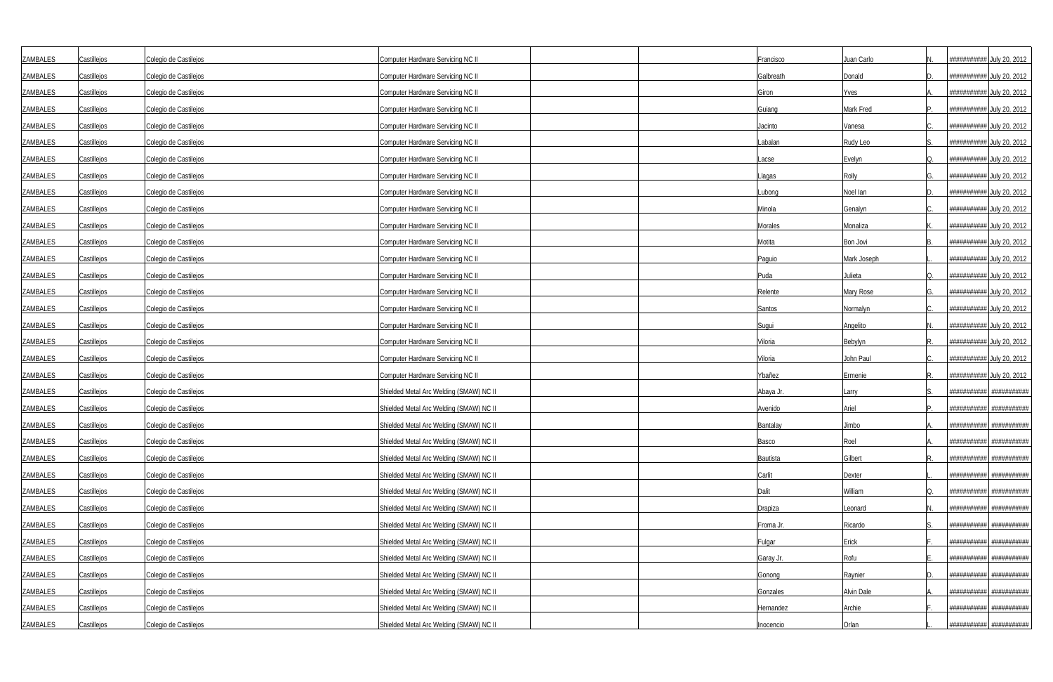| <b>ZAMBALES</b> | Castillejos | Colegio de Castilejos | Computer Hardware Servicing NC II       | Francisco     | Juan Carlo        |     | # July 20, 2012            |
|-----------------|-------------|-----------------------|-----------------------------------------|---------------|-------------------|-----|----------------------------|
| <b>ZAMBALES</b> | Castillejos | Colegio de Castilejos | Computer Hardware Servicing NC II       | Galbreath     | Donald            |     | # July 20, 2012            |
| <b>ZAMBALES</b> | Castillejos | Colegio de Castilejos | Computer Hardware Servicing NC II       | Giron         | Yves              |     | # July 20, 2012            |
| <b>ZAMBALES</b> | Castillejos | Colegio de Castilejos | Computer Hardware Servicing NC II       | Guiang        | <b>Mark Fred</b>  |     | Httl July 20, 2012         |
| <b>ZAMBALES</b> | Castillejos | Colegio de Castilejos | Computer Hardware Servicing NC II       | Jacinto       | Vanesa            |     | # July 20, 2012            |
| <b>ZAMBALES</b> | Castillejos | Colegio de Castilejos | Computer Hardware Servicing NC II       | Labalan       | Rudy Leo          |     | July 20, 2012              |
| <b>ZAMBALES</b> | Castillejos | Colegio de Castilejos | Computer Hardware Servicing NC II       | Lacse         | Evelyn            | IQ. | # July 20, 2012            |
| <b>ZAMBALES</b> | Castillejos | Colegio de Castilejos | Computer Hardware Servicing NC II       | <u>Llagas</u> | Rolly             |     | # July 20, 2012            |
| <b>ZAMBALES</b> | Castillejos | Colegio de Castilejos | Computer Hardware Servicing NC II       | Lubong        | Noel lan          |     | # July 20, 2012            |
| <b>ZAMBALES</b> | Castillejos | Colegio de Castilejos | Computer Hardware Servicing NC II       | Minola        | Genalyn           |     | # July 20, 2012            |
| <b>ZAMBALES</b> | Castillejos | Colegio de Castilejos | Computer Hardware Servicing NC II       | Morales       | Monaliza          |     | # July 20, 2012            |
| <b>ZAMBALES</b> | Castillejos | Colegio de Castilejos | Computer Hardware Servicing NC II       | Motita        | Bon Jovi          |     | # July 20, 2012            |
| <b>ZAMBALES</b> | Castillejos | Colegio de Castilejos | Computer Hardware Servicing NC II       | Paguio        | Mark Joseph       |     | ########## July 20, 2012   |
| <b>ZAMBALES</b> | Castillejos | Colegio de Castilejos | Computer Hardware Servicing NC II       | Puda          | Julieta           | IQ. | # July 20, 2012            |
| <b>ZAMBALES</b> | Castillejos | Colegio de Castilejos | Computer Hardware Servicing NC II       | Relente       | Mary Rose         |     | July 20, 2012              |
| <b>ZAMBALES</b> | Castillejos | Colegio de Castilejos | Computer Hardware Servicing NC II       | Santos        | Normalyn          |     | July 20, 2012              |
| <b>ZAMBALES</b> | Castillejos | Colegio de Castilejos | Computer Hardware Servicing NC II       | Sugui         | Angelito          |     | # July 20, 2012            |
| <b>ZAMBALES</b> | Castillejos | Colegio de Castilejos | Computer Hardware Servicing NC II       | Viloria       | Bebylyn           |     | # July 20, 2012            |
| <b>ZAMBALES</b> | Castillejos | Colegio de Castilejos | Computer Hardware Servicing NC II       | Viloria       | John Paul         |     | <sup>#</sup> July 20, 2012 |
| <b>ZAMBALES</b> | Castillejos | Colegio de Castilejos | Computer Hardware Servicing NC II       | Ybañez        | Ermenie           |     | # July 20, 2012            |
| <b>ZAMBALES</b> | Castillejos | Colegio de Castilejos | Shielded Metal Arc Welding (SMAW) NC II | Abaya Jr.     | Larry             |     |                            |
| <b>ZAMBALES</b> | Castillejos | Colegio de Castilejos | Shielded Metal Arc Welding (SMAW) NC II | Avenido       | Ariel             |     |                            |
| <b>ZAMBALES</b> | Castillejos | Colegio de Castilejos | Shielded Metal Arc Welding (SMAW) NC II | Bantalay      | Jimbo             |     |                            |
| <b>ZAMBALES</b> | Castillejos | Colegio de Castilejos | Shielded Metal Arc Welding (SMAW) NC II | <b>Basco</b>  | Roel              |     |                            |
| <b>ZAMBALES</b> | Castillejos | Colegio de Castilejos | Shielded Metal Arc Welding (SMAW) NC II | Bautista      | Gilbert           |     |                            |
| <b>ZAMBALES</b> | Castillejos | Colegio de Castilejos | Shielded Metal Arc Welding (SMAW) NC II | Carlit        | Dexter            |     |                            |
| <b>ZAMBALES</b> | Castillejos | Colegio de Castilejos | Shielded Metal Arc Welding (SMAW) NC II | Dalit         | William           |     |                            |
| <b>ZAMBALES</b> | Castillejos | Colegio de Castilejos | Shielded Metal Arc Welding (SMAW) NC II | Drapiza       | Leonard           |     |                            |
| <b>ZAMBALES</b> | Castillejos | Colegio de Castilejos | Shielded Metal Arc Welding (SMAW) NC II | Froma Jr.     | Ricardo           |     |                            |
| <b>ZAMBALES</b> | Castillejos | Colegio de Castilejos | Shielded Metal Arc Welding (SMAW) NC II | Fulgar        | Erick             |     |                            |
| <b>ZAMBALES</b> | Castillejos | Colegio de Castilejos | Shielded Metal Arc Welding (SMAW) NC II | Garay Jr.     | Rofu              |     |                            |
| <b>ZAMBALES</b> | Castillejos | Colegio de Castilejos | Shielded Metal Arc Welding (SMAW) NC II | Gonong        | Raynier           |     |                            |
| <b>ZAMBALES</b> | Castillejos | Colegio de Castilejos | Shielded Metal Arc Welding (SMAW) NC II | Gonzales      | <b>Alvin Dale</b> |     |                            |
| <b>ZAMBALES</b> | Castillejos | Colegio de Castilejos | Shielded Metal Arc Welding (SMAW) NC II | Hernandez     | Archie            |     |                            |
| <b>ZAMBALES</b> | Castillejos | Colegio de Castilejos | Shielded Metal Arc Welding (SMAW) NC II | Inocencio     | Orlan             |     |                            |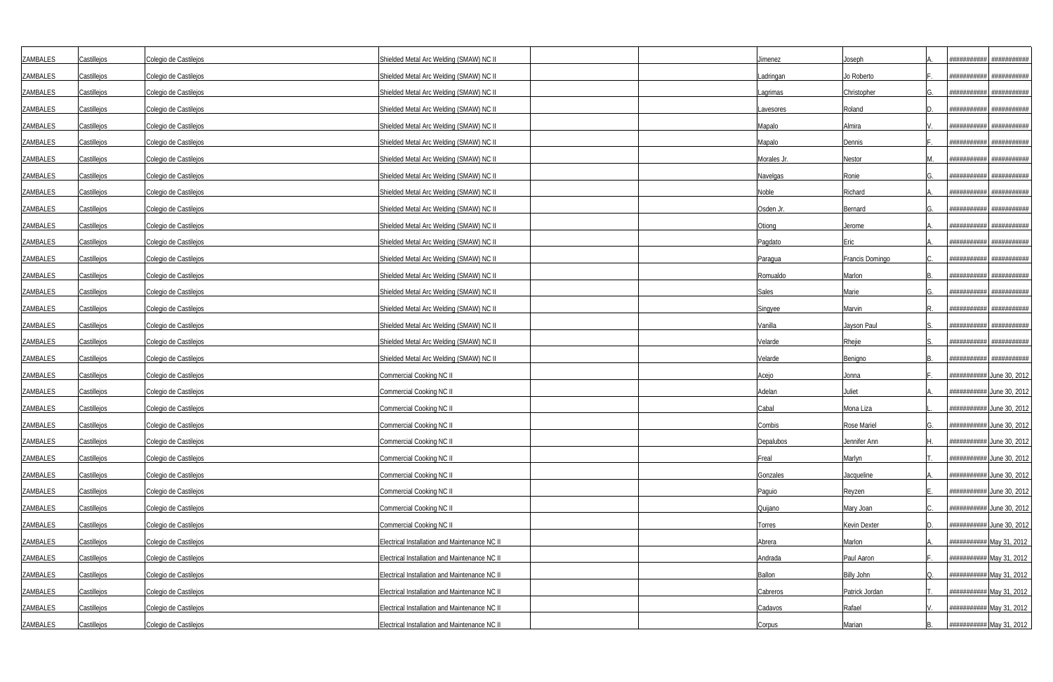| <b>ZAMBALES</b> | Castillejos | Colegio de Castilejos | Shielded Metal Arc Welding (SMAW) NC II       | Jimenez       | Joseph             |     |                                              |
|-----------------|-------------|-----------------------|-----------------------------------------------|---------------|--------------------|-----|----------------------------------------------|
| <b>ZAMBALES</b> | Castillejos | Colegio de Castilejos | Shielded Metal Arc Welding (SMAW) NC II       | Ladringan     | Jo Roberto         |     |                                              |
| <b>ZAMBALES</b> | Castillejos | Colegio de Castilejos | Shielded Metal Arc Welding (SMAW) NC II       | Lagrimas      | Christopher        |     |                                              |
| <b>ZAMBALES</b> | Castillejos | Colegio de Castilejos | Shielded Metal Arc Welding (SMAW) NC II       | Lavesores     | Roland             |     |                                              |
| <b>ZAMBALES</b> | Castillejos | Colegio de Castilejos | Shielded Metal Arc Welding (SMAW) NC II       | <b>Mapalo</b> | Almira             |     |                                              |
| <b>ZAMBALES</b> | Castillejos | Colegio de Castilejos | Shielded Metal Arc Welding (SMAW) NC II       | Mapalo        | Dennis             |     |                                              |
| <b>ZAMBALES</b> | Castillejos | Colegio de Castilejos | Shielded Metal Arc Welding (SMAW) NC II       | Morales Jr.   | <b>Nestor</b>      |     |                                              |
| <b>ZAMBALES</b> | Castillejos | Colegio de Castilejos | Shielded Metal Arc Welding (SMAW) NC II       | Navelgas      | Ronie              |     |                                              |
| <b>ZAMBALES</b> | Castillejos | Colegio de Castilejos | Shielded Metal Arc Welding (SMAW) NC II       | Noble         | Richard            |     |                                              |
| <b>ZAMBALES</b> | Castillejos | Colegio de Castilejos | Shielded Metal Arc Welding (SMAW) NC II       | Osden Jr.     | Bernard            |     |                                              |
| <b>ZAMBALES</b> | Castillejos | Colegio de Castilejos | Shielded Metal Arc Welding (SMAW) NC II       | Otiong        | Jerome             |     |                                              |
| <b>ZAMBALES</b> | Castillejos | Colegio de Castilejos | Shielded Metal Arc Welding (SMAW) NC II       | Pagdato       | Eric               |     |                                              |
| <b>ZAMBALES</b> | Castillejos | Colegio de Castilejos | Shielded Metal Arc Welding (SMAW) NC II       | Paragua       | Francis Domingo    |     |                                              |
| <b>ZAMBALES</b> | Castillejos | Colegio de Castilejos | Shielded Metal Arc Welding (SMAW) NC II       | Romualdo      | Marlon             |     |                                              |
| <b>ZAMBALES</b> | Castillejos | Colegio de Castilejos | Shielded Metal Arc Welding (SMAW) NC II       | <b>Sales</b>  | Marie              |     |                                              |
| <b>ZAMBALES</b> | Castillejos | Colegio de Castilejos | Shielded Metal Arc Welding (SMAW) NC II       | Singyee       | Marvin             |     |                                              |
| <b>ZAMBALES</b> | Castillejos | Colegio de Castilejos | Shielded Metal Arc Welding (SMAW) NC II       | Vanilla       | Jayson Paul        |     |                                              |
| <b>ZAMBALES</b> | Castillejos | Colegio de Castilejos | Shielded Metal Arc Welding (SMAW) NC II       | Velarde       | Rhejie             |     |                                              |
| <b>ZAMBALES</b> | Castillejos | Colegio de Castilejos | Shielded Metal Arc Welding (SMAW) NC II       | Velarde       | Benigno            |     |                                              |
| <b>ZAMBALES</b> | Castillejos | Colegio de Castilejos | Commercial Cooking NC II                      | Acejo         | Jonna              |     |                                              |
| <b>ZAMBALES</b> | Castillejos | Colegio de Castilejos | Commercial Cooking NC II                      | Adelan        | Juliet             |     | # June 30, 2012                              |
| <b>ZAMBALES</b> | Castillejos | Colegio de Castilejos | Commercial Cooking NC II                      | Cabal         | Mona Liza          |     | ## June 30, 2012<br><del>:::::::::::::</del> |
| <b>ZAMBALES</b> | Castillejos | Colegio de Castilejos | Commercial Cooking NC II                      | Combis        | <b>Rose Mariel</b> |     | ## June 30, 2012                             |
| <b>ZAMBALES</b> | Castillejos | Colegio de Castilejos | Commercial Cooking NC II                      | Depalubos     | Jennifer Ann       | IH. | ## June 30, 2012                             |
| <b>ZAMBALES</b> | Castillejos | Colegio de Castilejos | Commercial Cooking NC II                      | Freal         | Marlyn             |     | # June 30, 2012                              |
| <b>ZAMBALES</b> | Castillejos | Colegio de Castilejos | Commercial Cooking NC II                      | Gonzales      | Jacqueline         |     | #June 30, 2012                               |
| <b>ZAMBALES</b> | Castillejos | Colegio de Castilejos | Commercial Cooking NC II                      | Paguio        | Reyzen             |     | June 30, 2012                                |
| <b>ZAMBALES</b> | Castillejos | Colegio de Castilejos | Commercial Cooking NC II                      | Quijano       | Mary Joan          |     | #Uune 30, 2012                               |
| <b>ZAMBALES</b> | Castillejos | Colegio de Castilejos | Commercial Cooking NC II                      | Torres        | Kevin Dexter       |     |                                              |
| <b>ZAMBALES</b> | Castillejos | Colegio de Castilejos | Electrical Installation and Maintenance NC II | Abrera        | Marlon             |     | ## May 31, 2012<br><del>''''''''''</del>     |
| <b>ZAMBALES</b> | Castillejos | Colegio de Castilejos | Electrical Installation and Maintenance NC II | Andrada       | Paul Aaron         |     | ## May 31, 2012                              |
| <b>ZAMBALES</b> | Castillejos | Colegio de Castilejos | Electrical Installation and Maintenance NC II | Ballon        | Billy John         | IQ. | #May 31, 2012                                |
| <b>ZAMBALES</b> | Castillejos | Colegio de Castilejos | Electrical Installation and Maintenance NC II | Cabreros      | Patrick Jordan     |     | ## May 31, 2012                              |
| <b>ZAMBALES</b> | Castillejos | Colegio de Castilejos | Electrical Installation and Maintenance NC II | Cadavos       | Rafael             |     | # May 31, 2012                               |
| <b>ZAMBALES</b> | Castillejos | Colegio de Castilejos | Electrical Installation and Maintenance NC II | Corpus        | Marian             |     | # May 31, 2012                               |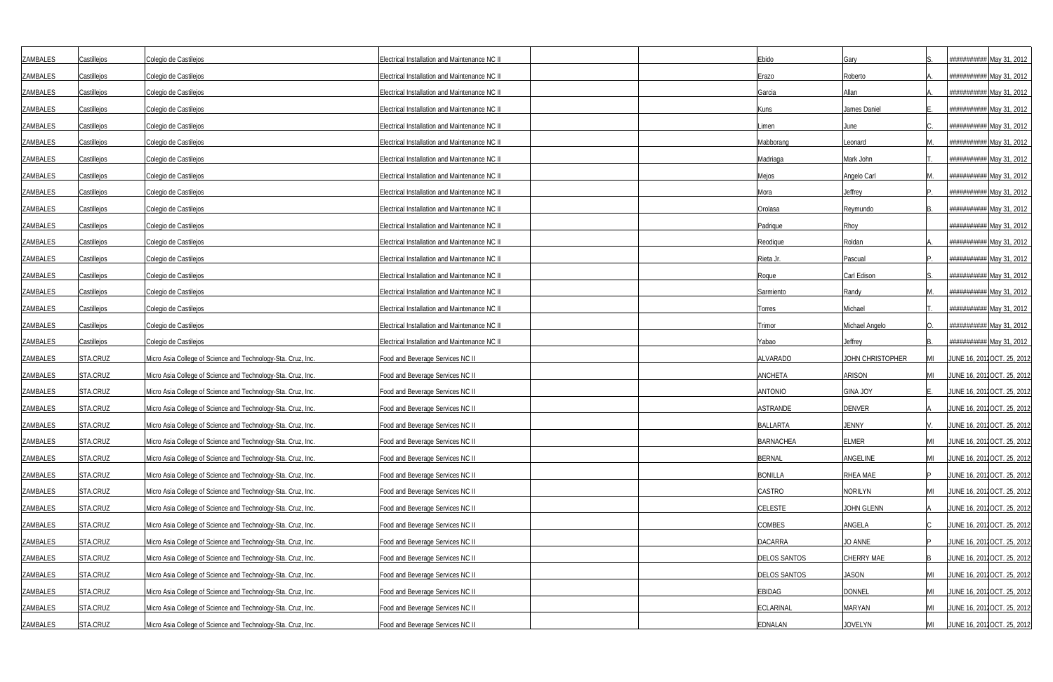| <b>ZAMBALES</b> | Castillejos        | Colegio de Castilejos                                        | Electrical Installation and Maintenance NC II |  | Ebido               | Gary                    |    |                                    | ## May 31, 2012                    |
|-----------------|--------------------|--------------------------------------------------------------|-----------------------------------------------|--|---------------------|-------------------------|----|------------------------------------|------------------------------------|
| <b>ZAMBALES</b> | Castillejos        | Colegio de Castilejos                                        | Electrical Installation and Maintenance NC II |  | Erazo               | Roberto                 |    |                                    | ########## May 31, 2012            |
| <b>ZAMBALES</b> | Castillejos        | Colegio de Castilejos                                        | Electrical Installation and Maintenance NC II |  | Garcia              | Allan                   |    |                                    | ########### May 31, 2012           |
| <b>ZAMBALES</b> | Castillejos        | Colegio de Castilejos                                        | Electrical Installation and Maintenance NC II |  | Kuns                | <b>James Daniel</b>     |    |                                    | ########## May 31, 2012            |
| <b>ZAMBALES</b> | Castillejos        | Colegio de Castilejos                                        | Electrical Installation and Maintenance NC II |  | _imen               | June                    |    |                                    | ########### May 31, 2012           |
| <b>ZAMBALES</b> | <b>Castillejos</b> | Colegio de Castilejos                                        | Electrical Installation and Maintenance NC II |  | Mabborang           | eonard                  |    |                                    | ########### May 31, 2012           |
| <b>ZAMBALES</b> | Castilleios        | Colegio de Castilejos                                        | Electrical Installation and Maintenance NC II |  | Madriaga            | Mark John               |    |                                    | ########### May 31, 2012           |
| <b>ZAMBALES</b> | Castilleios        | Colegio de Castilejos                                        | Electrical Installation and Maintenance NC II |  | <b>Mejos</b>        | Angelo Carl             | M. |                                    | ##### May 31, 2012                 |
| <b>ZAMBALES</b> | Castillejos        | Colegio de Castilejos                                        | Electrical Installation and Maintenance NC II |  | Mora                | <b>Jeffrey</b>          |    |                                    | ########## May 31, 2012            |
| <b>ZAMBALES</b> | Castillejos        | Colegio de Castilejos                                        | Electrical Installation and Maintenance NC II |  | Orolasa             | Reymundo                |    |                                    | ###########   May 31, 2012         |
| <b>ZAMBALES</b> | Castilleios        | Colegio de Castilejos                                        | Electrical Installation and Maintenance NC II |  | Padrique            | Rhoy                    |    |                                    | ########## May 31, 2012            |
| <b>ZAMBALES</b> | Castilleios        | Colegio de Castilejos                                        | Electrical Installation and Maintenance NC II |  | Reodique            | Roldan                  |    |                                    | ########### May 31, 2012           |
| <b>ZAMBALES</b> | Castillejos        | Colegio de Castilejos                                        | Electrical Installation and Maintenance NC II |  | Rieta Jr.           | Pascual                 |    |                                    | ########### May 31, 2012           |
| <b>ZAMBALES</b> | Castillejos        | Colegio de Castilejos                                        | Electrical Installation and Maintenance NC II |  | Roque               | Carl Edison             |    |                                    | #### May 31, 2012                  |
| <b>ZAMBALES</b> | Castilleios        | Colegio de Castilejos                                        | Electrical Installation and Maintenance NC II |  | Sarmiento           | Randy                   | M. |                                    | ########### May 31, 2012           |
| <b>ZAMBALES</b> | Castillejos        | Colegio de Castilejos                                        | Electrical Installation and Maintenance NC II |  | Torres              | Michael                 |    |                                    | ########### May 31, 2012           |
| <b>ZAMBALES</b> | Castillejos        | Colegio de Castilejos                                        | Electrical Installation and Maintenance NC II |  | Trimor              | Michael Angelo          |    | ########### May 31, 2012           |                                    |
| <b>ZAMBALES</b> | Castillejos        | Colegio de Castilejos                                        | Electrical Installation and Maintenance NC II |  | Yabao               | <b>Jeffrey</b>          |    | ########### May 31, 2012           |                                    |
| <b>ZAMBALES</b> | <b>STACRUZ</b>     | Micro Asia College of Science and Technology-Sta. Cruz, Inc. | Food and Beverage Services NC II              |  | <b>ALVARADO</b>     | <b>JOHN CHRISTOPHER</b> | M  | JUNE 16, 2012 OCT. 25, 2012        |                                    |
| <b>ZAMBALES</b> | <b>STACRUZ</b>     | Micro Asia College of Science and Technology-Sta. Cruz, Inc. | Food and Beverage Services NC II              |  | <b>ANCHETA</b>      | <b>ARISON</b>           | M  | JUNE 16, 2012 OCT. 25, 2012        |                                    |
| <b>ZAMBALES</b> | <b>STACRUZ</b>     | Micro Asia College of Science and Technology-Sta. Cruz, Inc. | Food and Beverage Services NC II              |  | <b>ANTONIO</b>      | <b>GINA JOY</b>         |    | JUNE 16, 2012 OCT. 25, 2012        |                                    |
| <b>ZAMBALES</b> | <b>STACRUZ</b>     | Micro Asia College of Science and Technology-Sta. Cruz, Inc. | Food and Beverage Services NC II              |  | <b>ASTRANDE</b>     | <b>DENVER</b>           |    | JUNE 16, 2012 OCT. 25, 2012        |                                    |
| <b>ZAMBALES</b> | <b>STACRUZ</b>     | Micro Asia College of Science and Technology-Sta. Cruz, Inc. | Food and Beverage Services NC II              |  | <b>BALLARTA</b>     | <b>JENNY</b>            |    | JUNE 16, 2012 OCT. 25, 2012        |                                    |
| <b>ZAMBALES</b> | <b>STACRUZ</b>     | Micro Asia College of Science and Technology-Sta. Cruz, Inc. | Food and Beverage Services NC II              |  | <b>BARNACHEA</b>    | <b>ELMER</b>            |    | MI JUNE 16, 2012 OCT. 25, 2012     |                                    |
| <b>ZAMBALES</b> | <b>STACRUZ</b>     | Micro Asia College of Science and Technology-Sta. Cruz, Inc. | Food and Beverage Services NC II              |  | <b>BERNAL</b>       | ANGELINE                |    | MI JUNE 16, 2012 OCT. 25, 2012     |                                    |
| <b>ZAMBALES</b> | <b>STACRUZ</b>     | Micro Asia College of Science and Technology-Sta. Cruz, Inc. | Food and Beverage Services NC II              |  | <b>BONILLA</b>      | <b>RHEA MAE</b>         |    | JUNE 16, 2012 OCT. 25, 2012        |                                    |
| <b>ZAMBALES</b> | <b>STACRUZ</b>     | Micro Asia College of Science and Technology-Sta. Cruz, Inc. | Food and Beverage Services NC II              |  | <b>CASTRO</b>       | NORILYN                 | M  | JUNE 16, 2012 OCT. 25, 2012        |                                    |
| <b>ZAMBALES</b> | <b>STACRUZ</b>     | Micro Asia College of Science and Technology-Sta. Cruz, Inc. | Food and Beverage Services NC II              |  | <b>CELESTE</b>      | <b>JOHN GLENN</b>       |    | JUNE 16, 2012 OCT. 25, 2012        |                                    |
| <b>ZAMBALES</b> | <b>STACRUZ</b>     | Micro Asia College of Science and Technology-Sta. Cruz, Inc. | Food and Beverage Services NC II              |  | <b>COMBES</b>       | <b>ANGELA</b>           |    | JUNE 16, 2012 OCT. 25, 2012        |                                    |
| <b>ZAMBALES</b> | <b>STACRUZ</b>     | Micro Asia College of Science and Technology-Sta. Cruz, Inc. | Food and Beverage Services NC II              |  | <b>DACARRA</b>      | JO ANNE                 |    | JUNE 16, 2012 OCT. 25, 2012        |                                    |
| <b>ZAMBALES</b> | <b>STACRUZ</b>     | Micro Asia College of Science and Technology-Sta. Cruz, Inc. | Food and Beverage Services NC II              |  | <b>DELOS SANTOS</b> | CHERRY MAE              |    | <u>JUNE 16, 2012 OCT. 25, 2012</u> |                                    |
| <b>ZAMBALES</b> | <b>STACRUZ</b>     | Micro Asia College of Science and Technology-Sta. Cruz, Inc. | Food and Beverage Services NC II              |  | <b>DELOS SANTOS</b> | <b>JASON</b>            |    |                                    | JUNE 16, 2012 OCT. 25, 2012        |
| <b>ZAMBALES</b> | <b>STACRUZ</b>     | Micro Asia College of Science and Technology-Sta. Cruz, Inc. | Food and Beverage Services NC II              |  | <b>EBIDAG</b>       | <b>DONNEL</b>           |    | MI JUNE 16, 2012 OCT. 25, 2012     |                                    |
| <b>ZAMBALES</b> | <b>STACRUZ</b>     | Micro Asia College of Science and Technology-Sta. Cruz, Inc. | Food and Beverage Services NC II              |  | <b>ECLARINAL</b>    | <b>MARYAN</b>           | M  | JUNE 16, 2012 OCT. 25, 2012        |                                    |
| <b>ZAMBALES</b> | <b>STACRUZ</b>     | Micro Asia College of Science and Technology-Sta. Cruz, Inc. | Food and Beverage Services NC II              |  | <b>EDNALAN</b>      | <b>JOVELYN</b>          | M  |                                    | <b>JUNE 16, 2012 OCT. 25, 2012</b> |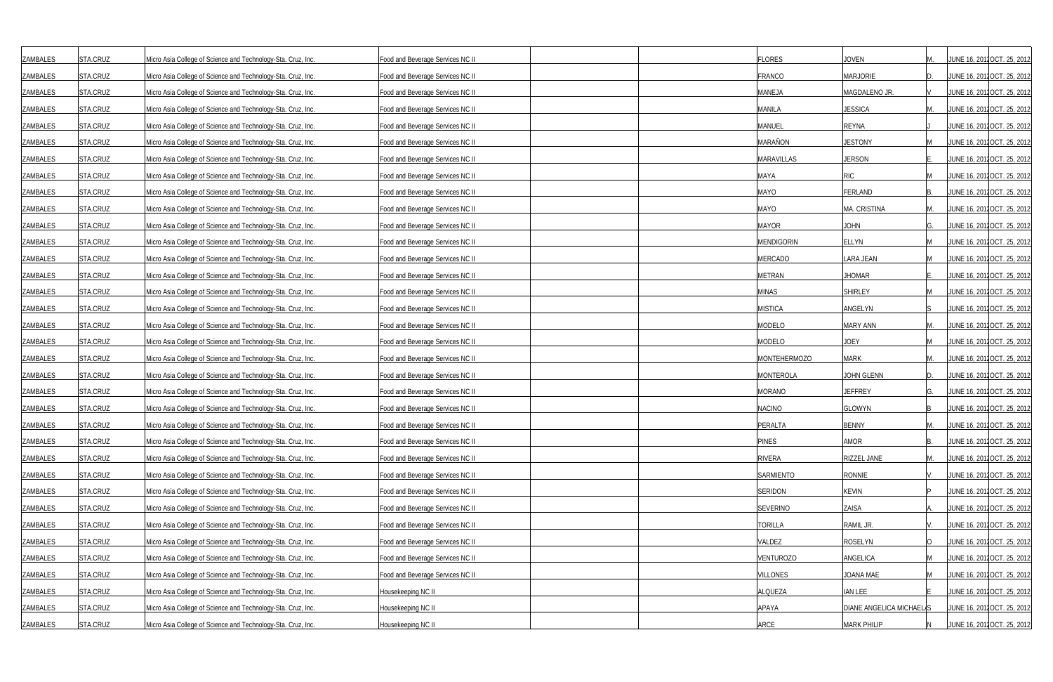| <b>ZAMBALES</b> | <b>STACRUZ</b> | Micro Asia College of Science and Technology-Sta. Cruz, Inc. | Food and Beverage Services NC II | <b>FLORES</b>       | <b>JOVEN</b>                    |                             | JUNE 16, 2012 OCT. 25, 2012        |
|-----------------|----------------|--------------------------------------------------------------|----------------------------------|---------------------|---------------------------------|-----------------------------|------------------------------------|
| <b>ZAMBALES</b> | <b>STACRUZ</b> | Micro Asia College of Science and Technology-Sta. Cruz, Inc. | Food and Beverage Services NC II | <b>FRANCO</b>       | <b>MARJORIE</b>                 |                             | JUNE 16, 2012 OCT. 25, 2012        |
| <b>ZAMBALES</b> | <b>STACRUZ</b> | Micro Asia College of Science and Technology-Sta. Cruz, Inc. | Food and Beverage Services NC II | <b>MANEJA</b>       | MAGDALENO JR.                   |                             | JUNE 16, 2012 OCT. 25, 2012        |
| <b>ZAMBALES</b> | <b>STACRUZ</b> | Micro Asia College of Science and Technology-Sta. Cruz, Inc. | Food and Beverage Services NC II | <b>MANILA</b>       | <b>JESSICA</b>                  |                             | JUNE 16, 2012 OCT. 25, 2012        |
| <b>ZAMBALES</b> | <b>STACRUZ</b> | Micro Asia College of Science and Technology-Sta. Cruz, Inc. | Food and Beverage Services NC II | <b>MANUEL</b>       | <b>REYNA</b>                    |                             | JUNE 16, 2012 OCT. 25, 2012        |
| <b>ZAMBALES</b> | <b>STACRUZ</b> | Micro Asia College of Science and Technology-Sta. Cruz, Inc. | Food and Beverage Services NC II | <b>MARAÑON</b>      | <b>JESTONY</b>                  |                             | JUNE 16, 2012 OCT. 25, 2012        |
| <b>ZAMBALES</b> | <b>STACRUZ</b> | Micro Asia College of Science and Technology-Sta. Cruz, Inc. | Food and Beverage Services NC II | <b>MARAVILLAS</b>   | <b>JERSON</b>                   |                             | JUNE 16, 2012 OCT. 25, 2012        |
| <b>ZAMBALES</b> | <b>STACRUZ</b> | Micro Asia College of Science and Technology-Sta. Cruz, Inc. | Food and Beverage Services NC II | <b>MAYA</b>         | RIC                             |                             | JUNE 16, 2012 OCT. 25, 2012        |
| <b>ZAMBALES</b> | <b>STACRUZ</b> | Micro Asia College of Science and Technology-Sta. Cruz, Inc. | Food and Beverage Services NC II | <b>MAYO</b>         | FERLAND                         |                             | JUNE 16, 2012 OCT. 25, 2012        |
| <b>ZAMBALES</b> | <b>STACRUZ</b> | Micro Asia College of Science and Technology-Sta. Cruz, Inc. | Food and Beverage Services NC II | <b>MAYO</b>         | <b>MA CRISTINA</b>              |                             | JUNE 16, 2012 OCT. 25, 2012        |
| <b>ZAMBALES</b> | <b>STACRUZ</b> | Micro Asia College of Science and Technology-Sta. Cruz, Inc. | Food and Beverage Services NC II | <b>MAYOR</b>        | <b>UHOL</b>                     |                             | JUNE 16, 2012 OCT. 25, 2012        |
| <b>ZAMBALES</b> | <b>STACRUZ</b> | Micro Asia College of Science and Technology-Sta. Cruz, Inc. | Food and Beverage Services NC II | <b>MENDIGORIN</b>   | <b>ELLYN</b>                    |                             | JUNE 16, 2012 OCT. 25, 2012        |
| <b>ZAMBALES</b> | <b>STACRUZ</b> | Micro Asia College of Science and Technology-Sta. Cruz, Inc. | Food and Beverage Services NC II | <b>MERCADO</b>      | <b>LARA JEAN</b>                |                             | JUNE 16, 2012 OCT. 25, 2012        |
| <b>ZAMBALES</b> | <b>STACRUZ</b> | Micro Asia College of Science and Technology-Sta. Cruz, Inc. | Food and Beverage Services NC II | <b>METRAN</b>       | <b>JHOMAR</b>                   |                             | JUNE 16, 2012 OCT. 25, 2012        |
| <b>ZAMBALES</b> | <b>STACRUZ</b> | Micro Asia College of Science and Technology-Sta. Cruz, Inc. | Food and Beverage Services NC II | <b>MINAS</b>        | SHIRLEY                         |                             | JUNE 16, 2012 OCT. 25, 2012        |
| <b>ZAMBALES</b> | <b>STACRUZ</b> | Micro Asia College of Science and Technology-Sta. Cruz, Inc. | Food and Beverage Services NC II | <b>MISTICA</b>      | <b>ANGELYN</b>                  |                             | JUNE 16, 2012 OCT. 25, 2012        |
| <b>ZAMBALES</b> | <b>STACRUZ</b> | Micro Asia College of Science and Technology-Sta. Cruz, Inc. | Food and Beverage Services NC II | MODELO              | <b>MARY ANN</b>                 |                             | JUNE 16, 2012 OCT. 25, 2012        |
| <b>ZAMBALES</b> | <b>STACRUZ</b> | Micro Asia College of Science and Technology-Sta. Cruz, Inc. | Food and Beverage Services NC II | MODELO              | <b>JOEY</b>                     |                             | JUNE 16, 2012 OCT. 25, 2012        |
| <b>ZAMBALES</b> | <b>STACRUZ</b> | Micro Asia College of Science and Technology-Sta. Cruz, Inc. | Food and Beverage Services NC II | <b>MONTEHERMOZO</b> | <b>MARK</b>                     |                             | JUNE 16, 2012 OCT. 25, 2012        |
| <b>ZAMBALES</b> | <b>STACRUZ</b> | Micro Asia College of Science and Technology-Sta. Cruz, Inc. | Food and Beverage Services NC II | <b>MONTEROLA</b>    | <b>JOHN GLENN</b>               |                             | JUNE 16, 2012 OCT. 25, 2012        |
| <b>ZAMBALES</b> | <b>STACRUZ</b> | Micro Asia College of Science and Technology-Sta. Cruz, Inc. | Food and Beverage Services NC II | <b>MORANO</b>       | <b>JEFFREY</b>                  |                             | JUNE 16, 2012 OCT. 25, 2012        |
| <b>ZAMBALES</b> | <b>STACRUZ</b> | Micro Asia College of Science and Technology-Sta. Cruz, Inc. | Food and Beverage Services NC II | <b>NACINO</b>       | <b>GLOWYN</b>                   |                             | JUNE 16, 2012 OCT. 25, 2012        |
| <b>ZAMBALES</b> | <b>STACRUZ</b> | Micro Asia College of Science and Technology-Sta. Cruz, Inc. | Food and Beverage Services NC II | <b>PERALTA</b>      | <b>BENNY</b>                    |                             | JUNE 16, 2012 OCT. 25, 2012        |
| <b>ZAMBALES</b> | <b>STACRUZ</b> | Micro Asia College of Science and Technology-Sta. Cruz, Inc. | Food and Beverage Services NC II | <b>PINES</b>        | <b>AMOR</b>                     |                             | JUNE 16, 2012 OCT. 25, 2012        |
| <b>ZAMBALES</b> | <b>STACRUZ</b> | Micro Asia College of Science and Technology-Sta. Cruz, Inc. | Food and Beverage Services NC II | <b>RIVERA</b>       | RIZZEL JANE                     |                             | JUNE 16, 2012 OCT. 25, 2012        |
| <b>ZAMBALES</b> | <b>STACRUZ</b> | Micro Asia College of Science and Technology-Sta. Cruz, Inc. | Food and Beverage Services NC II | <b>SARMIENTO</b>    | <b>RONNIE</b>                   |                             | JUNE 16, 2012 OCT. 25, 2012        |
| <b>ZAMBALES</b> | <b>STACRUZ</b> | Micro Asia College of Science and Technology-Sta. Cruz, Inc. | Food and Beverage Services NC II | <b>SERIDON</b>      | <b>KEVIN</b>                    |                             | JUNE 16, 2012 OCT. 25, 2012        |
| <b>ZAMBALES</b> | <b>STACRUZ</b> | Micro Asia College of Science and Technology-Sta. Cruz, Inc. | Food and Beverage Services NC II | <b>SEVERINO</b>     | <b>ZAISA</b>                    |                             | JUNE 16, 2012 OCT. 25, 2012        |
| <b>ZAMBALES</b> | <b>STACRUZ</b> | Micro Asia College of Science and Technology-Sta. Cruz, Inc. | Food and Beverage Services NC II | TORILLA             | RAMIL JR.                       |                             | JUNE 16, 2012 OCT. 25, 2012        |
| <b>ZAMBALES</b> | <b>STACRUZ</b> | Micro Asia College of Science and Technology-Sta. Cruz, Inc. | Food and Beverage Services NC II | <b>VALDEZ</b>       | <b>ROSELYN</b>                  |                             | JUNE 16, 2012 OCT. 25, 2012        |
| <b>ZAMBALES</b> | <b>STACRUZ</b> | Micro Asia College of Science and Technology-Sta. Cruz, Inc. | Food and Beverage Services NC II | <b>VENTUROZO</b>    | ANGELICA                        |                             | JUNE 16, 2012 OCT. 25, 2012        |
| <b>ZAMBALES</b> | <b>STACRUZ</b> | Micro Asia College of Science and Technology-Sta. Cruz, Inc. | Food and Beverage Services NC II | <b>VILLONES</b>     | JOANA MAE                       | JUNE 16, 2012 OCT. 25, 2012 |                                    |
| <b>ZAMBALES</b> | <b>STACRUZ</b> | Micro Asia College of Science and Technology-Sta. Cruz, Inc. | Housekeeping NC II               | <b>ALQUEZA</b>      | <b>IAN LEE</b>                  |                             | <u>JUNE 16, 2012 OCT. 25, 2012</u> |
| <b>ZAMBALES</b> | <b>STACRUZ</b> | Micro Asia College of Science and Technology-Sta. Cruz, Inc. | Housekeeping NC II               | <b>APAYA</b>        | <b>DIANE ANGELICA MICHAEL S</b> |                             | JUNE 16, 2012 OCT. 25, 2012        |
| <b>ZAMBALES</b> | <b>STACRUZ</b> | Micro Asia College of Science and Technology-Sta. Cruz, Inc. | Housekeeping NC II               | <b>ARCE</b>         | <b>MARK PHILIP</b>              |                             | JUNE 16, 2012 OCT. 25, 2012        |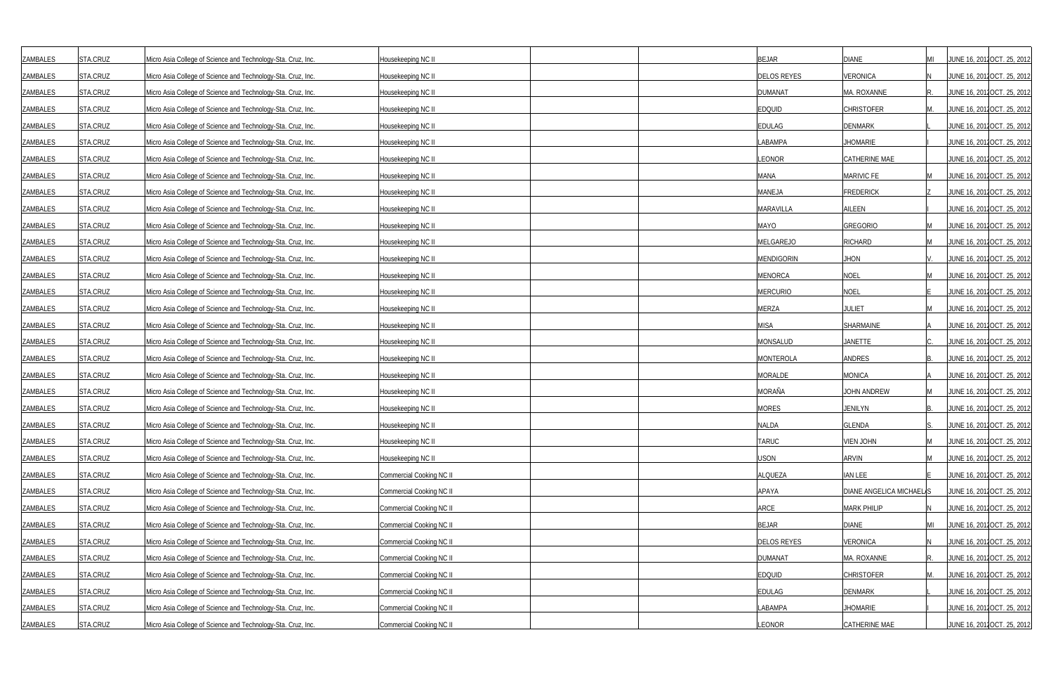| <b>ZAMBALES</b> | <b>STACRUZ</b> | Micro Asia College of Science and Technology-Sta. Cruz, Inc. | Housekeeping NC II       | <b>BEJAR</b>       | <b>DIANE</b>                    | JUNE 16, 2012 OCT. 25, 2012 |                                    |
|-----------------|----------------|--------------------------------------------------------------|--------------------------|--------------------|---------------------------------|-----------------------------|------------------------------------|
| <b>ZAMBALES</b> | <b>STACRUZ</b> | Micro Asia College of Science and Technology-Sta. Cruz, Inc. | Housekeeping NC II       | <b>DELOS REYES</b> | <b>VERONICA</b>                 |                             | JUNE 16, 2012 OCT. 25, 2012        |
| <b>ZAMBALES</b> | <b>STACRUZ</b> | Micro Asia College of Science and Technology-Sta. Cruz, Inc. | Housekeeping NC II       | <b>DUMANAT</b>     | MA ROXANNE                      |                             | JUNE 16, 2012 OCT. 25, 2012        |
| <b>ZAMBALES</b> | <b>STACRUZ</b> | Micro Asia College of Science and Technology-Sta. Cruz, Inc. | Housekeeping NC II       | <b>EDQUID</b>      | <b>CHRISTOFER</b>               |                             | JUNE 16, 2012 OCT. 25, 2012        |
| <b>ZAMBALES</b> | <b>STACRUZ</b> | Micro Asia College of Science and Technology-Sta. Cruz, Inc. | Housekeeping NC II       | <b>EDULAG</b>      | <b>DENMARK</b>                  |                             | JUNE 16, 2012 OCT. 25, 2012        |
| <b>ZAMBALES</b> | <b>STACRUZ</b> | Micro Asia College of Science and Technology-Sta. Cruz, Inc. | Housekeeping NC II       | <b>LABAMPA</b>     | <b>JHOMARIE</b>                 |                             | JUNE 16, 2012 OCT. 25, 2012        |
| <b>ZAMBALES</b> | <b>STACRUZ</b> | Micro Asia College of Science and Technology-Sta. Cruz, Inc. | Housekeeping NC II       | <b>LEONOR</b>      | CATHERINE MAE                   |                             | JUNE 16, 2012 OCT. 25, 2012        |
| <b>ZAMBALES</b> | <b>STACRUZ</b> | Micro Asia College of Science and Technology-Sta. Cruz, Inc. | Housekeeping NC II       | <b>MANA</b>        | MARIVIC FE                      |                             | JUNE 16, 2012 OCT. 25, 2012        |
| <b>ZAMBALES</b> | <b>STACRUZ</b> | Micro Asia College of Science and Technology-Sta. Cruz, Inc. | Housekeeping NC II       | <b>MANEJA</b>      | <b>FREDERICK</b>                |                             | JUNE 16, 2012 OCT. 25, 2012        |
| <b>ZAMBALES</b> | <b>STACRUZ</b> | Micro Asia College of Science and Technology-Sta. Cruz, Inc. | Housekeeping NC II       | <b>MARAVILLA</b>   | <b>AILEEN</b>                   |                             | JUNE 16, 2012 OCT. 25, 2012        |
| <b>ZAMBALES</b> | <b>STACRUZ</b> | Micro Asia College of Science and Technology-Sta. Cruz, Inc. | Housekeeping NC II       | <b>MAYO</b>        | <b>GREGORIO</b>                 |                             | JUNE 16, 2012 OCT. 25, 2012        |
| <b>ZAMBALES</b> | <b>STACRUZ</b> | Micro Asia College of Science and Technology-Sta. Cruz, Inc. | Housekeeping NC II       | <b>MELGAREJO</b>   | <b>RICHARD</b>                  |                             | JUNE 16, 2012 OCT. 25, 2012        |
| <b>ZAMBALES</b> | <b>STACRUZ</b> | Micro Asia College of Science and Technology-Sta. Cruz, Inc. | Housekeeping NC II       | <b>MENDIGORIN</b>  | <b>JHON</b>                     |                             | JUNE 16, 2012 OCT. 25, 2012        |
| <b>ZAMBALES</b> | <b>STACRUZ</b> | Micro Asia College of Science and Technology-Sta. Cruz, Inc. | Housekeeping NC II       | <b>MENORCA</b>     | <b>NOEL</b>                     |                             | JUNE 16, 2012 OCT. 25, 2012        |
| <b>ZAMBALES</b> | <b>STACRUZ</b> | Micro Asia College of Science and Technology-Sta. Cruz, Inc. | Housekeeping NC II       | <b>MERCURIO</b>    | <b>NOEL</b>                     |                             | <u>JUNE 16, 2012 OCT. 25, 2012</u> |
| <b>ZAMBALES</b> | <b>STACRUZ</b> | Micro Asia College of Science and Technology-Sta. Cruz, Inc. | Housekeeping NC II       | <b>MERZA</b>       | <b>JULIET</b>                   |                             | JUNE 16, 2011 OCT. 25, 2012        |
| <b>ZAMBALES</b> | <b>STACRUZ</b> | Micro Asia College of Science and Technology-Sta. Cruz, Inc. | Housekeeping NC II       | <b>MISA</b>        | <b>SHARMAINE</b>                |                             | JUNE 16, 2012 OCT. 25, 2012        |
| <b>ZAMBALES</b> | <b>STACRUZ</b> | Micro Asia College of Science and Technology-Sta. Cruz, Inc. | Housekeeping NC II       | <b>MONSALUD</b>    | <b>JANETTE</b>                  |                             | JUNE 16, 2012 OCT. 25, 2012        |
| <b>ZAMBALES</b> | <b>STACRUZ</b> | Micro Asia College of Science and Technology-Sta. Cruz, Inc. | Housekeeping NC II       | <b>MONTEROLA</b>   | <b>ANDRES</b>                   |                             | JUNE 16, 2012 OCT. 25, 2012        |
| <b>ZAMBALES</b> | <b>STACRUZ</b> | Micro Asia College of Science and Technology-Sta. Cruz, Inc. | Housekeeping NC II       | <b>MORALDE</b>     | <b>MONICA</b>                   |                             | JUNE 16, 2012 OCT. 25, 2012        |
| <b>ZAMBALES</b> | <b>STACRUZ</b> | Micro Asia College of Science and Technology-Sta. Cruz, Inc. | Housekeeping NC II       | <b>MORAÑA</b>      | <b>JOHN ANDREW</b>              |                             | JUNE 16, 2012 OCT. 25, 2012        |
| <b>ZAMBALES</b> | <b>STACRUZ</b> | Micro Asia College of Science and Technology-Sta. Cruz, Inc. | Housekeeping NC II       | <b>MORES</b>       | <b>JENILYN</b>                  |                             | JUNE 16, 2012 OCT. 25, 2012        |
| <b>ZAMBALES</b> | <b>STACRUZ</b> | Micro Asia College of Science and Technology-Sta. Cruz, Inc. | Housekeeping NC II       | <b>NALDA</b>       | <b>GLENDA</b>                   |                             | JUNE 16, 2012 OCT. 25, 2012        |
| <b>ZAMBALES</b> | <b>STACRUZ</b> | Micro Asia College of Science and Technology-Sta. Cruz, Inc. | Housekeeping NC II       | <b>TARUC</b>       | <b>VIEN JOHN</b>                |                             | JUNE 16, 2012 OCT. 25, 2012        |
| <b>ZAMBALES</b> | <b>STACRUZ</b> | Micro Asia College of Science and Technology-Sta. Cruz, Inc. | Housekeeping NC II       | <b>USON</b>        | <b>ARVIN</b>                    |                             | JUNE 16, 2012 OCT. 25, 2012        |
| <b>ZAMBALES</b> | <b>STACRUZ</b> | Micro Asia College of Science and Technology-Sta. Cruz, Inc. | Commercial Cooking NC II | <b>ALQUEZA</b>     | <b>IAN LEE</b>                  |                             | JUNE 16, 2012 OCT. 25, 2012        |
| <b>ZAMBALES</b> | <b>STACRUZ</b> | Micro Asia College of Science and Technology-Sta. Cruz, Inc. | Commercial Cooking NC II | <b>APAYA</b>       | <b>DIANE ANGELICA MICHAEL S</b> |                             | JUNE 16, 2012 OCT. 25, 2012        |
| <b>ZAMBALES</b> | <b>STACRUZ</b> | Micro Asia College of Science and Technology-Sta. Cruz, Inc. | Commercial Cooking NC II | <b>ARCE</b>        | <b>MARK PHILIP</b>              |                             | JUNE 16, 2012 OCT. 25, 2012        |
| <b>ZAMBALES</b> | <b>STACRUZ</b> | Micro Asia College of Science and Technology-Sta. Cruz, Inc. | Commercial Cooking NC II | <b>BEJAR</b>       | <b>DIANE</b><br>M               |                             | JUNE 16, 2012 OCT. 25, 2012        |
| <b>ZAMBALES</b> | <b>STACRUZ</b> | Micro Asia College of Science and Technology-Sta. Cruz, Inc. | Commercial Cooking NC II | <b>DELOS REYES</b> | <b>VERONICA</b>                 |                             | JUNE 16, 2012 OCT. 25, 2012        |
| <b>ZAMBALES</b> | STACRUZ        | Micro Asia College of Science and Technology-Sta. Cruz, Inc. | Commercial Cooking NC II | <b>DUMANAT</b>     | MA. ROXANNE                     |                             | JUNE 16, 2012 OCT. 25, 2012        |
| <b>ZAMBALES</b> | <b>STACRUZ</b> | Micro Asia College of Science and Technology-Sta. Cruz, Inc. | Commercial Cooking NC II | <b>EDQUID</b>      | <b>CHRISTOFER</b>               |                             | JUNE 16, 2012 OCT. 25, 2012        |
| <b>ZAMBALES</b> | <b>STACRUZ</b> | Micro Asia College of Science and Technology-Sta. Cruz, Inc. | Commercial Cooking NC II | <b>EDULAG</b>      | <b>DENMARK</b>                  |                             | JUNE 16, 2012 OCT. 25, 2012        |
| <b>ZAMBALES</b> | <b>STACRUZ</b> | Micro Asia College of Science and Technology-Sta. Cruz, Inc. | Commercial Cooking NC II | <b>LABAMPA</b>     | <b>JHOMARIE</b>                 |                             | JUNE 16, 2012 OCT. 25, 2012        |
| <b>ZAMBALES</b> | <b>STACRUZ</b> | Micro Asia College of Science and Technology-Sta. Cruz, Inc. | Commercial Cooking NC II | <b>LEONOR</b>      | CATHERINE MAE                   |                             | JUNE 16, 2012 OCT. 25, 2012        |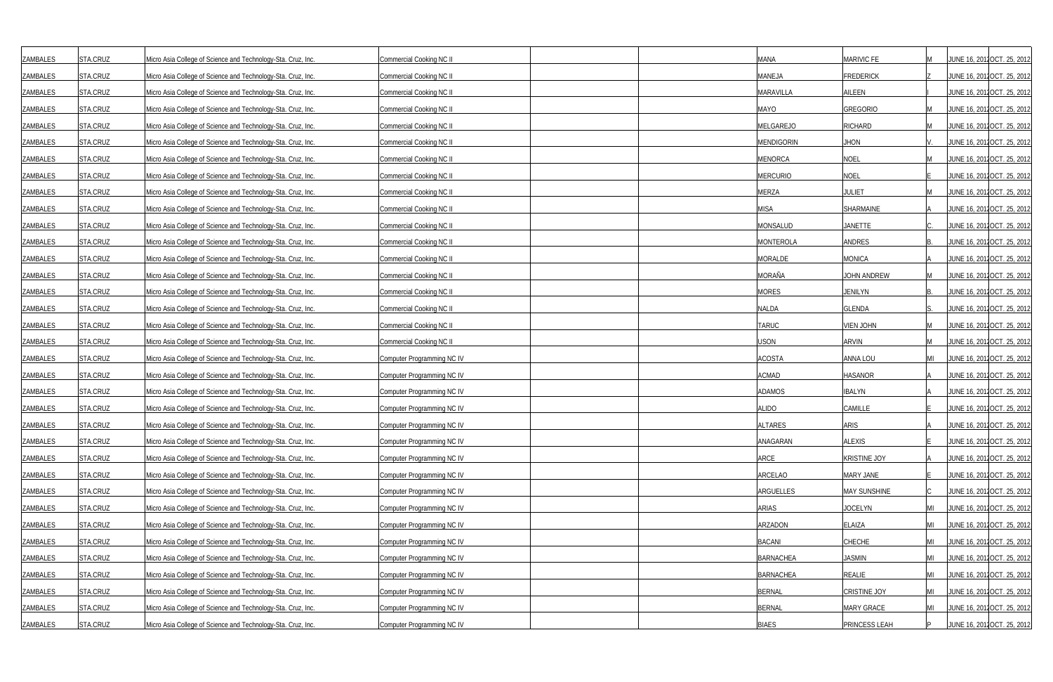| <b>ZAMBALES</b> | <b>STACRUZ</b> | Micro Asia College of Science and Technology-Sta. Cruz, Inc. | Commercial Cooking NC II   | <b>MANA</b>       | MARIVIC FE           |    | JUNE 16, 2012 OCT. 25, 2012        |                                    |
|-----------------|----------------|--------------------------------------------------------------|----------------------------|-------------------|----------------------|----|------------------------------------|------------------------------------|
| <b>ZAMBALES</b> | <b>STACRUZ</b> | Micro Asia College of Science and Technology-Sta. Cruz, Inc. | Commercial Cooking NC II   | <b>MANEJA</b>     | <b>FREDERICK</b>     |    | JUNE 16, 2012 OCT. 25, 2012        |                                    |
| <b>ZAMBALES</b> | <b>STACRUZ</b> | Micro Asia College of Science and Technology-Sta. Cruz, Inc. | Commercial Cooking NC II   | <b>MARAVILLA</b>  | <b>AILEEN</b>        |    | JUNE 16, 2012 OCT. 25, 2012        |                                    |
| <b>ZAMBALES</b> | <b>STACRUZ</b> | Micro Asia College of Science and Technology-Sta. Cruz, Inc. | Commercial Cooking NC II   | <b>MAYO</b>       | <b>GREGORIO</b>      |    | JUNE 16, 2012 OCT. 25, 2012        |                                    |
| <b>ZAMBALES</b> | <b>STACRUZ</b> | Micro Asia College of Science and Technology-Sta. Cruz, Inc. | Commercial Cooking NC II   | <b>MELGAREJO</b>  | <b>RICHARD</b>       |    |                                    | JUNE 16, 2012 OCT. 25, 2012        |
| <b>ZAMBALES</b> | <b>STACRUZ</b> | Micro Asia College of Science and Technology-Sta. Cruz, Inc. | Commercial Cooking NC II   | <b>MENDIGORIN</b> | <b>JHON</b>          |    | <u>JUNE 16, 2012 OCT. 25, 2012</u> |                                    |
| <b>ZAMBALES</b> | <b>STACRUZ</b> | Micro Asia College of Science and Technology-Sta. Cruz, Inc. | Commercial Cooking NC II   | <b>MENORCA</b>    | <b>NOEL</b>          |    | JUNE 16, 2011 OCT. 25, 2012        |                                    |
| <b>ZAMBALES</b> | <b>STACRUZ</b> | Micro Asia College of Science and Technology-Sta. Cruz, Inc. | Commercial Cooking NC II   | <b>MERCURIO</b>   | <b>NOEL</b>          |    |                                    | JUNE 16, 2012 OCT. 25, 2012        |
| <b>ZAMBALES</b> | <b>STACRUZ</b> | Micro Asia College of Science and Technology-Sta. Cruz, Inc. | Commercial Cooking NC II   | <b>MERZA</b>      | <b>JULIET</b>        |    | JUNE 16, 2012 OCT. 25, 2012        |                                    |
| <b>ZAMBALES</b> | <b>STACRUZ</b> | Micro Asia College of Science and Technology-Sta. Cruz, Inc. | Commercial Cooking NC II   | <b>MISA</b>       | <b>SHARMAINE</b>     |    | JUNE 16, 2012 OCT. 25, 2012        |                                    |
| <b>ZAMBALES</b> | <b>STACRUZ</b> | Micro Asia College of Science and Technology-Sta. Cruz, Inc. | Commercial Cooking NC II   | <b>MONSALUD</b>   | <b>JANETTE</b>       |    | JUNE 16, 2012 OCT. 25, 2012        |                                    |
| <b>ZAMBALES</b> | <b>STACRUZ</b> | Micro Asia College of Science and Technology-Sta. Cruz, Inc. | Commercial Cooking NC II   | <b>MONTEROLA</b>  | <b>ANDRES</b>        |    | JUNE 16, 2012 OCT. 25, 2012        |                                    |
| <b>ZAMBALES</b> | <b>STACRUZ</b> | Micro Asia College of Science and Technology-Sta. Cruz, Inc. | Commercial Cooking NC II   | <b>MORALDE</b>    | <b>MONICA</b>        |    | JUNE 16, 2012 OCT. 25, 2012        |                                    |
| <b>ZAMBALES</b> | <b>STACRUZ</b> | Micro Asia College of Science and Technology-Sta. Cruz, Inc. | Commercial Cooking NC II   | <b>MORAÑA</b>     | <b>JOHN ANDREW</b>   |    | JUNE 16, 2012 OCT. 25, 2012        |                                    |
| <b>ZAMBALES</b> | <b>STACRUZ</b> | Micro Asia College of Science and Technology-Sta. Cruz, Inc. | Commercial Cooking NC II   | <b>MORES</b>      | <b>JENILYN</b>       |    | JUNE 16, 2012 OCT. 25, 2012        |                                    |
| <b>ZAMBALES</b> | <b>STACRUZ</b> | Micro Asia College of Science and Technology-Sta. Cruz, Inc. | Commercial Cooking NC II   | <b>NALDA</b>      | <b>GLENDA</b>        |    | JUNE 16, 2012 OCT. 25, 2012        |                                    |
| <b>ZAMBALES</b> | <b>STACRUZ</b> | Micro Asia College of Science and Technology-Sta. Cruz, Inc. | Commercial Cooking NC II   | <b>TARUC</b>      | <b>VIEN JOHN</b>     |    | JUNE 16, 2012 OCT. 25, 2012        |                                    |
| <b>ZAMBALES</b> | <b>STACRUZ</b> | Micro Asia College of Science and Technology-Sta. Cruz, Inc. | Commercial Cooking NC II   | <b>USON</b>       | <b>ARVIN</b>         |    | JUNE 16, 2012 OCT. 25, 2012        |                                    |
| <b>ZAMBALES</b> | <b>STACRUZ</b> | Micro Asia College of Science and Technology-Sta. Cruz, Inc. | Computer Programming NC IV | <b>ACOSTA</b>     | ANNA LOU             | MI | JUNE 16, 2012 OCT. 25, 2012        |                                    |
| <b>ZAMBALES</b> | <b>STACRUZ</b> | Micro Asia College of Science and Technology-Sta. Cruz, Inc. | Computer Programming NC IV | <b>ACMAD</b>      | <b>HASANOR</b>       |    | JUNE 16, 2012 OCT. 25, 2012        |                                    |
| <b>ZAMBALES</b> | <b>STACRUZ</b> | Micro Asia College of Science and Technology-Sta. Cruz, Inc. | Computer Programming NC IV | <b>ADAMOS</b>     | <b>IBALYN</b>        |    | JUNE 16, 2012 OCT. 25, 2012        |                                    |
| <b>ZAMBALES</b> | <b>STACRUZ</b> | Micro Asia College of Science and Technology-Sta. Cruz, Inc. | Computer Programming NC IV | <b>ALIDO</b>      | <b>CAMILLE</b>       |    | JUNE 16, 2012 OCT. 25, 2012        |                                    |
| <b>ZAMBALES</b> | <b>STACRUZ</b> | Micro Asia College of Science and Technology-Sta. Cruz, Inc. | Computer Programming NC IV | <b>ALTARES</b>    | <b>ARIS</b>          |    |                                    | JUNE 16, 2012 OCT. 25, 2012        |
| <b>ZAMBALES</b> | <b>STACRUZ</b> | Micro Asia College of Science and Technology-Sta. Cruz, Inc. | Computer Programming NC IV | <b>ANAGARAN</b>   | <b>ALEXIS</b>        |    |                                    | JUNE 16, 2012 OCT. 25, 2012        |
| <b>ZAMBALES</b> | <b>STACRUZ</b> | Micro Asia College of Science and Technology-Sta. Cruz, Inc. | Computer Programming NC IV | ARCE              | <b>KRISTINE JOY</b>  |    |                                    | JUNE 16, 2012 OCT. 25, 2012        |
| <b>ZAMBALES</b> | <b>STACRUZ</b> | Micro Asia College of Science and Technology-Sta. Cruz, Inc. | Computer Programming NC IV | <b>ARCELAO</b>    | MARY JANE            |    |                                    | JUNE 16, 2012 OCT. 25, 2012        |
| <b>ZAMBALES</b> | <b>STACRUZ</b> | Micro Asia College of Science and Technology-Sta. Cruz, Inc. | Computer Programming NC IV | <b>ARGUELLES</b>  | <b>MAY SUNSHINE</b>  |    |                                    | <u>JUNE 16, 2012 OCT. 25, 2012</u> |
| <b>ZAMBALES</b> | <b>STACRUZ</b> | Micro Asia College of Science and Technology-Sta. Cruz, Inc. | Computer Programming NC IV | <b>ARIAS</b>      | <b>JOCELYN</b>       |    |                                    | JUNE 16, 2012 OCT. 25, 2012        |
| <b>ZAMBALES</b> | <b>STACRUZ</b> | Micro Asia College of Science and Technology-Sta. Cruz, Inc. | Computer Programming NC IV | <b>ARZADON</b>    | <b>ELAIZA</b>        | M  |                                    | JUNE 16, 2012 OCT. 25, 2012        |
| <b>ZAMBALES</b> | <b>STACRUZ</b> | Micro Asia College of Science and Technology-Sta. Cruz, Inc. | Computer Programming NC IV | <b>BACAN</b>      | <b>CHECHE</b>        |    |                                    | MI JUNE 16, 2012 OCT. 25, 2012     |
| <b>ZAMBALES</b> | <b>STACRUZ</b> | Micro Asia College of Science and Technology-Sta. Cruz, Inc. | Computer Programming NC IV | <b>BARNACHEA</b>  | <b>JASMIN</b>        |    | MI JUNE 16, 2012 OCT. 25, 2012     |                                    |
| <b>ZAMBALES</b> | <b>STACRUZ</b> | Micro Asia College of Science and Technology-Sta. Cruz, Inc. | Computer Programming NC IV | <b>BARNACHEA</b>  | <b>REALIE</b>        |    |                                    | JUNE 16, 2012 OCT. 25, 2012        |
| <b>ZAMBALES</b> | <b>STACRUZ</b> | Micro Asia College of Science and Technology-Sta. Cruz, Inc. | Computer Programming NC IV | <b>BERNAL</b>     | <b>CRISTINE JOY</b>  |    |                                    | MI JUNE 16, 2012 OCT. 25, 2012     |
| <b>ZAMBALES</b> | <b>STACRUZ</b> | Micro Asia College of Science and Technology-Sta. Cruz, Inc. | Computer Programming NC IV | <b>BERNAL</b>     | <b>MARY GRACE</b>    | M  |                                    | JUNE 16, 2012 OCT. 25, 2012        |
| <b>ZAMBALES</b> | <b>STACRUZ</b> | Micro Asia College of Science and Technology-Sta. Cruz, Inc. | Computer Programming NC IV | <b>BIAES</b>      | <b>PRINCESS LEAH</b> |    |                                    | JUNE 16, 2012 OCT. 25, 2012        |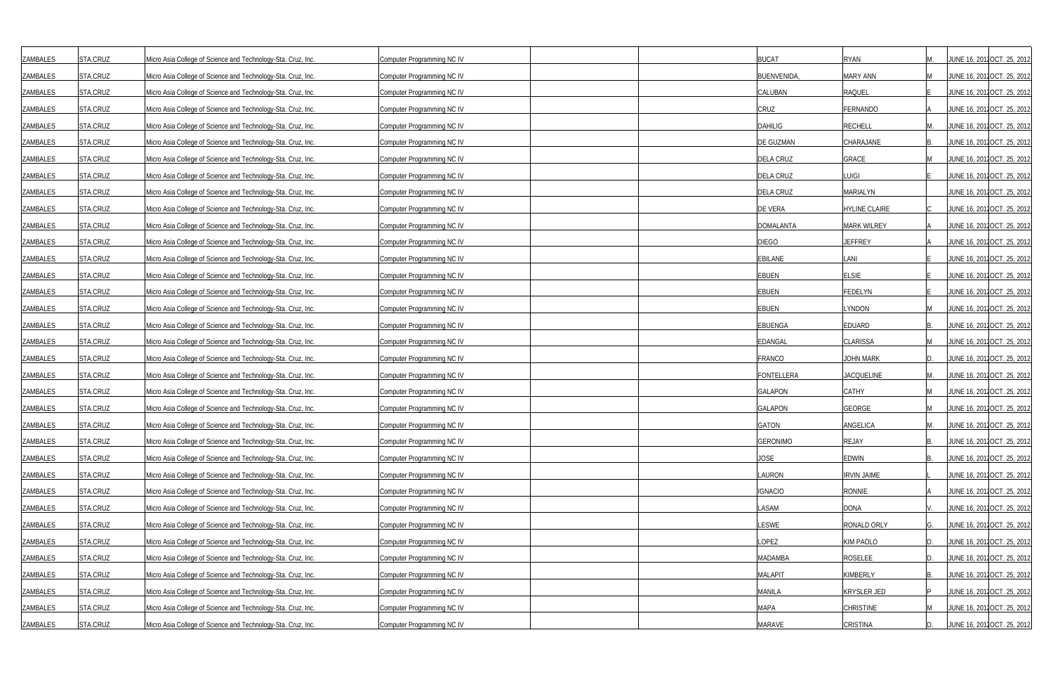| <b>ZAMBALES</b> | <b>STACRUZ</b> | Micro Asia College of Science and Technology-Sta. Cruz, Inc. | Computer Programming NC IV | <b>BUCAT</b>       | <b>RYAN</b>        | JUNE 16, 2012 OCT. 25, 2012        |                                    |
|-----------------|----------------|--------------------------------------------------------------|----------------------------|--------------------|--------------------|------------------------------------|------------------------------------|
| <b>ZAMBALES</b> | <b>STACRUZ</b> | Micro Asia College of Science and Technology-Sta. Cruz, Inc. | Computer Programming NC IV | <b>BUENVENIDA,</b> | <b>MARY ANN</b>    | JUNE 16, 2012 OCT. 25, 2012        |                                    |
| <b>ZAMBALES</b> | <b>STACRUZ</b> | Micro Asia College of Science and Technology-Sta. Cruz, Inc. | Computer Programming NC IV | <b>CALUBAN</b>     | <b>RAQUEL</b>      | JUNE 16, 2012 OCT. 25, 2012        |                                    |
| <b>ZAMBALES</b> | <b>STACRUZ</b> | Micro Asia College of Science and Technology-Sta. Cruz, Inc. | Computer Programming NC IV | <b>CRUZ</b>        | FERNANDO           | JUNE 16, 2012 OCT. 25, 2012        |                                    |
| <b>ZAMBALES</b> | <b>STACRUZ</b> | Micro Asia College of Science and Technology-Sta. Cruz, Inc. | Computer Programming NC IV | <b>DAHILIG</b>     | <b>RECHELL</b>     | JUNE 16, 2012 OCT. 25, 2012        |                                    |
| <b>ZAMBALES</b> | <b>STACRUZ</b> | Micro Asia College of Science and Technology-Sta. Cruz, Inc. | Computer Programming NC IV | <b>DE GUZMAN</b>   | <b>CHARAJANE</b>   |                                    | <u>JUNE 16, 2012 OCT. 25, 2012</u> |
| <b>ZAMBALES</b> | <b>STACRUZ</b> | Micro Asia College of Science and Technology-Sta. Cruz, Inc. | Computer Programming NC IV | <b>DELA CRUZ</b>   | <b>GRACE</b>       | JUNE 16, 2011 OCT. 25, 2012        |                                    |
| <b>ZAMBALES</b> | <b>STACRUZ</b> | Micro Asia College of Science and Technology-Sta. Cruz, Inc. | Computer Programming NC IV | <b>DELA CRUZ</b>   | LUIGI              | JUNE 16, 2012 OCT. 25, 2012        |                                    |
| <b>ZAMBALES</b> | <b>STACRUZ</b> | Micro Asia College of Science and Technology-Sta. Cruz, Inc. | Computer Programming NC IV | <b>DELA CRUZ</b>   | <b>MARIALYN</b>    | JUNE 16, 2012 OCT. 25, 2012        |                                    |
| <b>ZAMBALES</b> | <b>STACRUZ</b> | Micro Asia College of Science and Technology-Sta. Cruz, Inc. | Computer Programming NC IV | <b>DE VERA</b>     | HYLINE CLAIRE      | JUNE 16, 2012 OCT. 25, 2012        |                                    |
| <b>ZAMBALES</b> | <b>STACRUZ</b> | Micro Asia College of Science and Technology-Sta. Cruz, Inc. | Computer Programming NC IV | <b>DOMALANTA</b>   | <b>MARK WILREY</b> | JUNE 16, 2012 OCT. 25, 2012        |                                    |
| <b>ZAMBALES</b> | <b>STACRUZ</b> | Micro Asia College of Science and Technology-Sta. Cruz, Inc. | Computer Programming NC IV | <b>DIEGO</b>       | <b>JEFFREY</b>     | JUNE 16, 2012 OCT. 25, 2012        |                                    |
| <b>ZAMBALES</b> | <b>STACRUZ</b> | Micro Asia College of Science and Technology-Sta. Cruz, Inc. | Computer Programming NC IV | <b>EBILANE</b>     | LANI               | JUNE 16, 2012 OCT. 25, 2012        |                                    |
| <b>ZAMBALES</b> | <b>STACRUZ</b> | Micro Asia College of Science and Technology-Sta. Cruz, Inc. | Computer Programming NC IV | <b>EBUEN</b>       | <b>ELSIE</b>       | JUNE 16, 2012 OCT. 25, 2012        |                                    |
| <b>ZAMBALES</b> | <b>STACRUZ</b> | Micro Asia College of Science and Technology-Sta. Cruz, Inc. | Computer Programming NC IV | <b>EBUEN</b>       | <b>FEDELYN</b>     |                                    | <u>JUNE 16, 2012 OCT. 25, 2012</u> |
| <b>ZAMBALES</b> | <b>STACRUZ</b> | Micro Asia College of Science and Technology-Sta. Cruz, Inc. | Computer Programming NC IV | <b>EBUEN</b>       | <b>LYNDON</b>      | JUNE 16, 2012 OCT. 25, 2012        |                                    |
| <b>ZAMBALES</b> | <b>STACRUZ</b> | Micro Asia College of Science and Technology-Sta. Cruz, Inc. | Computer Programming NC IV | <b>EBUENGA</b>     | <b>EDUARD</b>      | JUNE 16, 2012 OCT. 25, 2012        |                                    |
| <b>ZAMBALES</b> | <b>STACRUZ</b> | Micro Asia College of Science and Technology-Sta. Cruz, Inc. | Computer Programming NC IV | <b>EDANGAL</b>     | <b>CLARISSA</b>    | JUNE 16, 2012 OCT. 25, 2012        |                                    |
| <b>ZAMBALES</b> | <b>STACRUZ</b> | Micro Asia College of Science and Technology-Sta. Cruz, Inc. | Computer Programming NC IV | <b>FRANCO</b>      | <b>JOHN MARK</b>   | JUNE 16, 2012 OCT. 25, 2012        |                                    |
| <b>ZAMBALES</b> | <b>STACRUZ</b> | Micro Asia College of Science and Technology-Sta. Cruz, Inc. | Computer Programming NC IV | <b>FONTELLERA</b>  | <b>JACQUELINE</b>  | JUNE 16, 2012 OCT. 25, 2012        |                                    |
| <b>ZAMBALES</b> | <b>STACRUZ</b> | Micro Asia College of Science and Technology-Sta. Cruz, Inc. | Computer Programming NC IV | <b>GALAPON</b>     | CATHY              | JUNE 16, 2012 OCT. 25, 2012        |                                    |
| <b>ZAMBALES</b> | <b>STACRUZ</b> | Micro Asia College of Science and Technology-Sta. Cruz, Inc. | Computer Programming NC IV | <b>GALAPON</b>     | <b>GEORGE</b>      | JUNE 16, 2012 OCT. 25, 2012        |                                    |
| <b>ZAMBALES</b> | <b>STACRUZ</b> | Micro Asia College of Science and Technology-Sta. Cruz, Inc. | Computer Programming NC IV | <b>GATON</b>       | <b>ANGELICA</b>    | JUNE 16, 2012 OCT. 25, 2012        |                                    |
| <b>ZAMBALES</b> | <b>STACRUZ</b> | Micro Asia College of Science and Technology-Sta. Cruz, Inc. | Computer Programming NC IV | <b>GERONIMO</b>    | <b>REJAY</b>       | JUNE 16, 2012 OCT. 25, 2012        |                                    |
| <b>ZAMBALES</b> | <b>STACRUZ</b> | Micro Asia College of Science and Technology-Sta. Cruz, Inc. | Computer Programming NC IV | <b>JOSE</b>        | <b>EDWN</b>        | JUNE 16, 2012 OCT. 25, 2012        |                                    |
| <b>ZAMBALES</b> | <b>STACRUZ</b> | Micro Asia College of Science and Technology-Sta. Cruz, Inc. | Computer Programming NC IV | <b>LAURON</b>      | <b>IRVIN JAIME</b> |                                    | JUNE 16, 2012 OCT. 25, 2012        |
| <b>ZAMBALES</b> | <b>STACRUZ</b> | Micro Asia College of Science and Technology-Sta. Cruz, Inc. | Computer Programming NC IV | <b>IGNACIO</b>     | <b>RONNIE</b>      | <u>JUNE 16, 2012 OCT. 25, 2012</u> |                                    |
| <b>ZAMBALES</b> | <b>STACRUZ</b> | Micro Asia College of Science and Technology-Sta. Cruz, Inc. | Computer Programming NC IV | LASAM              | <b>DONA</b>        |                                    | JUNE 16, 2012 OCT. 25, 2012        |
| <b>ZAMBALES</b> | <b>STACRUZ</b> | Micro Asia College of Science and Technology-Sta. Cruz, Inc. | Computer Programming NC IV | LESWE              | RONALD ORLY        |                                    | <u>JUNE 16, 2012 OCT. 25, 2012</u> |
| <b>ZAMBALES</b> | <b>STACRUZ</b> | Micro Asia College of Science and Technology-Sta. Cruz, Inc. | Computer Programming NC IV | <b>LOPEZ</b>       | <b>KIMPAOLO</b>    |                                    | JUNE 16, 2012 OCT. 25, 2012        |
| <b>ZAMBALES</b> | <b>STACRUZ</b> | Micro Asia College of Science and Technology-Sta. Cruz, Inc. | Computer Programming NC IV | <b>MADAMBA</b>     | <b>ROSELEE</b>     | JUNE 16, 2012 OCT. 25, 2012        |                                    |
| <b>ZAMBALES</b> | <b>STACRUZ</b> | Micro Asia College of Science and Technology-Sta. Cruz, Inc. | Computer Programming NC IV | <b>MALAPIT</b>     | <b>KIMBERLY</b>    | JUNE 16, 2012 OCT. 25, 2012        |                                    |
| <b>ZAMBALES</b> | STACRUZ        | Micro Asia College of Science and Technology-Sta. Cruz, Inc. | Computer Programming NC IV | <b>MANILA</b>      | <b>KRYSLER JED</b> |                                    | JUNE 16, 2012 OCT. 25, 2012        |
| <b>ZAMBALES</b> | <b>STACRUZ</b> | Micro Asia College of Science and Technology-Sta. Cruz, Inc. | Computer Programming NC IV | <b>MAPA</b>        | <b>CHRISTINE</b>   | JUNE 16, 2012 OCT. 25, 2012        |                                    |
| <b>ZAMBALES</b> | <b>STACRUZ</b> | Micro Asia College of Science and Technology-Sta. Cruz, Inc. | Computer Programming NC IV | <b>MARAVE</b>      | <b>CRISTINA</b>    |                                    | JUNE 16, 2012 OCT. 25, 2012        |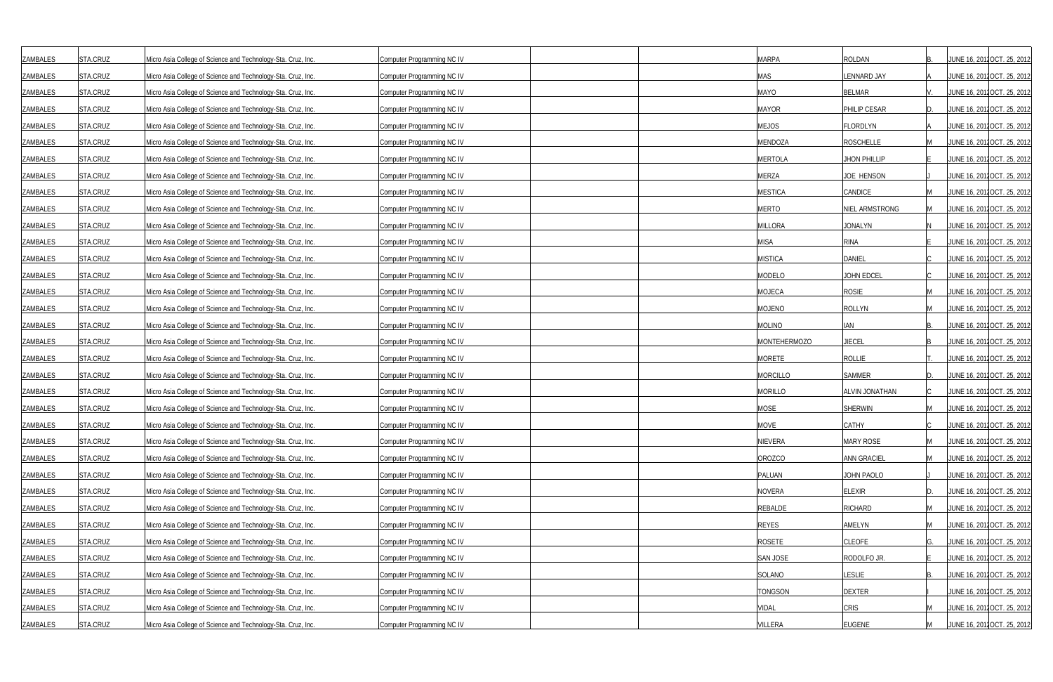| <b>ZAMBALES</b> | <b>STACRUZ</b> | Micro Asia College of Science and Technology-Sta. Cruz, Inc. | Computer Programming NC IV | <b>MARPA</b>        | <b>ROLDAN</b>         |   | JUNE 16, 2012 OCT. 25, 2012 |  |
|-----------------|----------------|--------------------------------------------------------------|----------------------------|---------------------|-----------------------|---|-----------------------------|--|
| <b>ZAMBALES</b> | <b>STACRUZ</b> | Micro Asia College of Science and Technology-Sta. Cruz, Inc. | Computer Programming NC IV | <b>MAS</b>          | <b>LENNARD JAY</b>    |   | JUNE 16, 2012 OCT. 25, 2012 |  |
| <b>ZAMBALES</b> | <b>STACRUZ</b> | Micro Asia College of Science and Technology-Sta. Cruz, Inc. | Computer Programming NC IV | <b>MAYO</b>         | <b>BELMAR</b>         |   | JUNE 16, 2012 OCT. 25, 2012 |  |
| <b>ZAMBALES</b> | <b>STACRUZ</b> | Micro Asia College of Science and Technology-Sta. Cruz, Inc. | Computer Programming NC IV | <b>MAYOR</b>        | <b>PHILIP CESAR</b>   |   | JUNE 16, 2012 OCT. 25, 2012 |  |
| <b>ZAMBALES</b> | <b>STACRUZ</b> | Micro Asia College of Science and Technology-Sta. Cruz, Inc. | Computer Programming NC IV | <b>MEJOS</b>        | <b>FLORDLYN</b>       |   | JUNE 16, 2012 OCT. 25, 2012 |  |
| <b>ZAMBALES</b> | <b>STACRUZ</b> | Micro Asia College of Science and Technology-Sta. Cruz, Inc. | Computer Programming NC IV | <b>MENDOZA</b>      | <b>ROSCHELLE</b>      |   | JUNE 16, 2012 OCT. 25, 2012 |  |
| <b>ZAMBALES</b> | <b>STACRUZ</b> | Micro Asia College of Science and Technology-Sta. Cruz, Inc. | Computer Programming NC IV | <b>MERTOLA</b>      | <b>JHON PHILLIP</b>   |   | JUNE 16, 2012 OCT. 25, 2012 |  |
| <b>ZAMBALES</b> | <b>STACRUZ</b> | Micro Asia College of Science and Technology-Sta. Cruz, Inc. | Computer Programming NC IV | <b>MERZA</b>        | <b>JOE HENSON</b>     |   | JUNE 16, 2012 OCT. 25, 2012 |  |
| <b>ZAMBALES</b> | <b>STACRUZ</b> | Micro Asia College of Science and Technology-Sta. Cruz, Inc. | Computer Programming NC IV | <b>MESTICA</b>      | <b>CANDICE</b>        |   | JUNE 16, 2012 OCT. 25, 2012 |  |
| <b>ZAMBALES</b> | <b>STACRUZ</b> | Micro Asia College of Science and Technology-Sta. Cruz, Inc. | Computer Programming NC IV | <b>MERTO</b>        | <b>NIEL ARMSTRONG</b> |   | JUNE 16, 2012 OCT. 25, 2012 |  |
| <b>ZAMBALES</b> | <b>STACRUZ</b> | Micro Asia College of Science and Technology-Sta. Cruz, Inc. | Computer Programming NC IV | <b>MILLORA</b>      | <b>JONALYN</b>        |   | JUNE 16, 2012 OCT. 25, 2012 |  |
| <b>ZAMBALES</b> | <b>STACRUZ</b> | Micro Asia College of Science and Technology-Sta. Cruz, Inc. | Computer Programming NC IV | <b>MISA</b>         | <b>RINA</b>           |   | JUNE 16, 2012 OCT. 25, 2012 |  |
| <b>ZAMBALES</b> | <b>STACRUZ</b> | Micro Asia College of Science and Technology-Sta. Cruz, Inc. | Computer Programming NC IV | <b>MISTICA</b>      | <b>DANIEL</b>         |   | JUNE 16, 2012 OCT. 25, 2012 |  |
| <b>ZAMBALES</b> | <b>STACRUZ</b> | Micro Asia College of Science and Technology-Sta. Cruz, Inc. | Computer Programming NC IV | <b>MODELO</b>       | JOHN EDCEL            |   | JUNE 16, 2012 OCT. 25, 2012 |  |
| <b>ZAMBALES</b> | <b>STACRUZ</b> | Micro Asia College of Science and Technology-Sta. Cruz, Inc. | Computer Programming NC IV | <b>MOJECA</b>       | <b>ROSIE</b>          |   | JUNE 16, 2012 OCT. 25, 2012 |  |
| <b>ZAMBALES</b> | <b>STACRUZ</b> | Micro Asia College of Science and Technology-Sta. Cruz, Inc. | Computer Programming NC IV | <b>MOJENO</b>       | <b>ROLLYN</b>         |   | JUNE 16, 2012 OCT. 25, 2012 |  |
| <b>ZAMBALES</b> | <b>STACRUZ</b> | Micro Asia College of Science and Technology-Sta. Cruz, Inc. | Computer Programming NC IV | <b>MOLINO</b>       | <b>IAN</b>            |   | JUNE 16, 2012 OCT. 25, 2012 |  |
| <b>ZAMBALES</b> | <b>STACRUZ</b> | Micro Asia College of Science and Technology-Sta. Cruz, Inc. | Computer Programming NC IV | <b>MONTEHERMOZO</b> | <b>JIECEL</b>         |   | JUNE 16, 2012 OCT. 25, 2012 |  |
| <b>ZAMBALES</b> | <b>STACRUZ</b> | Micro Asia College of Science and Technology-Sta. Cruz, Inc. | Computer Programming NC IV | <b>MORETE</b>       | <b>ROLLIE</b>         |   | JUNE 16, 2012 OCT. 25, 2012 |  |
| <b>ZAMBALES</b> | <b>STACRUZ</b> | Micro Asia College of Science and Technology-Sta. Cruz, Inc. | Computer Programming NC IV | <b>MORCILLO</b>     | <b>SAMMER</b>         |   | JUNE 16, 2012 OCT. 25, 2012 |  |
| <b>ZAMBALES</b> | <b>STACRUZ</b> | Micro Asia College of Science and Technology-Sta. Cruz, Inc. | Computer Programming NC IV | MORILLO             | ALVIN JONATHAN        |   | JUNE 16, 2012 OCT. 25, 2012 |  |
| <b>ZAMBALES</b> | <b>STACRUZ</b> | Micro Asia College of Science and Technology-Sta. Cruz, Inc. | Computer Programming NC IV | <b>MOSE</b>         | <b>SHERWIN</b>        |   | JUNE 16, 2011 OCT. 25, 2012 |  |
| <b>ZAMBALES</b> | <b>STACRUZ</b> | Micro Asia College of Science and Technology-Sta. Cruz, Inc. | Computer Programming NC IV | <b>MOVE</b>         | <b>CATHY</b>          |   | JUNE 16, 2014 OCT. 25, 2012 |  |
| <b>ZAMBALES</b> | <b>STACRUZ</b> | Micro Asia College of Science and Technology-Sta. Cruz, Inc. | Computer Programming NC IV | <b>NIEVERA</b>      | <b>MARY ROSE</b>      |   | JUNE 16, 2012 OCT. 25, 2012 |  |
| <b>ZAMBALES</b> | <b>STACRUZ</b> | Micro Asia College of Science and Technology-Sta. Cruz, Inc. | Computer Programming NC IV | <b>OROZCO</b>       | <b>ANN GRACIEL</b>    | M | JUNE 16, 2012 OCT. 25, 2012 |  |
| <b>ZAMBALES</b> | <b>STACRUZ</b> | Micro Asia College of Science and Technology-Sta. Cruz, Inc. | Computer Programming NC IV | <b>PALUAN</b>       | <b>JOHN PAOLO</b>     |   | JUNE 16, 2012 OCT. 25, 2012 |  |
| <b>ZAMBALES</b> | <b>STACRUZ</b> | Micro Asia College of Science and Technology-Sta. Cruz, Inc. | Computer Programming NC IV | <b>NOVERA</b>       | <b>ELEXIR</b>         |   | JUNE 16, 2012 OCT. 25, 2012 |  |
| <b>ZAMBALES</b> | <b>STACRUZ</b> | Micro Asia College of Science and Technology-Sta. Cruz, Inc. | Computer Programming NC IV | <b>REBALDE</b>      | <b>RICHARD</b>        |   | JUNE 16, 2012 OCT. 25, 2012 |  |
| <b>ZAMBALES</b> | <b>STACRUZ</b> | Micro Asia College of Science and Technology-Sta. Cruz, Inc. | Computer Programming NC IV | <b>REYES</b>        | <b>AMELYN</b>         |   | JUNE 16, 2012 OCT. 25, 2012 |  |
| <b>ZAMBALES</b> | <b>STACRUZ</b> | Micro Asia College of Science and Technology-Sta. Cruz, Inc. | Computer Programming NC IV | <b>ROSETE</b>       | <b>CLEOFE</b>         |   | JUNE 16, 2012 OCT. 25, 2012 |  |
| <b>ZAMBALES</b> | <b>STACRUZ</b> | Micro Asia College of Science and Technology-Sta. Cruz, Inc. | Computer Programming NC IV | SAN JOSE            | RODOLFO JR.           |   | JUNE 16, 2012 OCT. 25, 2012 |  |
| <b>ZAMBALES</b> | <b>STACRUZ</b> | Micro Asia College of Science and Technology-Sta. Cruz, Inc. | Computer Programming NC IV | <b>SOLANO</b>       | LESLIE                |   | JUNE 16, 2012 OCT. 25, 2012 |  |
| <b>ZAMBALES</b> | <b>STACRUZ</b> | Micro Asia College of Science and Technology-Sta. Cruz, Inc. | Computer Programming NC IV | <b>TONGSON</b>      | <b>DEXTER</b>         |   | JUNE 16, 2012 OCT. 25, 2012 |  |
| <b>ZAMBALES</b> | <b>STACRUZ</b> | Micro Asia College of Science and Technology-Sta. Cruz, Inc. | Computer Programming NC IV | VIDAL               | <b>CRIS</b>           | M | JUNE 16, 2012 OCT. 25, 2012 |  |
| <b>ZAMBALES</b> | <b>STACRUZ</b> | Micro Asia College of Science and Technology-Sta. Cruz, Inc. | Computer Programming NC IV | <b>VILLERA</b>      | <b>EUGENE</b>         | M | JUNE 16, 2012 OCT. 25, 2012 |  |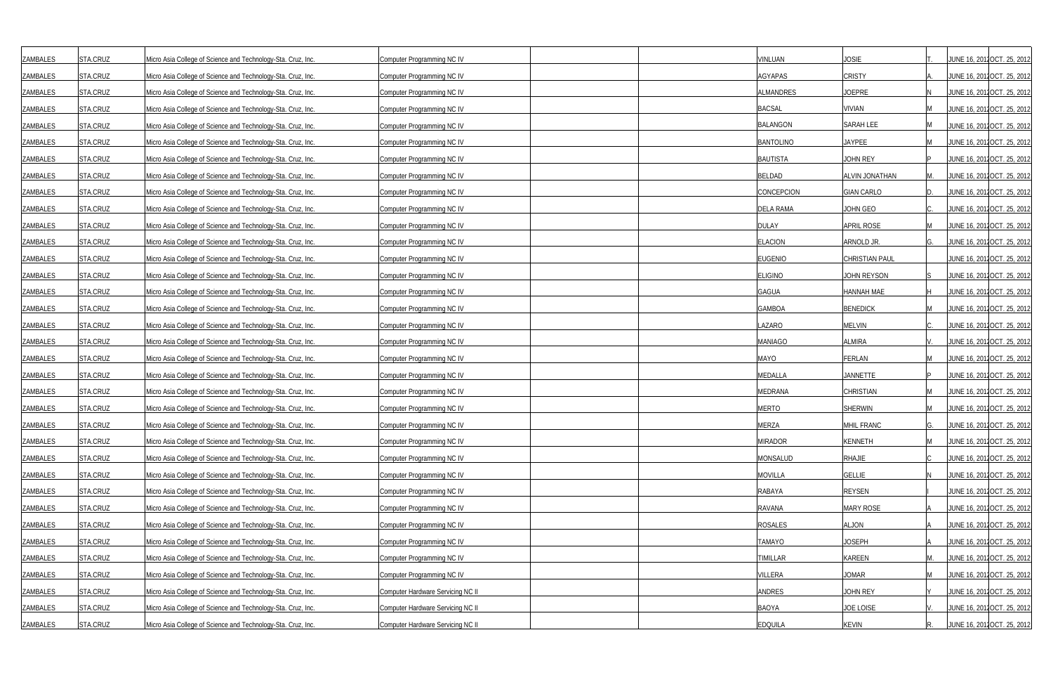| <b>ZAMBALES</b> | <b>STACRUZ</b> | Micro Asia College of Science and Technology-Sta. Cruz, Inc. | Computer Programming NC IV        | <b>VINLUAN</b>    | <b>JOSIE</b>          | JUNE 16, 2012 OCT. 25, 2012 |  |
|-----------------|----------------|--------------------------------------------------------------|-----------------------------------|-------------------|-----------------------|-----------------------------|--|
| <b>ZAMBALES</b> | <b>STACRUZ</b> | Micro Asia College of Science and Technology-Sta. Cruz, Inc. | Computer Programming NC IV        | <b>AGYAPAS</b>    | <b>CRISTY</b>         | JUNE 16, 2012 OCT. 25, 2012 |  |
| <b>ZAMBALES</b> | <b>STACRUZ</b> | Micro Asia College of Science and Technology-Sta. Cruz, Inc. | Computer Programming NC IV        | <b>ALMANDRES</b>  | <b>JOEPRE</b>         | JUNE 16, 2012 OCT. 25, 2012 |  |
| <b>ZAMBALES</b> | <b>STACRUZ</b> | Micro Asia College of Science and Technology-Sta. Cruz, Inc. | Computer Programming NC IV        | <b>BACSAL</b>     | <b>VIVIAN</b>         | JUNE 16, 2012 OCT. 25, 2012 |  |
| <b>ZAMBALES</b> | <b>STACRUZ</b> | Micro Asia College of Science and Technology-Sta. Cruz, Inc. | Computer Programming NC IV        | <b>BALANGON</b>   | <b>SARAH LEE</b>      | JUNE 16, 2012 OCT. 25, 2012 |  |
| <b>ZAMBALES</b> | <b>STACRUZ</b> | Micro Asia College of Science and Technology-Sta. Cruz, Inc. | Computer Programming NC IV        | <b>BANTOLINO</b>  | <b>JAYPEE</b>         | JUNE 16, 2012 OCT. 25, 2012 |  |
| <b>ZAMBALES</b> | <b>STACRUZ</b> | Micro Asia College of Science and Technology-Sta. Cruz, Inc. | Computer Programming NC IV        | <b>BAUTISTA</b>   | JOHN REY              | JUNE 16, 2012 OCT. 25, 2012 |  |
| <b>ZAMBALES</b> | <b>STACRUZ</b> | Micro Asia College of Science and Technology-Sta. Cruz, Inc. | Computer Programming NC IV        | <b>BELDAD</b>     | ALVIN JONATHAN        | JUNE 16, 2012 OCT. 25, 2012 |  |
| <b>ZAMBALES</b> | <b>STACRUZ</b> | Micro Asia College of Science and Technology-Sta. Cruz, Inc. | Computer Programming NC IV        | <b>CONCEPCION</b> | <b>GIAN CARLO</b>     | JUNE 16, 2012 OCT. 25, 2012 |  |
| <b>ZAMBALES</b> | <b>STACRUZ</b> | Micro Asia College of Science and Technology-Sta. Cruz, Inc. | Computer Programming NC IV        | <b>DELA RAMA</b>  | <b>JOHN GEO</b>       | JUNE 16, 2012 OCT. 25, 2012 |  |
| <b>ZAMBALES</b> | <b>STACRUZ</b> | Micro Asia College of Science and Technology-Sta. Cruz, Inc. | Computer Programming NC IV        | <b>DULAY</b>      | <b>APRIL ROSE</b>     | JUNE 16, 2012 OCT. 25, 2012 |  |
| <b>ZAMBALES</b> | <b>STACRUZ</b> | Micro Asia College of Science and Technology-Sta. Cruz, Inc. | Computer Programming NC IV        | <b>ELACION</b>    | ARNOLD JR.            | JUNE 16, 2012 OCT. 25, 2012 |  |
| <b>ZAMBALES</b> | <b>STACRUZ</b> | Micro Asia College of Science and Technology-Sta. Cruz, Inc. | Computer Programming NC IV        | <b>EUGENIO</b>    | <b>CHRISTIAN PAUL</b> | JUNE 16, 2012 OCT. 25, 2012 |  |
| <b>ZAMBALES</b> | <b>STACRUZ</b> | Micro Asia College of Science and Technology-Sta. Cruz, Inc. | Computer Programming NC IV        | <b>ELIGINO</b>    | <b>JOHN REYSON</b>    | JUNE 16, 2012 OCT. 25, 2012 |  |
| <b>ZAMBALES</b> | <b>STACRUZ</b> | Micro Asia College of Science and Technology-Sta. Cruz, Inc. | Computer Programming NC IV        | <b>GAGUA</b>      | <b>HANNAH MAE</b>     | JUNE 16, 2012 OCT. 25, 2012 |  |
| <b>ZAMBALES</b> | <b>STACRUZ</b> | Micro Asia College of Science and Technology-Sta. Cruz, Inc. | Computer Programming NC IV        | <b>GAMBOA</b>     | <b>BENEDICK</b>       | JUNE 16, 2012 OCT. 25, 2012 |  |
| <b>ZAMBALES</b> | <b>STACRUZ</b> | Micro Asia College of Science and Technology-Sta. Cruz, Inc. | Computer Programming NC IV        | <b>LAZARO</b>     | <b>MELVIN</b>         | JUNE 16, 2012 OCT. 25, 2012 |  |
| <b>ZAMBALES</b> | <b>STACRUZ</b> | Micro Asia College of Science and Technology-Sta. Cruz, Inc. | Computer Programming NC IV        | <b>MANIAGO</b>    | <b>ALMIRA</b>         | JUNE 16, 2012 OCT. 25, 2012 |  |
| <b>ZAMBALES</b> | <b>STACRUZ</b> | Micro Asia College of Science and Technology-Sta. Cruz, Inc. | Computer Programming NC IV        | <b>MAYO</b>       | FERLAN                | JUNE 16, 2012 OCT. 25, 2012 |  |
| <b>ZAMBALES</b> | <b>STACRUZ</b> | Micro Asia College of Science and Technology-Sta. Cruz, Inc. | Computer Programming NC IV        | <b>MEDALLA</b>    | <b>JANNETTE</b>       | JUNE 16, 2012 OCT. 25, 2012 |  |
| <b>ZAMBALES</b> | <b>STACRUZ</b> | Micro Asia College of Science and Technology-Sta. Cruz, Inc. | Computer Programming NC IV        | <b>MEDRANA</b>    | <b>CHRISTIAN</b>      | JUNE 16, 2012 OCT. 25, 2012 |  |
| <b>ZAMBALES</b> | <b>STACRUZ</b> | Micro Asia College of Science and Technology-Sta. Cruz, Inc. | Computer Programming NC IV        | <b>MERTO</b>      | SHERWIN               | JUNE 16, 2012 OCT. 25, 2012 |  |
| <b>ZAMBALES</b> | <b>STACRUZ</b> | Micro Asia College of Science and Technology-Sta. Cruz, Inc. | Computer Programming NC IV        | <b>MERZA</b>      | <b>MHIL FRANC</b>     | JUNE 16, 2012 OCT. 25, 2012 |  |
| <b>ZAMBALES</b> | <b>STACRUZ</b> | Micro Asia College of Science and Technology-Sta. Cruz, Inc. | Computer Programming NC IV        | <b>MIRADOR</b>    | KENNETH               | JUNE 16, 2012 OCT. 25, 2012 |  |
| <b>ZAMBALES</b> | <b>STACRUZ</b> | Micro Asia College of Science and Technology-Sta. Cruz, Inc. | Computer Programming NC IV        | <b>MONSALUD</b>   | <b>RHAJIE</b>         | JUNE 16, 2012 OCT. 25, 2012 |  |
| <b>ZAMBALES</b> | <b>STACRUZ</b> | Micro Asia College of Science and Technology-Sta. Cruz, Inc. | Computer Programming NC IV        | <b>MOVILLA</b>    | <b>GELLIE</b>         | JUNE 16, 2012 OCT. 25, 2012 |  |
| <b>ZAMBALES</b> | <b>STACRUZ</b> | Micro Asia College of Science and Technology-Sta. Cruz, Inc. | Computer Programming NC IV        | <b>RABAYA</b>     | <b>REYSEN</b>         | JUNE 16, 2012 OCT. 25, 2012 |  |
| <b>ZAMBALES</b> | <b>STACRUZ</b> | Micro Asia College of Science and Technology-Sta. Cruz, Inc. | Computer Programming NC IV        | <b>RAVANA</b>     | <b>MARY ROSE</b>      | JUNE 16, 2012 OCT. 25, 2012 |  |
| <b>ZAMBALES</b> | <b>STACRUZ</b> | Micro Asia College of Science and Technology-Sta. Cruz, Inc. | Computer Programming NC IV        | <b>ROSALES</b>    | <b>ALJON</b>          | JUNE 16, 2012 OCT. 25, 2012 |  |
| <b>ZAMBALES</b> | <b>STACRUZ</b> | Micro Asia College of Science and Technology-Sta. Cruz, Inc. | Computer Programming NC IV        | <b>TAMAYO</b>     | <b>JOSEPH</b>         | JUNE 16, 2012 OCT. 25, 2012 |  |
| <b>ZAMBALES</b> | <b>STACRUZ</b> | Micro Asia College of Science and Technology-Sta. Cruz, Inc. | Computer Programming NC IV        | <b>TIMILLAR</b>   | KAREEN                | JUNE 16, 2012 OCT. 25, 2012 |  |
| <b>ZAMBALES</b> | <b>STACRUZ</b> | Micro Asia College of Science and Technology-Sta. Cruz, Inc. | Computer Programming NC IV        | <b>VILLERA</b>    | <b>JOMAR</b>          | JUNE 16, 2012 OCT. 25, 2012 |  |
| <b>ZAMBALES</b> | <b>STACRUZ</b> | Micro Asia College of Science and Technology-Sta. Cruz, Inc. | Computer Hardware Servicing NC II | <b>ANDRES</b>     | <b>JOHN REY</b>       | JUNE 16, 2012 OCT. 25, 2012 |  |
| <b>ZAMBALES</b> | <b>STACRUZ</b> | Micro Asia College of Science and Technology-Sta. Cruz, Inc. | Computer Hardware Servicing NC II | <b>BAOYA</b>      | JOE LOISE             | JUNE 16, 2012 OCT. 25, 2012 |  |
| <b>ZAMBALES</b> | <b>STACRUZ</b> | Micro Asia College of Science and Technology-Sta. Cruz, Inc. | Computer Hardware Servicing NC II | <b>EDQUILA</b>    | <b>KEVIN</b>          | JUNE 16, 2012 OCT. 25, 2012 |  |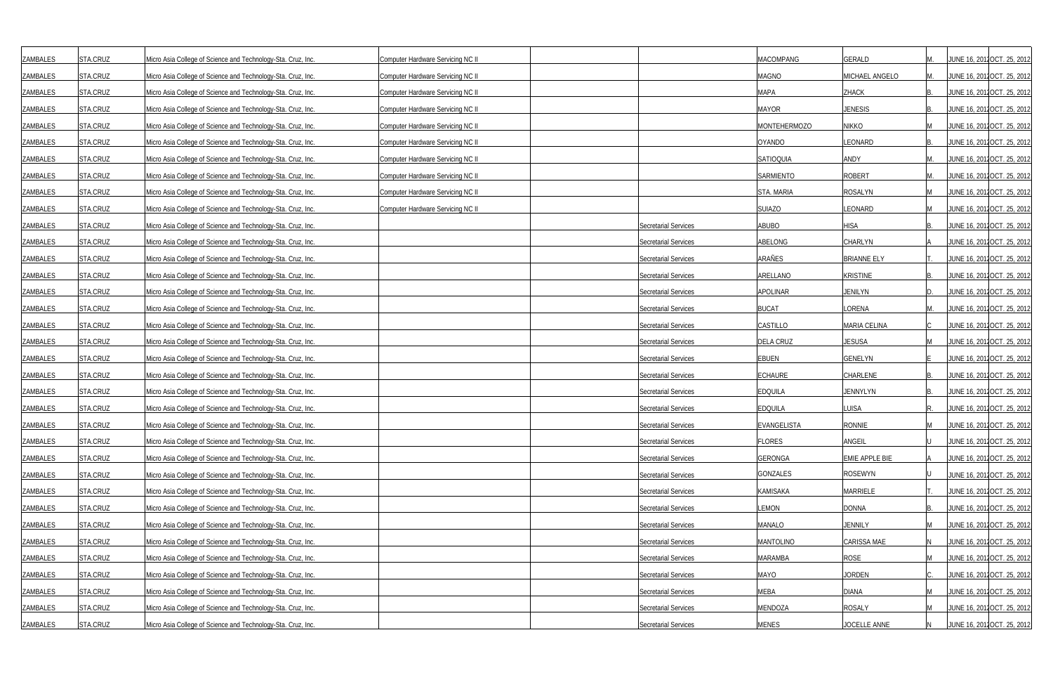| <b>ZAMBALES</b> | <b>STACRUZ</b> | Micro Asia College of Science and Technology-Sta. Cruz, Inc. | Computer Hardware Servicing NC II |                      | <b>MACOMPANG</b>    | <b>GERALD</b>         |    | JUNE 16, 2012 OCT. 25, 2012        |  |
|-----------------|----------------|--------------------------------------------------------------|-----------------------------------|----------------------|---------------------|-----------------------|----|------------------------------------|--|
| <b>ZAMBALES</b> | <b>STACRUZ</b> | Micro Asia College of Science and Technology-Sta. Cruz, Inc. | Computer Hardware Servicing NC II |                      | <b>MAGNO</b>        | <b>MICHAEL ANGELO</b> | M. | JUNE 16, 2012 OCT. 25, 2012        |  |
| <b>ZAMBALES</b> | <b>STACRUZ</b> | Micro Asia College of Science and Technology-Sta. Cruz, Inc. | Computer Hardware Servicing NC II |                      | <b>MAPA</b>         | <b>ZHACK</b>          |    | JUNE 16, 2012 OCT. 25, 2012        |  |
| <b>ZAMBALES</b> | <b>STACRUZ</b> | Micro Asia College of Science and Technology-Sta. Cruz, Inc. | Computer Hardware Servicing NC II |                      | <b>MAYOR</b>        | <b>JENESIS</b>        |    | JUNE 16, 2012 OCT. 25, 2012        |  |
| <b>ZAMBALES</b> | <b>STACRUZ</b> | Micro Asia College of Science and Technology-Sta. Cruz, Inc. | Computer Hardware Servicing NC II |                      | <b>MONTEHERMOZO</b> | <b>NIKKO</b>          |    | JUNE 16, 2012 OCT. 25, 2012        |  |
| <b>ZAMBALES</b> | <b>STACRUZ</b> | Micro Asia College of Science and Technology-Sta. Cruz, Inc. | Computer Hardware Servicing NC II |                      | <b>OYANDO</b>       | <b>LEONARD</b>        |    | JUNE 16, 2012 OCT. 25, 2012        |  |
| <b>ZAMBALES</b> | <b>STACRUZ</b> | Micro Asia College of Science and Technology-Sta. Cruz, Inc. | Computer Hardware Servicing NC II |                      | <b>SATIOQUIA</b>    | <b>ANDY</b>           |    | JUNE 16, 2011 OCT. 25, 2012        |  |
| <b>ZAMBALES</b> | <b>STACRUZ</b> | Micro Asia College of Science and Technology-Sta. Cruz, Inc. | Computer Hardware Servicing NC II |                      | <b>SARMIENTO</b>    | <b>ROBERT</b>         |    | JUNE 16, 2012 OCT. 25, 2012        |  |
| <b>ZAMBALES</b> | <b>STACRUZ</b> | Micro Asia College of Science and Technology-Sta. Cruz, Inc. | Computer Hardware Servicing NC II |                      | <b>STA MARIA</b>    | <b>ROSALYN</b>        |    | JUNE 16, 2012 OCT. 25, 2012        |  |
| <b>ZAMBALES</b> | <b>STACRUZ</b> | Micro Asia College of Science and Technology-Sta. Cruz, Inc. | Computer Hardware Servicing NC II |                      | <b>SUIAZO</b>       | <b>LEONARD</b>        |    | JUNE 16, 2012 OCT. 25, 2012        |  |
| <b>ZAMBALES</b> | <b>STACRUZ</b> | Micro Asia College of Science and Technology-Sta. Cruz, Inc. |                                   | Secretarial Services | <b>ABUBO</b>        | <b>HISA</b>           |    | JUNE 16, 2012 OCT. 25, 2012        |  |
| <b>ZAMBALES</b> | <b>STACRUZ</b> | Micro Asia College of Science and Technology-Sta. Cruz, Inc. |                                   | Secretarial Services | ABELONG             | <b>CHARLYN</b>        |    | <u>JUNE 16, 2012 OCT. 25, 2012</u> |  |
| <b>ZAMBALES</b> | <b>STACRUZ</b> | Micro Asia College of Science and Technology-Sta. Cruz, Inc. |                                   | Secretarial Services | <b>ARAÑES</b>       | <b>BRIANNE ELY</b>    |    | JUNE 16, 2012 OCT. 25, 2012        |  |
| <b>ZAMBALES</b> | <b>STACRUZ</b> | Micro Asia College of Science and Technology-Sta. Cruz, Inc. |                                   | Secretarial Services | <b>ARELLANO</b>     | KRISTINE              |    | JUNE 16, 2012 OCT. 25, 2012        |  |
| <b>ZAMBALES</b> | <b>STACRUZ</b> | Micro Asia College of Science and Technology-Sta. Cruz, Inc. |                                   | Secretarial Services | <b>APOLINAR</b>     | <b>JENILYN</b>        |    | <u>JUNE 16, 2012 OCT. 25, 2012</u> |  |
| <b>ZAMBALES</b> | <b>STACRUZ</b> | Micro Asia College of Science and Technology-Sta. Cruz, Inc. |                                   | Secretarial Services | <b>BUCAT</b>        | <b>LORENA</b>         |    | JUNE 16, 2011 OCT. 25, 2012        |  |
| <b>ZAMBALES</b> | <b>STACRUZ</b> | Micro Asia College of Science and Technology-Sta. Cruz, Inc. |                                   | Secretarial Services | <b>CASTILLO</b>     | <b>MARIA CELINA</b>   |    | JUNE 16, 2012 OCT. 25, 2012        |  |
| <b>ZAMBALES</b> | <b>STACRUZ</b> | Micro Asia College of Science and Technology-Sta. Cruz, Inc. |                                   | Secretarial Services | <b>DELA CRUZ</b>    | <b>JESUSA</b>         |    | JUNE 16, 2012 OCT. 25, 2012        |  |
| <b>ZAMBALES</b> | <b>STACRUZ</b> | Micro Asia College of Science and Technology-Sta. Cruz, Inc. |                                   | Secretarial Services | <b>EBUEN</b>        | <b>GENELYN</b>        |    | JUNE 16, 2012 OCT. 25, 2012        |  |
| <b>ZAMBALES</b> | <b>STACRUZ</b> | Micro Asia College of Science and Technology-Sta. Cruz, Inc. |                                   | Secretarial Services | <b>ECHAURE</b>      | <b>CHARLENE</b>       |    | JUNE 16, 2012 OCT. 25, 2012        |  |
| <b>ZAMBALES</b> | <b>STACRUZ</b> | Micro Asia College of Science and Technology-Sta. Cruz, Inc. |                                   | Secretarial Services | <b>EDQUILA</b>      | <b>JENNYLYN</b>       |    | JUNE 16, 2012 OCT. 25, 2012        |  |
| <b>ZAMBALES</b> | <b>STACRUZ</b> | Micro Asia College of Science and Technology-Sta. Cruz, Inc. |                                   | Secretarial Services | <b>EDQUILA</b>      | <b>LUISA</b>          |    | JUNE 16, 2012 OCT. 25, 2012        |  |
| <b>ZAMBALES</b> | <b>STACRUZ</b> | Micro Asia College of Science and Technology-Sta. Cruz, Inc. |                                   | Secretarial Services | <b>EVANGELISTA</b>  | <b>RONNIE</b>         |    | JUNE 16, 2012 OCT. 25, 2012        |  |
| <b>ZAMBALES</b> | <b>STACRUZ</b> | Micro Asia College of Science and Technology-Sta. Cruz, Inc. |                                   | Secretarial Services | <b>FLORES</b>       | <b>ANGEIL</b>         |    | JUNE 16, 2012 OCT. 25, 2012        |  |
| <b>ZAMBALES</b> | <b>STACRUZ</b> | Micro Asia College of Science and Technology-Sta. Cruz, Inc. |                                   | Secretarial Services | <b>GERONGA</b>      | EMIE APPLE BIE        |    | JUNE 16, 2012 OCT. 25, 2012        |  |
| <b>ZAMBALES</b> | <b>STACRUZ</b> | Micro Asia College of Science and Technology-Sta. Cruz, Inc. |                                   | Secretarial Services | <b>GONZALES</b>     | <b>ROSEWYN</b>        |    | JUNE 16, 2012 OCT. 25, 2012        |  |
| <b>ZAMBALES</b> | <b>STACRUZ</b> | Micro Asia College of Science and Technology-Sta. Cruz, Inc. |                                   | Secretarial Services | <b>KAMISAKA</b>     | <b>MARRIELE</b>       |    | JUNE 16, 2012 OCT. 25, 2012        |  |
| <b>ZAMBALES</b> | <b>STACRUZ</b> | Micro Asia College of Science and Technology-Sta. Cruz, Inc. |                                   | Secretarial Services | <b>LEMON</b>        | <b>DONNA</b>          |    | JUNE 16, 2012 OCT. 25, 2012        |  |
| <b>ZAMBALES</b> | <b>STACRUZ</b> | Micro Asia College of Science and Technology-Sta. Cruz, Inc. |                                   | Secretarial Services | <b>MANALO</b>       | <b>JENNILY</b>        |    | <u>JUNE 16, 2012 OCT. 25, 2012</u> |  |
| <b>ZAMBALES</b> | <b>STACRUZ</b> | Micro Asia College of Science and Technology-Sta. Cruz, Inc. |                                   | Secretarial Services | <b>MANTOLINO</b>    | CARISSA MAE           |    | JUNE 16, 2012 OCT. 25, 2012        |  |
| <b>ZAMBALES</b> | STACRUZ        | Micro Asia College of Science and Technology-Sta. Cruz, Inc. |                                   | Secretarial Services | <b>MARAMBA</b>      | <b>ROSE</b>           |    | JUNE 16, 2012 OCT. 25, 2012        |  |
| <b>ZAMBALES</b> | <b>STACRUZ</b> | Micro Asia College of Science and Technology-Sta. Cruz, Inc. |                                   | Secretarial Services | <b>MAYO</b>         | <b>JORDEN</b>         |    | JUNE 16, 2012 OCT. 25, 2012        |  |
| <b>ZAMBALES</b> | <b>STACRUZ</b> | Micro Asia College of Science and Technology-Sta. Cruz, Inc. |                                   | Secretarial Services | <b>MEBA</b>         | <b>DIANA</b>          |    | JUNE 16, 2012 OCT. 25, 2012        |  |
| <b>ZAMBALES</b> | <b>STACRUZ</b> | Micro Asia College of Science and Technology-Sta. Cruz, Inc. |                                   | Secretarial Services | <b>MENDOZA</b>      | <b>ROSALY</b>         |    | JUNE 16, 2012 OCT. 25, 2012        |  |
| <b>ZAMBALES</b> | <b>STACRUZ</b> | Micro Asia College of Science and Technology-Sta. Cruz, Inc. |                                   | Secretarial Services | <b>MENES</b>        | <b>JOCELLE ANNE</b>   |    | JUNE 16, 2012 OCT. 25, 2012        |  |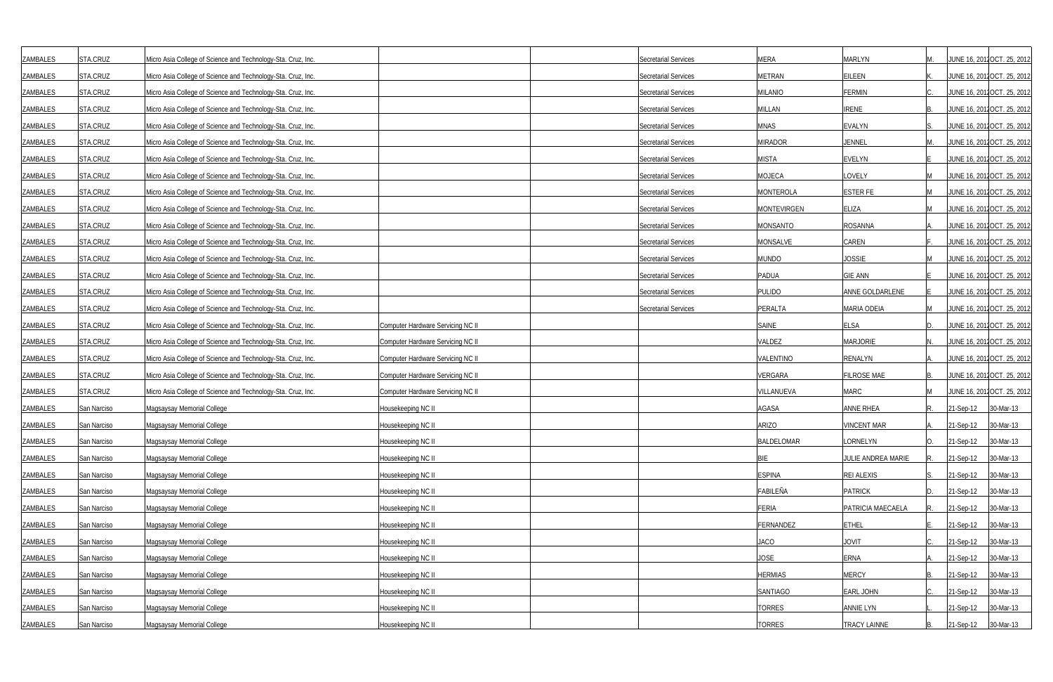| <b>ZAMBALES</b> | <b>STACRUZ</b> | Micro Asia College of Science and Technology-Sta. Cruz, Inc. |                                   | Secretarial Services | <b>MERA</b>        | <b>MARLYN</b>            |                             | JUNE 16, 2012 OCT. 25, 2012        |
|-----------------|----------------|--------------------------------------------------------------|-----------------------------------|----------------------|--------------------|--------------------------|-----------------------------|------------------------------------|
| <b>ZAMBALES</b> | <b>STACRUZ</b> | Micro Asia College of Science and Technology-Sta. Cruz, Inc. |                                   | Secretarial Services | <b>METRAN</b>      | <b>EILEEN</b>            |                             | JUNE 16, 2012 OCT. 25, 2012        |
| <b>ZAMBALES</b> | <b>STACRUZ</b> | Micro Asia College of Science and Technology-Sta. Cruz, Inc. |                                   | Secretarial Services | <b>MILANIO</b>     | <b>FERMIN</b>            |                             | JUNE 16, 2012 OCT. 25, 2012        |
| <b>ZAMBALES</b> | <b>STACRUZ</b> | Micro Asia College of Science and Technology-Sta. Cruz, Inc. |                                   | Secretarial Services | <b>MILLAN</b>      | <b>IRENE</b>             |                             | JUNE 16, 2012 OCT. 25, 2012        |
| <b>ZAMBALES</b> | <b>STACRUZ</b> | Micro Asia College of Science and Technology-Sta. Cruz, Inc. |                                   | Secretarial Services | <b>MNAS</b>        | <b>EVALYN</b>            |                             | JUNE 16, 2012 OCT. 25, 2012        |
| <b>ZAMBALES</b> | <b>STACRUZ</b> | Micro Asia College of Science and Technology-Sta. Cruz, Inc. |                                   | Secretarial Services | <b>MIRADOR</b>     | <b>JENNEL</b>            |                             | JUNE 16, 2012 OCT. 25, 2012        |
| <b>ZAMBALES</b> | <b>STACRUZ</b> | Micro Asia College of Science and Technology-Sta. Cruz, Inc. |                                   | Secretarial Services | <b>MISTA</b>       | <b>EVELYN</b>            |                             | JUNE 16, 2012 OCT. 25, 2012        |
| <b>ZAMBALES</b> | <b>STACRUZ</b> | Micro Asia College of Science and Technology-Sta. Cruz, Inc. |                                   | Secretarial Services | <b>MOJECA</b>      | <b>LOVELY</b>            |                             | JUNE 16, 2012 OCT. 25, 2012        |
| <b>ZAMBALES</b> | <b>STACRUZ</b> | Micro Asia College of Science and Technology-Sta. Cruz, Inc. |                                   | Secretarial Services | <b>MONTEROLA</b>   | <b>ESTER FE</b>          |                             | JUNE 16, 2012 OCT. 25, 2012        |
| <b>ZAMBALES</b> | <b>STACRUZ</b> | Micro Asia College of Science and Technology-Sta. Cruz, Inc. |                                   | Secretarial Services | <b>MONTEVIRGEN</b> | <b>ELIZA</b>             |                             | JUNE 16, 2012 OCT. 25, 2012        |
| <b>ZAMBALES</b> | <b>STACRUZ</b> | Micro Asia College of Science and Technology-Sta. Cruz, Inc. |                                   | Secretarial Services | <b>MONSANTO</b>    | <b>ROSANNA</b>           |                             | JUNE 16, 2012 OCT. 25, 2012        |
| <b>ZAMBALES</b> | <b>STACRUZ</b> | Micro Asia College of Science and Technology-Sta. Cruz, Inc. |                                   | Secretarial Services | <b>MONSALVE</b>    | <b>CAREN</b>             |                             | JUNE 16, 2012 OCT. 25, 2012        |
| <b>ZAMBALES</b> | <b>STACRUZ</b> | Micro Asia College of Science and Technology-Sta. Cruz, Inc. |                                   | Secretarial Services | <b>MUNDO</b>       | <b>JOSSIE</b>            |                             | JUNE 16, 2012 OCT. 25, 2012        |
| <b>ZAMBALES</b> | <b>STACRUZ</b> | Micro Asia College of Science and Technology-Sta. Cruz, Inc. |                                   | Secretarial Services | <b>PADUA</b>       | <b>GIE ANN</b>           |                             | JUNE 16, 2012 OCT. 25, 2012        |
| <b>ZAMBALES</b> | <b>STACRUZ</b> | Micro Asia College of Science and Technology-Sta. Cruz, Inc. |                                   | Secretarial Services | <b>PULIDO</b>      | ANNE GOLDARLENE          |                             | <u>JUNE 16, 2012 OCT. 25, 2012</u> |
| <b>ZAMBALES</b> | <b>STACRUZ</b> | Micro Asia College of Science and Technology-Sta. Cruz, Inc. |                                   | Secretarial Services | <b>PERALTA</b>     | <b>MARIA ODEIA</b>       | JUNE 16, 2012 OCT. 25, 2012 |                                    |
| <b>ZAMBALES</b> | <b>STACRUZ</b> | Micro Asia College of Science and Technology-Sta. Cruz, Inc. | Computer Hardware Servicing NC II |                      | <b>SAINE</b>       | <b>ELSA</b>              |                             | JUNE 16, 2012 OCT. 25, 2012        |
| <b>ZAMBALES</b> | <b>STACRUZ</b> | Micro Asia College of Science and Technology-Sta. Cruz, Inc. | Computer Hardware Servicing NC II |                      | <b>VALDEZ</b>      | <b>MARJORIE</b>          |                             | JUNE 16, 2012 OCT. 25, 2012        |
| <b>ZAMBALES</b> | <b>STACRUZ</b> | Micro Asia College of Science and Technology-Sta. Cruz, Inc. | Computer Hardware Servicing NC II |                      | VALENTINO          | <b>RENALYN</b>           |                             | JUNE 16, 2012 OCT. 25, 2012        |
| <b>ZAMBALES</b> | <b>STACRUZ</b> | Micro Asia College of Science and Technology-Sta. Cruz, Inc. | Computer Hardware Servicing NC II |                      | <b>VERGARA</b>     | <b>FILROSE MAE</b>       |                             | JUNE 16, 2012 OCT. 25, 2012        |
| <b>ZAMBALES</b> | <b>STACRUZ</b> | Micro Asia College of Science and Technology-Sta. Cruz, Inc. | Computer Hardware Servicing NC II |                      | <b>VILLANUEVA</b>  | <b>MARC</b>              |                             | JUNE 16, 2012 OCT. 25, 2012        |
| <b>ZAMBALES</b> | San Narciso    | Magsaysay Memorial College                                   | Housekeeping NC II                |                      | <b>AGASA</b>       | <b>ANNE RHEA</b>         | 21-Sep-12 30-Mar-13         |                                    |
| <b>ZAMBALES</b> | San Narciso    | Magsaysay Memorial College                                   | Housekeeping NC II                |                      | <b>ARIZO</b>       | <b>VINCENT MAR</b>       | 21-Sep-12 30-Mar-13         |                                    |
| <b>ZAMBALES</b> | San Narciso    | Magsaysay Memorial College                                   | Housekeeping NC II                |                      | <b>BALDELOMAR</b>  | <b>LORNELYN</b>          | 21-Sep-12 30-Mar-13         |                                    |
| <b>ZAMBALES</b> | San Narciso    | Magsaysay Memorial College                                   | Housekeeping NC II                |                      | BIE                | JULIE ANDREA MARIE       | 21-Sep-12 30-Mar-13         |                                    |
| <b>ZAMBALES</b> | San Narciso    | Magsaysay Memorial College                                   | Housekeeping NC II                |                      | <b>ESPINA</b>      | <b>REI ALEXIS</b>        | 21-Sep-12 30-Mar-13         |                                    |
| <b>ZAMBALES</b> | San Narciso    | Magsaysay Memorial College                                   | Housekeeping NC II                |                      | <b>FABILEÑA</b>    | <b>PATRICK</b>           | 21-Sep-12 30-Mar-13         |                                    |
| <b>ZAMBALES</b> | San Narciso    | Magsaysay Memorial College                                   | Housekeeping NC II                |                      | <b>FERIA</b>       | <b>PATRICIA MAECAELA</b> | 21-Sep-12 30-Mar-13         |                                    |
| <b>ZAMBALES</b> | San Narciso    | Magsaysay Memorial College                                   | Housekeeping NC II                |                      | <b>FERNANDEZ</b>   | <b>ETHEL</b>             | 21-Sep-12 30-Mar-13         |                                    |
| <b>ZAMBALES</b> | San Narciso    | Magsaysay Memorial College                                   | Housekeeping NC II                |                      | <b>JACO</b>        | <b>JOVIT</b>             | 21-Sep-12 30-Mar-13         |                                    |
| <b>ZAMBALES</b> | San Narciso    | Magsaysay Memorial College                                   | Housekeeping NC II                |                      | <b>JOSE</b>        | <b>ERNA</b>              | 21-Sep-12 30-Mar-13         |                                    |
| <b>ZAMBALES</b> | San Narciso    | Magsaysay Memorial College                                   | Housekeeping NC II                |                      | <b>HERMIAS</b>     | <b>MERCY</b>             | 21-Sep-12 30-Mar-13         |                                    |
| <b>ZAMBALES</b> | San Narciso    | Magsaysay Memorial College                                   | Housekeeping NC II                |                      | <b>SANTIAGO</b>    | EARL JOHN                | 21-Sep-12 30-Mar-13         |                                    |
| <b>ZAMBALES</b> | San Narciso    | Magsaysay Memorial College                                   | Housekeeping NC II                |                      | <b>TORRES</b>      | <b>ANNIE LYN</b>         | 21-Sep-12 30-Mar-13         |                                    |
| <b>ZAMBALES</b> | San Narciso    | Magsaysay Memorial College                                   | Housekeeping NC II                |                      | <b>TORRES</b>      | <b>TRACY LAINNE</b>      | 21-Sep-12 30-Mar-13         |                                    |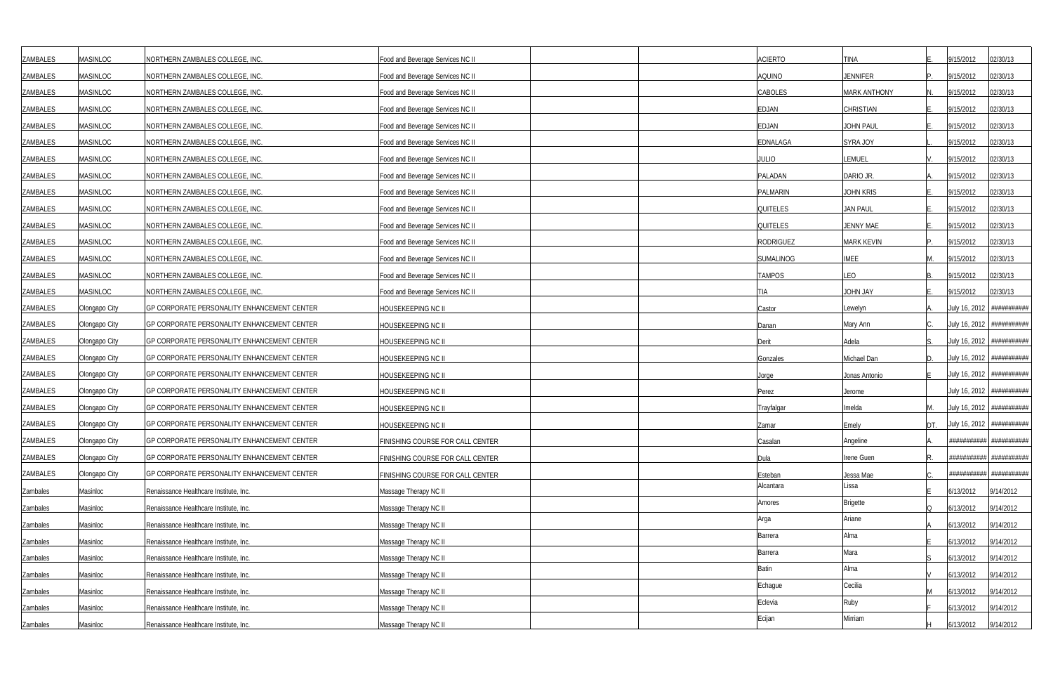| <b>ZAMBALES</b> | <b>MASINLOC</b>      | NORTHERN ZAMBALES COLLEGE, INC.             | Food and Beverage Services NC II | <b>ACIERTO</b>   | <b>TINA</b>         |     | 9/15/2012          | 02/30/13  |
|-----------------|----------------------|---------------------------------------------|----------------------------------|------------------|---------------------|-----|--------------------|-----------|
| <b>ZAMBALES</b> | <b>MASINLOC</b>      | NORTHERN ZAMBALES COLLEGE, INC.             | Food and Beverage Services NC II | <b>AQUINO</b>    | <b>JENNIFER</b>     |     | 9/15/2012          | 02/30/13  |
| <b>ZAMBALES</b> | <b>MASINLOC</b>      | NORTHERN ZAMBALES COLLEGE, INC.             | Food and Beverage Services NC II | <b>CABOLES</b>   | <b>MARK ANTHONY</b> |     | 9/15/2012          | 02/30/13  |
| <b>ZAMBALES</b> | <b>MASINLOC</b>      | NORTHERN ZAMBALES COLLEGE, INC.             | Food and Beverage Services NC II | <b>EDJAN</b>     | <b>CHRISTIAN</b>    |     | 9/15/2012          | 02/30/13  |
| <b>ZAMBALES</b> | <b>MASINLOC</b>      | NORTHERN ZAMBALES COLLEGE, INC.             | Food and Beverage Services NC II | <b>EDJAN</b>     | <b>JOHN PAUL</b>    |     | 9/15/2012          | 02/30/13  |
| <b>ZAMBALES</b> | <b>MASINLOC</b>      | NORTHERN ZAMBALES COLLEGE, INC.             | Food and Beverage Services NC II | <b>EDNALAGA</b>  | SYRA JOY            |     | 9/15/2012          | 02/30/13  |
| <b>ZAMBALES</b> | <b>MASINLOC</b>      | NORTHERN ZAMBALES COLLEGE, INC.             | Food and Beverage Services NC II | <b>JULIO</b>     | <b>LEMUEL</b>       |     | 9/15/2012          | 02/30/13  |
| <b>ZAMBALES</b> | <b>MASINLOC</b>      | NORTHERN ZAMBALES COLLEGE, INC.             | Food and Beverage Services NC II | PALADAN          | DARIO JR.           |     | 9/15/2012          | 02/30/13  |
| <b>ZAMBALES</b> | <b>MASINLOC</b>      | NORTHERN ZAMBALES COLLEGE, INC.             | Food and Beverage Services NC II | PALMARIN         | <b>JOHN KRIS</b>    |     | 9/15/2012          | 02/30/13  |
| <b>ZAMBALES</b> | <b>MASINLOC</b>      | NORTHERN ZAMBALES COLLEGE, INC.             | Food and Beverage Services NC II | <b>QUITELES</b>  | <b>JAN PAUL</b>     |     | 9/15/2012          | 02/30/13  |
| <b>ZAMBALES</b> | <b>MASINLOC</b>      | NORTHERN ZAMBALES COLLEGE, INC.             | Food and Beverage Services NC II | <b>QUITELES</b>  | <b>JENNY MAE</b>    |     | 9/15/2012          | 02/30/13  |
| <b>ZAMBALES</b> | <b>MASINLOC</b>      | NORTHERN ZAMBALES COLLEGE, INC.             | Food and Beverage Services NC II | <b>RODRIGUEZ</b> | <b>MARK KEVIN</b>   |     | 9/15/2012          | 02/30/13  |
| <b>ZAMBALES</b> | <b>MASINLOC</b>      | NORTHERN ZAMBALES COLLEGE, INC.             | Food and Beverage Services NC II | <b>SUMALINOG</b> | <b>IMEE</b>         | IM. | 9/15/2012          | 02/30/13  |
| <b>ZAMBALES</b> | <b>MASINLOC</b>      | NORTHERN ZAMBALES COLLEGE, INC.             | Food and Beverage Services NC II | <b>TAMPOS</b>    | <b>LEO</b>          |     | 9/15/2012          | 02/30/13  |
| <b>ZAMBALES</b> | <b>MASINLOC</b>      | NORTHERN ZAMBALES COLLEGE, INC.             | Food and Beverage Services NC II | ПA               | <b>JOHN JAY</b>     |     | 9/15/2012          | 02/30/13  |
| <b>ZAMBALES</b> | <b>Olongapo City</b> | GP CORPORATE PERSONALITY ENHANCEMENT CENTER | <b>HOUSEKEEPING NC II</b>        | Castor           | Lewelyn             |     | July 16, 2012      |           |
| <b>ZAMBALES</b> | <b>Olongapo City</b> | GP CORPORATE PERSONALITY ENHANCEMENT CENTER | <b>HOUSEKEEPING NC II</b>        | Danan            | Mary Ann            |     | July 16, 2012      |           |
| <b>ZAMBALES</b> | Olongapo City        | GP CORPORATE PERSONALITY ENHANCEMENT CENTER | <b>HOUSEKEEPING NC II</b>        | Derit            | Adela               |     | July 16, 2012      |           |
| <b>ZAMBALES</b> | <b>Clongapo City</b> | GP CORPORATE PERSONALITY ENHANCEMENT CENTER | <b>HOUSEKEEPING NC II</b>        | Gonzales         | Michael Dan         |     | July 16, 2012      |           |
| <b>ZAMBALES</b> | Olongapo City        | GP CORPORATE PERSONALITY ENHANCEMENT CENTER | <b>HOUSEKEEPING NC II</b>        | Jorge            | Jonas Antonio       |     | July 16, 2012      |           |
| <b>ZAMBALES</b> | Olongapo City        | GP CORPORATE PERSONALITY ENHANCEMENT CENTER | <b>HOUSEKEEPING NC II</b>        | Perez            | Jerome              |     | July 16, 2012      |           |
| <b>ZAMBALES</b> | <b>Olongapo City</b> | GP CORPORATE PERSONALITY ENHANCEMENT CENTER | <b>HOUSEKEEPING NC II</b>        | Trayfalgar       | Imelda              |     | July 16, 2012      |           |
| <b>ZAMBALES</b> | <b>Olongapo City</b> | GP CORPORATE PERSONALITY ENHANCEMENT CENTER | <b>HOUSEKEEPING NC II</b>        | Zamar            | Emely               | DT. | July 16, 2012 #### |           |
| <b>ZAMBALES</b> | <b>Clongapo City</b> | GP CORPORATE PERSONALITY ENHANCEMENT CENTER | FINISHING COURSE FOR CALL CENTER | Casalan          | Angeline            |     |                    |           |
| <b>ZAMBALES</b> | <b>Olongapo City</b> | GP CORPORATE PERSONALITY ENHANCEMENT CENTER | FINISHING COURSE FOR CALL CENTER | Dula             | Irene Guen          | R.  |                    |           |
| <b>ZAMBALES</b> | <b>Clongapo City</b> | GP CORPORATE PERSONALITY ENHANCEMENT CENTER | FINISHING COURSE FOR CALL CENTER | Esteban          | Jessa Mae           |     |                    |           |
| <b>Zambales</b> | Masinloc             | Renaissance Healthcare Institute, Inc.      | Massage Therapy NC II            | Alcantara        | Lissa               |     | 6/13/2012          | 9/14/2012 |
| Zambales        | Masinloc             | Renaissance Healthcare Institute, Inc.      | Massage Therapy NC II            | Amores           | <b>Brigette</b>     |     | 6/13/2012          | 9/14/2012 |
| <b>Zambales</b> | Masinloc             | Renaissance Healthcare Institute, Inc.      | Massage Therapy NC II            | Arga             | Ariane              |     | 6/13/2012          | 9/14/2012 |
| Zambales        | Masinloc             | Renaissance Healthcare Institute, Inc.      | Massage Therapy NC II            | Barrera          | Alma                |     | 6/13/2012          | 9/14/2012 |
| <b>Zambales</b> | <b>Masinloc</b>      | Renaissance Healthcare Institute, Inc.      | Massage Therapy NC II            | Barrera          | Mara                |     | 6/13/2012          | 9/14/2012 |
| Zambales        | Masinloc             | Renaissance Healthcare Institute, Inc.      | Massage Therapy NC II            | Batin            | Alma                |     | 6/13/2012          | 9/14/2012 |
| <b>Zambales</b> | Masinloc             | Renaissance Healthcare Institute, Inc.      | Massage Therapy NC II            | Echague          | Cecilia             |     | 6/13/2012          | 9/14/2012 |
| <b>Zambales</b> | Masinloc             | Renaissance Healthcare Institute, Inc.      | Massage Therapy NC II            | Edevia           | Ruby                |     | 6/13/2012          | 9/14/2012 |
| Zambales        | Masinloc             | Renaissance Healthcare Institute, Inc.      | Massage Therapy NC II            | Ecijan           | Mirriam             |     | 6/13/2012          | 9/14/2012 |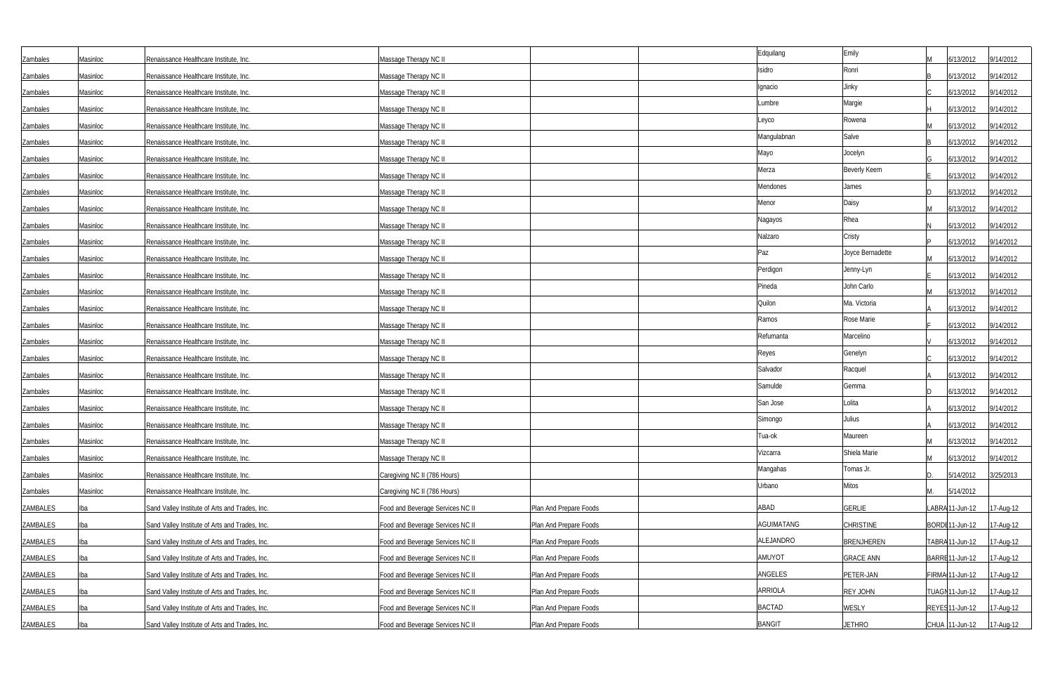| Zambales        | Masinloc | Renaissance Healthcare Institute, Inc.         | Massage Therapy NC II            |                        | Edquilang         | Emily             | М  | 6/13/2012              | 9/14/2012 |
|-----------------|----------|------------------------------------------------|----------------------------------|------------------------|-------------------|-------------------|----|------------------------|-----------|
| <b>Zambales</b> | Masinloc | Renaissance Healthcare Institute, Inc.         | Massage Therapy NC II            |                        | Isidro            | Ronri             |    | 6/13/2012              | 9/14/2012 |
| Zambales        | Masinloc | Renaissance Healthcare Institute, Inc.         | Massage Therapy NC II            |                        | Ignacio           | Jinky             |    | 6/13/2012              | 9/14/2012 |
| <b>Zambales</b> | Masinloc | Renaissance Healthcare Institute, Inc.         | Massage Therapy NC II            |                        | Lumbre            | Margie            |    | 6/13/2012              | 9/14/2012 |
| <b>Zambales</b> | Masinloc | Renaissance Healthcare Institute, Inc.         | Massage Therapy NC II            |                        | $L$ eyco          | Rowena            | М  | 6/13/2012              | 9/14/2012 |
| <b>Zambales</b> | Masinloc | Renaissance Healthcare Institute, Inc.         | Massage Therapy NC II            |                        | Mangulabnan       | Salve             |    | 6/13/2012              | 9/14/2012 |
| <b>Zambales</b> | Masinloc | Renaissance Healthcare Institute, Inc.         | Massage Therapy NC II            |                        | Mayo              | Jocelyn           | G  | 6/13/2012              | 9/14/2012 |
| <b>Zambales</b> | Masinloc | Renaissance Healthcare Institute, Inc.         | Massage Therapy NC II            |                        | Merza             | Beverly Keem      |    | 6/13/2012              | 9/14/2012 |
| Zambales        | Masinloc | Renaissance Healthcare Institute, Inc.         | Massage Therapy NC II            |                        | Mendones          | James             |    | 6/13/2012              | 9/14/2012 |
| <b>Zambales</b> | Masinloc | Renaissance Healthcare Institute, Inc.         | Massage Therapy NC II            |                        | Menor             | Daisy             |    | 6/13/2012              | 9/14/2012 |
| <b>Zambales</b> | Masinloc | Renaissance Healthcare Institute, Inc.         | Massage Therapy NC II            |                        | Nagayos           | Rhea              | N  | 6/13/2012              | 9/14/2012 |
| <b>Zambales</b> | Masinloc | Renaissance Healthcare Institute, Inc.         | Massage Therapy NC II            |                        | Nalzaro           | Cristy            | D  | 6/13/2012              | 9/14/2012 |
| <b>Zambales</b> | Masinloc | Renaissance Healthcare Institute, Inc.         | Massage Therapy NC II            |                        | Paz               | Joyce Bernadette  | м  | 6/13/2012              | 9/14/2012 |
| Zambales        | Masinloc | Renaissance Healthcare Institute, Inc.         | Massage Therapy NC II            |                        | Perdigon          | Jenny-Lyn         |    | 6/13/2012              | 9/14/2012 |
| <b>Zambales</b> | Masinloc | Renaissance Healthcare Institute, Inc.         | Massage Therapy NC II            |                        | Pineda            | John Carlo        | м  | 6/13/2012              | 9/14/2012 |
| <b>Zambales</b> | Masinloc | Renaissance Healthcare Institute, Inc.         | Massage Therapy NC II            |                        | Quilon            | Ma. Victoria      |    | 6/13/2012              | 9/14/2012 |
| <b>Zambales</b> | Masinloc | Renaissance Healthcare Institute, Inc.         | Massage Therapy NC II            |                        | Ramos             | Rose Marie        |    | 6/13/2012              | 9/14/2012 |
| Zambales        | Masinloc | Renaissance Healthcare Institute, Inc.         | Massage Therapy NC II            |                        | Refumanta         | Marcelino         |    | 6/13/2012              | 9/14/2012 |
| <b>Zambales</b> | Masinloc | Renaissance Healthcare Institute, Inc.         | Massage Therapy NC II            |                        | <b>Reyes</b>      | Genelyn           |    | 6/13/2012              | 9/14/2012 |
| Zambales        | Masinloc | Renaissance Healthcare Institute, Inc.         | Massage Therapy NC II            |                        | Salvador          | Racquel           |    | 6/13/2012              | 9/14/2012 |
| <b>Zambales</b> | Masinloc | Renaissance Healthcare Institute, Inc.         | Massage Therapy NC II            |                        | Samulde           | Gemma             |    | 6/13/2012              | 9/14/2012 |
| <b>Zambales</b> | Masinloc | Renaissance Healthcare Institute, Inc.         | Massage Therapy NC II            |                        | San Jose          | Lolita            |    | 6/13/2012              | 9/14/2012 |
| <b>Zambales</b> | Masinloc | Renaissance Healthcare Institute, Inc.         | Massage Therapy NC II            |                        | Simongo           | Julius            |    | 6/13/2012              | 9/14/2012 |
| Zambales        | Masinloc | Renaissance Healthcare Institute, Inc.         | Massage Therapy NC II            |                        | Tua-ok            | Maureen           | M  | 6/13/2012              | 9/14/2012 |
| Zambales        | Masinloc | Renaissance Healthcare Institute, Inc.         | Massage Therapy NC II            |                        | Vizcarra          | Shiela Marie      | M  | 6/13/2012              | 9/14/2012 |
| <b>Zambales</b> | Masinloc | Renaissance Healthcare Institute, Inc.         | Caregiving NC II (786 Hours)     |                        | Mangahas          | Tomas Jr.         |    | 5/14/2012              | 3/25/2013 |
| Zambales        | Masinloc | Renaissance Healthcare Institute, Inc.         | Caregiving NC II (786 Hours)     |                        | Urbano            | <b>Mitos</b>      | M. | 5/14/2012              |           |
| <b>ZAMBALES</b> | Iba      | Sand Valley Institute of Arts and Trades, Inc. | Food and Beverage Services NC II | Plan And Prepare Foods | <b>ABAD</b>       | <b>GERLIE</b>     |    | LABRA 11-Jun-12        | 17-Aug-12 |
| <b>ZAMBALES</b> | Iba      | Sand Valley Institute of Arts and Trades, Inc. | Food and Beverage Services NC II | Plan And Prepare Foods | <b>AGUIMATANG</b> | <b>CHRISTINE</b>  |    | BORDI 11-Jun-12        | 17-Aug-12 |
| <b>ZAMBALES</b> | Iba      | Sand Valley Institute of Arts and Trades, Inc. | Food and Beverage Services NC II | Plan And Prepare Foods | <b>ALEJANDRO</b>  | <b>BRENJHEREN</b> |    | <b>TABRA 11-Jun-12</b> | 17-Aug-12 |
| <b>ZAMBALES</b> | Iba      | Sand Valley Institute of Arts and Trades, Inc. | Food and Beverage Services NC II | Plan And Prepare Foods | <b>AMUYOT</b>     | <b>GRACE ANN</b>  |    | BARRE 11-Jun-12        | 17-Aug-12 |
| <b>ZAMBALES</b> | lba      | Sand Valley Institute of Arts and Trades, Inc. | Food and Beverage Services NC II | Plan And Prepare Foods | <b>ANGELES</b>    | PETER-JAN         |    | <b>FIRMA 11-Jun-12</b> | 17-Aug-12 |
| <b>ZAMBALES</b> | Iba      | Sand Valley Institute of Arts and Trades, Inc. | Food and Beverage Services NC II | Plan And Prepare Foods | <b>ARRIOLA</b>    | REY JOHN          |    | <b>TUAGN 11-Jun-12</b> | 17-Aug-12 |
| <b>ZAMBALES</b> | lba      | Sand Valley Institute of Arts and Trades, Inc. | Food and Beverage Services NC II | Plan And Prepare Foods | <b>BACTAD</b>     | <b>WESLY</b>      |    | REYES 11-Jun-12        | 17-Aug-12 |
| <b>ZAMBALES</b> |          | Sand Valley Institute of Arts and Trades, Inc. | Food and Beverage Services NC II | Plan And Prepare Foods | <b>BANGIT</b>     | <b>JETHRO</b>     |    | CHUA 11-Jun-12         | 17-Aug-12 |
|                 |          |                                                |                                  |                        |                   |                   |    |                        |           |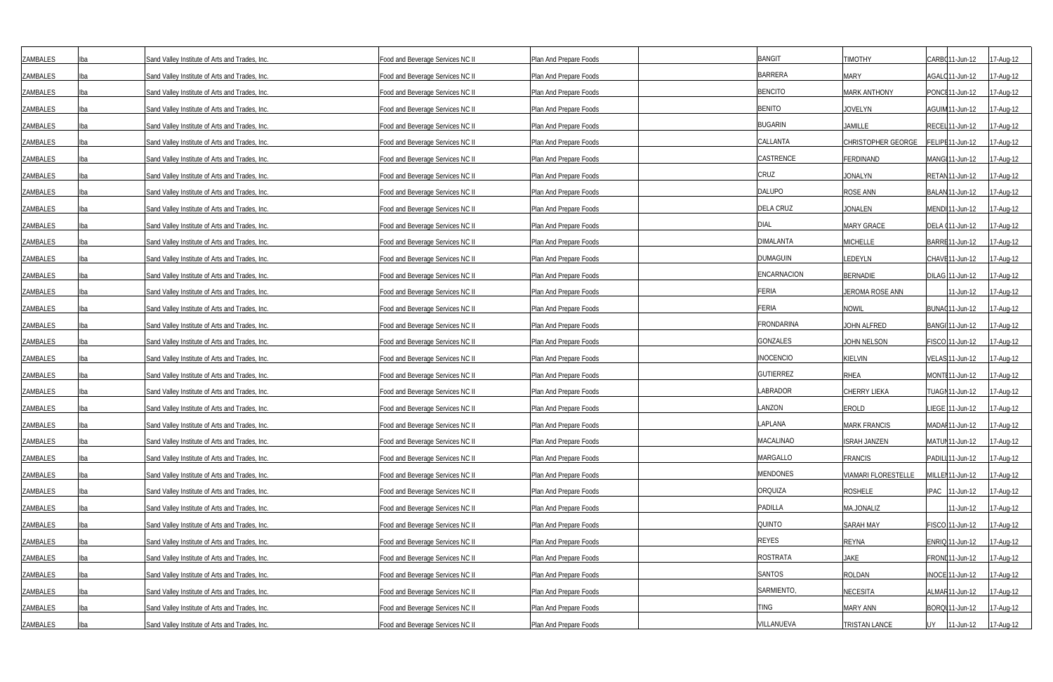| <b>ZAMBALES</b> | Iba | Sand Valley Institute of Arts and Trades, Inc. | Food and Beverage Services NC II | Plan And Prepare Foods | <b>BANGIT</b>      | <b>TIMOTHY</b>         | CARB(11-Jun-12              | 17-Aug-12   |
|-----------------|-----|------------------------------------------------|----------------------------------|------------------------|--------------------|------------------------|-----------------------------|-------------|
| <b>ZAMBALES</b> | lba | Sand Valley Institute of Arts and Trades, Inc. | Food and Beverage Services NC II | Plan And Prepare Foods | <b>BARRERA</b>     | <b>MARY</b>            | AGALC 11-Jun-12             | 17-Aug-12   |
| <b>ZAMBALES</b> | Iba | Sand Valley Institute of Arts and Trades, Inc. | Food and Beverage Services NC II | Plan And Prepare Foods | <b>BENCITO</b>     | <b>MARK ANTHONY</b>    | PONCI 11-Jun-12             | 17-Aug-12   |
| <b>ZAMBALES</b> | lba | Sand Valley Institute of Arts and Trades, Inc. | Food and Beverage Services NC II | Plan And Prepare Foods | <b>BENITO</b>      | <b>JOVELYN</b>         | AGUIM 11-Jun-12             | 17-Aug-12   |
| <b>ZAMBALES</b> | Iba | Sand Valley Institute of Arts and Trades, Inc. | Food and Beverage Services NC II | Plan And Prepare Foods | <b>BUGARIN</b>     | <b>JAMILLE</b>         | RECEL 11-Jun-12             | 17-Aug-12   |
| <b>ZAMBALES</b> | Iba | Sand Valley Institute of Arts and Trades, Inc. | Food and Beverage Services NC II | Plan And Prepare Foods | <b>CALLANTA</b>    | CHRISTOPHER GEORGE     | FELIPE 11-Jun-12            | 17-Aug-12   |
| <b>ZAMBALES</b> | Iba | Sand Valley Institute of Arts and Trades, Inc. | Food and Beverage Services NC II | Plan And Prepare Foods | <b>CASTRENCE</b>   | <b>FERDINAND</b>       | MANG 11-Jun-12              | 17-Aug-12   |
| <b>ZAMBALES</b> | lba | Sand Valley Institute of Arts and Trades, Inc. | Food and Beverage Services NC II | Plan And Prepare Foods | <b>CRUZ</b>        | <b>JONALYN</b>         | RETAN 11-Jun-12             | 17-Aug-12   |
| <b>ZAMBALES</b> | lba | Sand Valley Institute of Arts and Trades, Inc. | Food and Beverage Services NC II | Plan And Prepare Foods | <b>DALUPO</b>      | ROSE ANN               | <b>BALAN 11-Jun-12</b>      | 17-Aug-12   |
| <b>ZAMBALES</b> | lba | Sand Valley Institute of Arts and Trades, Inc. | Food and Beverage Services NC II | Plan And Prepare Foods | <b>DELA CRUZ</b>   | <b>JONALEN</b>         | MENDI 11-Jun-12             | 17-Aug-12   |
| <b>ZAMBALES</b> | lba | Sand Valley Institute of Arts and Trades, Inc. | Food and Beverage Services NC II | Plan And Prepare Foods | <b>DIAL</b>        | <b>MARY GRACE</b>      | DELA (11-Jun-12             | 17-Aug-12   |
| <b>ZAMBALES</b> | lba | Sand Valley Institute of Arts and Trades, Inc. | Food and Beverage Services NC II | Plan And Prepare Foods | <b>DIMALANTA</b>   | <b>MICHELLE</b>        | BARRE 11-Jun-12             | 17-Aug-12   |
| <b>ZAMBALES</b> | lba | Sand Valley Institute of Arts and Trades, Inc. | Food and Beverage Services NC II | Plan And Prepare Foods | <b>DUMAGUIN</b>    | <b>LEDEYLN</b>         | CHAVE 11-Jun-12             | 17-Aug-12   |
| <b>ZAMBALES</b> | Iba | Sand Valley Institute of Arts and Trades, Inc. | Food and Beverage Services NC II | Plan And Prepare Foods | <b>ENCARNACION</b> | <b>BERNADIE</b>        | <b>DILAG 11-Jun-12</b>      | 17-Aug-12   |
| <b>ZAMBALES</b> | Iba | Sand Valley Institute of Arts and Trades, Inc. | Food and Beverage Services NC II | Plan And Prepare Foods | <b>FERIA</b>       | <b>JEROMA ROSE ANN</b> | $11$ -Jun-12                | 17-Aug-12   |
| <b>ZAMBALES</b> | Iba | Sand Valley Institute of Arts and Trades, Inc. | Food and Beverage Services NC II | Plan And Prepare Foods | <b>FERIA</b>       | <b>NOWIL</b>           | <b>BUNA(11-Jun-12</b>       | 17-Aug-12   |
| <b>ZAMBALES</b> | Iba | Sand Valley Institute of Arts and Trades, Inc. | Food and Beverage Services NC II | Plan And Prepare Foods | <b>FRONDARINA</b>  | <b>JOHN ALFRED</b>     | <b>BANGI</b> 11-Jun-12      | 17-Aug-12   |
| <b>ZAMBALES</b> | lba | Sand Valley Institute of Arts and Trades, Inc. | Food and Beverage Services NC II | Plan And Prepare Foods | <b>GONZALES</b>    | <b>JOHN NELSON</b>     | FISCO 11-Jun-12             | 17-Aug-12   |
| <b>ZAMBALES</b> | lba | Sand Valley Institute of Arts and Trades, Inc. | Food and Beverage Services NC II | Plan And Prepare Foods | <b>INOCENCIO</b>   | KIELVIN                | <b>VELAS 11-Jun-12</b>      | 17-Aug-12   |
| <b>ZAMBALES</b> | Iba | Sand Valley Institute of Arts and Trades, Inc. | Food and Beverage Services NC II | Plan And Prepare Foods | <b>GUTIERREZ</b>   | <b>RHEA</b>            | MONTI 11-Jun-12             | 17-Aug-12   |
| <b>ZAMBALES</b> | lba | Sand Valley Institute of Arts and Trades, Inc. | Food and Beverage Services NC II | Plan And Prepare Foods | <b>LABRADOR</b>    | <b>CHERRY LIEKA</b>    | <b>TUAGN 11-Jun-12</b>      | 17-Aug-12   |
| <b>ZAMBALES</b> | Iba | Sand Valley Institute of Arts and Trades, Inc. | Food and Beverage Services NC II | Plan And Prepare Foods | <b>LANZON</b>      | <b>EROLD</b>           | LIEGE 11-Jun-12             | 17-Aug-12   |
| <b>ZAMBALES</b> |     | Sand Valley Institute of Arts and Trades, Inc. | Food and Beverage Services NC II | Plan And Prepare Foods | <b>LAPLANA</b>     | <b>MARK FRANCIS</b>    | MADAI 11-Jun-12             | 17-Aug-12   |
| <b>ZAMBALES</b> | Iba | Sand Valley Institute of Arts and Trades, Inc. | Food and Beverage Services NC II | Plan And Prepare Foods | <b>MACALINAO</b>   | <b>ISRAH JANZEN</b>    | MATUM 11-Jun-12             | 17-Aug-12   |
| <b>ZAMBALES</b> | lba | Sand Valley Institute of Arts and Trades, Inc. | Food and Beverage Services NC II | Plan And Prepare Foods | <b>MARGALLO</b>    | <b>FRANCIS</b>         | PADILI <sub>11-Jun-12</sub> | 17-Aug-12   |
| <b>ZAMBALES</b> | Iba | Sand Valley Institute of Arts and Trades, Inc. | Food and Beverage Services NC II | Plan And Prepare Foods | <b>MENDONES</b>    | VIAMARI FLORESTELLE    | MILLEM 11-Jun-12            | 17-Aug-12   |
| <b>ZAMBALES</b> | lba | Sand Valley Institute of Arts and Trades, Inc. | Food and Beverage Services NC II | Plan And Prepare Foods | ORQUIZA            | <b>ROSHELE</b>         | IPAC 11-Jun-12              | 17-Aug-12   |
| <b>ZAMBALES</b> | Iba | Sand Valley Institute of Arts and Trades, Inc. | Food and Beverage Services NC II | Plan And Prepare Foods | <b>PADILLA</b>     | <b>MAJONALIZ</b>       | 11-Jun-12                   | 17-Aug-12   |
| <b>ZAMBALES</b> | Iba | Sand Valley Institute of Arts and Trades, Inc. | Food and Beverage Services NC II | Plan And Prepare Foods | <b>QUINTO</b>      | SARAH MAY              | FISCO 11-Jun-12             | $17-Auq-12$ |
| <b>ZAMBALES</b> | Iba | Sand Valley Institute of Arts and Trades, Inc. | Food and Beverage Services NC II | Plan And Prepare Foods | <b>REYES</b>       | <b>REYNA</b>           | <b>ENRIQ 11-Jun-12</b>      | 17-Aug-12   |
| <b>ZAMBALES</b> | Iba | Sand Valley Institute of Arts and Trades, Inc. | Food and Beverage Services NC II | Plan And Prepare Foods | <b>ROSTRATA</b>    | JAKE                   | <b>FRONI</b> 11-Jun-12      | 17-Aug-12   |
| <b>ZAMBALES</b> |     | Sand Valley Institute of Arts and Trades, Inc. | Food and Beverage Services NC II | Plan And Prepare Foods | <b>SANTOS</b>      | <b>ROLDAN</b>          | INOCE 11-Jun-12             | 17-Aug-12   |
| <b>ZAMBALES</b> | Iba | Sand Valley Institute of Arts and Trades, Inc. | Food and Beverage Services NC II | Plan And Prepare Foods | SARMIENTO,         | <b>NECESITA</b>        | ALMAF 11-Jun-12             | 17-Aug-12   |
| <b>ZAMBALES</b> | lba | Sand Valley Institute of Arts and Trades, Inc. | Food and Beverage Services NC II | Plan And Prepare Foods | <b>TING</b>        | <b>MARY ANN</b>        | BORQI 11-Jun-12             | 17-Aug-12   |
| <b>ZAMBALES</b> |     | Sand Valley Institute of Arts and Trades, Inc. | Food and Beverage Services NC II | Plan And Prepare Foods | <b>VILLANUEVA</b>  | <b>TRISTAN LANCE</b>   | UY 11-Jun-12                | 17-Aug-12   |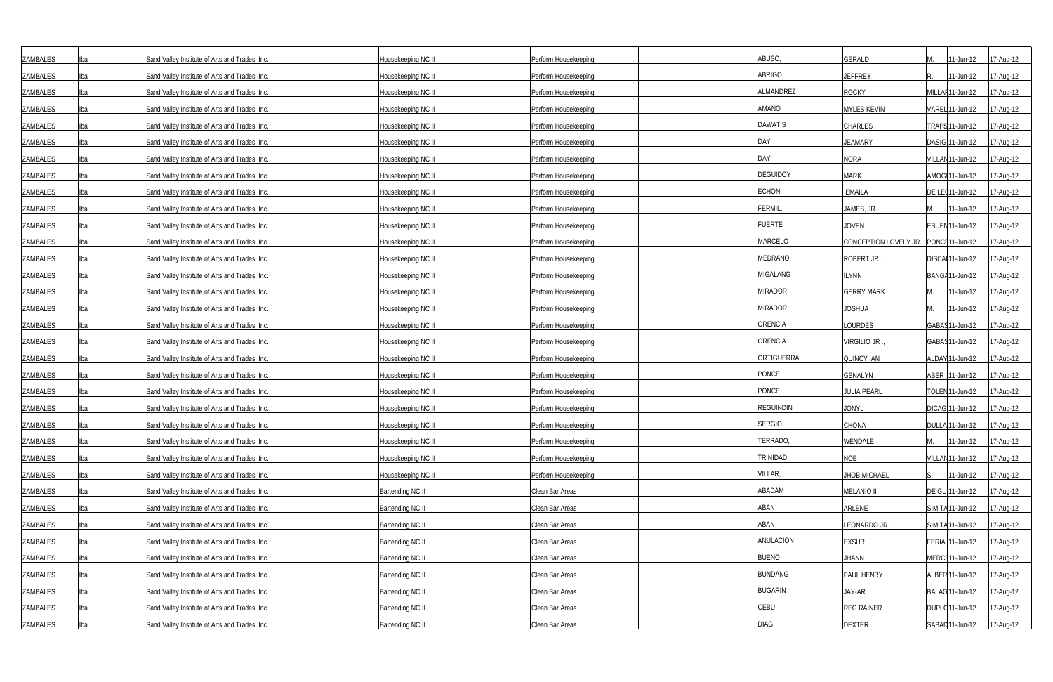| <b>ZAMBALES</b> | lba | Sand Valley Institute of Arts and Trades, Inc. | Housekeeping NC II | Perform Housekeeping | ABUSO,            | <b>GERALD</b>                         | M. | $11$ -Jun-12                 | 17-Aug-12 |
|-----------------|-----|------------------------------------------------|--------------------|----------------------|-------------------|---------------------------------------|----|------------------------------|-----------|
| <b>ZAMBALES</b> | lba | Sand Valley Institute of Arts and Trades, Inc. | Housekeeping NC II | Perform Housekeeping | ABRIGO,           | <b>JEFFREY</b>                        | R  | $11$ -Jun-12                 | 17-Aug-12 |
| <b>ZAMBALES</b> | lba | Sand Valley Institute of Arts and Trades, Inc. | Housekeeping NC II | Perform Housekeeping | <b>ALMANDREZ</b>  | <b>ROCKY</b>                          |    | MILLAI 11-Jun-12             | 17-Aug-12 |
| <b>ZAMBALES</b> | lba | Sand Valley Institute of Arts and Trades, Inc. | Housekeeping NC II | Perform Housekeeping | <b>AMANO</b>      | MLES KEVIN                            |    | VAREL 11-Jun-12              | 17-Aug-12 |
| <b>ZAMBALES</b> | Iba | Sand Valley Institute of Arts and Trades, Inc. | Housekeeping NC II | Perform Housekeeping | <b>DAWATIS</b>    | <b>CHARLES</b>                        |    | TRAPS 11-Jun-12              | 17-Aug-12 |
| <b>ZAMBALES</b> | lba | Sand Valley Institute of Arts and Trades, Inc. | Housekeeping NC II | Perform Housekeeping | <b>DAY</b>        | <b>JEAMARY</b>                        |    | DASIG 11-Jun-12              | 17-Aug-12 |
| <b>ZAMBALES</b> | Iba | Sand Valley Institute of Arts and Trades, Inc. | Housekeeping NC II | Perform Housekeeping | <b>DAY</b>        | <b>NORA</b>                           |    | VILLAN <sub>11</sub> -Jun-12 | 17-Aug-12 |
| <b>ZAMBALES</b> | lba | Sand Valley Institute of Arts and Trades, Inc. | Housekeeping NC II | Perform Housekeeping | <b>DEGUIDOY</b>   | <b>MARK</b>                           |    | AMOG 11-Jun-12               | 17-Aug-12 |
| <b>ZAMBALES</b> | Iba | Sand Valley Institute of Arts and Trades, Inc. | Housekeeping NC II | Perform Housekeeping | <b>ECHON</b>      | <b>EMAILA</b>                         |    | DE LE(11-Jun-12              | 17-Aug-12 |
| <b>ZAMBALES</b> | lba | Sand Valley Institute of Arts and Trades, Inc. | Housekeeping NC II | Perform Housekeeping | FERMIL,           | JAMES, JR.                            | M. | $11$ -Jun-12                 | 17-Aug-12 |
| <b>ZAMBALES</b> | Iba | Sand Valley Institute of Arts and Trades, Inc. | Housekeeping NC II | Perform Housekeeping | <b>FUERTE</b>     | <b>JOVEN</b>                          |    | <b>EBUEN</b> 11-Jun-12       | 17-Aug-12 |
| <b>ZAMBALES</b> | lba | Sand Valley Institute of Arts and Trades, Inc. | Housekeeping NC II | Perform Housekeeping | <b>MARCELO</b>    | CONCEPTION LOVELY JR. PONCE 11-Jun-12 |    |                              | 17-Aug-12 |
| <b>ZAMBALES</b> | lba | Sand Valley Institute of Arts and Trades, Inc. | Housekeeping NC II | Perform Housekeeping | <b>MEDRANO</b>    | <b>ROBERT JR</b>                      |    | DISCA 11-Jun-12              | 17-Aug-12 |
| <b>ZAMBALES</b> | Iba | Sand Valley Institute of Arts and Trades, Inc. | Housekeeping NC II | Perform Housekeeping | <b>MIGALANG</b>   | <b>ILYNN</b>                          |    | <b>BANG/11-Jun-12</b>        | 17-Aug-12 |
| <b>ZAMBALES</b> | Iba | Sand Valley Institute of Arts and Trades, Inc. | Housekeeping NC II | Perform Housekeeping | MIRADOR,          | <b>GERRY MARK</b>                     | M. | $11$ -Jun-12                 | 17-Aug-12 |
| <b>ZAMBALES</b> | Iba | Sand Valley Institute of Arts and Trades, Inc. | Housekeeping NC II | Perform Housekeeping | MIRADOR,          | <b>JOSHUA</b>                         | M. | $11$ -Jun-12                 | 17-Aug-12 |
| <b>ZAMBALES</b> | lba | Sand Valley Institute of Arts and Trades, Inc. | Housekeeping NC II | Perform Housekeeping | <b>ORENCIA</b>    | <b>LOURDES</b>                        |    | GABAS 11-Jun-12              | 17-Aug-12 |
| <b>ZAMBALES</b> | Iba | Sand Valley Institute of Arts and Trades, Inc. | Housekeeping NC II | Perform Housekeeping | <b>ORENCIA</b>    | VIRGILIOJR.                           |    | GABAS 11-Jun-12              | 17-Aug-12 |
| <b>ZAMBALES</b> | lba | Sand Valley Institute of Arts and Trades, Inc. | Housekeeping NC II | Perform Housekeeping | <b>ORTIGUERRA</b> | <b>QUINCY IAN</b>                     |    | ALDAY 11-Jun-12              | 17-Aug-12 |
| <b>ZAMBALES</b> | Iba | Sand Valley Institute of Arts and Trades, Inc. | Housekeeping NC II | Perform Housekeeping | <b>PONCE</b>      | <b>GENALYN</b>                        |    | ABER 11-Jun-12               | 17-Aug-12 |
| <b>ZAMBALES</b> | lba | Sand Valley Institute of Arts and Trades, Inc. | Housekeeping NC II | Perform Housekeeping | <b>PONCE</b>      | <b>JULIA PEARL</b>                    |    | TOLEN 11-Jun-12              | 17-Aug-12 |
| <b>ZAMBALES</b> | lba | Sand Valley Institute of Arts and Trades, Inc. | Housekeeping NC II | Perform Housekeeping | <b>REGUINDIN</b>  | <b>JONYL</b>                          |    | DICAG 11-Jun-12              | 17-Aug-12 |
| <b>ZAMBALES</b> | lba | Sand Valley Institute of Arts and Trades, Inc. | Housekeeping NC II | Perform Housekeeping | <b>SERGIO</b>     | <b>CHONA</b>                          |    | DULLA 11-Jun-12              | 17-Aug-12 |
| <b>ZAMBALES</b> | Iba | Sand Valley Institute of Arts and Trades, Inc. | Housekeeping NC II | Perform Housekeeping | TERRADO,          | <b>WENDALE</b>                        | M. | $11$ -Jun-12                 | 17-Aug-12 |
| <b>ZAMBALES</b> | Iba | Sand Valley Institute of Arts and Trades, Inc. | Housekeeping NC II | Perform Housekeeping | TRINIDAD,         | <b>NOE</b>                            |    | VILLAN <sub>11</sub> -Jun-12 | 17-Aug-12 |
| <b>ZAMBALES</b> | lba | Sand Valley Institute of Arts and Trades, Inc. | Housekeeping NC II | Perform Housekeeping | VILLAR,           | JHOB MICHAEL                          | S. | $11$ -Jun-12                 | 17-Aug-12 |
| <b>ZAMBALES</b> | Iba | Sand Valley Institute of Arts and Trades, Inc. | Bartending NC II   | Clean Bar Areas      | <b>ABADAM</b>     | <b>MELANIO II</b>                     |    | DE GU 11-Jun-12              | 17-Aug-12 |
| <b>ZAMBALES</b> | Iba | Sand Valley Institute of Arts and Trades, Inc. | Bartending NC II   | Clean Bar Areas      | <b>ABAN</b>       | ARLENE                                |    | SIMITA 11-Jun-12             | 17-Aug-12 |
| <b>ZAMBALES</b> | Iba | Sand Valley Institute of Arts and Trades, Inc. | Bartending NC II   | Clean Bar Areas      | <b>ABAN</b>       | LEONARDO JR.                          |    | SIMITA 11-Jun-12             | 17-Aug-12 |
| <b>ZAMBALES</b> | Iba | Sand Valley Institute of Arts and Trades, Inc. | Bartending NC II   | Clean Bar Areas      | ANULACION         | <b>EXSUR</b>                          |    | <b>FERIA</b> 11-Jun-12       | 17-Aug-12 |
| <b>ZAMBALES</b> | Iba | Sand Valley Institute of Arts and Trades, Inc. | Bartending NC II   | Clean Bar Areas      | <b>BUENO</b>      | <b>JHANN</b>                          |    | MERCI 11-Jun-12              | 17-Aug-12 |
| <b>ZAMBALES</b> | Iba | Sand Valley Institute of Arts and Trades, Inc. | Bartending NC II   | Clean Bar Areas      | <b>BUNDANG</b>    | PAUL HENRY                            |    | ALBER 11-Jun-12              | 17-Aug-12 |
| <b>ZAMBALES</b> | Iba | Sand Valley Institute of Arts and Trades, Inc. | Bartending NC II   | Clean Bar Areas      | <b>BUGARIN</b>    | JAY-AR                                |    | BALAG 11-Jun-12              | 17-Aug-12 |
| <b>ZAMBALES</b> | Iba | Sand Valley Institute of Arts and Trades, Inc. | Bartending NC II   | Clean Bar Areas      | <b>CEBU</b>       | <b>REG RAINER</b>                     |    | <b>DUPLC</b> 11-Jun-12       | 17-Aug-12 |
| <b>ZAMBALES</b> | lba | Sand Valley Institute of Arts and Trades, Inc. | Bartending NC II   | Clean Bar Areas      | <b>DIAG</b>       | <b>DEXTER</b>                         |    | SABAD 11-Jun-12              | 17-Aug-12 |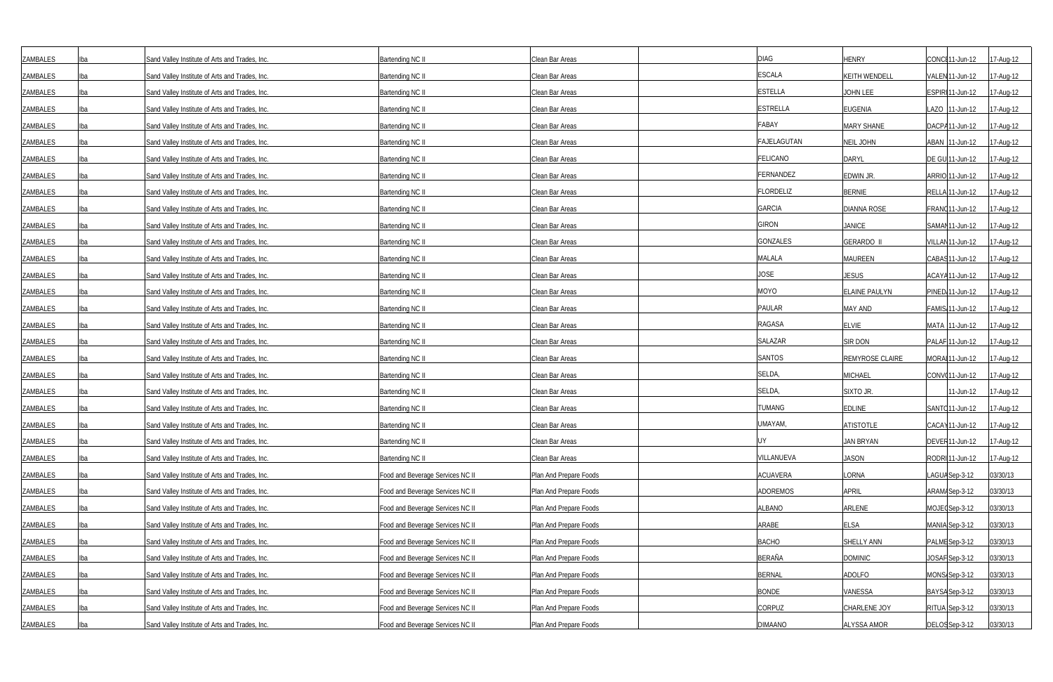| <b>ZAMBALES</b> | lba | Sand Valley Institute of Arts and Trades, Inc. | Bartending NC II                        | Clean Bar Areas        | <b>DIAG</b>        | <b>HENRY</b>         | CONCI 11-Jun-12             | 17-Aug-12   |
|-----------------|-----|------------------------------------------------|-----------------------------------------|------------------------|--------------------|----------------------|-----------------------------|-------------|
| <b>ZAMBALES</b> | lba | Sand Valley Institute of Arts and Trades, Inc. | Bartending NC II                        | Clean Bar Areas        | <b>ESCALA</b>      | <b>KEITH WENDELL</b> | VALEN <sub>11</sub> -Jun-12 | 17-Aug-12   |
| <b>ZAMBALES</b> | Iba | Sand Valley Institute of Arts and Trades. Inc. | Bartending NC II                        | Clean Bar Areas        | <b>ESTELLA</b>     | <b>JOHN LEE</b>      | ESPIRI 11-Jun-12            | 17-Aug-12   |
| <b>ZAMBALES</b> | lba | Sand Valley Institute of Arts and Trades, Inc. | Bartending NC II                        | Clean Bar Areas        | <b>ESTRELLA</b>    | <b>EUGENIA</b>       | LAZO 11-Jun-12              | 17-Aug-12   |
| <b>ZAMBALES</b> | Iba | Sand Valley Institute of Arts and Trades, Inc. | Bartending NC II                        | Clean Bar Areas        | <b>FABAY</b>       | MARY SHANE           | DACP4 11-Jun-12             | 17-Aug-12   |
| <b>ZAMBALES</b> | lba | Sand Valley Institute of Arts and Trades, Inc. | Bartending NC II                        | Clean Bar Areas        | <b>FAJELAGUTAN</b> | <b>NEIL JOHN</b>     | <b>ABAN 11-Jun-12</b>       | 17-Aug-12   |
| <b>ZAMBALES</b> | Iba | Sand Valley Institute of Arts and Trades, Inc. | Bartending NC II                        | Clean Bar Areas        | <b>FELICANO</b>    | <b>DARYL</b>         | DE GU 11-Jun-12             | 17-Aug-12   |
| <b>ZAMBALES</b> | lba | Sand Valley Institute of Arts and Trades, Inc. | Bartending NC II                        | Clean Bar Areas        | <b>FERNANDEZ</b>   | EDWIN JR.            | <b>ARRIO 11-Jun-12</b>      | 17-Aug-12   |
| <b>ZAMBALES</b> | Iba | Sand Valley Institute of Arts and Trades, Inc. | Bartending NC II                        | Clean Bar Areas        | <b>FLORDELIZ</b>   | <b>BERNIE</b>        | RELLA 11-Jun-12             | 17-Aug-12   |
| <b>ZAMBALES</b> | lba | Sand Valley Institute of Arts and Trades, Inc. | Bartending NC II                        | Clean Bar Areas        | <b>GARCIA</b>      | <b>DIANNA ROSE</b>   | <b>FRANC11-Jun-12</b>       | 17-Aug-12   |
| <b>ZAMBALES</b> | Iba | Sand Valley Institute of Arts and Trades, Inc. | Bartending NC II                        | Clean Bar Areas        | <b>GIRON</b>       | <b>JANICE</b>        | SAMAM <sub>11</sub> -Jun-12 | 17-Aug-12   |
| <b>ZAMBALES</b> | lba | Sand Valley Institute of Arts and Trades, Inc. | Bartending NC II                        | Clean Bar Areas        | <b>GONZALES</b>    | <b>GERARDO II</b>    | VILLAN <sub>11-Jun-12</sub> | 17-Aug-12   |
| <b>ZAMBALES</b> |     | Sand Valley Institute of Arts and Trades, Inc. | Bartending NC II                        | Clean Bar Areas        | <b>MALALA</b>      | <b>MAUREEN</b>       | CABAS 11-Jun-12             | 17-Aug-12   |
| <b>ZAMBALES</b> | Iba | Sand Valley Institute of Arts and Trades, Inc. | Bartending NC II                        | Clean Bar Areas        | <b>JOSE</b>        | <b>JESUS</b>         | ACAYA 11-Jun-12             | 17-Aug-12   |
| <b>ZAMBALES</b> | lba | Sand Valley Institute of Arts and Trades, Inc. | Bartending NC II                        | Clean Bar Areas        | <b>MOYO</b>        | <b>ELAINE PAULYN</b> | <b>PINED</b> 11-Jun-12      | 17-Aug-12   |
| <b>ZAMBALES</b> | lba | Sand Valley Institute of Arts and Trades, Inc. | Bartending NC II                        | Clean Bar Areas        | <b>PAULAR</b>      | <b>MAY AND</b>       | <b>FAMIS</b> 11-Jun-12      | $17-Auq-12$ |
| <b>ZAMBALES</b> | lba | Sand Valley Institute of Arts and Trades, Inc. | Bartending NC II                        | Clean Bar Areas        | <b>RAGASA</b>      | <b>ELVIE</b>         | MATA 11-Jun-12              | 17-Aug-12   |
| <b>ZAMBALES</b> | Iba | Sand Valley Institute of Arts and Trades, Inc. | Bartending NC II                        | Clean Bar Areas        | <b>SALAZAR</b>     | SIR DON              | <b>PALAF 11-Jun-12</b>      | 17-Aug-12   |
| <b>ZAMBALES</b> | Iba | Sand Valley Institute of Arts and Trades, Inc. | Bartending NC II                        | Clean Bar Areas        | <b>SANTOS</b>      | REMYROSE CLAIRE      | MORAI 11-Jun-12             | 17-Aug-12   |
| <b>ZAMBALES</b> | Iba | Sand Valley Institute of Arts and Trades, Inc. | Bartending NC II                        | Clean Bar Areas        | SELDA,             | <b>MICHAEL</b>       | CONV(11-Jun-12              | 17-Aug-12   |
| <b>ZAMBALES</b> | lba | Sand Valley Institute of Arts and Trades, Inc. | Bartending NC II                        | Clean Bar Areas        | SELDA,             | SIXTO JR.            | $11$ -Jun-12                | 17-Aug-12   |
| <b>ZAMBALES</b> | lba | Sand Valley Institute of Arts and Trades, Inc. | Bartending NC II                        | Clean Bar Areas        | <b>TUMANG</b>      | <b>EDLINE</b>        | SANTO 11-Jun-12             | 17-Aug-12   |
| <b>ZAMBALES</b> |     | Sand Valley Institute of Arts and Trades, Inc. | Bartending NC II                        | Clean Bar Areas        | <b>UMAYAM,</b>     | <b>ATISTOTLE</b>     | CACAY 11-Jun-12             | $17-Auq-12$ |
| <b>ZAMBALES</b> | Iba | Sand Valley Institute of Arts and Trades, Inc. | Bartending NC II                        | Clean Bar Areas        | UY                 | <b>JAN BRYAN</b>     | DEVER 11-Jun-12             | 17-Aug-12   |
| <b>ZAMBALES</b> | Iba | Sand Valley Institute of Arts and Trades, Inc. | Bartending NC II                        | Clean Bar Areas        | <b>VILLANUEVA</b>  | <b>JASON</b>         | RODRI 11-Jun-12             | 17-Aug-12   |
| <b>ZAMBALES</b> | Iba | Sand Valley Institute of Arts and Trades, Inc. | Food and Beverage Services NC II        | Plan And Prepare Foods | <b>ACUAVERA</b>    | LORNA                | LAGUA Sep-3-12              | 03/30/13    |
| <b>ZAMBALES</b> |     | Sand Valley Institute of Arts and Trades, Inc. | Food and Beverage Services NC II        | Plan And Prepare Foods | <b>ADOREMOS</b>    | <b>APRIL</b>         | ARAM Sep-3-12               | 03/30/13    |
| <b>ZAMBALES</b> | Iba | Sand Valley Institute of Arts and Trades, Inc. | Food and Beverage Services NC II        | Plan And Prepare Foods | <b>ALBANO</b>      | ARLENE               | MOJE(Sep-3-12               | 03/30/13    |
| <b>ZAMBALES</b> | lba | Sand Valley Institute of Arts and Trades, Inc. | Food and Beverage Services NC II        | Plan And Prepare Foods | <b>ARABE</b>       | <b>ELSA</b>          | MANIA Sep-3-12              | 03/30/13    |
| <b>ZAMBALES</b> | Iba | Sand Valley Institute of Arts and Trades, Inc. | Food and Beverage Services NC II        | Plan And Prepare Foods | <b>BACHO</b>       | SHELLY ANN           | PALME Sep-3-12              | 03/30/13    |
| <b>ZAMBALES</b> |     | Sand Valley Institute of Arts and Trades, Inc. | Food and Beverage Services NC II        | Plan And Prepare Foods | <b>BERAÑA</b>      | <b>DOMINIC</b>       | JOSAFSep-3-12               | 03/30/13    |
| <b>ZAMBALES</b> | Iba | Sand Valley Institute of Arts and Trades, Inc. | Food and Beverage Services NC II        | Plan And Prepare Foods | <b>BERNAL</b>      | <b>ADOLFO</b>        | MONS Sep-3-12               | 03/30/13    |
| <b>ZAMBALES</b> | Iba | Sand Valley Institute of Arts and Trades, Inc. | Food and Beverage Services NC II        | Plan And Prepare Foods | <b>BONDE</b>       | <b>VANESSA</b>       | BAYSA Sep-3-12              | 03/30/13    |
| <b>ZAMBALES</b> | Iba | Sand Valley Institute of Arts and Trades, Inc. | Food and Beverage Services NC II        | Plan And Prepare Foods | <b>CORPUZ</b>      | CHARLENE JOY         | RITUA Sep-3-12              | 03/30/13    |
| <b>ZAMBALES</b> |     | Sand Valley Institute of Arts and Trades, Inc. | <b>Food and Beverage Services NC II</b> | Plan And Prepare Foods | <b>DIMAANO</b>     | ALYSSA AMOR          | DELOS Sep-3-12              | 03/30/13    |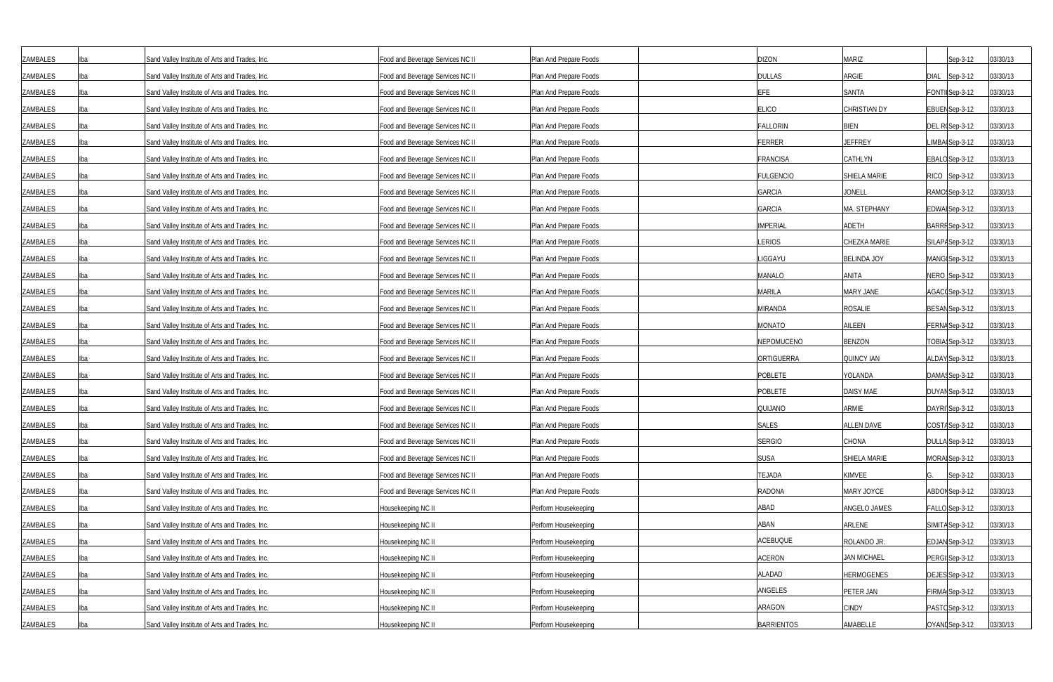| <b>ZAMBALES</b> | Iba | Sand Valley Institute of Arts and Trades, Inc. | Food and Beverage Services NC II | Plan And Prepare Foods | <b>DIZON</b>      | <b>MARIZ</b>        | Sep-3-12        | 03/30/13 |
|-----------------|-----|------------------------------------------------|----------------------------------|------------------------|-------------------|---------------------|-----------------|----------|
| <b>ZAMBALES</b> | lba | Sand Valley Institute of Arts and Trades, Inc. | Food and Beverage Services NC II | Plan And Prepare Foods | <b>DULLAS</b>     | <b>ARGIE</b>        | DIAL Sep-3-12   | 03/30/13 |
| <b>ZAMBALES</b> | Iba | Sand Valley Institute of Arts and Trades, Inc. | Food and Beverage Services NC II | Plan And Prepare Foods | <b>EFE</b>        | <b>SANTA</b>        | FONTISep-3-12   | 03/30/13 |
| <b>ZAMBALES</b> | lba | Sand Valley Institute of Arts and Trades, Inc. | Food and Beverage Services NC II | Plan And Prepare Foods | <b>ELICO</b>      | CHRISTIAN DY        | EBUEN Sep-3-12  | 03/30/13 |
| <b>ZAMBALES</b> | Iba | Sand Valley Institute of Arts and Trades, Inc. | Food and Beverage Services NC II | Plan And Prepare Foods | <b>FALLORIN</b>   | <b>BIEN</b>         | DEL RISep-3-12  | 03/30/13 |
| <b>ZAMBALES</b> | lba | Sand Valley Institute of Arts and Trades, Inc. | Food and Beverage Services NC II | Plan And Prepare Foods | <b>FERRER</b>     | <b>JEFFREY</b>      | LIMBA Sep-3-12  | 03/30/13 |
| <b>ZAMBALES</b> | Iba | Sand Valley Institute of Arts and Trades, Inc. | Food and Beverage Services NC II | Plan And Prepare Foods | <b>FRANCISA</b>   | <b>CATHLYN</b>      | EBALC Sep-3-12  | 03/30/13 |
| <b>ZAMBALES</b> | lba | Sand Valley Institute of Arts and Trades, Inc. | Food and Beverage Services NC II | Plan And Prepare Foods | <b>FULGENCIO</b>  | <b>SHIELA MARIE</b> | RICO Sep-3-12   | 03/30/13 |
| <b>ZAMBALES</b> | lba | Sand Valley Institute of Arts and Trades, Inc. | Food and Beverage Services NC II | Plan And Prepare Foods | <b>GARCIA</b>     | <b>JONELL</b>       | RAMO Sep-3-12   | 03/30/13 |
| <b>ZAMBALES</b> | lba | Sand Valley Institute of Arts and Trades, Inc. | Food and Beverage Services NC II | Plan And Prepare Foods | <b>GARCIA</b>     | MA. STEPHANY        | EDWAISep-3-12   | 03/30/13 |
| <b>ZAMBALES</b> | lba | Sand Valley Institute of Arts and Trades, Inc. | Food and Beverage Services NC II | Plan And Prepare Foods | <b>IMPERIAL</b>   | <b>ADETH</b>        | BARRI Sep-3-12  | 03/30/13 |
| <b>ZAMBALES</b> | lba | Sand Valley Institute of Arts and Trades, Inc. | Food and Beverage Services NC II | Plan And Prepare Foods | <b>LERIOS</b>     | <b>CHEZKA MARIE</b> | SILAPASep-3-12  | 03/30/13 |
| <b>ZAMBALES</b> | lba | Sand Valley Institute of Arts and Trades, Inc. | Food and Beverage Services NC II | Plan And Prepare Foods | <b>JGGAYU</b>     | <b>BELINDA JOY</b>  | MANG Sep-3-12   | 03/30/13 |
| <b>ZAMBALES</b> | Iba | Sand Valley Institute of Arts and Trades, Inc. | Food and Beverage Services NC II | Plan And Prepare Foods | <b>MANALO</b>     | <b>ANITA</b>        | NERO Sep-3-12   | 03/30/13 |
| <b>ZAMBALES</b> | lba | Sand Valley Institute of Arts and Trades, Inc. | Food and Beverage Services NC II | Plan And Prepare Foods | <b>MARILA</b>     | <b>MARY JANE</b>    | AGAC Sep-3-12   | 03/30/13 |
| <b>ZAMBALES</b> | Iba | Sand Valley Institute of Arts and Trades, Inc. | Food and Beverage Services NC II | Plan And Prepare Foods | <b>MIRANDA</b>    | <b>ROSALIE</b>      | BESAN Sep-3-12  | 03/30/13 |
| <b>ZAMBALES</b> | lba | Sand Valley Institute of Arts and Trades, Inc. | Food and Beverage Services NC II | Plan And Prepare Foods | <b>OTAION</b>     | <b>AILEEN</b>       | FERN4Sep-3-12   | 03/30/13 |
| <b>ZAMBALES</b> | lba | Sand Valley Institute of Arts and Trades, Inc. | Food and Beverage Services NC II | Plan And Prepare Foods | <b>NEPOMUCENO</b> | <b>BENZON</b>       | TOBIA Sep-3-12  | 03/30/13 |
| <b>ZAMBALES</b> | lba | Sand Valley Institute of Arts and Trades, Inc. | Food and Beverage Services NC II | Plan And Prepare Foods | <b>ORTIGUERRA</b> | <b>QUINCY IAN</b>   | ALDAYSep-3-12   | 03/30/13 |
| <b>ZAMBALES</b> | Iba | Sand Valley Institute of Arts and Trades, Inc. | Food and Beverage Services NC II | Plan And Prepare Foods | <b>POBLETE</b>    | <b>YOLANDA</b>      | DAMASSep-3-12   | 03/30/13 |
| <b>ZAMBALES</b> | lba | Sand Valley Institute of Arts and Trades, Inc. | Food and Beverage Services NC II | Plan And Prepare Foods | <b>POBLETE</b>    | DAISY MAE           | DUYAN Sep-3-12  | 03/30/13 |
| <b>ZAMBALES</b> | Iba | Sand Valley Institute of Arts and Trades, Inc. | Food and Beverage Services NC II | Plan And Prepare Foods | QUIJANO           | <b>ARMIE</b>        | DAYRISep-3-12   | 03/30/13 |
| <b>ZAMBALES</b> |     | Sand Valley Institute of Arts and Trades, Inc. | Food and Beverage Services NC II | Plan And Prepare Foods | <b>SALES</b>      | ALLEN DAVE          | COSTA Sep-3-12  | 03/30/13 |
| <b>ZAMBALES</b> | Iba | Sand Valley Institute of Arts and Trades, Inc. | Food and Beverage Services NC II | Plan And Prepare Foods | <b>SERGIO</b>     | <b>CHONA</b>        | DULLA Sep-3-12  | 03/30/13 |
| <b>ZAMBALES</b> | lba | Sand Valley Institute of Arts and Trades, Inc. | Food and Beverage Services NC II | Plan And Prepare Foods | <b>SUSA</b>       | SHIELA MARIE        | MORAl Sep-3-12  | 03/30/13 |
| <b>ZAMBALES</b> | Iba | Sand Valley Institute of Arts and Trades, Inc. | Food and Beverage Services NC II | Plan And Prepare Foods | <b>TEJADA</b>     | KIMVEE              | Sep-3-12<br>G.  | 03/30/13 |
| <b>ZAMBALES</b> |     | Sand Valley Institute of Arts and Trades, Inc. | Food and Beverage Services NC II | Plan And Prepare Foods | <b>RADONA</b>     | MARY JOYCE          | ABDON Sep-3-12  | 03/30/13 |
| <b>ZAMBALES</b> | Iba | Sand Valley Institute of Arts and Trades, Inc. | Housekeeping NC II               | Perform Housekeeping   | ABAD              | ANGELO JAMES        | FALLO Sep-3-12  | 03/30/13 |
| <b>ZAMBALES</b> | lba | Sand Valley Institute of Arts and Trades, Inc. | Housekeeping NC II               | Perform Housekeeping   | ABAN              | ARLENE              | SIMITA Sep-3-12 | 03/30/13 |
| <b>ZAMBALES</b> | Iba | Sand Valley Institute of Arts and Trades, Inc. | Housekeeping NC II               | Perform Housekeeping   | <b>ACEBUQUE</b>   | ROLANDO JR.         | EDJAN Sep-3-12  | 03/30/13 |
| <b>ZAMBALES</b> | Iba | Sand Valley Institute of Arts and Trades, Inc. | Housekeeping NC II               | Perform Housekeeping   | <b>ACERON</b>     | <b>JAN MICHAEL</b>  | PERG Sep-3-12   | 03/30/13 |
| <b>ZAMBALES</b> | Iba | Sand Valley Institute of Arts and Trades, Inc. | Housekeeping NC II               | Perform Housekeeping   | <b>ALADAD</b>     | <b>HERMOGENES</b>   | DEJES Sep-3-12  | 03/30/13 |
| <b>ZAMBALES</b> | Iba | Sand Valley Institute of Arts and Trades, Inc. | Housekeeping NC II               | Perform Housekeeping   | ANGELES           | PETER JAN           | FIRMA Sep-3-12  | 03/30/13 |
| <b>ZAMBALES</b> | lba | Sand Valley Institute of Arts and Trades, Inc. | Housekeeping NC II               | Perform Housekeeping   | ARAGON            | <b>CINDY</b>        | PASTOSep-3-12   | 03/30/13 |
| <b>ZAMBALES</b> |     | Sand Valley Institute of Arts and Trades, Inc. | Housekeeping NC II               | Perform Housekeeping   | <b>BARRIENTOS</b> | <b>AMABELLE</b>     | OYANI Sep-3-12  | 03/30/13 |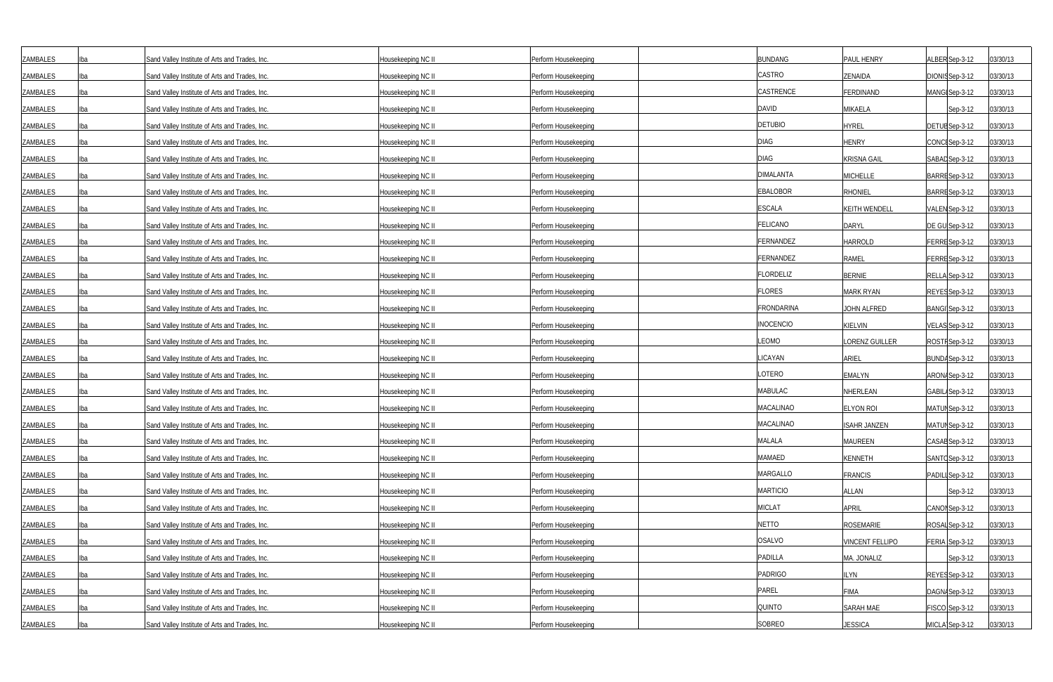| <b>ZAMBALES</b> | Iba | Sand Valley Institute of Arts and Trades, Inc. | Housekeeping NC II | Perform Housekeeping | <b>BUNDANG</b>    | <b>PAUL HENRY</b>      | ALBER Sep-3-12  | 03/30/13 |
|-----------------|-----|------------------------------------------------|--------------------|----------------------|-------------------|------------------------|-----------------|----------|
| <b>ZAMBALES</b> | lba | Sand Valley Institute of Arts and Trades, Inc. | Housekeeping NC II | Perform Housekeeping | <b>CASTRO</b>     | <b>ZENAIDA</b>         | DIONIS Sep-3-12 | 03/30/13 |
| <b>ZAMBALES</b> | Iba | Sand Valley Institute of Arts and Trades, Inc. | Housekeeping NC II | Perform Housekeeping | <b>CASTRENCE</b>  | <b>FERDINAND</b>       | MANGI Sep-3-12  | 03/30/13 |
| <b>ZAMBALES</b> | lba | Sand Valley Institute of Arts and Trades, Inc. | Housekeeping NC II | Perform Housekeeping | <b>DAVID</b>      | <b>MIKAELA</b>         | Sep-3-12        | 03/30/13 |
| <b>ZAMBALES</b> | lba | Sand Valley Institute of Arts and Trades, Inc. | Housekeeping NC II | Perform Housekeeping | <b>DETUBIO</b>    | <b>HYREL</b>           | DETUESep-3-12   | 03/30/13 |
| <b>ZAMBALES</b> | lba | Sand Valley Institute of Arts and Trades, Inc. | Housekeeping NC II | Perform Housekeeping | <b>DIAG</b>       | <b>HENRY</b>           | CONCI Sep-3-12  | 03/30/13 |
| <b>ZAMBALES</b> | Iba | Sand Valley Institute of Arts and Trades, Inc. | Housekeeping NC II | Perform Housekeeping | <b>DIAG</b>       | <b>KRISNA GAIL</b>     | SABAL Sep-3-12  | 03/30/13 |
| <b>ZAMBALES</b> | lba | Sand Valley Institute of Arts and Trades, Inc. | Housekeeping NC II | Perform Housekeeping | <b>DIMALANTA</b>  | MICHELLE               | BARRESep-3-12   | 03/30/13 |
| <b>ZAMBALES</b> | Iba | Sand Valley Institute of Arts and Trades, Inc. | Housekeeping NC II | Perform Housekeeping | <b>EBALOBOR</b>   | <b>RHONEL</b>          | BARRESep-3-12   | 03/30/13 |
| <b>ZAMBALES</b> | lba | Sand Valley Institute of Arts and Trades, Inc. | Housekeeping NC II | Perform Housekeeping | <b>ESCALA</b>     | <b>KEITH WENDELL</b>   | VALEN Sep-3-12  | 03/30/13 |
| <b>ZAMBALES</b> | Iba | Sand Valley Institute of Arts and Trades, Inc. | Housekeeping NC II | Perform Housekeeping | <b>FELICANO</b>   | <b>DARYL</b>           | DE GU Sep-3-12  | 03/30/13 |
| <b>ZAMBALES</b> | Iba | Sand Valley Institute of Arts and Trades, Inc. | Housekeeping NC II | Perform Housekeeping | <b>FERNANDEZ</b>  | <b>HARROLD</b>         | FERRESep-3-12   | 03/30/13 |
| <b>ZAMBALES</b> | lba | Sand Valley Institute of Arts and Trades, Inc. | Housekeeping NC II | Perform Housekeeping | <b>FERNANDEZ</b>  | <b>RAMEL</b>           | FERRE Sep-3-12  | 03/30/13 |
| <b>ZAMBALES</b> | lba | Sand Valley Institute of Arts and Trades, Inc. | Housekeeping NC II | Perform Housekeeping | <b>FLORDELIZ</b>  | <b>BERNIE</b>          | RELLA Sep-3-12  | 03/30/13 |
| <b>ZAMBALES</b> | lba | Sand Valley Institute of Arts and Trades, Inc. | Housekeeping NC II | Perform Housekeeping | <b>FLORES</b>     | <b>MARK RYAN</b>       | REYES Sep-3-12  | 03/30/13 |
| <b>ZAMBALES</b> | Iba | Sand Valley Institute of Arts and Trades, Inc. | Housekeeping NC II | Perform Housekeeping | <b>FRONDARINA</b> | <b>JOHN ALFRED</b>     | BANG Sep-3-12   | 03/30/13 |
| <b>ZAMBALES</b> | lba | Sand Valley Institute of Arts and Trades, Inc. | Housekeeping NC II | Perform Housekeeping | <b>INOCENCIO</b>  | <b>KIELVIN</b>         | VELAS Sep-3-12  | 03/30/13 |
| <b>ZAMBALES</b> | Iba | Sand Valley Institute of Arts and Trades, Inc. | Housekeeping NC II | Perform Housekeeping | LEOMO             | <b>LORENZ GUILLER</b>  | ROSTFSep-3-12   | 03/30/13 |
| <b>ZAMBALES</b> | lba | Sand Valley Institute of Arts and Trades, Inc. | Housekeeping NC II | Perform Housekeeping | <b>LICAYAN</b>    | <b>ARIEL</b>           | BUNDA Sep-3-12  | 03/30/13 |
| <b>ZAMBALES</b> | Iba | Sand Valley Institute of Arts and Trades, Inc. | Housekeeping NC II | Perform Housekeeping | LOTERO            | <b>EMALYN</b>          | ARON Sep-3-12   | 03/30/13 |
| <b>ZAMBALES</b> | Iba | Sand Valley Institute of Arts and Trades, Inc. | Housekeeping NC II | Perform Housekeeping | <b>MABULAC</b>    | <b>NHERLEAN</b>        | GABILI Sep-3-12 | 03/30/13 |
| <b>ZAMBALES</b> | lba | Sand Valley Institute of Arts and Trades, Inc. | Housekeeping NC II | Perform Housekeeping | <b>MACALINAO</b>  | ELYON ROI              | MATUISep-3-12   | 03/30/13 |
| <b>ZAMBALES</b> |     | Sand Valley Institute of Arts and Trades, Inc. | Housekeeping NC II | Perform Housekeeping | <b>MACALINAO</b>  | <b>ISAHR JANZEN</b>    | MATURSep-3-12   | 03/30/13 |
| <b>ZAMBALES</b> | Iba | Sand Valley Institute of Arts and Trades, Inc. | Housekeeping NC II | Perform Housekeeping | <b>MALALA</b>     | <b>MAUREEN</b>         | CASAE Sep-3-12  | 03/30/13 |
| <b>ZAMBALES</b> | Iba | Sand Valley Institute of Arts and Trades, Inc. | Housekeeping NC II | Perform Housekeeping | <b>MAMAED</b>     | <b>KENNETH</b>         | SANTO Sep-3-12  | 03/30/13 |
| <b>ZAMBALES</b> | Iba | Sand Valley Institute of Arts and Trades, Inc. | Housekeeping NC II | Perform Housekeeping | <b>MARGALLO</b>   | <b>FRANCIS</b>         | PADILI Sep-3-12 | 03/30/13 |
| <b>ZAMBALES</b> | Iba | Sand Valley Institute of Arts and Trades, Inc. | Housekeeping NC II | Perform Housekeeping | <b>MARTICIO</b>   | <b>ALLAN</b>           | Sep-3-12        | 03/30/13 |
| <b>ZAMBALES</b> | Iba | Sand Valley Institute of Arts and Trades, Inc. | Housekeeping NC II | Perform Housekeeping | <b>MICLAT</b>     | <b>APRIL</b>           | CANOI Sep-3-12  | 03/30/13 |
| <b>ZAMBALES</b> | Iba | Sand Valley Institute of Arts and Trades, Inc. | Housekeeping NC II | Perform Housekeeping | <b>NETTO</b>      | <b>ROSEMARIE</b>       | ROSAL Sep-3-12  | 03/30/13 |
| <b>ZAMBALES</b> | Iba | Sand Valley Institute of Arts and Trades, Inc. | Housekeeping NC II | Perform Housekeeping | <b>OSALVO</b>     | <b>VINCENT FELLIPO</b> | FERIA Sep-3-12  | 03/30/13 |
| <b>ZAMBALES</b> | lba | Sand Valley Institute of Arts and Trades, Inc. | Housekeeping NC II | Perform Housekeeping | <b>PADILLA</b>    | <b>NA JONALIZ</b>      | Sep-3-12        | 03/30/13 |
| <b>ZAMBALES</b> | Iba | Sand Valley Institute of Arts and Trades, Inc. | Housekeeping NC II | Perform Housekeeping | <b>PADRIGO</b>    | <b>ILYN</b>            | REYES Sep-3-12  | 03/30/13 |
| <b>ZAMBALES</b> | Iba | Sand Valley Institute of Arts and Trades, Inc. | Housekeeping NC II | Perform Housekeeping | <b>PAREL</b>      | <b>FIMA</b>            | DAGN Sep-3-12   | 03/30/13 |
| <b>ZAMBALES</b> | Iba | Sand Valley Institute of Arts and Trades, Inc. | Housekeeping NC II | Perform Housekeeping | QUINTO            | <b>SARAH MAE</b>       | FISCO Sep-3-12  | 03/30/13 |
| <b>ZAMBALES</b> | lba | Sand Valley Institute of Arts and Trades, Inc. | Housekeeping NC II | Perform Housekeeping | <b>SOBREO</b>     | <b>JESSICA</b>         | MICLA Sep-3-12  | 03/30/13 |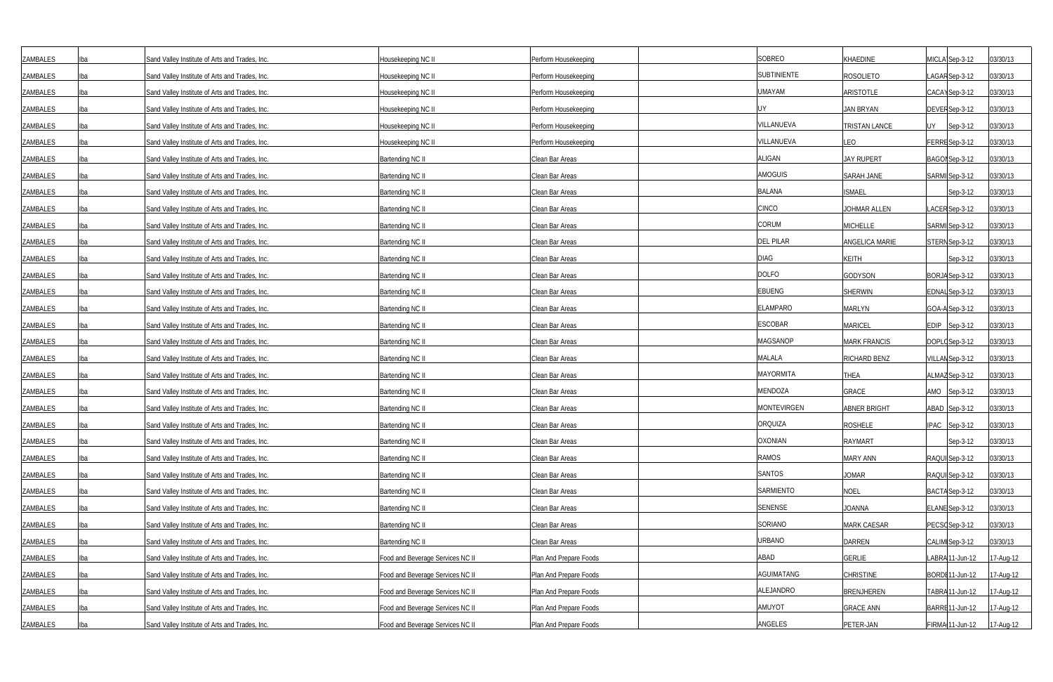| <b>ZAMBALES</b> | Iba | Sand Valley Institute of Arts and Trades, Inc. | Housekeeping NC II               | Perform Housekeeping   | SOBREO             | KHAEDINE             | MICLA Sep-3-12  | 03/30/13  |
|-----------------|-----|------------------------------------------------|----------------------------------|------------------------|--------------------|----------------------|-----------------|-----------|
| <b>ZAMBALES</b> | Iba | Sand Valley Institute of Arts and Trades, Inc. | Housekeeping NC II               | Perform Housekeeping   | <b>SUBTINIENTE</b> | <b>ROSOLIETO</b>     | LAGAR Sep-3-12  | 03/30/13  |
| <b>ZAMBALES</b> | Iba | Sand Valley Institute of Arts and Trades, Inc. | Housekeeping NC II               | Perform Housekeeping   | <b>UMAYAM</b>      | ARISTOTLE            | CACA\Sep-3-12   | 03/30/13  |
| <b>ZAMBALES</b> | lba | Sand Valley Institute of Arts and Trades, Inc. | Housekeeping NC II               | Perform Housekeeping   | UY                 | <b>JAN BRYAN</b>     | DEVERSep-3-12   | 03/30/13  |
| <b>ZAMBALES</b> | lba | Sand Valley Institute of Arts and Trades, Inc. | Housekeeping NC II               | Perform Housekeeping   | <b>VILLANUEVA</b>  | <b>TRISTAN LANCE</b> | $UV$ Sep-3-12   | 03/30/13  |
| <b>ZAMBALES</b> | lba | Sand Valley Institute of Arts and Trades, Inc. | Housekeeping NC II               | Perform Housekeeping   | <b>VILLANUEVA</b>  | LEO                  | FERRESep-3-12   | 03/30/13  |
| <b>ZAMBALES</b> | lba | Sand Valley Institute of Arts and Trades, Inc. | Bartending NC II                 | Clean Bar Areas        | <b>ALIGAN</b>      | <b>JAY RUPERT</b>    | BAGOI Sep-3-12  | 03/30/13  |
| <b>ZAMBALES</b> | lba | Sand Valley Institute of Arts and Trades, Inc. | Bartending NC II                 | Clean Bar Areas        | <b>AMOGUIS</b>     | <b>SARAH JANE</b>    | SARM Sep-3-12   | 03/30/13  |
| <b>ZAMBALES</b> | lba | Sand Valley Institute of Arts and Trades, Inc. | Bartending NC II                 | Clean Bar Areas        | <b>BALANA</b>      | <b>ISMAEL</b>        | Sep-3-12        | 03/30/13  |
| <b>ZAMBALES</b> | lba | Sand Valley Institute of Arts and Trades, Inc. | Bartending NC II                 | Clean Bar Areas        | <b>CINCO</b>       | <b>JOHMAR ALLEN</b>  | LACERSep-3-12   | 03/30/13  |
| <b>ZAMBALES</b> | Iba | Sand Valley Institute of Arts and Trades, Inc. | Bartending NC II                 | Clean Bar Areas        | <b>CORUM</b>       | <b>MICHELLE</b>      | SARMI Sep-3-12  | 03/30/13  |
| <b>ZAMBALES</b> | lba | Sand Valley Institute of Arts and Trades, Inc. | Bartending NC II                 | Clean Bar Areas        | <b>DEL PILAR</b>   | ANGELICA MARIE       | STERNSep-3-12   | 03/30/13  |
| <b>ZAMBALES</b> | lba | Sand Valley Institute of Arts and Trades, Inc. | Bartending NC II                 | Clean Bar Areas        | <b>DIAG</b>        | KEITH                | Sep-3-12        | 03/30/13  |
| <b>ZAMBALES</b> | Iba | Sand Valley Institute of Arts and Trades, Inc. | <b>Bartending NC II</b>          | Clean Bar Areas        | <b>DOLFO</b>       | <b>GODYSON</b>       | BORJA Sep-3-12  | 03/30/13  |
| <b>ZAMBALES</b> | lba | Sand Valley Institute of Arts and Trades, Inc. | Bartending NC II                 | Clean Bar Areas        | <b>EBUENG</b>      | <b>SHERWIN</b>       | EDNALSep-3-12   | 03/30/13  |
| <b>ZAMBALES</b> | Iba | Sand Valley Institute of Arts and Trades, Inc. | Bartending NC II                 | Clean Bar Areas        | <b>ELAMPARO</b>    | <b>MARLYN</b>        | GOA-A Sep-3-12  | 03/30/13  |
| <b>ZAMBALES</b> | lba | Sand Valley Institute of Arts and Trades, Inc. | Bartending NC II                 | Clean Bar Areas        | <b>ESCOBAR</b>     | <b>MARICEL</b>       | $EDIP$ Sep-3-12 | 03/30/13  |
| <b>ZAMBALES</b> | lba | Sand Valley Institute of Arts and Trades, Inc. | Bartending NC II                 | Clean Bar Areas        | <b>MAGSANOP</b>    | <b>MARK FRANCIS</b>  | DOPLOSep-3-12   | 03/30/13  |
| <b>ZAMBALES</b> | lba | Sand Valley Institute of Arts and Trades, Inc. | Bartending NC II                 | Clean Bar Areas        | <b>MALALA</b>      | <b>RICHARD BENZ</b>  | VILLAN Sep-3-12 | 03/30/13  |
| <b>ZAMBALES</b> | Iba | Sand Valley Institute of Arts and Trades, Inc. | Bartending NC II                 | Clean Bar Areas        | <b>MAYORMITA</b>   | <b>THEA</b>          | ALMAZ Sep-3-12  | 03/30/13  |
| <b>ZAMBALES</b> | lba | Sand Valley Institute of Arts and Trades, Inc. | Bartending NC II                 | Clean Bar Areas        | <b>MENDOZA</b>     | <b>GRACE</b>         | AMO Sep-3-12    | 03/30/13  |
| <b>ZAMBALES</b> | lba | Sand Valley Institute of Arts and Trades, Inc. | Bartending NC II                 | Clean Bar Areas        | <b>MONTEVIRGEN</b> | <b>ABNER BRIGHT</b>  | ABAD Sep-3-12   | 03/30/13  |
| <b>ZAMBALES</b> | lba | Sand Valley Institute of Arts and Trades, Inc. | Bartending NC II                 | Clean Bar Areas        | <b>ORQUIZA</b>     | <b>ROSHELE</b>       | IPAC Sep-3-12   | 03/30/13  |
| <b>ZAMBALES</b> | Iba | Sand Valley Institute of Arts and Trades, Inc. | Bartending NC II                 | Clean Bar Areas        | <b>OXONIAN</b>     | <b>RAYMART</b>       | Sep-3-12        | 03/30/13  |
| <b>ZAMBALES</b> | lba | Sand Valley Institute of Arts and Trades, Inc. | Bartending NC II                 | Clean Bar Areas        | <b>RAMOS</b>       | <b>MARY ANN</b>      | RAQUISep-3-12   | 03/30/13  |
| <b>ZAMBALES</b> | Iba | Sand Valley Institute of Arts and Trades, Inc. | Bartending NC II                 | Clean Bar Areas        | <b>SANTOS</b>      | <b>JOMAR</b>         | RAQUISep-3-12   | 03/30/13  |
| <b>ZAMBALES</b> | lba | Sand Valley Institute of Arts and Trades, Inc. | Bartending NC II                 | Clean Bar Areas        | <b>SARMENTO</b>    | <b>NOEL</b>          | BACTA Sep-3-12  | 03/30/13  |
| <b>ZAMBALES</b> | Iba | Sand Valley Institute of Arts and Trades, Inc. | Bartending NC II                 | Clean Bar Areas        | SENENSE            | <b>JOANNA</b>        | ELANE Sep-3-12  | 03/30/13  |
| <b>ZAMBALES</b> | lba | Sand Valley Institute of Arts and Trades, Inc. | Bartending NC II                 | Clean Bar Areas        | SORIANO            | <b>MARK CAESAR</b>   | PECSCSep-3-12   | 03/30/13  |
| <b>ZAMBALES</b> | Iba | Sand Valley Institute of Arts and Trades, Inc. | Bartending NC II                 | Clean Bar Areas        | <b>URBANO</b>      | <b>DARREN</b>        | CALIM Sep-3-12  | 03/30/13  |
| <b>ZAMBALES</b> | lba | Sand Valley Institute of Arts and Trades, Inc. | Food and Beverage Services NC II | Plan And Prepare Foods | <b>ABAD</b>        | <b>GERLIE</b>        | ABRA 11-Jun-12  | 17-Aug-12 |
| <b>ZAMBALES</b> | lba | Sand Valley Institute of Arts and Trades, Inc. | Food and Beverage Services NC II | Plan And Prepare Foods | <b>AGUIMATANG</b>  | <b>CHRISTINE</b>     | BORDI 11-Jun-12 | 17-Aug-12 |
| <b>ZAMBALES</b> | lba | Sand Valley Institute of Arts and Trades, Inc. | Food and Beverage Services NC II | Plan And Prepare Foods | <b>ALEJANDRO</b>   | <b>BRENJHEREN</b>    | TABRA 11-Jun-12 | 17-Aug-12 |
| <b>ZAMBALES</b> | lba | Sand Valley Institute of Arts and Trades, Inc. | Food and Beverage Services NC II | Plan And Prepare Foods | <b>AMUYOT</b>      | <b>GRACE ANN</b>     | BARRE 11-Jun-12 | 17-Aug-12 |
| <b>ZAMBALES</b> | lba | Sand Valley Institute of Arts and Trades, Inc. | Food and Beverage Services NC II | Plan And Prepare Foods | ANGELES            | PETER-JAN            | FIRMA 11-Jun-12 | 17-Aug-12 |
|                 |     |                                                |                                  |                        |                    |                      |                 |           |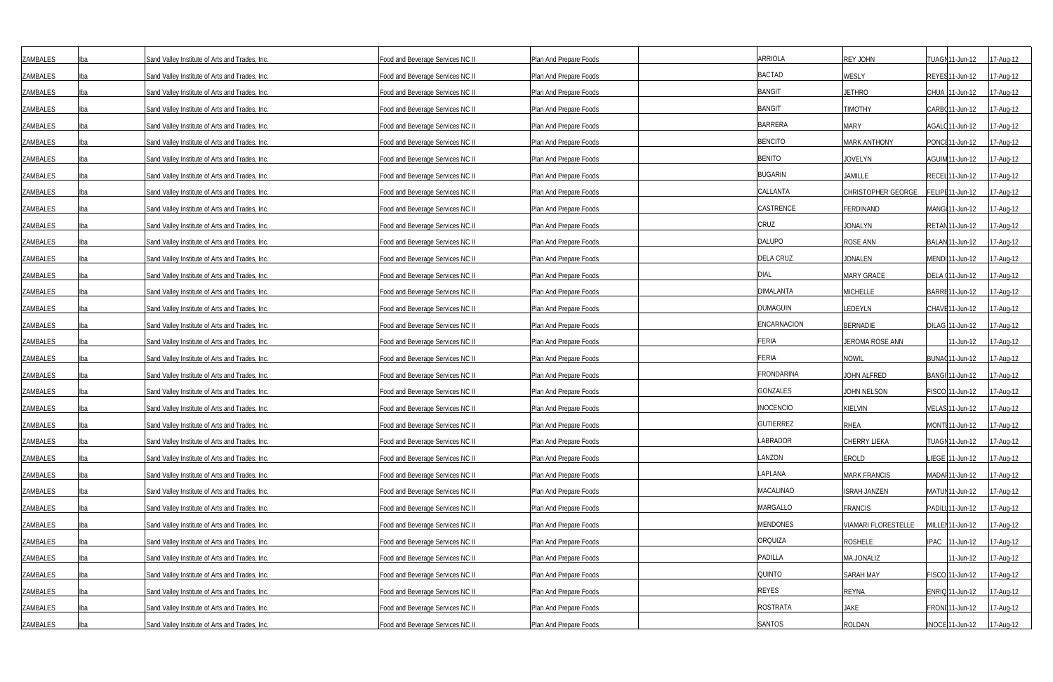| <b>ZAMBALES</b> | Iba | Sand Valley Institute of Arts and Trades, Inc. | Food and Beverage Services NC II | Plan And Prepare Foods | <b>ARRIOLA</b>     | <b>REY JOHN</b>            | <b>TUAGN 11-Jun-12</b>      | 17-Aug-12 |
|-----------------|-----|------------------------------------------------|----------------------------------|------------------------|--------------------|----------------------------|-----------------------------|-----------|
| <b>ZAMBALES</b> | Iba | Sand Valley Institute of Arts and Trades, Inc. | Food and Beverage Services NC II | Plan And Prepare Foods | <b>BACTAD</b>      | <b>WESLY</b>               | REYES 11-Jun-12             | 17-Aug-12 |
| <b>ZAMBALES</b> | Iba | Sand Valley Institute of Arts and Trades, Inc. | Food and Beverage Services NC II | Plan And Prepare Foods | <b>BANGIT</b>      | <b>JETHRO</b>              | CHUA 11-Jun-12              | 17-Aug-12 |
| <b>ZAMBALES</b> | lba | Sand Valley Institute of Arts and Trades, Inc. | Food and Beverage Services NC II | Plan And Prepare Foods | <b>BANGIT</b>      | <b>TIMOTHY</b>             | CARB (11-Jun-12             | 17-Aug-12 |
| <b>ZAMBALES</b> | lba | Sand Valley Institute of Arts and Trades, Inc. | Food and Beverage Services NC II | Plan And Prepare Foods | <b>BARRERA</b>     | <b>MARY</b>                | AGALC 11-Jun-12             | 17-Aug-12 |
| <b>ZAMBALES</b> | lba | Sand Valley Institute of Arts and Trades, Inc. | Food and Beverage Services NC II | Plan And Prepare Foods | <b>BENCITO</b>     | <b>MARK ANTHONY</b>        | <b>PONCI 11-Jun-12</b>      | 17-Aug-12 |
| <b>ZAMBALES</b> | Iba | Sand Valley Institute of Arts and Trades, Inc. | Food and Beverage Services NC II | Plan And Prepare Foods | <b>BENITO</b>      | <b>JOVELYN</b>             | AGUIM 11-Jun-12             | 17-Aug-12 |
| <b>ZAMBALES</b> | lba | Sand Valley Institute of Arts and Trades, Inc. | Food and Beverage Services NC II | Plan And Prepare Foods | <b>BUGARIN</b>     | <b>JAMILLE</b>             | RECEL 11-Jun-12             | 17-Aug-12 |
| <b>ZAMBALES</b> | lba | Sand Valley Institute of Arts and Trades, Inc. | Food and Beverage Services NC II | Plan And Prepare Foods | <b>CALLANTA</b>    | CHRISTOPHER GEORGE         | FELIPE 11-Jun-12            | 17-Aug-12 |
| <b>ZAMBALES</b> | lba | Sand Valley Institute of Arts and Trades, Inc. | Food and Beverage Services NC II | Plan And Prepare Foods | <b>CASTRENCE</b>   | <b>FERDINAND</b>           | MANG 11-Jun-12              | 17-Aug-12 |
| <b>ZAMBALES</b> | Iba | Sand Valley Institute of Arts and Trades, Inc. | Food and Beverage Services NC II | Plan And Prepare Foods | <b>CRUZ</b>        | <b>JONALYN</b>             | RETAN 11-Jun-12             | 17-Aug-12 |
| <b>ZAMBALES</b> | Iba | Sand Valley Institute of Arts and Trades, Inc. | Food and Beverage Services NC II | Plan And Prepare Foods | DALUPO             | <b>ROSE ANN</b>            | BALAN 11-Jun-12             | 17-Aug-12 |
| <b>ZAMBALES</b> | lba | Sand Valley Institute of Arts and Trades, Inc. | Food and Beverage Services NC II | Plan And Prepare Foods | <b>DELA CRUZ</b>   | <b>JONALEN</b>             | MENDI 11-Jun-12             | 17-Aug-12 |
| <b>ZAMBALES</b> | Iba | Sand Valley Institute of Arts and Trades, Inc. | Food and Beverage Services NC II | Plan And Prepare Foods | <b>DIAL</b>        | <b>MARY GRACE</b>          | DELA (11-Jun-12             | 17-Aug-12 |
| <b>ZAMBALES</b> | lba | Sand Valley Institute of Arts and Trades, Inc. | Food and Beverage Services NC II | Plan And Prepare Foods | <b>DIMALANTA</b>   | <b>MICHELLE</b>            | BARRE 11-Jun-12             | 17-Aug-12 |
| <b>ZAMBALES</b> | Iba | Sand Valley Institute of Arts and Trades, Inc. | Food and Beverage Services NC II | Plan And Prepare Foods | <b>DUMAGUIN</b>    | <b>LEDEYLN</b>             | CHAVE 11-Jun-12             | 17-Aug-12 |
| <b>ZAMBALES</b> | lba | Sand Valley Institute of Arts and Trades, Inc. | Food and Beverage Services NC II | Plan And Prepare Foods | <b>ENCARNACION</b> | <b>BERNADIE</b>            | <b>DILAG 11-Jun-12</b>      | 17-Aug-12 |
| <b>ZAMBALES</b> | lba | Sand Valley Institute of Arts and Trades, Inc. | Food and Beverage Services NC II | Plan And Prepare Foods | <b>FERIA</b>       | <b>JEROMA ROSE ANN</b>     | $11$ -Jun-12                | 17-Aug-12 |
| <b>ZAMBALES</b> | lba | Sand Valley Institute of Arts and Trades, Inc. | Food and Beverage Services NC II | Plan And Prepare Foods | <b>FERIA</b>       | <b>NOWIL</b>               | <b>BUNA(11-Jun-12</b>       | 17-Aug-12 |
| <b>ZAMBALES</b> | Iba | Sand Valley Institute of Arts and Trades, Inc. | Food and Beverage Services NC II | Plan And Prepare Foods | <b>FRONDARINA</b>  | <b>JOHN ALFRED</b>         | BANGI 11-Jun-12             | 17-Aug-12 |
| <b>ZAMBALES</b> | Iba | Sand Valley Institute of Arts and Trades, Inc. | Food and Beverage Services NC II | Plan And Prepare Foods | <b>GONZALES</b>    | <b>JOHN NELSON</b>         | FISCO 11-Jun-12             | 17-Aug-12 |
| <b>ZAMBALES</b> | Iba | Sand Valley Institute of Arts and Trades, Inc. | Food and Beverage Services NC II | Plan And Prepare Foods | <b>INOCENCIO</b>   | KIELVIN                    | VELAS 11-Jun-12             | 17-Aug-12 |
| <b>ZAMBALES</b> |     | Sand Valley Institute of Arts and Trades, Inc. | Food and Beverage Services NC II | Plan And Prepare Foods | <b>GUTIERREZ</b>   | <b>RHEA</b>                | MONTI 11-Jun-12             | 17-Aug-12 |
| <b>ZAMBALES</b> | Iba | Sand Valley Institute of Arts and Trades, Inc. | Food and Beverage Services NC II | Plan And Prepare Foods | <b>LABRADOR</b>    | <b>CHERRY LIEKA</b>        | <b>TUAGN 11-Jun-12</b>      | 17-Aug-12 |
| <b>ZAMBALES</b> | lba | Sand Valley Institute of Arts and Trades, Inc. | Food and Beverage Services NC II | Plan And Prepare Foods | <b>LANZON</b>      | <b>EROLD</b>               | LIEGE 11-Jun-12             | 17-Aug-12 |
| <b>ZAMBALES</b> | Iba | Sand Valley Institute of Arts and Trades, Inc. | Food and Beverage Services NC II | Plan And Prepare Foods | <b>LAPLANA</b>     | <b>MARK FRANCIS</b>        | MADAI 11-Jun-12             | 17-Aug-12 |
| <b>ZAMBALES</b> |     | Sand Valley Institute of Arts and Trades, Inc. | Food and Beverage Services NC II | Plan And Prepare Foods | <b>MACALINAO</b>   | <b>ISRAH JANZEN</b>        | MATUM 11-Jun-12             | 17-Aug-12 |
| <b>ZAMBALES</b> | Iba | Sand Valley Institute of Arts and Trades, Inc. | Food and Beverage Services NC II | Plan And Prepare Foods | <b>MARGALLO</b>    | <b>FRANCIS</b>             | PADILI <sub>11-Jun-12</sub> | 17-Aug-12 |
| <b>ZAMBALES</b> | Iba | Sand Valley Institute of Arts and Trades, Inc. | Food and Beverage Services NC II | Plan And Prepare Foods | <b>MENDONES</b>    | <b>VIAMARI FLORESTELLE</b> | MILLEM 11-Jun-12            | 17-Aug-12 |
| <b>ZAMBALES</b> | lba | Sand Valley Institute of Arts and Trades, Inc. | Food and Beverage Services NC II | Plan And Prepare Foods | <b>ORQUIZA</b>     | <b>ROSHELE</b>             | <b>IPAC</b> 11-Jun-12       | 17-Aug-12 |
| <b>ZAMBALES</b> | lba | Sand Valley Institute of Arts and Trades, Inc. | Food and Beverage Services NC II | Plan And Prepare Foods | PADILLA            | <b>MAJONALIZ</b>           | $11$ -Jun-12                | 17-Aug-12 |
| <b>ZAMBALES</b> |     | Sand Valley Institute of Arts and Trades, Inc. | Food and Beverage Services NC II | Plan And Prepare Foods | <b>QUINTO</b>      | <b>SARAH MAY</b>           | FISCO 11-Jun-12             | 17-Aug-12 |
| <b>ZAMBALES</b> |     | Sand Valley Institute of Arts and Trades, Inc. | Food and Beverage Services NC II | Plan And Prepare Foods | <b>REYES</b>       | <b>REYNA</b>               | <b>ENRIQ 11-Jun-12</b>      | 17-Aug-12 |
| <b>ZAMBALES</b> |     | Sand Valley Institute of Arts and Trades, Inc. | Food and Beverage Services NC II | Plan And Prepare Foods | <b>ROSTRATA</b>    | JAKE                       | <b>FRONI</b> 11-Jun-12      | 17-Aug-12 |
| <b>ZAMBALES</b> |     | Sand Valley Institute of Arts and Trades, Inc. | Food and Beverage Services NC II | Plan And Prepare Foods | <b>SANTOS</b>      | <b>ROLDAN</b>              | <b>INOCE 11-Jun-12</b>      | 17-Aug-12 |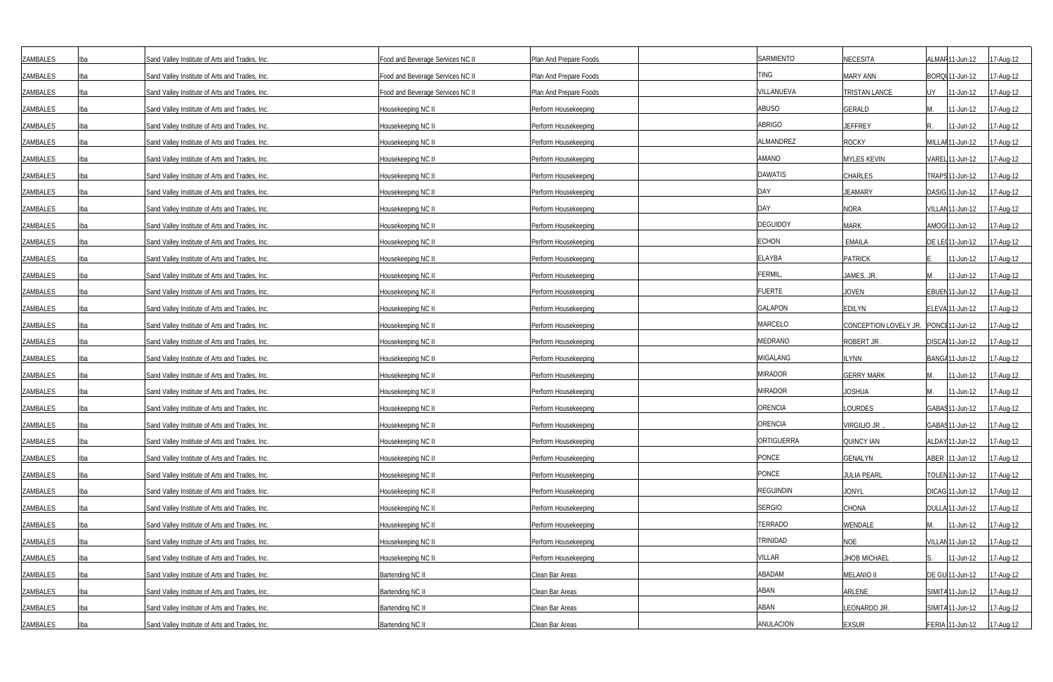| <b>ZAMBALES</b> | Iba | Sand Valley Institute of Arts and Trades, Inc. | Food and Beverage Services NC II | Plan And Prepare Foods | <b>SARMIENTO</b>  | <b>NECESITA</b>                       |    | ALMAF 11-Jun-12              | 17-Aug-12 |
|-----------------|-----|------------------------------------------------|----------------------------------|------------------------|-------------------|---------------------------------------|----|------------------------------|-----------|
| <b>ZAMBALES</b> | lba | Sand Valley Institute of Arts and Trades, Inc. | Food and Beverage Services NC II | Plan And Prepare Foods | <b>TING</b>       | <b>MARY ANN</b>                       |    | BORQI 11-Jun-12              | 17-Aug-12 |
| <b>ZAMBALES</b> | Iba | Sand Valley Institute of Arts and Trades, Inc. | Food and Beverage Services NC II | Plan And Prepare Foods | <b>VILLANUEVA</b> | <b>TRISTAN LANCE</b>                  | UY | 11-Jun-12                    | 17-Aug-12 |
| <b>ZAMBALES</b> | lba | Sand Valley Institute of Arts and Trades, Inc. | Housekeeping NC II               | Perform Housekeeping   | <b>ABUSO</b>      | <b>GERALD</b>                         | M. | $11$ -Jun-12                 | 17-Aug-12 |
| <b>ZAMBALES</b> | lba | Sand Valley Institute of Arts and Trades, Inc. | Housekeeping NC II               | Perform Housekeeping   | <b>ABRIGO</b>     | <b>JEFFREY</b>                        | R. | $11$ -Jun-12                 | 17-Aug-12 |
| <b>ZAMBALES</b> | lba | Sand Valley Institute of Arts and Trades, Inc. | Housekeeping NC II               | Perform Housekeeping   | <b>ALMANDREZ</b>  | <b>ROCKY</b>                          |    | MILLAI 11-Jun-12             | 17-Aug-12 |
| <b>ZAMBALES</b> | lba | Sand Valley Institute of Arts and Trades, Inc. | Housekeeping NC II               | Perform Housekeeping   | <b>AMANO</b>      | MMLES KEVIN                           |    | <b>VAREL</b> 11-Jun-12       | 17-Aug-12 |
| <b>ZAMBALES</b> | lba | Sand Valley Institute of Arts and Trades, Inc. | Housekeeping NC II               | Perform Housekeeping   | <b>DAWATIS</b>    | <b>CHARLES</b>                        |    | TRAPS 11-Jun-12              | 17-Aug-12 |
| <b>ZAMBALES</b> | lba | Sand Valley Institute of Arts and Trades, Inc. | Housekeeping NC II               | Perform Housekeeping   | <b>DAY</b>        | <b>JEAMARY</b>                        |    | DASIG 11-Jun-12              | 17-Aug-12 |
| <b>ZAMBALES</b> | lba | Sand Valley Institute of Arts and Trades, Inc. | Housekeeping NC II               | Perform Housekeeping   | <b>DAY</b>        | <b>NORA</b>                           |    | VILLAN <sub>11</sub> -Jun-12 | 17-Aug-12 |
| <b>ZAMBALES</b> | lba | Sand Valley Institute of Arts and Trades, Inc. | Housekeeping NC II               | Perform Housekeeping   | <b>DEGUIDOY</b>   | <b>MARK</b>                           |    | AMOG 11-Jun-12               | 17-Aug-12 |
| <b>ZAMBALES</b> | lba | Sand Valley Institute of Arts and Trades, Inc. | Housekeeping NC II               | Perform Housekeeping   | <b>ECHON</b>      | <b>EMAILA</b>                         |    | DE LEC11-Jun-12              | 17-Aug-12 |
| <b>ZAMBALES</b> | lba | Sand Valley Institute of Arts and Trades, Inc. | Housekeeping NC II               | Perform Housekeeping   | <b>ELAYBA</b>     | <b>PATRICK</b>                        |    | $11$ -Jun-12                 | 17-Aug-12 |
| <b>ZAMBALES</b> | Iba | Sand Valley Institute of Arts and Trades, Inc. | Housekeeping NC II               | Perform Housekeeping   | FERMIL,           | JAMES, JR.                            | M. | $11$ -Jun-12                 | 17-Aug-12 |
| <b>ZAMBALES</b> | lba | Sand Valley Institute of Arts and Trades, Inc. | Housekeeping NC II               | Perform Housekeeping   | <b>FUERTE</b>     | <b>JOVEN</b>                          |    | <b>EBUEN 11-Jun-12</b>       | 17-Aug-12 |
| <b>ZAMBALES</b> | lba | Sand Valley Institute of Arts and Trades, Inc. | Housekeeping NC II               | Perform Housekeeping   | <b>GALAPON</b>    | <b>EDILYN</b>                         |    | ELEVA 11-Jun-12              | 17-Aug-12 |
| <b>ZAMBALES</b> | lba | Sand Valley Institute of Arts and Trades, Inc. | Housekeeping NC II               | Perform Housekeeping   | <b>MARCELO</b>    | CONCEPTION LOVELY JR. PONCE 11-Jun-12 |    |                              | 17-Aug-12 |
| <b>ZAMBALES</b> | lba | Sand Valley Institute of Arts and Trades, Inc. | Housekeeping NC II               | Perform Housekeeping   | <b>MEDRANO</b>    | ROBERT JR.                            |    | DISCA 11-Jun-12              | 17-Aug-12 |
| <b>ZAMBALES</b> | lba | Sand Valley Institute of Arts and Trades, Inc. | Housekeeping NC II               | Perform Housekeeping   | <b>MIGALANG</b>   | <b>ILYNN</b>                          |    | <b>BANG411-Jun-12</b>        | 17-Aug-12 |
| <b>ZAMBALES</b> | Iba | Sand Valley Institute of Arts and Trades, Inc. | Housekeeping NC II               | Perform Housekeeping   | <b>MIRADOR</b>    | <b>GERRY MARK</b>                     | M. | $11$ -Jun-12                 | 17-Aug-12 |
| <b>ZAMBALES</b> | lba | Sand Valley Institute of Arts and Trades, Inc. | Housekeeping NC II               | Perform Housekeeping   | <b>MIRADOR</b>    | <b>JOSHUA</b>                         | M. | $11$ -Jun-12                 | 17-Aug-12 |
| <b>ZAMBALES</b> | Iba | Sand Valley Institute of Arts and Trades, Inc. | Housekeeping NC II               | Perform Housekeeping   | <b>ORENCIA</b>    | LOURDES                               |    | GABAS 11-Jun-12              | 17-Aug-12 |
| <b>ZAMBALES</b> |     | Sand Valley Institute of Arts and Trades, Inc. | Housekeeping NC II               | Perform Housekeeping   | <b>ORENCIA</b>    | VIRGILIOJR.                           |    | GABAS 11-Jun-12              | 17-Aug-12 |
| <b>ZAMBALES</b> | Iba | Sand Valley Institute of Arts and Trades, Inc. | Housekeeping NC II               | Perform Housekeeping   | <b>ORTIGUERRA</b> | <b>QUINCY IAN</b>                     |    | ALDAY 11-Jun-12              | 17-Aug-12 |
| <b>ZAMBALES</b> | lba | Sand Valley Institute of Arts and Trades, Inc. | Housekeeping NC II               | Perform Housekeeping   | <b>PONCE</b>      | <b>GENALYN</b>                        |    | ABER 11-Jun-12               | 17-Aug-12 |
| <b>ZAMBALES</b> | Iba | Sand Valley Institute of Arts and Trades, Inc. | Housekeeping NC II               | Perform Housekeeping   | <b>PONCE</b>      | <b>JULIA PEARL</b>                    |    | <b>TOLEN</b> 11-Jun-12       | 17-Aug-12 |
| <b>ZAMBALES</b> | lba | Sand Valley Institute of Arts and Trades, Inc. | Housekeeping NC II               | Perform Housekeeping   | <b>REGUINDIN</b>  | <b>JONYL</b>                          |    | DICAG 11-Jun-12              | 17-Aug-12 |
| <b>ZAMBALES</b> | Iba | Sand Valley Institute of Arts and Trades, Inc. | Housekeeping NC II               | Perform Housekeeping   | <b>SERGIO</b>     | <b>CHONA</b>                          |    | DULLA 11-Jun-12              | 17-Aug-12 |
| <b>ZAMBALES</b> | Iba | Sand Valley Institute of Arts and Trades, Inc. | Housekeeping NC II               | Perform Housekeeping   | <b>TERRADO</b>    | <b>WENDALE</b>                        | M. | $11$ -Jun-12                 | 17-Aug-12 |
| <b>ZAMBALES</b> | Iba | Sand Valley Institute of Arts and Trades, Inc. | Housekeeping NC II               | Perform Housekeeping   | <b>TRINIDAD</b>   | <b>NOE</b>                            |    | VILLAN <sub>11</sub> -Jun-12 | 17-Aug-12 |
| <b>ZAMBALES</b> | lba | Sand Valley Institute of Arts and Trades, Inc. | Housekeeping NC II               | Perform Housekeeping   | VILLAR            | <b>JHOB MICHAEL</b>                   |    | $11$ -Jun-12                 | 17-Aug-12 |
| <b>ZAMBALES</b> | lba | Sand Valley Institute of Arts and Trades, Inc. | Bartending NC II                 | Clean Bar Areas        | <b>ABADAM</b>     | <b>MELANIO II</b>                     |    | DE GU 11-Jun-12              | 17-Aug-12 |
| <b>ZAMBALES</b> | lba | Sand Valley Institute of Arts and Trades, Inc. | Bartending NC II                 | Clean Bar Areas        | <b>ABAN</b>       | ARLENE                                |    | <b>SIMITA 11-Jun-12</b>      | 17-Aug-12 |
| <b>ZAMBALES</b> | lba | Sand Valley Institute of Arts and Trades, Inc. | Bartending NC II                 | Clean Bar Areas        | <b>ABAN</b>       | LEONARDO JR.                          |    | SIMITA 11-Jun-12             | 17-Aug-12 |
| <b>ZAMBALES</b> |     | Sand Valley Institute of Arts and Trades, Inc. | Bartending NC II                 | Clean Bar Areas        | <b>ANULACION</b>  | <b>EXSUR</b>                          |    | FERIA 11-Jun-12              | 17-Aug-12 |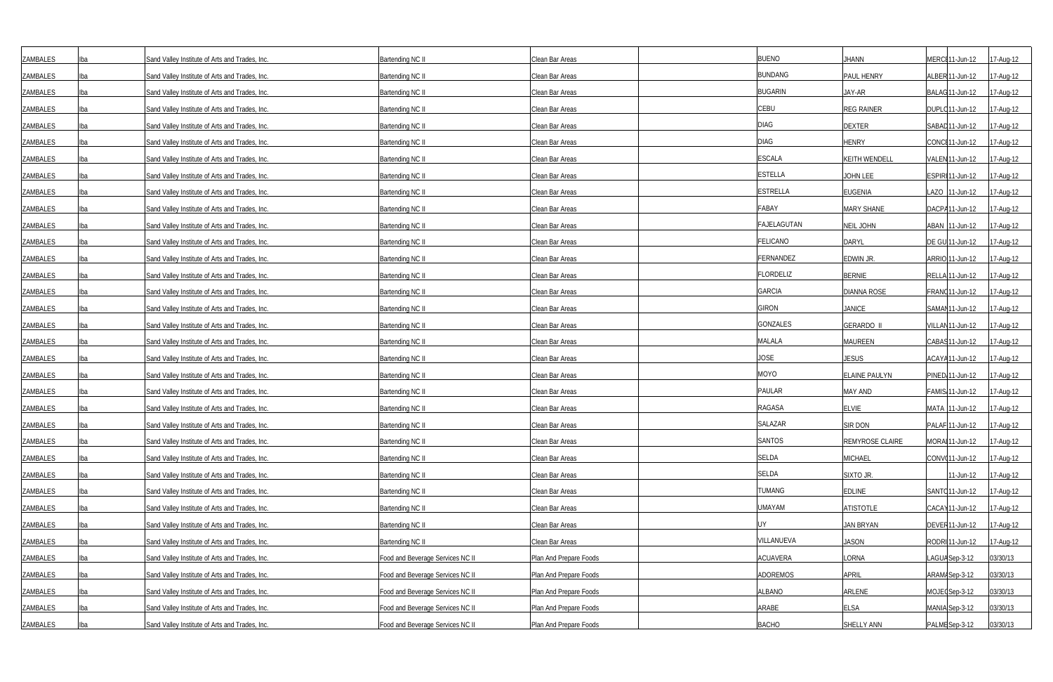| <b>ZAMBALES</b> | lba | Sand Valley Institute of Arts and Trades, Inc. | Bartending NC II                 | Clean Bar Areas        | <b>BUENO</b>       | <b>JHANN</b>           | MERCI 11-Jun-12             | 17-Aug-12 |
|-----------------|-----|------------------------------------------------|----------------------------------|------------------------|--------------------|------------------------|-----------------------------|-----------|
| <b>ZAMBALES</b> | lba | Sand Valley Institute of Arts and Trades, Inc. | Bartending NC II                 | Clean Bar Areas        | <b>BUNDANG</b>     | <b>PAUL HENRY</b>      | ALBER 11-Jun-12             | 17-Aug-12 |
| <b>ZAMBALES</b> | Iba | Sand Valley Institute of Arts and Trades, Inc. | <b>Bartending NC II</b>          | Clean Bar Areas        | <b>BUGARIN</b>     | JAY-AR                 | BALAG 11-Jun-12             | 17-Aug-12 |
| <b>ZAMBALES</b> | lba | Sand Valley Institute of Arts and Trades, Inc. | Bartending NC II                 | Clean Bar Areas        | <b>CEBU</b>        | <b>REG RAINER</b>      | DUPLO <sub>11</sub> -Jun-12 | 17-Aug-12 |
| <b>ZAMBALES</b> | Iba | Sand Valley Institute of Arts and Trades, Inc. | Bartending NC II                 | Clean Bar Areas        | <b>DIAG</b>        | <b>DEXTER</b>          | SABAD 11-Jun-12             | 17-Aug-12 |
| <b>ZAMBALES</b> | Iba | Sand Valley Institute of Arts and Trades, Inc. | Bartending NC II                 | Clean Bar Areas        | <b>DIAG</b>        | <b>HENRY</b>           | <b>CONCI 11-Jun-12</b>      | 17-Aug-12 |
| <b>ZAMBALES</b> | Iba | Sand Valley Institute of Arts and Trades, Inc. | Bartending NC II                 | Clean Bar Areas        | <b>ESCALA</b>      | KEITH WENDELL          | VALEN <sub>11-Jun-12</sub>  | 17-Aug-12 |
| <b>ZAMBALES</b> | lba | Sand Valley Institute of Arts and Trades, Inc. | Bartending NC II                 | Clean Bar Areas        | <b>ESTELLA</b>     | <b>JOHN LEE</b>        | ESPIRI 11-Jun-12            | 17-Aug-12 |
| <b>ZAMBALES</b> | Iba | Sand Valley Institute of Arts and Trades, Inc. | Bartending NC II                 | Clean Bar Areas        | <b>ESTRELLA</b>    | <b>EUGENIA</b>         | LAZO 11-Jun-12              | 17-Aug-12 |
| <b>ZAMBALES</b> | lba | Sand Valley Institute of Arts and Trades, Inc. | Bartending NC II                 | Clean Bar Areas        | <b>FABAY</b>       | MARY SHANE             | DACP/ 11-Jun-12             | 17-Aug-12 |
| <b>ZAMBALES</b> | Iba | Sand Valley Institute of Arts and Trades, Inc. | Bartending NC II                 | Clean Bar Areas        | <b>FAJELAGUTAN</b> | NEIL JOHN              | ABAN 11-Jun-12              | 17-Aug-12 |
| <b>ZAMBALES</b> | lba | Sand Valley Institute of Arts and Trades, Inc. | Bartending NC II                 | Clean Bar Areas        | <b>FELICANO</b>    | <b>DARYL</b>           | DE GU 11-Jun-12             | 17-Aug-12 |
| <b>ZAMBALES</b> | lba | Sand Valley Institute of Arts and Trades, Inc. | Bartending NC II                 | Clean Bar Areas        | <b>FERNANDEZ</b>   | EDWN JR.               | <b>ARRIO 11-Jun-12</b>      | 17-Aug-12 |
| <b>ZAMBALES</b> | Iba | Sand Valley Institute of Arts and Trades, Inc. | Bartending NC II                 | Clean Bar Areas        | <b>FLORDELIZ</b>   | <b>BERNIE</b>          | RELLA 11-Jun-12             | 17-Aug-12 |
| <b>ZAMBALES</b> | Iba | Sand Valley Institute of Arts and Trades, Inc. | Bartending NC II                 | Clean Bar Areas        | <b>GARCIA</b>      | <b>DIANNA ROSE</b>     | <b>FRANC</b> 11-Jun-12      | 17-Aug-12 |
| <b>ZAMBALES</b> | Iba | Sand Valley Institute of Arts and Trades, Inc. | Bartending NC II                 | Clean Bar Areas        | <b>GIRON</b>       | <b>JANICE</b>          | SAMAM 11-Jun-12             | 17-Aug-12 |
| <b>ZAMBALES</b> | lba | Sand Valley Institute of Arts and Trades, Inc. | Bartending NC II                 | Clean Bar Areas        | <b>GONZALES</b>    | <b>GERARDO II</b>      | <b>VILLAN 11-Jun-12</b>     | 17-Aug-12 |
| <b>ZAMBALES</b> | Iba | Sand Valley Institute of Arts and Trades, Inc. | Bartending NC II                 | Clean Bar Areas        | <b>MALALA</b>      | <b>MAUREEN</b>         | CABAS 11-Jun-12             | 17-Aug-12 |
| <b>ZAMBALES</b> | lba | Sand Valley Institute of Arts and Trades, Inc. | Bartending NC II                 | Clean Bar Areas        | <b>JOSE</b>        | <b>JESUS</b>           | ACAYA 11-Jun-12             | 17-Aug-12 |
| <b>ZAMBALES</b> | Iba | Sand Valley Institute of Arts and Trades, Inc. | Bartending NC II                 | Clean Bar Areas        | <b>MOYO</b>        | <b>ELAINE PAULYN</b>   | PINED 11-Jun-12             | 17-Aug-12 |
| <b>ZAMBALES</b> | lba | Sand Valley Institute of Arts and Trades, Inc. | Bartending NC II                 | Clean Bar Areas        | <b>PAULAR</b>      | <b>MAY AND</b>         | <b>FAMIS</b> 11-Jun-12      | 17-Aug-12 |
| <b>ZAMBALES</b> | lba | Sand Valley Institute of Arts and Trades, Inc. | Bartending NC II                 | Clean Bar Areas        | <b>RAGASA</b>      | <b>ELVIE</b>           | MATA 11-Jun-12              | 17-Aug-12 |
| <b>ZAMBALES</b> | lba | Sand Valley Institute of Arts and Trades, Inc. | Bartending NC II                 | Clean Bar Areas        | <b>SALAZAR</b>     | SIR DON                | <b>PALAF 11-Jun-12</b>      | 17-Aug-12 |
| <b>ZAMBALES</b> | Iba | Sand Valley Institute of Arts and Trades, Inc. | Bartending NC II                 | Clean Bar Areas        | <b>SANTOS</b>      | <b>REMYROSE CLAIRE</b> | MORAI 11-Jun-12             | 17-Aug-12 |
| <b>ZAMBALES</b> | Iba | Sand Valley Institute of Arts and Trades, Inc. | Bartending NC II                 | Clean Bar Areas        | <b>SELDA</b>       | <b>MICHAEL</b>         | CONV(11-Jun-12              | 17-Aug-12 |
| <b>ZAMBALES</b> | lba | Sand Valley Institute of Arts and Trades, Inc. | Bartending NC II                 | Clean Bar Areas        | <b>SELDA</b>       | SIXTO JR.              | $11$ -Jun- $12$             | 17-Aug-12 |
| <b>ZAMBALES</b> | lba | Sand Valley Institute of Arts and Trades, Inc. | Bartending NC II                 | Clean Bar Areas        | <b>TUMANG</b>      | <b>EDLINE</b>          | SANTO 11-Jun-12             | 17-Aug-12 |
| <b>ZAMBALES</b> | Iba | Sand Valley Institute of Arts and Trades, Inc. | Bartending NC II                 | Clean Bar Areas        | <b>UMAYAM</b>      | <b>ATISTOTLE</b>       | CACA\11-Jun-12              | 17-Aug-12 |
| <b>ZAMBALES</b> | Iba | Sand Valley Institute of Arts and Trades, Inc. | Bartending NC II                 | Clean Bar Areas        | UY                 | <b>JAN BRYAN</b>       | DEVER 11-Jun-12             | 17-Aug-12 |
| <b>ZAMBALES</b> | Iba | Sand Valley Institute of Arts and Trades, Inc. | Bartending NC II                 | Clean Bar Areas        | <b>VILLANUEVA</b>  | <b>JASON</b>           | RODRI 11-Jun-12             | 17-Aug-12 |
| <b>ZAMBALES</b> | Iba | Sand Valley Institute of Arts and Trades, Inc. | Food and Beverage Services NC II | Plan And Prepare Foods | <b>ACUAVERA</b>    | LORNA                  | LAGUASep-3-12               | 03/30/13  |
| <b>ZAMBALES</b> | lba | Sand Valley Institute of Arts and Trades, Inc. | Food and Beverage Services NC II | Plan And Prepare Foods | <b>ADOREMOS</b>    | <b>APRIL</b>           | ARAM Sep-3-12               | 03/30/13  |
| <b>ZAMBALES</b> | Iba | Sand Valley Institute of Arts and Trades, Inc. | Food and Beverage Services NC II | Plan And Prepare Foods | <b>ALBANO</b>      | <b>ARLENE</b>          | MOJE(Sep-3-12               | 03/30/13  |
| <b>ZAMBALES</b> | Iba | Sand Valley Institute of Arts and Trades, Inc. | Food and Beverage Services NC II | Plan And Prepare Foods | <b>ARABE</b>       | <b>ELSA</b>            | MANIA Sep-3-12              | 03/30/13  |
| <b>ZAMBALES</b> | lba | Sand Valley Institute of Arts and Trades, Inc. | Food and Beverage Services NC II | Plan And Prepare Foods | <b>BACHO</b>       | <b>SHELLY ANN</b>      | PALMESep-3-12               | 03/30/13  |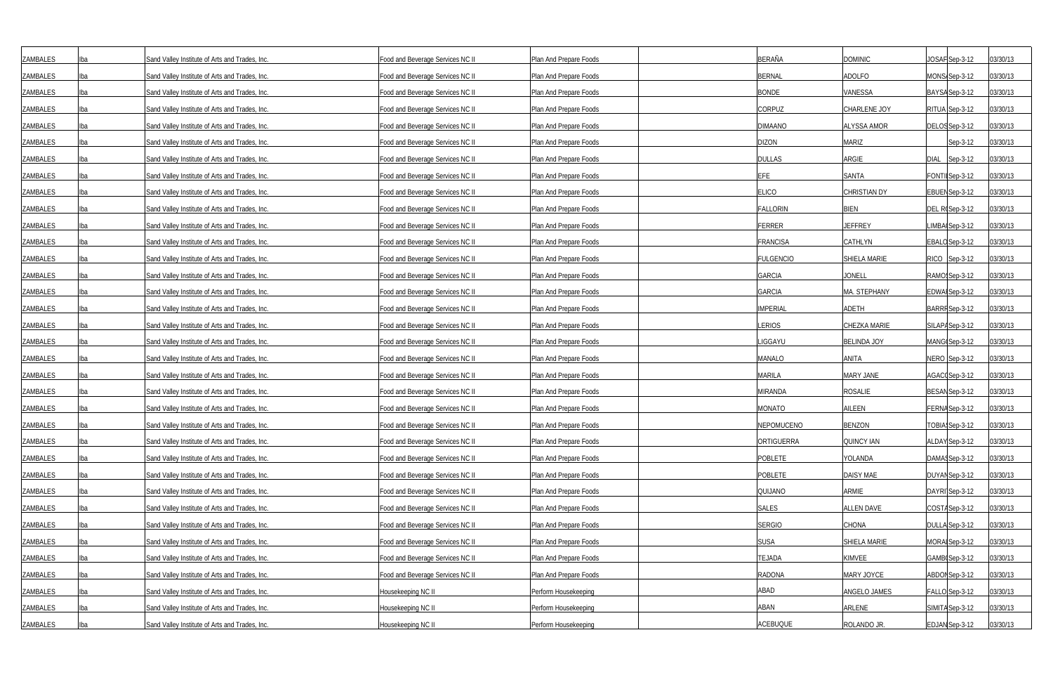| <b>ZAMBALES</b> | lba | Sand Valley Institute of Arts and Trades, Inc. | Food and Beverage Services NC II        | Plan And Prepare Foods | <b>BERAÑA</b>     | <b>DOMINIC</b>      | JOSAFSep-3-12   | 03/30/13 |
|-----------------|-----|------------------------------------------------|-----------------------------------------|------------------------|-------------------|---------------------|-----------------|----------|
| <b>ZAMBALES</b> | lba | Sand Valley Institute of Arts and Trades, Inc. | Food and Beverage Services NC II        | Plan And Prepare Foods | <b>BERNAL</b>     | <b>ADOLFO</b>       | MONS Sep-3-12   | 03/30/13 |
| <b>ZAMBALES</b> | lba | Sand Valley Institute of Arts and Trades, Inc. | Food and Beverage Services NC II        | Plan And Prepare Foods | <b>BONDE</b>      | <b>VANESSA</b>      | BAYSA Sep-3-12  | 03/30/13 |
| <b>ZAMBALES</b> | lba | Sand Valley Institute of Arts and Trades, Inc. | Food and Beverage Services NC II        | Plan And Prepare Foods | <b>CORPUZ</b>     | CHARLENE JOY        | RITUA Sep-3-12  | 03/30/13 |
| <b>ZAMBALES</b> | Iba | Sand Valley Institute of Arts and Trades, Inc. | Food and Beverage Services NC II        | Plan And Prepare Foods | <b>DIMAANO</b>    | ALYSSA AMOR         | DELOS Sep-3-12  | 03/30/13 |
| <b>ZAMBALES</b> | lba | Sand Valley Institute of Arts and Trades, Inc. | Food and Beverage Services NC II        | Plan And Prepare Foods | <b>DIZON</b>      | <b>MARIZ</b>        | Sep-3-12        | 03/30/13 |
| <b>ZAMBALES</b> | lba | Sand Valley Institute of Arts and Trades, Inc. | Food and Beverage Services NC II        | Plan And Prepare Foods | <b>DULLAS</b>     | <b>ARGIE</b>        | DIAL Sep-3-12   | 03/30/13 |
| <b>ZAMBALES</b> | lba | Sand Valley Institute of Arts and Trades, Inc. | Food and Beverage Services NC II        | Plan And Prepare Foods | EFE               | <b>SANTA</b>        | FONTI Sep-3-12  | 03/30/13 |
| <b>ZAMBALES</b> | lba | Sand Valley Institute of Arts and Trades, Inc. | <b>Food and Beverage Services NC II</b> | Plan And Prepare Foods | <b>ELICO</b>      | CHRISTIAN DY        | EBUEN Sep-3-12  | 03/30/13 |
| <b>ZAMBALES</b> | lba | Sand Valley Institute of Arts and Trades, Inc. | Food and Beverage Services NC II        | Plan And Prepare Foods | <b>FALLORIN</b>   | <b>BIEN</b>         | DEL RISep-3-12  | 03/30/13 |
| <b>ZAMBALES</b> | lba | Sand Valley Institute of Arts and Trades, Inc. | Food and Beverage Services NC II        | Plan And Prepare Foods | <b>FERRER</b>     | <b>JEFFREY</b>      | LIMBAISep-3-12  | 03/30/13 |
| <b>ZAMBALES</b> | lba | Sand Valley Institute of Arts and Trades, Inc. | Food and Beverage Services NC II        | Plan And Prepare Foods | <b>FRANCISA</b>   | <b>CATHLYN</b>      | EBALC Sep-3-12  | 03/30/13 |
| <b>ZAMBALES</b> | lba | Sand Valley Institute of Arts and Trades, Inc. | Food and Beverage Services NC II        | Plan And Prepare Foods | <b>FULGENCIO</b>  | <b>SHIELA MARIE</b> | RICO Sep-3-12   | 03/30/13 |
| <b>ZAMBALES</b> | Iba | Sand Valley Institute of Arts and Trades, Inc. | Food and Beverage Services NC II        | Plan And Prepare Foods | <b>GARCIA</b>     | <b>JONELL</b>       | RAMO Sep-3-12   | 03/30/13 |
| <b>ZAMBALES</b> | Iba | Sand Valley Institute of Arts and Trades, Inc. | Food and Beverage Services NC II        | Plan And Prepare Foods | <b>GARCIA</b>     | MA STEPHANY         | EDWAISep-3-12   | 03/30/13 |
| <b>ZAMBALES</b> | Iba | Sand Valley Institute of Arts and Trades, Inc. | Food and Beverage Services NC II        | Plan And Prepare Foods | <b>IMPERIAL</b>   | <b>ADETH</b>        | BARRI Sep-3-12  | 03/30/13 |
| <b>ZAMBALES</b> | lba | Sand Valley Institute of Arts and Trades, Inc. | Food and Beverage Services NC II        | Plan And Prepare Foods | <b>LERIOS</b>     | <b>CHEZKA MARIE</b> | SILAPA Sep-3-12 | 03/30/13 |
| <b>ZAMBALES</b> | lba | Sand Valley Institute of Arts and Trades, Inc. | Food and Beverage Services NC II        | Plan And Prepare Foods | <b>LIGGAYU</b>    | <b>BELINDA JOY</b>  | MANG Sep-3-12   | 03/30/13 |
| <b>ZAMBALES</b> | lba | Sand Valley Institute of Arts and Trades, Inc. | Food and Beverage Services NC II        | Plan And Prepare Foods | <b>MANALO</b>     | <b>ANITA</b>        | NERO Sep-3-12   | 03/30/13 |
| <b>ZAMBALES</b> | Iba | Sand Valley Institute of Arts and Trades, Inc. | Food and Beverage Services NC II        | Plan And Prepare Foods | <b>MARILA</b>     | <b>MARY JANE</b>    | AGAC Sep-3-12   | 03/30/13 |
| <b>ZAMBALES</b> | lba | Sand Valley Institute of Arts and Trades, Inc. | Food and Beverage Services NC II        | Plan And Prepare Foods | <b>MIRANDA</b>    | <b>ROSALIE</b>      | BESAN Sep-3-12  | 03/30/13 |
| <b>ZAMBALES</b> | Iba | Sand Valley Institute of Arts and Trades, Inc. | Food and Beverage Services NC II        | Plan And Prepare Foods | <b>MONATO</b>     | <b>AILEEN</b>       | FERN4Sep-3-12   | 03/30/13 |
| <b>ZAMBALES</b> |     | Sand Valley Institute of Arts and Trades, Inc. | Food and Beverage Services NC II        | Plan And Prepare Foods | <b>NEPOMUCENO</b> | <b>BENZON</b>       | TOBIA Sep-3-12  | 03/30/13 |
| <b>ZAMBALES</b> | Iba | Sand Valley Institute of Arts and Trades, Inc. | Food and Beverage Services NC II        | Plan And Prepare Foods | <b>ORTIGUERRA</b> | <b>QUINCY IAN</b>   | ALDAY Sep-3-12  | 03/30/13 |
| <b>ZAMBALES</b> | lba | Sand Valley Institute of Arts and Trades, Inc. | Food and Beverage Services NC II        | Plan And Prepare Foods | <b>POBLETE</b>    | <b>YOLANDA</b>      | DAMASSep-3-12   | 03/30/13 |
| <b>ZAMBALES</b> | Iba | Sand Valley Institute of Arts and Trades, Inc. | Food and Beverage Services NC II        | Plan And Prepare Foods | <b>POBLETE</b>    | DAISY MAE           | DUYAN Sep-3-12  | 03/30/13 |
| <b>ZAMBALES</b> |     | Sand Valley Institute of Arts and Trades, Inc. | Food and Beverage Services NC II        | Plan And Prepare Foods | QUIJANO           | <b>ARMIE</b>        | DAYRISep-3-12   | 03/30/13 |
| <b>ZAMBALES</b> | lba | Sand Valley Institute of Arts and Trades, Inc. | Food and Beverage Services NC II        | Plan And Prepare Foods | <b>SALES</b>      | ALLEN DAVE          | COST/Sep-3-12   | 03/30/13 |
| <b>ZAMBALES</b> | lba | Sand Valley Institute of Arts and Trades, Inc. | Food and Beverage Services NC II        | Plan And Prepare Foods | <b>SERGIO</b>     | <b>CHONA</b>        | DULLA Sep-3-12  | 03/30/13 |
| <b>ZAMBALES</b> | Iba | Sand Valley Institute of Arts and Trades, Inc. | Food and Beverage Services NC II        | Plan And Prepare Foods | <b>SUSA</b>       | <b>SHIELA MARIE</b> | MORAl Sep-3-12  | 03/30/13 |
| <b>ZAMBALES</b> | Iba | Sand Valley Institute of Arts and Trades, Inc. | Food and Beverage Services NC II        | Plan And Prepare Foods | <b>TEJADA</b>     | <b>KIMVEE</b>       | GAMB Sep-3-12   | 03/30/13 |
| <b>ZAMBALES</b> | lba | Sand Valley Institute of Arts and Trades, Inc. | Food and Beverage Services NC II        | Plan And Prepare Foods | <b>RADONA</b>     | MARY JOYCE          | ABDON Sep-3-12  | 03/30/13 |
| <b>ZAMBALES</b> | Iba | Sand Valley Institute of Arts and Trades, Inc. | Housekeeping NC II                      | Perform Housekeeping   | ABAD              | ANGELO JAMES        | FALLO Sep-3-12  | 03/30/13 |
| <b>ZAMBALES</b> | lba | Sand Valley Institute of Arts and Trades, Inc. | Housekeeping NC II                      | Perform Housekeeping   | <b>ABAN</b>       | <b>ARLENE</b>       | SIMITA Sep-3-12 | 03/30/13 |
| <b>ZAMBALES</b> | lba | Sand Valley Institute of Arts and Trades, Inc. | Housekeeping NC II                      | Perform Housekeeping   | <b>ACEBUQUE</b>   | ROLANDO JR.         | EDJAN Sep-3-12  | 03/30/13 |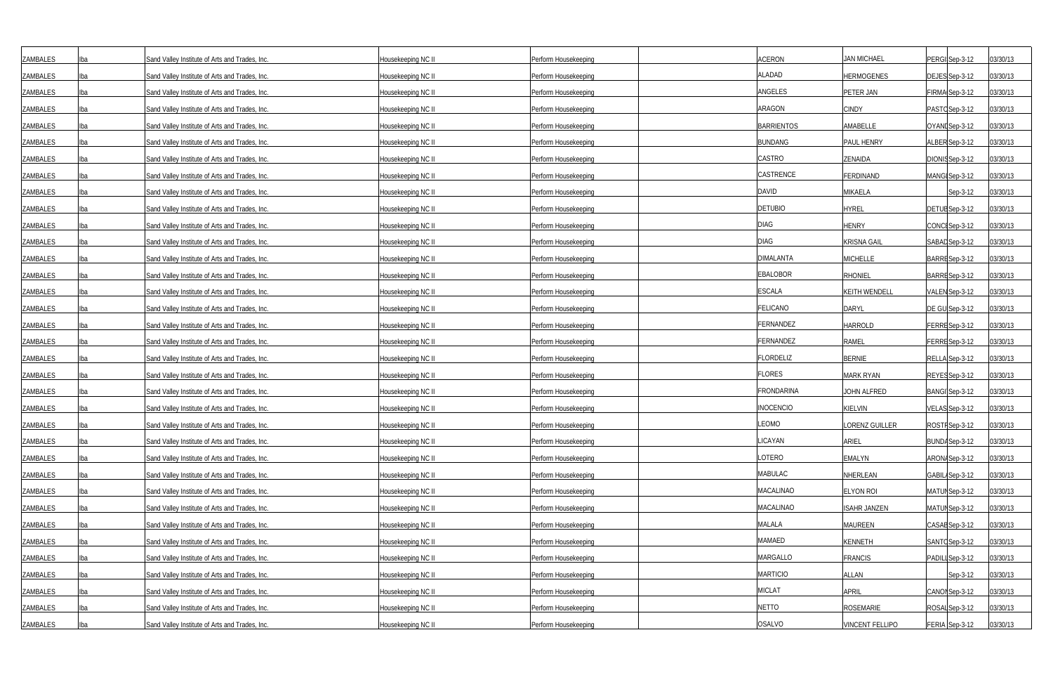| <b>ZAMBALES</b> | lba | Sand Valley Institute of Arts and Trades, Inc. | Housekeeping NC II | Perform Housekeeping | <b>ACERON</b>     | <b>JAN MICHAEL</b>     | PERG Sep-3-12   | 03/30/13 |
|-----------------|-----|------------------------------------------------|--------------------|----------------------|-------------------|------------------------|-----------------|----------|
| <b>ZAMBALES</b> | lba | Sand Valley Institute of Arts and Trades, Inc. | Housekeeping NC II | Perform Housekeeping | <b>ALADAD</b>     | <b>HERMOGENES</b>      | DEJES Sep-3-12  | 03/30/13 |
| <b>ZAMBALES</b> | Iba | Sand Valley Institute of Arts and Trades, Inc. | Housekeeping NC II | Perform Housekeeping | <b>ANGELES</b>    | PETER JAN              | FIRMA Sep-3-12  | 03/30/13 |
| <b>ZAMBALES</b> | Iba | Sand Valley Institute of Arts and Trades, Inc. | Housekeeping NC II | Perform Housekeeping | ARAGON            | <b>CINDY</b>           | PASTO Sep-3-12  | 03/30/13 |
| <b>ZAMBALES</b> | Iba | Sand Valley Institute of Arts and Trades, Inc. | Housekeeping NC II | Perform Housekeeping | <b>BARRIENTOS</b> | <b>AMABELLE</b>        | OYANI Sep-3-12  | 03/30/13 |
| <b>ZAMBALES</b> | Iba | Sand Valley Institute of Arts and Trades, Inc. | Housekeeping NC II | Perform Housekeeping | <b>BUNDANG</b>    | <b>PAUL HENRY</b>      | ALBER Sep-3-12  | 03/30/13 |
| <b>ZAMBALES</b> | Iba | Sand Valley Institute of Arts and Trades, Inc. | Housekeeping NC II | Perform Housekeeping | <b>CASTRO</b>     | <b>ZENAIDA</b>         | DIONISSep-3-12  | 03/30/13 |
| <b>ZAMBALES</b> | lba | Sand Valley Institute of Arts and Trades, Inc. | Housekeeping NC II | Perform Housekeeping | <b>CASTRENCE</b>  | <b>FERDINAND</b>       | MANGI Sep-3-12  | 03/30/13 |
| <b>ZAMBALES</b> | Iba | Sand Valley Institute of Arts and Trades, Inc. | Housekeeping NC II | Perform Housekeeping | <b>DAVID</b>      | <b>MIKAELA</b>         | Sep-3-12        | 03/30/13 |
| <b>ZAMBALES</b> | lba | Sand Valley Institute of Arts and Trades, Inc. | Housekeeping NC II | Perform Housekeeping | <b>DETUBIO</b>    | <b>HYREL</b>           | DETUESep-3-12   | 03/30/13 |
| <b>ZAMBALES</b> | lba | Sand Valley Institute of Arts and Trades, Inc. | Housekeeping NC II | Perform Housekeeping | <b>DIAG</b>       | <b>HENRY</b>           | CONCI Sep-3-12  | 03/30/13 |
| <b>ZAMBALES</b> | Iba | Sand Valley Institute of Arts and Trades, Inc. | Housekeeping NC II | Perform Housekeeping | <b>DIAG</b>       | <b>KRISNA GAIL</b>     | SABAL Sep-3-12  | 03/30/13 |
| <b>ZAMBALES</b> | Iba | Sand Valley Institute of Arts and Trades, Inc. | Housekeeping NC II | Perform Housekeeping | <b>DIMALANTA</b>  | <b>MICHELLE</b>        | BARRESep-3-12   | 03/30/13 |
| <b>ZAMBALES</b> | Iba | Sand Valley Institute of Arts and Trades, Inc. | Housekeeping NC II | Perform Housekeeping | <b>EBALOBOR</b>   | <b>RHONEL</b>          | BARRESep-3-12   | 03/30/13 |
| <b>ZAMBALES</b> | Iba | Sand Valley Institute of Arts and Trades, Inc. | Housekeeping NC II | Perform Housekeeping | <b>ESCALA</b>     | <b>KEITH WENDELL</b>   | VALEN Sep-3-12  | 03/30/13 |
| <b>ZAMBALES</b> | Iba | Sand Valley Institute of Arts and Trades, Inc. | Housekeeping NC II | Perform Housekeeping | <b>FELICANO</b>   | <b>DARYL</b>           | DE GUSep-3-12   | 03/30/13 |
| <b>ZAMBALES</b> | lba | Sand Valley Institute of Arts and Trades, Inc. | Housekeeping NC II | Perform Housekeeping | <b>FERNANDEZ</b>  | <b>HARROLD</b>         | FERRESep-3-12   | 03/30/13 |
| <b>ZAMBALES</b> | Iba | Sand Valley Institute of Arts and Trades, Inc. | Housekeeping NC II | Perform Housekeeping | <b>FERNANDEZ</b>  | <b>RAMEL</b>           | FERRESep-3-12   | 03/30/13 |
| <b>ZAMBALES</b> | Iba | Sand Valley Institute of Arts and Trades, Inc. | Housekeeping NC II | Perform Housekeeping | <b>FLORDELIZ</b>  | <b>BERNIE</b>          | RELLA Sep-3-12  | 03/30/13 |
| <b>ZAMBALES</b> | Iba | Sand Valley Institute of Arts and Trades, Inc. | Housekeeping NC II | Perform Housekeeping | <b>FLORES</b>     | <b>MARK RYAN</b>       | REYES Sep-3-12  | 03/30/13 |
| <b>ZAMBALES</b> | Iba | Sand Valley Institute of Arts and Trades, Inc. | Housekeeping NC II | Perform Housekeeping | <b>FRONDARINA</b> | <b>JOHN ALFRED</b>     | BANGISep-3-12   | 03/30/13 |
| <b>ZAMBALES</b> | Iba | Sand Valley Institute of Arts and Trades, Inc. | Housekeeping NC II | Perform Housekeeping | <b>INOCENCIO</b>  | <b>KIELVIN</b>         | VELAS Sep-3-12  | 03/30/13 |
| <b>ZAMBALES</b> | lba | Sand Valley Institute of Arts and Trades, Inc. | Housekeeping NC II | Perform Housekeeping | <b>LEOMO</b>      | <b>LORENZ GUILLER</b>  | ROSTFSep-3-12   | 03/30/13 |
| <b>ZAMBALES</b> | Iba | Sand Valley Institute of Arts and Trades, Inc. | Housekeeping NC II | Perform Housekeeping | <b>LICAYAN</b>    | <b>ARIEL</b>           | BUNDASep-3-12   | 03/30/13 |
| <b>ZAMBALES</b> | lba | Sand Valley Institute of Arts and Trades, Inc. | Housekeeping NC II | Perform Housekeeping | <b>LOTERO</b>     | <b>EMALYN</b>          | ARON Sep-3-12   | 03/30/13 |
| <b>ZAMBALES</b> | Iba | Sand Valley Institute of Arts and Trades, Inc. | Housekeeping NC II | Perform Housekeeping | <b>MABULAC</b>    | <b>NHERLEAN</b>        | GABILI Sep-3-12 | 03/30/13 |
| <b>ZAMBALES</b> | lba | Sand Valley Institute of Arts and Trades, Inc. | Housekeeping NC II | Perform Housekeeping | <b>MACALINAO</b>  | <b>ELYON ROI</b>       | MATUISep-3-12   | 03/30/13 |
| <b>ZAMBALES</b> | Iba | Sand Valley Institute of Arts and Trades, Inc. | Housekeeping NC II | Perform Housekeeping | <b>MACALINAO</b>  | <b>ISAHR JANZEN</b>    | MATUISep-3-12   | 03/30/13 |
| <b>ZAMBALES</b> | lba | Sand Valley Institute of Arts and Trades, Inc. | Housekeeping NC II | Perform Housekeeping | <b>MALALA</b>     | <b>MAUREEN</b>         | CASAE Sep-3-12  | 03/30/13 |
| <b>ZAMBALES</b> | Iba | Sand Valley Institute of Arts and Trades, Inc. | Housekeeping NC II | Perform Housekeeping | <b>MAMAED</b>     | <b>KENNETH</b>         | SANTO Sep-3-12  | 03/30/13 |
| <b>ZAMBALES</b> | lba | Sand Valley Institute of Arts and Trades, Inc. | Housekeeping NC II | Perform Housekeeping | <b>MARGALLO</b>   | <b>FRANCIS</b>         | PADILI Sep-3-12 | 03/30/13 |
| <b>ZAMBALES</b> | lba | Sand Valley Institute of Arts and Trades, Inc. | Housekeeping NC II | Perform Housekeeping | <b>MARTICIO</b>   | <b>ALLAN</b>           | Sep-3-12        | 03/30/13 |
| <b>ZAMBALES</b> | lba | Sand Valley Institute of Arts and Trades, Inc. | Housekeeping NC II | Perform Housekeeping | <b>MICLAT</b>     | <b>APRIL</b>           | CANOI Sep-3-12  | 03/30/13 |
| <b>ZAMBALES</b> | lba | Sand Valley Institute of Arts and Trades, Inc. | Housekeeping NC II | Perform Housekeeping | <b>NETTO</b>      | <b>ROSEMARIE</b>       | ROSAL Sep-3-12  | 03/30/13 |
| <b>ZAMBALES</b> |     | Sand Valley Institute of Arts and Trades, Inc. | Housekeeping NC II | Perform Housekeeping | <b>OSALVO</b>     | <b>VINCENT FELLIPO</b> | FERIA Sep-3-12  | 03/30/13 |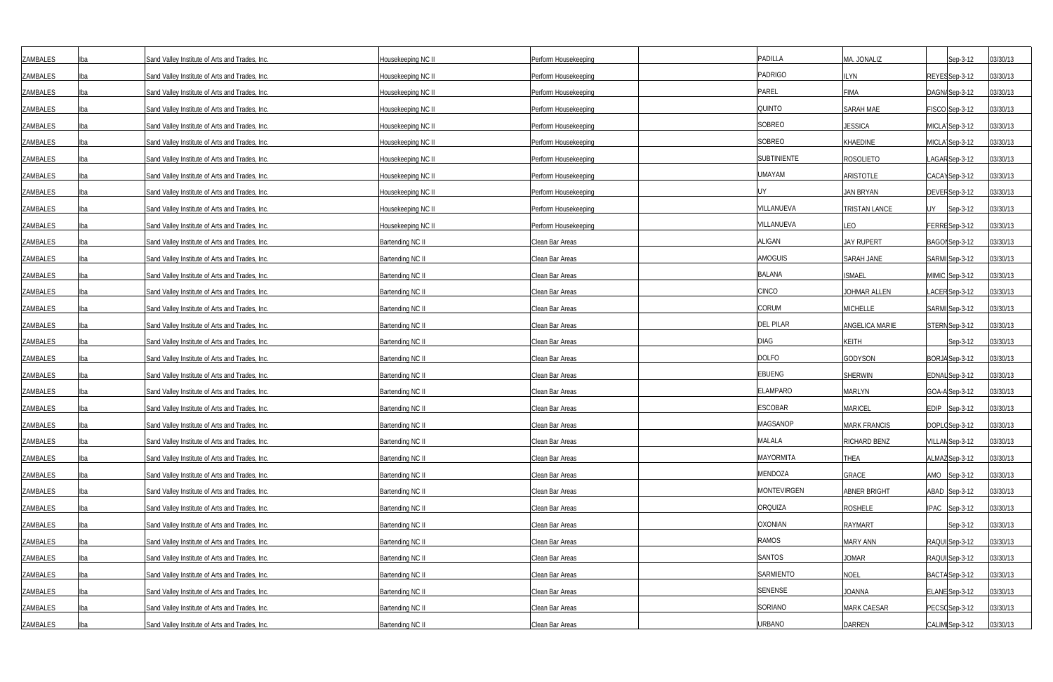| <b>ZAMBALES</b> | Iba | Sand Valley Institute of Arts and Trades, Inc. | Housekeeping NC II      | Perform Housekeeping | <b>PADILLA</b>     | MA. JONALIZ          | Sep-3-12        | 03/30/13 |
|-----------------|-----|------------------------------------------------|-------------------------|----------------------|--------------------|----------------------|-----------------|----------|
| <b>ZAMBALES</b> | Iba | Sand Valley Institute of Arts and Trades, Inc. | Housekeeping NC II      | Perform Housekeeping | <b>PADRIGO</b>     | LYN                  | REYES Sep-3-12  | 03/30/13 |
| <b>ZAMBALES</b> | lba | Sand Valley Institute of Arts and Trades, Inc. | Housekeeping NC II      | Perform Housekeeping | <b>PAREL</b>       | <b>FIMA</b>          | DAGN Sep-3-12   | 03/30/13 |
| <b>ZAMBALES</b> | Iba | Sand Valley Institute of Arts and Trades, Inc. | Housekeeping NC II      | Perform Housekeeping | <b>QUINTO</b>      | SARAH MAE            | FISCO Sep-3-12  | 03/30/13 |
| <b>ZAMBALES</b> | lba | Sand Valley Institute of Arts and Trades, Inc. | Housekeeping NC II      | Perform Housekeeping | <b>SOBREO</b>      | <b>JESSICA</b>       | MICLA Sep-3-12  | 03/30/13 |
| <b>ZAMBALES</b> | Iba | Sand Valley Institute of Arts and Trades, Inc. | Housekeeping NC II      | Perform Housekeeping | <b>SOBREO</b>      | KHAEDINE             | MICLA Sep-3-12  | 03/30/13 |
| <b>ZAMBALES</b> | Iba | Sand Valley Institute of Arts and Trades, Inc. | Housekeeping NC II      | Perform Housekeeping | <b>SUBTINIENTE</b> | <b>ROSOLIETO</b>     | LAGAR Sep-3-12  | 03/30/13 |
| <b>ZAMBALES</b> | Iba | Sand Valley Institute of Arts and Trades, Inc. | Housekeeping NC II      | Perform Housekeeping | <b>UMAYAM</b>      | ARISTOTLE            | CACA\Sep-3-12   | 03/30/13 |
| <b>ZAMBALES</b> | Iba | Sand Valley Institute of Arts and Trades, Inc. | Housekeeping NC II      | Perform Housekeeping | JY                 | <b>JAN BRYAN</b>     | DEVERSep-3-12   | 03/30/13 |
| <b>ZAMBALES</b> | Iba | Sand Valley Institute of Arts and Trades, Inc. | Housekeeping NC II      | Perform Housekeeping | <b>VILLANUEVA</b>  | <b>TRISTAN LANCE</b> | UY<br>Sep-3-12  | 03/30/13 |
| <b>ZAMBALES</b> | Iba | Sand Valley Institute of Arts and Trades, Inc. | Housekeeping NC II      | Perform Housekeeping | <b>VILLANUEVA</b>  | LEO                  | FERRESep-3-12   | 03/30/13 |
| <b>ZAMBALES</b> | Iba | Sand Valley Institute of Arts and Trades, Inc. | Bartending NC II        | Clean Bar Areas      | <b>ALIGAN</b>      | <b>JAY RUPERT</b>    | BAGOI Sep-3-12  | 03/30/13 |
| <b>ZAMBALES</b> | Iba | Sand Valley Institute of Arts and Trades, Inc. | Bartending NC II        | Clean Bar Areas      | <b>AMOGUIS</b>     | SARAH JANE           | SARMI Sep-3-12  | 03/30/13 |
| <b>ZAMBALES</b> | Iba | Sand Valley Institute of Arts and Trades, Inc. | <b>Bartending NC II</b> | Clean Bar Areas      | <b>BALANA</b>      | <b>ISMAEL</b>        | MIMIC Sep-3-12  | 03/30/13 |
| <b>ZAMBALES</b> | Iba | Sand Valley Institute of Arts and Trades, Inc. | Bartending NC II        | Clean Bar Areas      | <b>CINCO</b>       | <b>JOHMAR ALLEN</b>  | LACER Sep-3-12  | 03/30/13 |
| <b>ZAMBALES</b> | lba | Sand Valley Institute of Arts and Trades, Inc. | Bartending NC II        | Clean Bar Areas      | <b>CORUM</b>       | <b>MICHELLE</b>      | SARM Sep-3-12   | 03/30/13 |
| <b>ZAMBALES</b> | lba | Sand Valley Institute of Arts and Trades, Inc. | Bartending NC II        | Clean Bar Areas      | <b>DEL PILAR</b>   | ANGELICA MARIE       | STERN Sep-3-12  | 03/30/13 |
| <b>ZAMBALES</b> | Iba | Sand Valley Institute of Arts and Trades, Inc. | Bartending NC II        | Clean Bar Areas      | <b>DIAG</b>        | KEITH                | Sep-3-12        | 03/30/13 |
| <b>ZAMBALES</b> | Iba | Sand Valley Institute of Arts and Trades, Inc. | Bartending NC II        | Clean Bar Areas      | <b>DOLFO</b>       | <b>GODYSON</b>       | BORJA Sep-3-12  | 03/30/13 |
| <b>ZAMBALES</b> | Iba | Sand Valley Institute of Arts and Trades, Inc. | Bartending NC II        | Clean Bar Areas      | <b>EBUENG</b>      | <b>SHERWIN</b>       | EDNAL Sep-3-12  | 03/30/13 |
| <b>ZAMBALES</b> | Iba | Sand Valley Institute of Arts and Trades, Inc. | Bartending NC II        | Clean Bar Areas      | <b>ELAMPARO</b>    | <b>MARLYN</b>        | GOA-A Sep-3-12  | 03/30/13 |
| <b>ZAMBALES</b> | Iba | Sand Valley Institute of Arts and Trades, Inc. | <b>Bartending NC II</b> | Clean Bar Areas      | <b>ESCOBAR</b>     | <b>MARICEL</b>       | $EDIP$ Sep-3-12 | 03/30/13 |
| <b>ZAMBALES</b> |     | Sand Valley Institute of Arts and Trades, Inc. | Bartending NC II        | Clean Bar Areas      | <b>MAGSANOP</b>    | <b>MARK FRANCIS</b>  | DOPLOSep-3-12   | 03/30/13 |
| <b>ZAMBALES</b> | Iba | Sand Valley Institute of Arts and Trades, Inc. | Bartending NC II        | Clean Bar Areas      | <b>MALALA</b>      | RICHARD BENZ         | VILLAN Sep-3-12 | 03/30/13 |
| <b>ZAMBALES</b> | lba | Sand Valley Institute of Arts and Trades, Inc. | Bartending NC II        | Clean Bar Areas      | <b>MAYORMITA</b>   | <b>THEA</b>          | ALMAZ Sep-3-12  | 03/30/13 |
| <b>ZAMBALES</b> | lba | Sand Valley Institute of Arts and Trades, Inc. | Bartending NC II        | Clean Bar Areas      | <b>MENDOZA</b>     | <b>GRACE</b>         | AMO Sep-3-12    | 03/30/13 |
| <b>ZAMBALES</b> | Iba | Sand Valley Institute of Arts and Trades, Inc. | Bartending NC II        | Clean Bar Areas      | <b>MONTEVIRGEN</b> | <b>ABNER BRIGHT</b>  | ABAD Sep-3-12   | 03/30/13 |
| <b>ZAMBALES</b> | Iba | Sand Valley Institute of Arts and Trades, Inc. | Bartending NC II        | Clean Bar Areas      | <b>ORQUIZA</b>     | <b>ROSHELE</b>       | IPAC Sep-3-12   | 03/30/13 |
| <b>ZAMBALES</b> | lba | Sand Valley Institute of Arts and Trades, Inc. | Bartending NC II        | Clean Bar Areas      | <b>OXONIAN</b>     | <b>RAYMART</b>       | Sep-3-12        | 03/30/13 |
| <b>ZAMBALES</b> | lba | Sand Valley Institute of Arts and Trades, Inc. | Bartending NC II        | Clean Bar Areas      | <b>RAMOS</b>       | <b>MARY ANN</b>      | RAQUISep-3-12   | 03/30/13 |
| <b>ZAMBALES</b> | lba | Sand Valley Institute of Arts and Trades, Inc. | Bartending NC II        | Clean Bar Areas      | <b>SANTOS</b>      | <b>JOMAR</b>         | RAQUISep-3-12   | 03/30/13 |
| <b>ZAMBALES</b> |     | Sand Valley Institute of Arts and Trades, Inc. | Bartending NC II        | Clean Bar Areas      | <b>SARMIENTO</b>   | <b>NOEL</b>          | BACTA Sep-3-12  | 03/30/13 |
| <b>ZAMBALES</b> | Iba | Sand Valley Institute of Arts and Trades, Inc. | Bartending NC II        | Clean Bar Areas      | <b>SENENSE</b>     | <b>JOANNA</b>        | ELANE Sep-3-12  | 03/30/13 |
| <b>ZAMBALES</b> | lba | Sand Valley Institute of Arts and Trades, Inc. | Bartending NC II        | Clean Bar Areas      | <b>SORIANO</b>     | <b>MARK CAESAR</b>   | PECS (Sep-3-12  | 03/30/13 |
| <b>ZAMBALES</b> |     | Sand Valley Institute of Arts and Trades, Inc. | Bartending NC II        | Clean Bar Areas      | <b>URBANO</b>      | <b>DARREN</b>        | CALIM Sep-3-12  | 03/30/13 |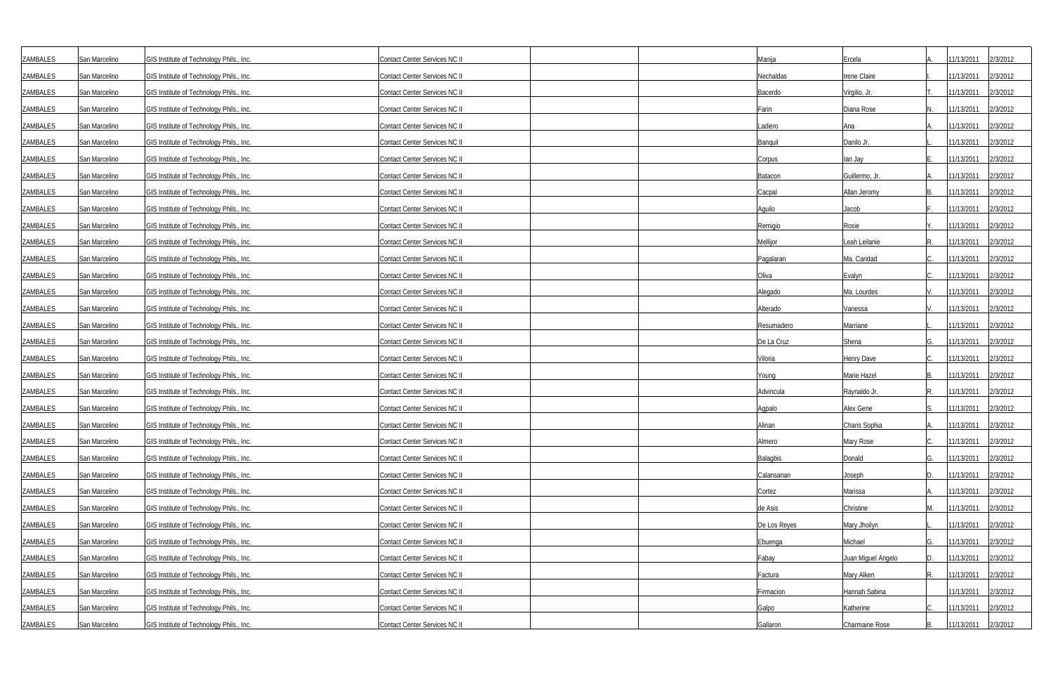| <b>ZAMBALES</b> | San Marcelino | GIS Institute of Technology Phils., Inc. | Contact Center Services NC II |  | Manija           | Ercela             |    | 11/13/2011 | 2/3/2012 |
|-----------------|---------------|------------------------------------------|-------------------------------|--|------------------|--------------------|----|------------|----------|
| <b>ZAMBALES</b> | San Marcelino | GIS Institute of Technology Phils., Inc. | Contact Center Services NC II |  | <b>Nechaldas</b> | Irene Claire       |    | 11/13/2011 | 2/3/2012 |
| <b>ZAMBALES</b> | San Marcelino | GIS Institute of Technology Phils., Inc. | Contact Center Services NC II |  | Bacerdo          | Virgilio, Jr.      |    | 11/13/2011 | 2/3/2012 |
| <b>ZAMBALES</b> | San Marcelino | GIS Institute of Technology Phils., Inc. | Contact Center Services NC II |  | Farin            | Diana Rose         |    | 11/13/2011 | 2/3/2012 |
| <b>ZAMBALES</b> | San Marcelino | GIS Institute of Technology Phils., Inc. | Contact Center Services NC II |  | Ladiero          | Ana                |    | 11/13/2011 | 2/3/2012 |
| <b>ZAMBALES</b> | San Marcelino | GIS Institute of Technology Phils., Inc. | Contact Center Services NC II |  | Banquil          | Danilo Jr.         |    | 11/13/2011 | 2/3/2012 |
| <b>ZAMBALES</b> | San Marcelino | GIS Institute of Technology Phils., Inc. | Contact Center Services NC II |  | Corpus           | lan Jay            |    | 11/13/2011 | 2/3/2012 |
| <b>ZAMBALES</b> | San Marcelino | GIS Institute of Technology Phils., Inc. | Contact Center Services NC II |  | <b>Batacon</b>   | Guillermo, Jr.     |    | 11/13/2011 | 2/3/2012 |
| <b>ZAMBALES</b> | San Marcelino | GIS Institute of Technology Phils., Inc. | Contact Center Services NC II |  | Cacpal           | Allan Jeromy       |    | 11/13/2011 | 2/3/2012 |
| <b>ZAMBALES</b> | San Marcelino | GIS Institute of Technology Phils., Inc. | Contact Center Services NC II |  | Aquilo           | Jacob              |    | 11/13/2011 | 2/3/2012 |
| <b>ZAMBALES</b> | San Marcelino | GIS Institute of Technology Phils., Inc. | Contact Center Services NC II |  | Remigio          | Rosie              |    | 11/13/2011 | 2/3/2012 |
| <b>ZAMBALES</b> | San Marcelino | GIS Institute of Technology Phils., Inc. | Contact Center Services NC II |  | Mellijor         | Leah Leilanie      |    | 11/13/2011 | 2/3/2012 |
| <b>ZAMBALES</b> | San Marcelino | GIS Institute of Technology Phils., Inc. | Contact Center Services NC II |  | Pagalaran        | Ma. Caridad        |    | 11/13/2011 | 2/3/2012 |
| <b>ZAMBALES</b> | San Marcelino | GIS Institute of Technology Phils., Inc. | Contact Center Services NC II |  | Oliva            | Evalyn             |    | 11/13/2011 | 2/3/2012 |
| <b>ZAMBALES</b> | San Marcelino | GIS Institute of Technology Phils., Inc. | Contact Center Services NC II |  | Alegado          | Ma. Lourdes        |    | 11/13/2011 | 2/3/2012 |
| <b>ZAMBALES</b> | San Marcelino | GIS Institute of Technology Phils., Inc. | Contact Center Services NC II |  | Alterado         | Vanessa            |    | 11/13/2011 | 2/3/2012 |
| <b>ZAMBALES</b> | San Marcelino | GIS Institute of Technology Phils., Inc. | Contact Center Services NC II |  | Resumadero       | Marriane           |    | 11/13/2011 | 2/3/2012 |
| <b>ZAMBALES</b> | San Marcelino | GIS Institute of Technology Phils., Inc. | Contact Center Services NC II |  | De La Cruz       | Shena              |    | 11/13/2011 | 2/3/2012 |
| <b>ZAMBALES</b> | San Marcelino | GIS Institute of Technology Phils., Inc. | Contact Center Services NC II |  | Viloria          | <b>Henry Dave</b>  |    | 11/13/2011 | 2/3/2012 |
| <b>ZAMBALES</b> | San Marcelino | GIS Institute of Technology Phils., Inc. | Contact Center Services NC II |  | Young            | Marie Hazel        |    | 11/13/2011 | 2/3/2012 |
| <b>ZAMBALES</b> | San Marcelino | GIS Institute of Technology Phils., Inc. | Contact Center Services NC II |  | Advincula        | Raynaldo Jr.       |    | 11/13/2011 | 2/3/2012 |
| <b>ZAMBALES</b> | San Marcelino | GIS Institute of Technology Phils., Inc. | Contact Center Services NC II |  | Agpalo           | Alex Gene          |    | 11/13/2011 | 2/3/2012 |
| <b>ZAMBALES</b> | San Marcelino | GIS Institute of Technology Phils., Inc. | Contact Center Services NC II |  | Alinan           | Charis Sophia      |    | 11/13/2011 | 2/3/2012 |
| <b>ZAMBALES</b> | San Marcelino | GIS Institute of Technology Phils., Inc. | Contact Center Services NC II |  | Almero           | Mary Rose          |    | 11/13/2011 | 2/3/2012 |
| <b>ZAMBALES</b> | San Marcelino | GIS Institute of Technology Phils., Inc. | Contact Center Services NC II |  | <b>Balagbis</b>  | Donald             |    | 11/13/2011 | 2/3/2012 |
| <b>ZAMBALES</b> | San Marcelino | GIS Institute of Technology Phils., Inc. | Contact Center Services NC II |  | Calansanan       | Joseph             |    | 11/13/2011 | 2/3/2012 |
| <b>ZAMBALES</b> | San Marcelino | GIS Institute of Technology Phils., Inc. | Contact Center Services NC II |  | Cortez           | Marissa            |    | 11/13/2011 | 2/3/2012 |
| <b>ZAMBALES</b> | San Marcelino | GIS Institute of Technology Phils., Inc. | Contact Center Services NC II |  | de Asis          | Christine          |    | 11/13/2011 | 2/3/2012 |
| <b>ZAMBALES</b> | San Marcelino | GIS Institute of Technology Phils., Inc. | Contact Center Services NC II |  | De Los Reyes     | Mary Jhoilyn       |    | 11/13/2011 | 2/3/2012 |
| <b>ZAMBALES</b> | San Marcelino | GIS Institute of Technology Phils., Inc. | Contact Center Services NC II |  | Ebuenga          | Michael            | G. | 11/13/2011 | 2/3/2012 |
| <b>ZAMBALES</b> | San Marcelino | GIS Institute of Technology Phils., Inc. | Contact Center Services NC II |  | Fabay            | Juan Miguel Angelo |    | 11/13/2011 | 2/3/2012 |
| <b>ZAMBALES</b> | San Marcelino | GIS Institute of Technology Phils., Inc. | Contact Center Services NC II |  | Factura          | Mary Alken         |    | 11/13/2011 | 2/3/2012 |
| <b>ZAMBALES</b> | San Marcelino | GIS Institute of Technology Phils., Inc. | Contact Center Services NC II |  | <b>Firmacion</b> | Hannah Sabina      |    | 11/13/2011 | 2/3/2012 |
| <b>ZAMBALES</b> | San Marcelino | GIS Institute of Technology Phils., Inc. | Contact Center Services NC II |  | Galpo            | Katherine          |    | 11/13/2011 | 2/3/2012 |
| <b>ZAMBALES</b> | San Marcelino | GIS Institute of Technology Phils., Inc. | Contact Center Services NC II |  | Gallaron         | Charmaine Rose     |    | 11/13/2011 | 2/3/2012 |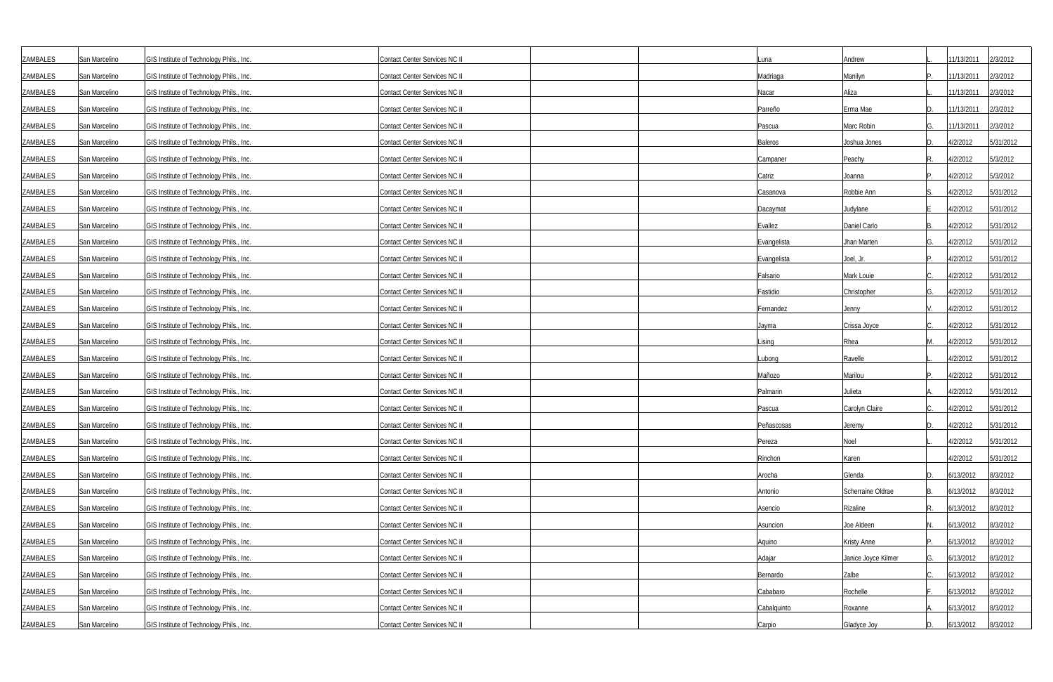| <b>ZAMBALES</b> | San Marcelino | GIS Institute of Technology Phils., Inc. | Contact Center Services NC II | una            | Andrew              |          | 11/13/2011 | 2/3/2012  |
|-----------------|---------------|------------------------------------------|-------------------------------|----------------|---------------------|----------|------------|-----------|
| <b>ZAMBALES</b> | San Marcelino | GIS Institute of Technology Phils., Inc. | Contact Center Services NC II | Madriaga       | Manilyn             |          | 11/13/2011 | 2/3/2012  |
| <b>ZAMBALES</b> | San Marcelino | GIS Institute of Technology Phils., Inc. | Contact Center Services NC II | Nacar          | Aliza               |          | 11/13/2011 | 2/3/2012  |
| <b>ZAMBALES</b> | San Marcelino | GIS Institute of Technology Phils., Inc. | Contact Center Services NC II | Parreño        | Erma Mae            |          | 11/13/2011 | 2/3/2012  |
| <b>ZAMBALES</b> | San Marcelino | GIS Institute of Technology Phils., Inc. | Contact Center Services NC II | Pascua         | Marc Robin          | G.       | 11/13/2011 | 2/3/2012  |
| <b>ZAMBALES</b> | San Marcelino | GIS Institute of Technology Phils., Inc. | Contact Center Services NC II | <b>Baleros</b> | Joshua Jones        | ID       | 4/2/2012   | 5/31/2012 |
| <b>ZAMBALES</b> | San Marcelino | GIS Institute of Technology Phils., Inc. | Contact Center Services NC II | Campaner       | Peachy              | R        | 4/2/2012   | 5/3/2012  |
| <b>ZAMBALES</b> | San Marcelino | GIS Institute of Technology Phils., Inc. | Contact Center Services NC II | Catriz         | Joanna              | P        | 4/2/2012   | 5/3/2012  |
| <b>ZAMBALES</b> | San Marcelino | GIS Institute of Technology Phils., Inc. | Contact Center Services NC II | Casanova       | Robbie Ann          | S        | 4/2/2012   | 5/31/2012 |
| <b>ZAMBALES</b> | San Marcelino | GIS Institute of Technology Phils., Inc. | Contact Center Services NC II | Dacaymat       | Judylane            |          | 4/2/2012   | 5/31/2012 |
| <b>ZAMBALES</b> | San Marcelino | GIS Institute of Technology Phils., Inc. | Contact Center Services NC II | <b>Evallez</b> | Daniel Carlo        | <b>B</b> | 4/2/2012   | 5/31/2012 |
| <b>ZAMBALES</b> | San Marcelino | GIS Institute of Technology Phils., Inc. | Contact Center Services NC II | Evangelista    | Jhan Marten         |          | 4/2/2012   | 5/31/2012 |
| <b>ZAMBALES</b> | San Marcelino | GIS Institute of Technology Phils., Inc. | Contact Center Services NC II | Evangelista    | Joel, Jr.           | D        | 4/2/2012   | 5/31/2012 |
| <b>ZAMBALES</b> | San Marcelino | GIS Institute of Technology Phils., Inc. | Contact Center Services NC II | Falsario       | Mark Louie          |          | 4/2/2012   | 5/31/2012 |
| <b>ZAMBALES</b> | San Marcelino | GIS Institute of Technology Phils., Inc. | Contact Center Services NC II | Fastidio       | Christopher         | G        | 4/2/2012   | 5/31/2012 |
| <b>ZAMBALES</b> | San Marcelino | GIS Institute of Technology Phils., Inc. | Contact Center Services NC II | Fernandez      | Jenny               |          | 4/2/2012   | 5/31/2012 |
| <b>ZAMBALES</b> | San Marcelino | GIS Institute of Technology Phils., Inc. | Contact Center Services NC II | Jayma          | Crissa Joyce        |          | 4/2/2012   | 5/31/2012 |
| <b>ZAMBALES</b> | San Marcelino | GIS Institute of Technology Phils., Inc. | Contact Center Services NC II | Lising         | Rhea                | M        | 4/2/2012   | 5/31/2012 |
| <b>ZAMBALES</b> | San Marcelino | GIS Institute of Technology Phils., Inc. | Contact Center Services NC II | Lubong         | Ravelle             |          | 4/2/2012   | 5/31/2012 |
| <b>ZAMBALES</b> | San Marcelino | GIS Institute of Technology Phils., Inc. | Contact Center Services NC II | Mañozo         | Marilou             |          | 4/2/2012   | 5/31/2012 |
| <b>ZAMBALES</b> | San Marcelino | GIS Institute of Technology Phils., Inc. | Contact Center Services NC II | Palmarin       | Julieta             |          | 4/2/2012   | 5/31/2012 |
| <b>ZAMBALES</b> | San Marcelino | GIS Institute of Technology Phils., Inc. | Contact Center Services NC II | Pascua         | Carolyn Claire      |          | 4/2/2012   | 5/31/2012 |
| <b>ZAMBALES</b> | San Marcelino | GIS Institute of Technology Phils., Inc. | Contact Center Services NC II | Peñascosas     | Jeremy              |          | 4/2/2012   | 5/31/2012 |
| <b>ZAMBALES</b> | San Marcelino | GIS Institute of Technology Phils., Inc. | Contact Center Services NC II | Pereza         | Noel                |          | 4/2/2012   | 5/31/2012 |
| <b>ZAMBALES</b> | San Marcelino | GIS Institute of Technology Phils., Inc. | Contact Center Services NC II | Rinchon        | Karen               |          | 4/2/2012   | 5/31/2012 |
| <b>ZAMBALES</b> | San Marcelino | GIS Institute of Technology Phils., Inc. | Contact Center Services NC II | Arocha         | Glenda              | חו       | 6/13/2012  | 8/3/2012  |
| <b>ZAMBALES</b> | San Marcelino | GIS Institute of Technology Phils., Inc. | Contact Center Services NC II | Antonio        | Scherraine Oldrae   |          | 6/13/2012  | 8/3/2012  |
| <b>ZAMBALES</b> | San Marcelino | GIS Institute of Technology Phils., Inc. | Contact Center Services NC II | Asencio        | <b>Rizaline</b>     | R        | 6/13/2012  | 8/3/2012  |
| <b>ZAMBALES</b> | San Marcelino | GIS Institute of Technology Phils., Inc. | Contact Center Services NC II | Asuncion       | Joe Aldeen          |          | 6/13/2012  | 8/3/2012  |
| <b>ZAMBALES</b> | San Marcelino | GIS Institute of Technology Phils., Inc. | Contact Center Services NC II | Aquino         | Kristy Anne         | P        | 6/13/2012  | 8/3/2012  |
| <b>ZAMBALES</b> | San Marcelino | GIS Institute of Technology Phils., Inc. | Contact Center Services NC II | Adajar         | Janice Joyce Kilmer |          | 6/13/2012  | 8/3/2012  |
| <b>ZAMBALES</b> | San Marcelino | GIS Institute of Technology Phils., Inc. | Contact Center Services NC II | Bernardo       | Zalbe               |          | 6/13/2012  | 8/3/2012  |
| <b>ZAMBALES</b> | San Marcelino | GIS Institute of Technology Phils., Inc. | Contact Center Services NC II | Cababaro       | Rochelle            |          | 6/13/2012  | 8/3/2012  |
| <b>ZAMBALES</b> | San Marcelino | GIS Institute of Technology Phils., Inc. | Contact Center Services NC II | Cabalquinto    | Roxanne             |          | 6/13/2012  | 8/3/2012  |
| <b>ZAMBALES</b> | San Marcelino | GIS Institute of Technology Phils., Inc. | Contact Center Services NC II | Carpio         | Gladyce Joy         |          | 6/13/2012  | 8/3/2012  |
|                 |               |                                          |                               |                |                     |          |            |           |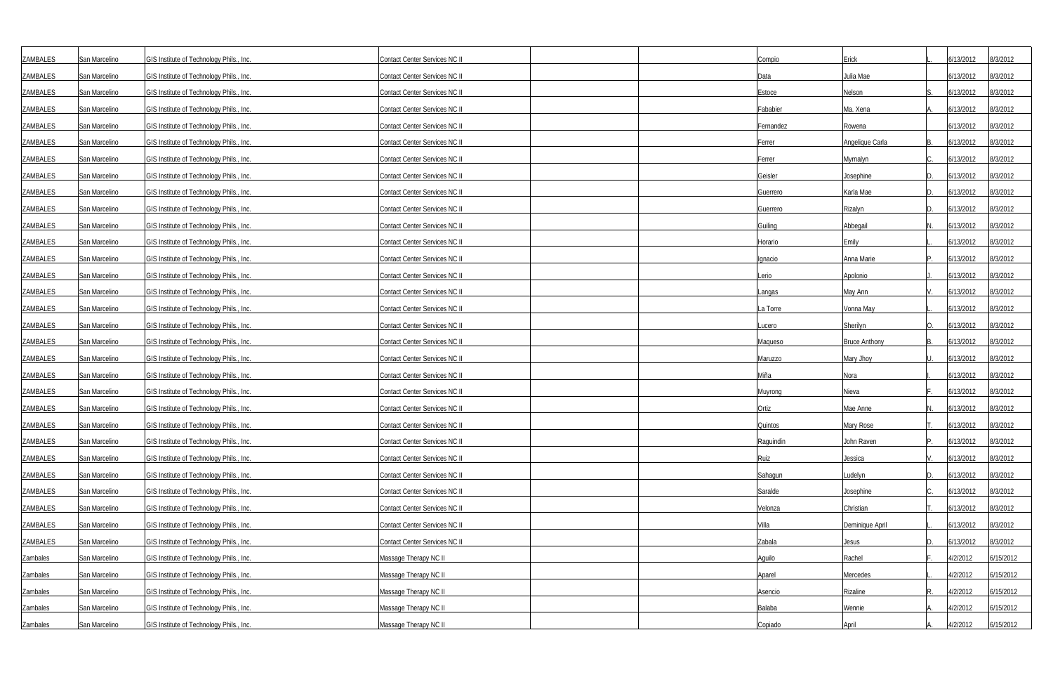| <b>ZAMBALES</b> | San Marcelino | GIS Institute of Technology Phils., Inc. | Contact Center Services NC II | Compio        | Erick                |          | 6/13/2012 | 8/3/2012  |
|-----------------|---------------|------------------------------------------|-------------------------------|---------------|----------------------|----------|-----------|-----------|
| <b>ZAMBALES</b> | San Marcelino | GIS Institute of Technology Phils., Inc. | Contact Center Services NC II | Data          | Julia Mae            |          | 6/13/2012 | 8/3/2012  |
| <b>ZAMBALES</b> | San Marcelino | GIS Institute of Technology Phils., Inc. | Contact Center Services NC II | <b>Estoce</b> | Nelson               | IS.      | 6/13/2012 | 8/3/2012  |
| <b>ZAMBALES</b> | San Marcelino | GIS Institute of Technology Phils., Inc. | Contact Center Services NC II | Fababier      | Ma. Xena             |          | 6/13/2012 | 8/3/2012  |
| <b>ZAMBALES</b> | San Marcelino | GIS Institute of Technology Phils., Inc. | Contact Center Services NC II | Fernandez     | Rowena               |          | 6/13/2012 | 8/3/2012  |
| <b>ZAMBALES</b> | San Marcelino | GIS Institute of Technology Phils., Inc. | Contact Center Services NC II | Ferrer        | Angelique Carla      | <b>B</b> | 6/13/2012 | 8/3/2012  |
| <b>ZAMBALES</b> | San Marcelino | GIS Institute of Technology Phils., Inc. | Contact Center Services NC II | Ferrer        | Mymalyn              |          | 6/13/2012 | 8/3/2012  |
| <b>ZAMBALES</b> | San Marcelino | GIS Institute of Technology Phils., Inc. | Contact Center Services NC II | Geisler       | Josephine            | חו       | 6/13/2012 | 8/3/2012  |
| <b>ZAMBALES</b> | San Marcelino | GIS Institute of Technology Phils., Inc. | Contact Center Services NC II | Guerrero      | Karla Mae            | ID.      | 6/13/2012 | 8/3/2012  |
| <b>ZAMBALES</b> | San Marcelino | GIS Institute of Technology Phils., Inc. | Contact Center Services NC II | Guerrero      | Rizalyn              |          | 6/13/2012 | 8/3/2012  |
| <b>ZAMBALES</b> | San Marcelino | GIS Institute of Technology Phils., Inc. | Contact Center Services NC II | Guiling       | Abbegail             | IN.      | 6/13/2012 | 8/3/2012  |
| <b>ZAMBALES</b> | San Marcelino | GIS Institute of Technology Phils., Inc. | Contact Center Services NC II | Horario       | Emily                |          | 6/13/2012 | 8/3/2012  |
| <b>ZAMBALES</b> | San Marcelino | GIS Institute of Technology Phils., Inc. | Contact Center Services NC II | Ignacio       | <b>Anna Marie</b>    | P        | 6/13/2012 | 8/3/2012  |
| <b>ZAMBALES</b> | San Marcelino | GIS Institute of Technology Phils., Inc. | Contact Center Services NC II | Lerio         | Apolonio             |          | 6/13/2012 | 8/3/2012  |
| <b>ZAMBALES</b> | San Marcelino | GIS Institute of Technology Phils., Inc. | Contact Center Services NC II | Langas        | May Ann              |          | 6/13/2012 | 8/3/2012  |
| <b>ZAMBALES</b> | San Marcelino | GIS Institute of Technology Phils., Inc. | Contact Center Services NC II | La Torre      | Vonna May            |          | 6/13/2012 | 8/3/2012  |
| <b>ZAMBALES</b> | San Marcelino | GIS Institute of Technology Phils., Inc. | Contact Center Services NC II | ucero         | Sherilyn             | $\Omega$ | 6/13/2012 | 8/3/2012  |
| <b>ZAMBALES</b> | San Marcelino | GIS Institute of Technology Phils., Inc. | Contact Center Services NC II | Maqueso       | <b>Bruce Anthony</b> |          | 6/13/2012 | 8/3/2012  |
| <b>ZAMBALES</b> | San Marcelino | GIS Institute of Technology Phils., Inc. | Contact Center Services NC II | Maruzzo       | Mary Jhoy            |          | 6/13/2012 | 8/3/2012  |
| <b>ZAMBALES</b> | San Marcelino | GIS Institute of Technology Phils., Inc. | Contact Center Services NC II | Miña          | Nora                 |          | 6/13/2012 | 8/3/2012  |
| <b>ZAMBALES</b> | San Marcelino | GIS Institute of Technology Phils., Inc. | Contact Center Services NC II | Muyrong       | Nieva                |          | 6/13/2012 | 8/3/2012  |
| <b>ZAMBALES</b> | San Marcelino | GIS Institute of Technology Phils., Inc. | Contact Center Services NC II | Ortiz         | Mae Anne             | IN.      | 6/13/2012 | 8/3/2012  |
| <b>ZAMBALES</b> | San Marcelino | GIS Institute of Technology Phils., Inc. | Contact Center Services NC II | Quintos       | Mary Rose            |          | 6/13/2012 | 8/3/2012  |
| <b>ZAMBALES</b> | San Marcelino | GIS Institute of Technology Phils., Inc. | Contact Center Services NC II | Raguindin     | John Raven           | P        | 6/13/2012 | 8/3/2012  |
| <b>ZAMBALES</b> | San Marcelino | GIS Institute of Technology Phils., Inc. | Contact Center Services NC II | Ruiz          | Jessica              |          | 6/13/2012 | 8/3/2012  |
| <b>ZAMBALES</b> | San Marcelino | GIS Institute of Technology Phils., Inc. | Contact Center Services NC II | Sahagun       | Ludelyn              | D        | 6/13/2012 | 8/3/2012  |
| <b>ZAMBALES</b> | San Marcelino | GIS Institute of Technology Phils., Inc. | Contact Center Services NC II | Saralde       | Josephine            |          | 6/13/2012 | 8/3/2012  |
| <b>ZAMBALES</b> | San Marcelino | GIS Institute of Technology Phils., Inc. | Contact Center Services NC II | Velonza       | Christian            |          | 6/13/2012 | 8/3/2012  |
| <b>ZAMBALES</b> | San Marcelino | GIS Institute of Technology Phils., Inc. | Contact Center Services NC II | Villa         | Deminique April      |          | 6/13/2012 | 8/3/2012  |
| <b>ZAMBALES</b> | San Marcelino | GIS Institute of Technology Phils., Inc. | Contact Center Services NC II | Zabala        | Jesus                | D.       | 6/13/2012 | 8/3/2012  |
| <b>Zambales</b> | San Marcelino | GIS Institute of Technology Phils., Inc. | Massage Therapy NC II         | Aguilo        | Rachel               |          | 4/2/2012  | 6/15/2012 |
| Zambales        | San Marcelino | GIS Institute of Technology Phils., Inc. | Massage Therapy NC II         | Aparel        | Mercedes             |          | 4/2/2012  | 6/15/2012 |
| <b>Zambales</b> | San Marcelino | GIS Institute of Technology Phils., Inc. | Massage Therapy NC II         | Asencio       | Rizaline             | IR       | 4/2/2012  | 6/15/2012 |
| Zambales        | San Marcelino | GIS Institute of Technology Phils., Inc. | Massage Therapy NC II         | <b>Balaba</b> | Wennie               |          | 4/2/2012  | 6/15/2012 |
| <b>Zambales</b> | San Marcelino | GIS Institute of Technology Phils., Inc. | Massage Therapy NC II         | Copiado       | April                |          | 4/2/2012  | 6/15/2012 |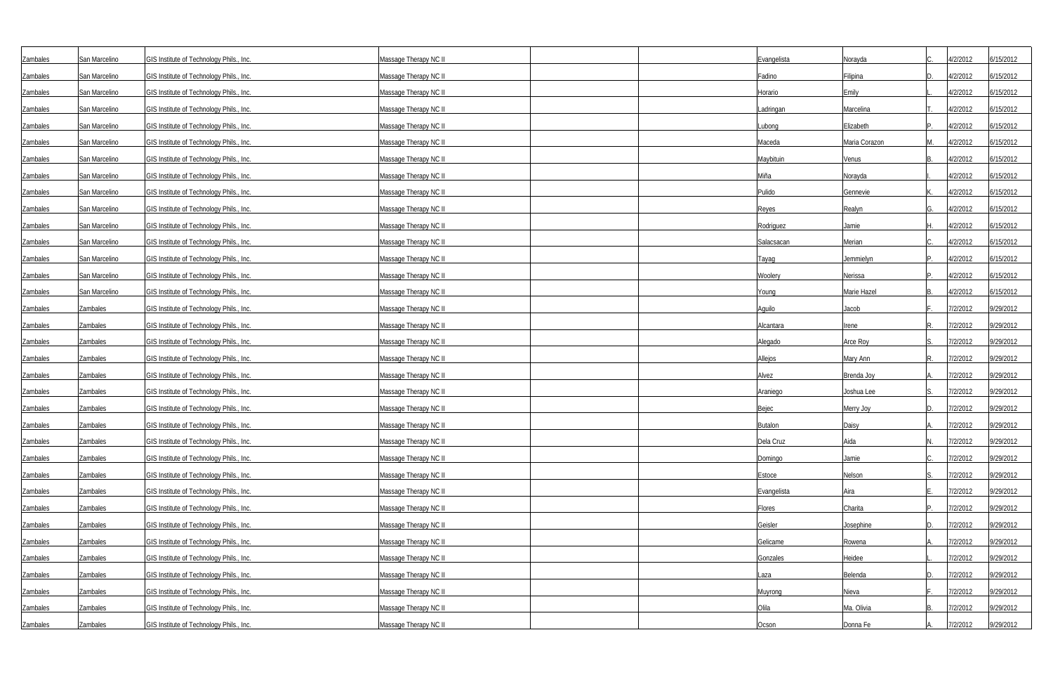| <b>Zambales</b> | San Marcelino   | GIS Institute of Technology Phils., Inc. | Massage Therapy NC II | Evangelista   | Norayda       | $\cap$   | 4/2/2012 | 6/15/2012 |
|-----------------|-----------------|------------------------------------------|-----------------------|---------------|---------------|----------|----------|-----------|
| <b>Zambales</b> | San Marcelino   | GIS Institute of Technology Phils., Inc. | Massage Therapy NC II | Fadino        | Filipina      | ID.      | 4/2/2012 | 6/15/2012 |
| Zambales        | San Marcelino   | GIS Institute of Technology Phils., Inc. | Massage Therapy NC II | Horario       | Emily         |          | 4/2/2012 | 6/15/2012 |
| <b>Zambales</b> | San Marcelino   | GIS Institute of Technology Phils., Inc. | Massage Therapy NC II | Ladringan     | Marcelina     |          | 4/2/2012 | 6/15/2012 |
| Zambales        | San Marcelino   | GIS Institute of Technology Phils., Inc. | Massage Therapy NC II | Lubong        | Elizabeth     | P        | 4/2/2012 | 6/15/2012 |
| <b>Zambales</b> | San Marcelino   | GIS Institute of Technology Phils., Inc. | Massage Therapy NC II | Maceda        | Maria Corazon | IM.      | 4/2/2012 | 6/15/2012 |
| Zambales        | San Marcelino   | GIS Institute of Technology Phils., Inc. | Massage Therapy NC II | Maybituin     | Venus         | B.       | 4/2/2012 | 6/15/2012 |
| <b>Zambales</b> | San Marcelino   | GIS Institute of Technology Phils., Inc. | Massage Therapy NC II | Mña           | Norayda       |          | 4/2/2012 | 6/15/2012 |
| Zambales        | San Marcelino   | GIS Institute of Technology Phils., Inc. | Massage Therapy NC II | Pulido        | Gennevie      |          | 4/2/2012 | 6/15/2012 |
| <b>Zambales</b> | San Marcelino   | GIS Institute of Technology Phils., Inc. | Massage Therapy NC II | <b>Reyes</b>  | Realyn        | G.       | 4/2/2012 | 6/15/2012 |
| <b>Zambales</b> | San Marcelino   | GIS Institute of Technology Phils., Inc. | Massage Therapy NC II | Rodriguez     | Jamie         | н        | 4/2/2012 | 6/15/2012 |
| <b>Zambales</b> | San Marcelino   | GIS Institute of Technology Phils., Inc. | Massage Therapy NC II | Salacsacan    | Merian        |          | 4/2/2012 | 6/15/2012 |
| <b>Zambales</b> | San Marcelino   | GIS Institute of Technology Phils., Inc. | Massage Therapy NC II | Tayag         | Jemmielyn     | P        | 4/2/2012 | 6/15/2012 |
| Zambales        | San Marcelino   | GIS Institute of Technology Phils., Inc. | Massage Therapy NC II | Woolery       | Nerissa       | Þ        | 4/2/2012 | 6/15/2012 |
| <b>Zambales</b> | San Marcelino   | GIS Institute of Technology Phils., Inc. | Massage Therapy NC II | Young         | Marie Hazel   | R        | 4/2/2012 | 6/15/2012 |
| Zambales        | Zambales        | GIS Institute of Technology Phils., Inc. | Massage Therapy NC II | Aguilo        | Jacob         | F        | 7/2/2012 | 9/29/2012 |
| <b>Zambales</b> | <b>Zambales</b> | GIS Institute of Technology Phils., Inc. | Massage Therapy NC II | Alcantara     | Irene         | R        | 7/2/2012 | 9/29/2012 |
| <b>Zambales</b> | Zambales        | GIS Institute of Technology Phils., Inc. | Massage Therapy NC II | Alegado       | Arce Roy      | lS.      | 7/2/2012 | 9/29/2012 |
| Zambales        | <b>Zambales</b> | GIS Institute of Technology Phils., Inc. | Massage Therapy NC II | Allejos       | Mary Ann      | R.       | 7/2/2012 | 9/29/2012 |
| <b>Zambales</b> | Zambales        | GIS Institute of Technology Phils., Inc. | Massage Therapy NC II | Alvez         | Brenda Joy    |          | 7/2/2012 | 9/29/2012 |
| Zambales        | <b>Zambales</b> | GIS Institute of Technology Phils., Inc. | Massage Therapy NC II | Araniego      | Joshua Lee    | l.S      | 7/2/2012 | 9/29/2012 |
| Zambales        | Zambales        | GIS Institute of Technology Phils., Inc. | Massage Therapy NC II | Bejec         | Merry Joy     | חו       | 7/2/2012 | 9/29/2012 |
| Zambales        | <b>Zambales</b> | GIS Institute of Technology Phils., Inc. | Massage Therapy NC II | Butalon       | Daisy         |          | 7/2/2012 | 9/29/2012 |
| Zambales        | Zambales        | GIS Institute of Technology Phils., Inc. | Massage Therapy NC II | Dela Cruz     | Aida          | IN.      | 7/2/2012 | 9/29/2012 |
| <b>Zambales</b> | <b>Zambales</b> | GIS Institute of Technology Phils., Inc. | Massage Therapy NC II | Domingo       | Jamie         |          | 7/2/2012 | 9/29/2012 |
| Zambales        | <b>Zambales</b> | GIS Institute of Technology Phils., Inc. | Massage Therapy NC II | Estoce        | Nelson        | IS.      | 7/2/2012 | 9/29/2012 |
| <b>Zambales</b> | <b>Zambales</b> | GIS Institute of Technology Phils., Inc. | Massage Therapy NC II | Evangelista   | Aira          |          | 7/2/2012 | 9/29/2012 |
| Zambales        | Zambales        | GIS Institute of Technology Phils., Inc. | Massage Therapy NC II | <b>Flores</b> | Charita       | P        | 7/2/2012 | 9/29/2012 |
| <b>Zambales</b> | <b>Zambales</b> | GIS Institute of Technology Phils., Inc. | Massage Therapy NC II | Geisler       | Josephine     | ID.      | 7/2/2012 | 9/29/2012 |
| Zambales        | <b>Zambales</b> | GIS Institute of Technology Phils., Inc. | Massage Therapy NC II | Gelicame      | Rowena        |          | 7/2/2012 | 9/29/2012 |
| <b>Zambales</b> | <b>Zambales</b> | GIS Institute of Technology Phils., Inc. | Massage Therapy NC II | Gonzales      | Heidee        |          | 7/2/2012 | 9/29/2012 |
| Zambales        | Zambales        | GIS Institute of Technology Phils., Inc. | Massage Therapy NC II | Laza          | Belenda       | ID       | 7/2/2012 | 9/29/2012 |
| <b>Zambales</b> | Zambales        | GIS Institute of Technology Phils., Inc. | Massage Therapy NC II | Muyrong       | Nieva         |          | 7/2/2012 | 9/29/2012 |
| Zambales        | <b>Zambales</b> | GIS Institute of Technology Phils., Inc. | Massage Therapy NC II | Olila         | Ma. Olivia    | <b>B</b> | 7/2/2012 | 9/29/2012 |
| <b>Zambales</b> | Zambales        | GIS Institute of Technology Phils., Inc. | Massage Therapy NC II | Ocson         | Donna Fe      |          | 7/2/2012 | 9/29/2012 |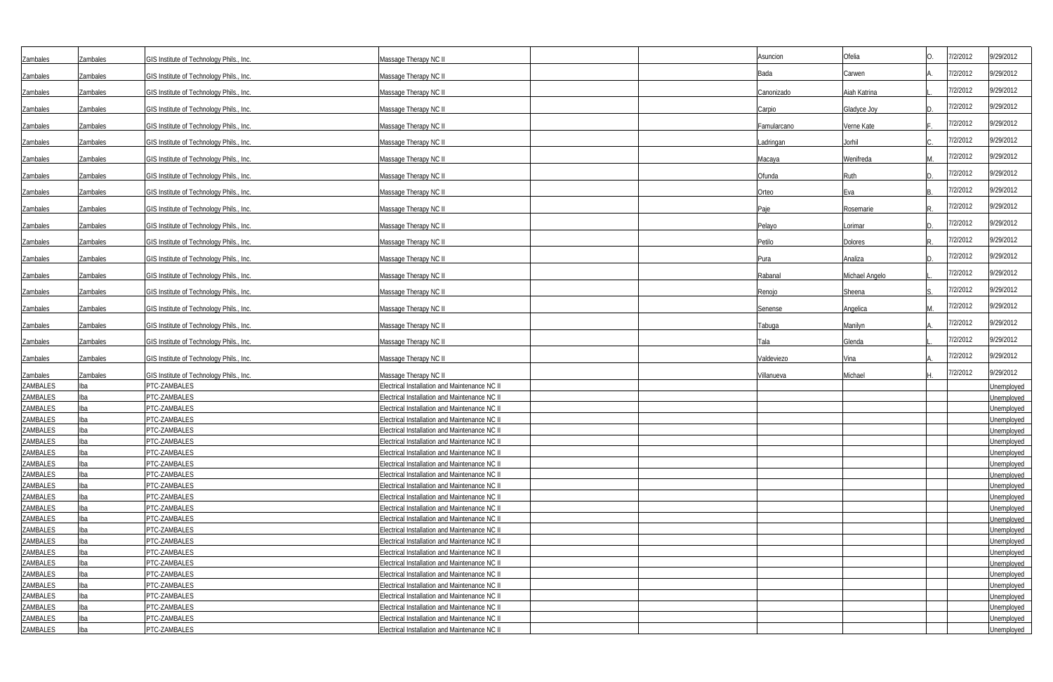| Zambales        | <b>Zambales</b> | GIS Institute of Technology Phils., Inc. | Massage Therapy NC II                         | Asuncion    | Ofelia         | О. | 7/2/2012 | 9/29/2012         |
|-----------------|-----------------|------------------------------------------|-----------------------------------------------|-------------|----------------|----|----------|-------------------|
| <b>Zambales</b> | <b>Zambales</b> | GIS Institute of Technology Phils., Inc. | Massage Therapy NC II                         | Bada        | Carwen         |    | 7/2/2012 | 9/29/2012         |
| Zambales        | <b>Zambales</b> | GIS Institute of Technology Phils., Inc. | Massage Therapy NC II                         | Canonizado  | Aiah Katrina   |    | 7/2/2012 | 9/29/2012         |
| Zambales        | <b>Zambales</b> | GIS Institute of Technology Phils., Inc. | Massage Therapy NC II                         | Carpio      | Gladyce Joy    |    | 7/2/2012 | 9/29/2012         |
| Zambales        | <b>Zambales</b> | GIS Institute of Technology Phils., Inc. | Massage Therapy NC II                         | Famularcano | Verne Kate     | F  | 7/2/2012 | 9/29/2012         |
|                 |                 |                                          |                                               |             |                |    |          |                   |
| <b>Zambales</b> | Zambales        | GIS Institute of Technology Phils., Inc. | Massage Therapy NC II                         | Ladringan   | Jorhil         |    | 7/2/2012 | 9/29/2012         |
| <b>Zambales</b> | <b>Zambales</b> | GIS Institute of Technology Phils., Inc. | Massage Therapy NC II                         | Macaya      | Wenifreda      | M. | 7/2/2012 | 9/29/2012         |
| <b>Zambales</b> | Zambales        | GIS Institute of Technology Phils., Inc. | Massage Therapy NC II                         | Ofunda      | Ruth           |    | 7/2/2012 | 9/29/2012         |
| Zambales        | <b>Zambales</b> | GIS Institute of Technology Phils., Inc. | Massage Therapy NC II                         | Orteo       | Eva            | B. | 7/2/2012 | 9/29/2012         |
| <b>Zambales</b> | <b>Zambales</b> | GIS Institute of Technology Phils., Inc. | Massage Therapy NC II                         | Paje        | Rosemarie      | R. | 7/2/2012 | 9/29/2012         |
| <b>Zambales</b> | Zambales        | GIS Institute of Technology Phils., Inc. | Massage Therapy NC II                         | Pelayo      | Lorimar        |    | 7/2/2012 | 9/29/2012         |
| <b>Zambales</b> | <b>Zambales</b> | GIS Institute of Technology Phils., Inc. | Massage Therapy NC II                         | Petilo      | <b>Dolores</b> |    | 7/2/2012 | 9/29/2012         |
| <b>Zambales</b> | Zambales        | GIS Institute of Technology Phils., Inc. | Massage Therapy NC II                         | Pura        | Analiza        |    | 7/2/2012 | 9/29/2012         |
|                 |                 |                                          |                                               |             |                |    | 7/2/2012 | 9/29/2012         |
| Zambales        | Zambales        | GIS Institute of Technology Phils., Inc. | Massage Therapy NC II                         | Rabanal     | Michael Angelo |    |          |                   |
| <b>Zambales</b> | <b>Zambales</b> | GIS Institute of Technology Phils., Inc. | Massage Therapy NC II                         | Renojo      | Sheena         |    | 7/2/2012 | 9/29/2012         |
| <b>Zambales</b> | <b>Zambales</b> | GIS Institute of Technology Phils., Inc. | Massage Therapy NC II                         | Senense     | Angelica       | M. | 7/2/2012 | 9/29/2012         |
| <b>Zambales</b> | <b>Zambales</b> | GIS Institute of Technology Phils., Inc. | Massage Therapy NC II                         | Tabuga      | Manilyn        |    | 7/2/2012 | 9/29/2012         |
| Zambales        | <b>Zambales</b> | GIS Institute of Technology Phils., Inc. | Massage Therapy NC II                         | Tala        | Glenda         |    | 7/2/2012 | 9/29/2012         |
| <b>Zambales</b> | Zambales        | GIS Institute of Technology Phils., Inc. | Massage Therapy NC II                         | Valdeviezo  | Vina           |    | 7/2/2012 | 9/29/2012         |
| Zambales        | <b>Zambales</b> | GIS Institute of Technology Phils., Inc. | Massage Therapy NC II                         | Villanueva  | Michael        |    | 7/2/2012 | 9/29/2012         |
| <b>ZAMBALES</b> | Iba             | PTC-ZAMBALES                             | Electrical Installation and Maintenance NC II |             |                |    |          | <b>Unemployed</b> |
| <b>ZAMBALES</b> |                 | PTC-ZAMBALES                             | Electrical Installation and Maintenance NC II |             |                |    |          | <b>Unemployed</b> |
| <b>ZAMBALES</b> | lba             | PTC-ZAMBALES                             | Electrical Installation and Maintenance NC II |             |                |    |          | Unemployed        |
| <b>ZAMBALES</b> | lba             | PTC-ZAMBALES                             | Electrical Installation and Maintenance NC II |             |                |    |          | <b>Unemployed</b> |
| <b>ZAMBALES</b> | <b>IVA</b>      | PTC-ZAMBALES                             | Electrical Installation and Maintenance NC II |             |                |    |          | <b>Unemployed</b> |
| <b>ZAMBALES</b> | Iba             | <b>PTC-ZAMBALES</b>                      | Electrical Installation and Maintenance NC II |             |                |    |          | <b>Unemployed</b> |
| <b>ZAMBALES</b> | lba             | PTC-ZAMBALES                             | Electrical Installation and Maintenance NC II |             |                |    |          | <b>Unemployed</b> |
| <b>ZAMBALES</b> | Iba             | <b>PTC-ZAMBALES</b>                      | Electrical Installation and Maintenance NC II |             |                |    |          | <b>Unemployed</b> |
| <b>ZAMBALES</b> | lba             | PTC-ZAMBALES                             | Electrical Installation and Maintenance NC II |             |                |    |          | Unemployed        |
| <b>ZAMBALES</b> | Iba             | PTC-ZAMBALES                             | Electrical Installation and Maintenance NC II |             |                |    |          | <b>Unemployed</b> |
| <b>ZAMBALES</b> | Iba             | PTC-ZAMBALES                             | Electrical Installation and Maintenance NC II |             |                |    |          | <b>Unemployed</b> |
| <b>ZAMBALES</b> | Iba             | <b>PTC-ZAMBALES</b>                      | Electrical Installation and Maintenance NC II |             |                |    |          | <b>Unemployed</b> |
| <b>ZAMBALES</b> | Iba             | <b>PTC-ZAMBALES</b>                      | Electrical Installation and Maintenance NC II |             |                |    |          | <b>Unemployed</b> |
| <b>ZAMBALES</b> | Iba             | <b>PTC-ZAMBALES</b>                      | Electrical Installation and Maintenance NC II |             |                |    |          | <b>Unemployed</b> |
| <b>ZAMBALES</b> | Iba             | <b>PTC-ZAMBALES</b>                      | Electrical Installation and Maintenance NC II |             |                |    |          | Unemployed        |
| <b>ZAMBALES</b> | Iba             | PTC-ZAMBALES                             | Electrical Installation and Maintenance NC II |             |                |    |          | <b>Unemployed</b> |
| <b>ZAMBALES</b> | Iba             | PTC-ZAMBALES                             | Electrical Installation and Maintenance NC II |             |                |    |          | <b>Unemployed</b> |
| <b>ZAMBALES</b> | Iba             | <b>PTC-ZAMBALES</b>                      | Electrical Installation and Maintenance NC II |             |                |    |          | Unemployed        |
| <b>ZAMBALES</b> | Iba             | PTC-ZAMBALES                             | Electrical Installation and Maintenance NC II |             |                |    |          | <b>Unemployed</b> |
| <b>ZAMBALES</b> | lba             | PTC-ZAMBALES                             | Electrical Installation and Maintenance NC II |             |                |    |          | Unemployed        |
| <b>ZAMBALES</b> | Iba             | <b>PTC-ZAMBALES</b>                      | Electrical Installation and Maintenance NC II |             |                |    |          | Unemployed        |
| <b>ZAMBALES</b> | lba             | <b>PTC-ZAMBALES</b>                      | Electrical Installation and Maintenance NC II |             |                |    |          | <b>Unemployed</b> |
| <b>ZAMBALES</b> | lba             | <b>PTC-ZAMBALES</b>                      | Electrical Installation and Maintenance NC II |             |                |    |          | <b>Unemployed</b> |
|                 |                 |                                          |                                               |             |                |    |          |                   |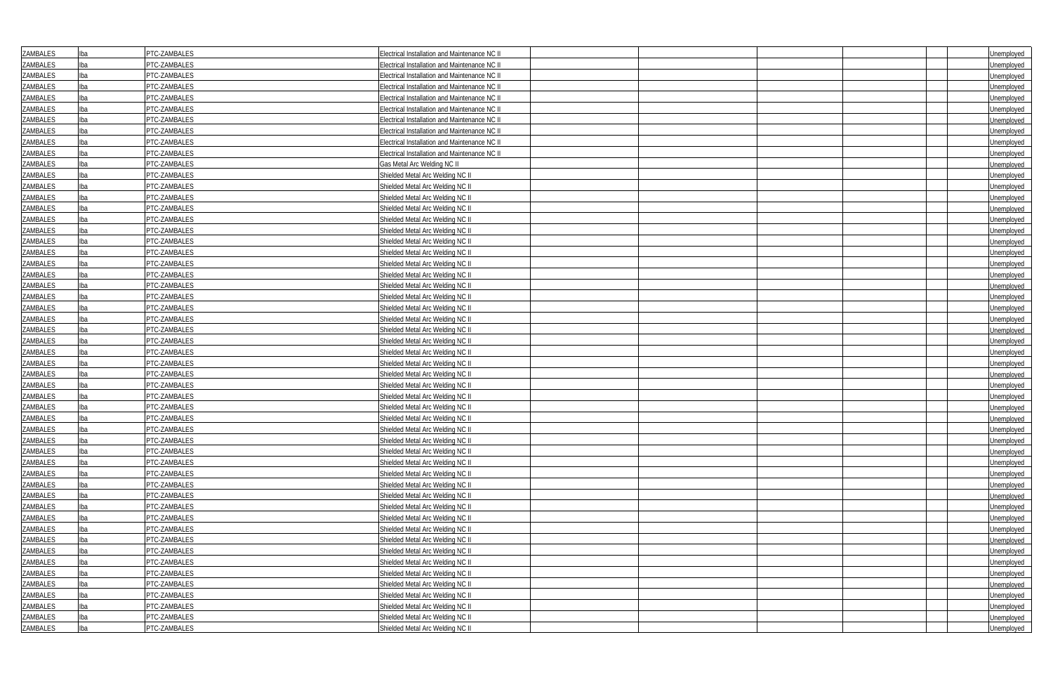| <b>ZAMBALES</b> | Iba | <b>PTC-ZAMBALES</b> | Electrical Installation and Maintenance NC II        |  | <b>Unemployed</b> |
|-----------------|-----|---------------------|------------------------------------------------------|--|-------------------|
| <b>ZAMBALES</b> | Iba | PTC-ZAMBALES        | Electrical Installation and Maintenance NC II        |  | <b>Unemployed</b> |
| <b>ZAMBALES</b> | Iba | <b>PTC-ZAMBALES</b> | <b>Electrical Installation and Maintenance NC II</b> |  | <b>Unemployed</b> |
| <b>ZAMBALES</b> | lba | PTC-ZAMBALES        | Electrical Installation and Maintenance NC II        |  | <b>Unemployed</b> |
| <b>ZAMBALES</b> | lba | PTC-ZAMBALES        | Electrical Installation and Maintenance NC II        |  | <b>Jnemployed</b> |
| <b>ZAMBALES</b> | Iba | PTC-ZAMBALES        | Electrical Installation and Maintenance NC II        |  | <b>Unemployed</b> |
| <b>ZAMBALES</b> | Iba | PTC-ZAMBALES        | Electrical Installation and Maintenance NC II        |  | <b>Unemployed</b> |
| <b>ZAMBALES</b> | Iba | <b>PTC-ZAMBALES</b> | Electrical Installation and Maintenance NC II        |  | <b>Unemployed</b> |
| <b>ZAMBALES</b> | Iba | <b>PTC-ZAMBALES</b> | Electrical Installation and Maintenance NC II        |  | <b>Unemployed</b> |
| <b>ZAMBALES</b> | Iba | <b>PTC-ZAMBALES</b> | Electrical Installation and Maintenance NC II        |  | <b>Unemployed</b> |
| <b>ZAMBALES</b> | Iba | PTC-ZAMBALES        | Gas Metal Arc Welding NC II                          |  | <b>Unemployed</b> |
| <b>ZAMBALES</b> | lba | PTC-ZAMBALES        | Shielded Metal Arc Welding NC II                     |  | <b>Unemployed</b> |
| <b>ZAMBALES</b> | Iba | PTC-ZAMBALES        | Shielded Metal Arc Welding NC II                     |  | <b>Unemployed</b> |
| <b>ZAMBALES</b> | Iba | PTC-ZAMBALES        | Shielded Metal Arc Welding NC II                     |  | <b>Unemployed</b> |
| <b>ZAMBALES</b> | Iba | PTC-ZAMBALES        | Shielded Metal Arc Welding NC II                     |  | <b>Unemployed</b> |
| <b>ZAMBALES</b> | lba | <b>PTC-ZAMBALES</b> | Shielded Metal Arc Welding NC II                     |  | <b>Unemployed</b> |
| <b>ZAMBALES</b> | lba | <b>PTC-ZAMBALES</b> | Shielded Metal Arc Welding NC II                     |  | <b>Unemployed</b> |
| <b>ZAMBALES</b> | Iba | PTC-ZAMBALES        | Shielded Metal Arc Welding NC II                     |  | <b>Unemployed</b> |
| <b>ZAMBALES</b> | Iba | PTC-ZAMBALES        | Shielded Metal Arc Welding NC II                     |  | <b>Unemployed</b> |
| <b>ZAMBALES</b> |     | PTC-ZAMBALES        |                                                      |  |                   |
| <b>ZAMBALES</b> | Iba | PTC-ZAMBALES        | Shielded Metal Arc Welding NC II                     |  | <b>Unemployed</b> |
|                 | Iba |                     | Shielded Metal Arc Welding NC II                     |  | <b>Unemployed</b> |
| <b>ZAMBALES</b> | Iba | PTC-ZAMBALES        | Shielded Metal Arc Welding NC II                     |  | <b>Unemployed</b> |
| <b>ZAMBALES</b> | Iba | PTC-ZAMBALES        | Shielded Metal Arc Welding NC II                     |  | <b>Unemployed</b> |
| <b>ZAMBALES</b> | lba | <b>PTC-ZAMBALES</b> | Shielded Metal Arc Welding NC II                     |  | <b>Unemployed</b> |
| <b>ZAMBALES</b> | Iba | <b>PTC-ZAMBALES</b> | Shielded Metal Arc Welding NC II                     |  | <b>Unemployed</b> |
| <b>ZAMBALES</b> | Iba | PTC-ZAMBALES        | Shielded Metal Arc Welding NC II                     |  | <b>Jnemployed</b> |
| <b>ZAMBALES</b> | Iba | PTC-ZAMBALES        | Shielded Metal Arc Welding NC II                     |  | <b>Unemployed</b> |
| <b>ZAMBALES</b> | Iba | <b>PTC-ZAMBALES</b> | Shielded Metal Arc Welding NC II                     |  | <b>Unemployed</b> |
| <b>ZAMBALES</b> | Iba | <b>PTC-ZAMBALES</b> | Shielded Metal Arc Welding NC II                     |  | <b>Unemployed</b> |
| <b>ZAMBALES</b> | lba | PTC-ZAMBALES        | Shielded Metal Arc Welding NC II                     |  | <b>Unemployed</b> |
| <b>ZAMBALES</b> | Iba | PTC-ZAMBALES        | Shielded Metal Arc Welding NC II                     |  | <b>Unemployed</b> |
| <b>ZAMBALES</b> | Iba | <b>PTC-ZAMBALES</b> | Shielded Metal Arc Welding NC II                     |  | <b>Unemployed</b> |
| <b>ZAMBALES</b> | lba | PTC-ZAMBALES        | Shielded Metal Arc Welding NC II                     |  | <u>Unemployed</u> |
| <b>ZAMBALES</b> | lba | PTC-ZAMBALES        | Shielded Metal Arc Welding NC II                     |  | <u>Jnemployed</u> |
| <b>ZAMBALES</b> |     | <b>PTC-ZAMBALES</b> | Shielded Metal Arc Welding NC II                     |  | <b>Jnemployed</b> |
| <b>ZAMBALES</b> | Iba | <b>PTC-ZAMBALES</b> | Shielded Metal Arc Welding NC II                     |  | <b>Unemployed</b> |
| <b>ZAMBALES</b> | Iba | <b>PTC-ZAMBALES</b> | Shielded Metal Arc Welding NC II                     |  | <b>Unemployed</b> |
| <b>ZAMBALES</b> | Iba | <b>PTC-ZAMBALES</b> | Shielded Metal Arc Welding NC II                     |  | <b>Unemployed</b> |
| <b>ZAMBALES</b> | Iba | <b>PTC-ZAMBALES</b> | Shielded Metal Arc Welding NC II                     |  | <b>Unemployed</b> |
| <b>ZAMBALES</b> | Iba | <b>PTC-ZAMBALES</b> | Shielded Metal Arc Welding NC II                     |  | <b>Unemployed</b> |
| <b>ZAMBALES</b> | Iba | PTC-ZAMBALES        | Shielded Metal Arc Welding NC II                     |  | <b>Unemployed</b> |
| <b>ZAMBALES</b> | Iba | PTC-ZAMBALES        | Shielded Metal Arc Welding NC II                     |  | <b>Unemployed</b> |
| <b>ZAMBALES</b> | Iba | PTC-ZAMBALES        | Shielded Metal Arc Welding NC II                     |  | <b>Unemployed</b> |
| <b>ZAMBALES</b> | Iba | <b>PTC-ZAMBALES</b> | Shielded Metal Arc Welding NC II                     |  | <b>Unemployed</b> |
| <b>ZAMBALES</b> | Iba | PTC-ZAMBALES        | Shielded Metal Arc Welding NC II                     |  | <b>Unemployed</b> |
| <b>ZAMBALES</b> | Iba | <b>PTC-ZAMBALES</b> | Shielded Metal Arc Welding NC II                     |  | <b>Unemployed</b> |
| <b>ZAMBALES</b> | Iba | <b>PTC-ZAMBALES</b> | Shielded Metal Arc Welding NC II                     |  | <b>Unemployed</b> |
| <b>ZAMBALES</b> | Iba | PTC-ZAMBALES        | Shielded Metal Arc Welding NC II                     |  | <b>Unemployed</b> |
| <b>ZAMBALES</b> | Iba | <b>PTC-ZAMBALES</b> | Shielded Metal Arc Welding NC II                     |  | Unemployed        |
| <b>ZAMBALES</b> | Iba | <b>PTC-ZAMBALES</b> | Shielded Metal Arc Welding NC II                     |  | <b>Unemployed</b> |
| <b>ZAMBALES</b> | Iba | PTC-ZAMBALES        | Shielded Metal Arc Welding NC II                     |  | <b>Unemployed</b> |
| <b>ZAMBALES</b> | Iba | <b>PTC-ZAMBALES</b> | Shielded Metal Arc Welding NC II                     |  | <b>Unemployed</b> |
| <b>ZAMBALES</b> | Iba | <b>PTC-ZAMBALES</b> | Shielded Metal Arc Welding NC II                     |  | <b>Unemployed</b> |
|                 |     |                     |                                                      |  |                   |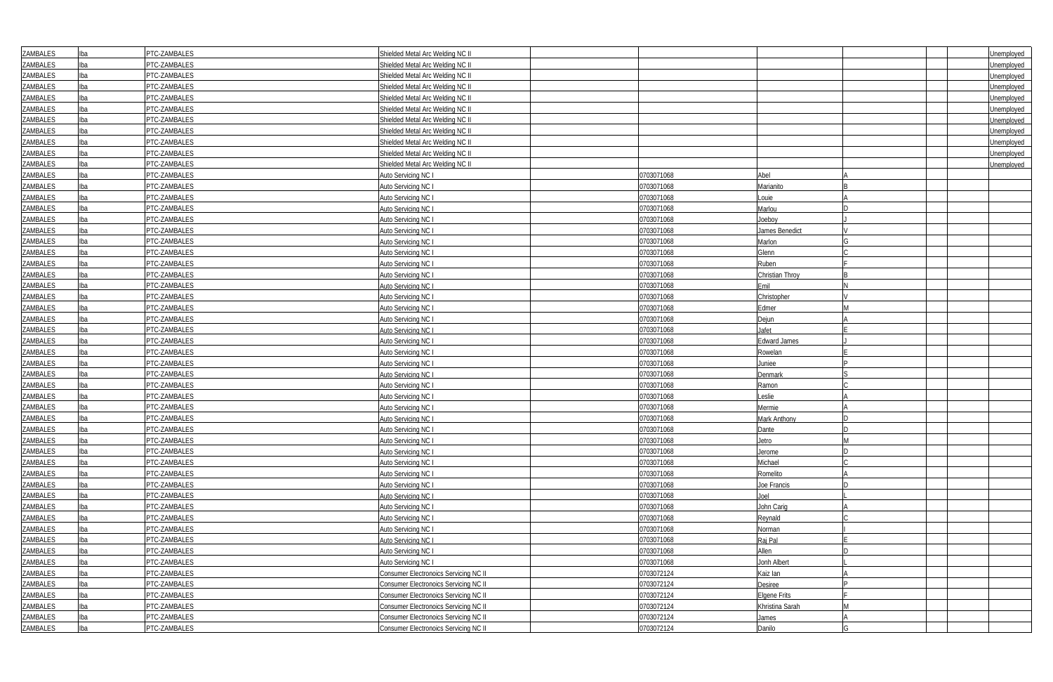| <b>ZAMBALES</b> | Iba | <b>PTC-ZAMBALES</b> | Shielded Metal Arc Welding NC II      |            |                        |              | <b>Unemployed</b> |
|-----------------|-----|---------------------|---------------------------------------|------------|------------------------|--------------|-------------------|
| <b>ZAMBALES</b> | Iba | PTC-ZAMBALES        | Shielded Metal Arc Welding NC II      |            |                        |              | <b>Unemployed</b> |
| <b>ZAMBALES</b> | lba | PTC-ZAMBALES        | Shielded Metal Arc Welding NC II      |            |                        |              | <b>Unemployed</b> |
| <b>ZAMBALES</b> | lba | PTC-ZAMBALES        | Shielded Metal Arc Welding NC II      |            |                        |              | <b>Jnemployed</b> |
| <b>ZAMBALES</b> | lba | <b>PTC-ZAMBALES</b> | Shielded Metal Arc Welding NC II      |            |                        |              | <b>Unemployed</b> |
| <b>ZAMBALES</b> | Iba | PTC-ZAMBALES        | Shielded Metal Arc Welding NC II      |            |                        |              | <b>Unemployed</b> |
| <b>ZAMBALES</b> | lba | PTC-ZAMBALES        | Shielded Metal Arc Welding NC II      |            |                        |              | <b>Unemployed</b> |
| <b>ZAMBALES</b> | lba | PTC-ZAMBALES        | Shielded Metal Arc Welding NC II      |            |                        |              | <b>Unemployed</b> |
| <b>ZAMBALES</b> | Iba | <b>PTC-ZAMBALES</b> | Shielded Metal Arc Welding NC II      |            |                        |              | <b>Jnemployed</b> |
| <b>ZAMBALES</b> | Iba | PTC-ZAMBALES        | Shielded Metal Arc Welding NC II      |            |                        |              | <b>Unemployed</b> |
| <b>ZAMBALES</b> | Iba | PTC-ZAMBALES        | Shielded Metal Arc Welding NC II      |            |                        |              | <b>Unemployed</b> |
| <b>ZAMBALES</b> | lba | <b>PTC-ZAMBALES</b> | Auto Servicing NC I                   | 0703071068 | Abel                   |              |                   |
| <b>ZAMBALES</b> | Iba | PTC-ZAMBALES        | <b>Auto Servicing NC I</b>            | 0703071068 | Marianito              |              |                   |
| <b>ZAMBALES</b> | Iba | PTC-ZAMBALES        | Auto Servicing NC I                   | 0703071068 | Louie                  |              |                   |
| <b>ZAMBALES</b> | Iba | <b>PTC-ZAMBALES</b> | Auto Servicing NC I                   | 0703071068 | Marlou                 | D            |                   |
| <b>ZAMBALES</b> | lba | <b>PTC-ZAMBALES</b> | <b>Auto Servicing NC I</b>            | 0703071068 | Joeboy                 |              |                   |
| <b>ZAMBALES</b> | lba | PTC-ZAMBALES        | <b>Auto Servicing NC I</b>            | 0703071068 | <b>James Benedict</b>  |              |                   |
| <b>ZAMBALES</b> | lba | PTC-ZAMBALES        | Auto Servicing NC I                   | 0703071068 | Marlon                 | G            |                   |
| <b>ZAMBALES</b> | Iba | PTC-ZAMBALES        | Auto Servicing NC I                   | 0703071068 | Glenn                  | C            |                   |
| <b>ZAMBALES</b> | Iba | PTC-ZAMBALES        | Auto Servicing NC I                   | 0703071068 | Ruben                  |              |                   |
| <b>ZAMBALES</b> | lba | <b>PTC-ZAMBALES</b> | Auto Servicing NC I                   | 0703071068 | <b>Christian Throy</b> |              |                   |
| <b>ZAMBALES</b> | Iba | <b>PTC-ZAMBALES</b> | Auto Servicing NC I                   | 0703071068 | Emil                   |              |                   |
| <b>ZAMBALES</b> | Iba | <b>PTC-ZAMBALES</b> | Auto Servicing NC I                   | 0703071068 | Christopher            |              |                   |
| <b>ZAMBALES</b> | lba | <b>PTC-ZAMBALES</b> | Auto Servicing NC I                   | 0703071068 | Edmer                  | M            |                   |
| <b>ZAMBALES</b> | lba | PTC-ZAMBALES        | Auto Servicing NC I                   | 0703071068 | Dejun                  |              |                   |
| <b>ZAMBALES</b> | Iba | PTC-ZAMBALES        | <b>Auto Servicing NC I</b>            | 0703071068 | Jafet                  |              |                   |
| <b>ZAMBALES</b> |     | PTC-ZAMBALES        | Auto Servicing NC I                   | 0703071068 | <b>Edward James</b>    |              |                   |
| <b>ZAMBALES</b> | Iba | PTC-ZAMBALES        | Auto Servicing NC I                   | 0703071068 | Rowelan                |              |                   |
| <b>ZAMBALES</b> | lba | <b>PTC-ZAMBALES</b> | Auto Servicing NC I                   | 0703071068 | Juniee                 | D            |                   |
| <b>ZAMBALES</b> | lba | <b>PTC-ZAMBALES</b> |                                       | 0703071068 |                        |              |                   |
|                 | lba | <b>PTC-ZAMBALES</b> | <b>Auto Servicing NC I</b>            |            | Denmark                |              |                   |
| <b>ZAMBALES</b> | Iba | PTC-ZAMBALES        | Auto Servicing NC I                   | 0703071068 | Ramon                  |              |                   |
| <b>ZAMBALES</b> | lba |                     | Auto Servicing NC I                   | 0703071068 | Leslie                 |              |                   |
| <b>ZAMBALES</b> | Iba | PTC-ZAMBALES        | Auto Servicing NC I                   | 0703071068 | Mermie                 | ID           |                   |
| <b>ZAMBALES</b> | lba | PTC-ZAMBALES        | <b>Auto Servicing NC I</b>            | 0703071068 | <b>Mark Anthony</b>    | D            |                   |
| <b>ZAMBALES</b> | Iba | <b>PTC-ZAMBALES</b> | Auto Servicing NC I                   | 0703071068 | Dante                  |              |                   |
| <b>ZAMBALES</b> | Iba | <b>PTC-ZAMBALES</b> | Auto Servicing NC I                   | 0703071068 | Jetro                  | M            |                   |
| <b>ZAMBALES</b> | lba | PTC-ZAMBALES        | Auto Servicing NC I                   | 0703071068 | Jerome                 | <sub>D</sub> |                   |
| <b>ZAMBALES</b> | Iba | <b>PTC-ZAMBALES</b> | <b>Auto Servicing NC I</b>            | 0703071068 | Michael                |              |                   |
| <b>ZAMBALES</b> | lba | PTC-ZAMBALES        | Auto Servicing NC I                   | 0703071068 | Romelito               |              |                   |
| <b>ZAMBALES</b> | Iba | PTC-ZAMBALES        | Auto Servicing NC I                   | 0703071068 | Joe Francis            | D            |                   |
| <b>ZAMBALES</b> | Iba | PTC-ZAMBALES        | Auto Servicing NC I                   | 0703071068 | Joel                   |              |                   |
| <b>ZAMBALES</b> | Iba | PTC-ZAMBALES        | <b>Auto Servicing NC I</b>            | 0703071068 | John Carig             |              |                   |
| <b>ZAMBALES</b> | Iba | <b>PTC-ZAMBALES</b> | Auto Servicing NC I                   | 0703071068 | Reynald                |              |                   |
| <b>ZAMBALES</b> | Iba | PTC-ZAMBALES        | Auto Servicing NC I                   | 0703071068 | Norman                 |              |                   |
| <b>ZAMBALES</b> | Iba | PTC-ZAMBALES        | Auto Servicing NC I                   | 0703071068 | Raj Pal                |              |                   |
| <b>ZAMBALES</b> | lba | PTC-ZAMBALES        | Auto Servicing NC I                   | 0703071068 | Allen                  |              |                   |
| <b>ZAMBALES</b> | Iba | PTC-ZAMBALES        | Auto Servicing NC I                   | 0703071068 | Jonh Albert            |              |                   |
| <b>ZAMBALES</b> | Iba | <b>PTC-ZAMBALES</b> | Consumer Electronoics Servicing NC II | 0703072124 | Kaiz lan               |              |                   |
| <b>ZAMBALES</b> | lba | <b>PTC-ZAMBALES</b> | Consumer Electronoics Servicing NC II | 0703072124 | Desiree                |              |                   |
| <b>ZAMBALES</b> |     | <b>PTC-ZAMBALES</b> | Consumer Electronoics Servicing NC II | 0703072124 | <b>Elgene Frits</b>    |              |                   |
| <b>ZAMBALES</b> | lba | PTC-ZAMBALES        | Consumer Electronoics Servicing NC II | 0703072124 | Khristina Sarah        | M            |                   |
| <b>ZAMBALES</b> | lba | PTC-ZAMBALES        | Consumer Electronoics Servicing NC II | 0703072124 | <b>James</b>           |              |                   |
| <b>ZAMBALES</b> | lba | PTC-ZAMBALES        | Consumer Electronoics Servicing NC II | 0703072124 | Danilo                 | G            |                   |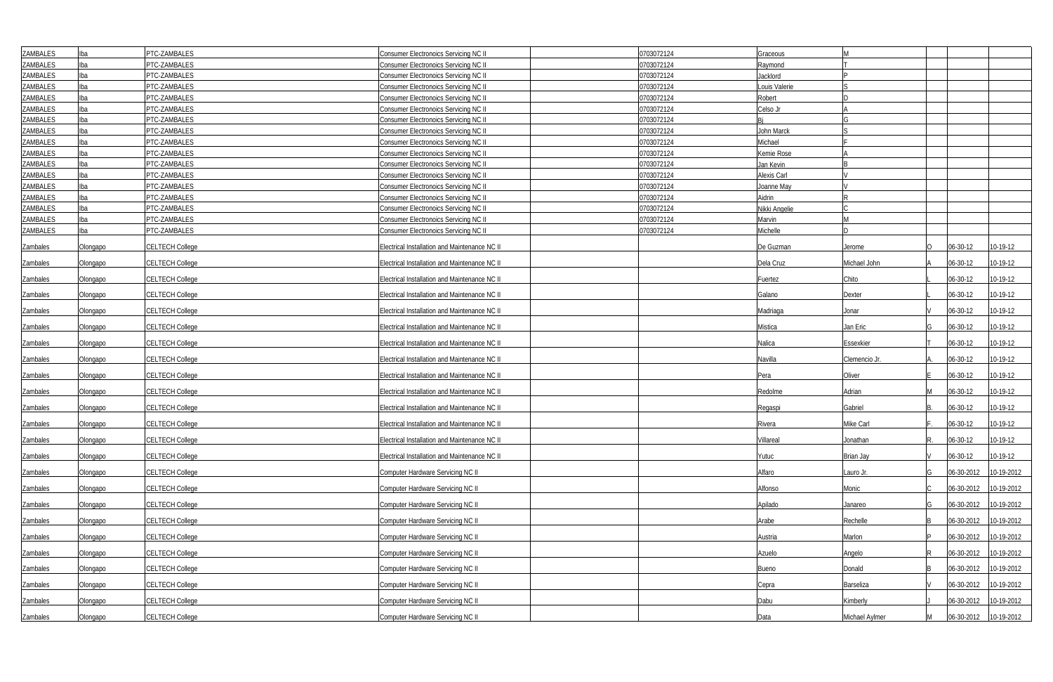| <b>ZAMBALES</b> | Iba             | <b>PTC-ZAMBALES</b>    | Consumer Electronoics Servicing NC II         | 0703072124 | Graceous           | M                |   |            |                       |
|-----------------|-----------------|------------------------|-----------------------------------------------|------------|--------------------|------------------|---|------------|-----------------------|
| <b>ZAMBALES</b> | Iba             | PTC-ZAMBALES           | Consumer Electronoics Servicing NC II         | 0703072124 | Raymond            |                  |   |            |                       |
| <b>ZAMBALES</b> | Iba             | PTC-ZAMBALES           | Consumer Electronoics Servicing NC II         | 0703072124 | <b>Jacklord</b>    |                  |   |            |                       |
| <b>ZAMBALES</b> | lba             | PTC-ZAMBALES           | Consumer Electronoics Servicing NC II         | 0703072124 | Louis Valerie      |                  |   |            |                       |
| <b>ZAMBALES</b> | lba             | <b>PTC-ZAMBALES</b>    | Consumer Electronoics Servicing NC II         | 0703072124 | Robert             |                  |   |            |                       |
| <b>ZAMBALES</b> | Iba             | PTC-ZAMBALES           | Consumer Electronoics Servicing NC II         | 0703072124 | Celso Jr           |                  |   |            |                       |
| <b>ZAMBALES</b> | Iba             | PTC-ZAMBALES           | Consumer Electronoics Servicing NC II         | 0703072124 | Ri                 |                  |   |            |                       |
| <b>ZAMBALES</b> | Iba             | PTC-ZAMBALES           | Consumer Electronoics Servicing NC II         | 0703072124 | <b>John Marck</b>  |                  |   |            |                       |
| <b>ZAMBALES</b> | lba             | <b>PTC-ZAMBALES</b>    | Consumer Electronoics Servicing NC II         | 0703072124 | Michael            |                  |   |            |                       |
| <b>ZAMBALES</b> | Iba             | PTC-ZAMBALES           | Consumer Electronoics Servicing NC II         | 0703072124 | Kemie Rose         |                  |   |            |                       |
| <b>ZAMBALES</b> | Iba             | PTC-ZAMBALES           | Consumer Electronoics Servicing NC II         | 0703072124 | Jan Kevin          |                  |   |            |                       |
| <b>ZAMBALES</b> | Iba             | PTC-ZAMBALES           | Consumer Electronoics Servicing NC II         | 0703072124 | <b>Alexis Carl</b> |                  |   |            |                       |
| <b>ZAMBALES</b> | Iba             | PTC-ZAMBALES           | Consumer Electronoics Servicing NC II         | 0703072124 | Joanne May         |                  |   |            |                       |
| <b>ZAMBALES</b> | Iba             | PTC-ZAMBALES           | Consumer Electronoics Servicing NC II         | 0703072124 | Aidrin             |                  |   |            |                       |
| <b>ZAMBALES</b> | Iba             | PTC-ZAMBALES           | Consumer Electronoics Servicing NC II         | 0703072124 | Nikki Angelie      |                  |   |            |                       |
| <b>ZAMBALES</b> | lba             | PTC-ZAMBALES           | Consumer Electronoics Servicing NC II         | 0703072124 | Marvin             |                  |   |            |                       |
| <b>ZAMBALES</b> | lba             | <b>PTC-ZAMBALES</b>    | <b>Consumer Electronoics Servicing NC II</b>  | 0703072124 | Michelle           |                  |   |            |                       |
| <b>Zambales</b> | Olongapo        | <b>CELTECH College</b> | Electrical Installation and Maintenance NC II |            | De Guzman          | IO<br>Jerome     |   | 06-30-12   | 10-19-12              |
|                 |                 |                        |                                               |            |                    |                  |   |            |                       |
| <b>Zambales</b> | <b>Olongapo</b> | <b>CELTECH College</b> | Electrical Installation and Maintenance NC II |            | Dela Cruz          | Michael John     |   | 06-30-12   | 10-19-12              |
| Zambales        | <b>Olongapo</b> | <b>CELTECH College</b> | Electrical Installation and Maintenance NC II |            | <b>Fuertez</b>     | Chito            |   | 06-30-12   | 10-19-12              |
|                 |                 | <b>CELTECH College</b> |                                               |            |                    |                  |   |            |                       |
| <b>Zambales</b> | <b>Olongapo</b> |                        | Electrical Installation and Maintenance NC II |            | Galano             | Dexter           |   | 06-30-12   | 10-19-12              |
| Zambales        | <b>Olongapo</b> | <b>CELTECH College</b> | Electrical Installation and Maintenance NC II |            | Madriaga           | Jonar            |   | 06-30-12   | 10-19-12              |
| Zambales        | <b>Olongapo</b> | <b>CELTECH College</b> | Electrical Installation and Maintenance NC II |            | Mistica            | Jan Eric<br>G    |   | 06-30-12   | 10-19-12              |
|                 |                 |                        |                                               |            |                    |                  |   |            |                       |
| Zambales        | Olongapo        | <b>CELTECH College</b> | Electrical Installation and Maintenance NC II |            | Nalica             | Essexkier        |   | 06-30-12   | 10-19-12              |
| Zambales        | Olongapo        | <b>CELTECH College</b> | Electrical Installation and Maintenance NC II |            | Navilla            | Clemencio Jr.    |   | 06-30-12   | 10-19-12              |
|                 |                 |                        |                                               |            |                    |                  |   |            |                       |
| Zambales        | <b>Olongapo</b> | <b>CELTECH College</b> | Electrical Installation and Maintenance NC II |            | Pera               | Oliver           |   | 06-30-12   | 10-19-12              |
| Zambales        | Olongapo        | <b>CELTECH College</b> | Electrical Installation and Maintenance NC II |            | Redolme            | Adrian<br>M      |   | 06-30-12   | 10-19-12              |
|                 |                 | <b>CELTECH College</b> | Electrical Installation and Maintenance NC II |            |                    | Gabriel          |   | 06-30-12   | 10-19-12              |
| <b>Zambales</b> | Olongapo        |                        |                                               |            | Regaspi            |                  |   |            |                       |
| <b>Zambales</b> | Olongapo        | <b>CELTECH College</b> | Electrical Installation and Maintenance NC II |            | Rivera             | <b>Mike Carl</b> |   | 06-30-12   | 10-19-12              |
| Zambales        | Olongapo        | CELTECH College        | Electrical Installation and Maintenance NC II |            | Villareal          | IR.<br>Jonathan  |   | 06-30-12   | 10-19-12              |
|                 |                 |                        |                                               |            |                    |                  |   |            |                       |
| Zambales        | <b>Olongapo</b> | CELTECH College        | Electrical Installation and Maintenance NC II |            | Yutuc              | <b>Brian Jay</b> |   | 06-30-12   | 10-19-12              |
| <b>Zambales</b> | Olongapo        | CELTECH College        | Computer Hardware Servicing NC II             |            | Alfaro             | Lauro Jr.<br>G   |   | 06-30-2012 | 10-19-2012            |
|                 |                 |                        |                                               |            |                    |                  |   |            |                       |
| <b>Zambales</b> | Olongapo        | <b>CELTECH College</b> | Computer Hardware Servicing NC II             |            | Alfonso            | Monic            |   | 06-30-2012 | 10-19-2012            |
| <b>Zambales</b> | Olongapo        | <b>CELTECH College</b> | Computer Hardware Servicing NC II             |            | Apilado            | Janareo<br>G     |   |            | 06-30-2012 10-19-2012 |
| Zambales        | Olongapo        | CELTECH College        | Computer Hardware Servicing NC II             |            | Arabe              | Rechelle<br>IB.  |   | 06-30-2012 | 10-19-2012            |
|                 |                 |                        |                                               |            |                    |                  |   |            |                       |
| Zambales        | <b>Olongapo</b> | <b>CELTECH College</b> | Computer Hardware Servicing NC II             |            | Austria            | Marlon<br>D      |   |            | 06-30-2012 10-19-2012 |
| Zambales        | <b>Olongapo</b> | CELTECH College        | Computer Hardware Servicing NC II             |            | Azuelo             | Angelo<br>R      |   |            | 06-30-2012 10-19-2012 |
|                 |                 |                        |                                               |            |                    |                  |   |            |                       |
| Zambales        | <b>Olongapo</b> | CELTECH College        | Computer Hardware Servicing NC II             |            | <b>Bueno</b>       | Donald           |   | 06-30-2012 | 10-19-2012            |
| Zambales        | Olongapo        | CELTECH College        | Computer Hardware Servicing NC II             |            | Cepra              | Barseliza        |   | 06-30-2012 | 10-19-2012            |
|                 |                 |                        |                                               |            |                    |                  |   |            |                       |
| Zambales        | <b>Olongapo</b> | CELTECH College        | <b>Computer Hardware Servicing NC II</b>      |            | Dabu               | Kimberly         |   | 06-30-2012 | 10-19-2012            |
| Zambales        | <b>Olongapo</b> | <b>CELTECH College</b> | Computer Hardware Servicing NC II             |            | Data               | Michael Aylmer   | M |            | 06-30-2012 10-19-2012 |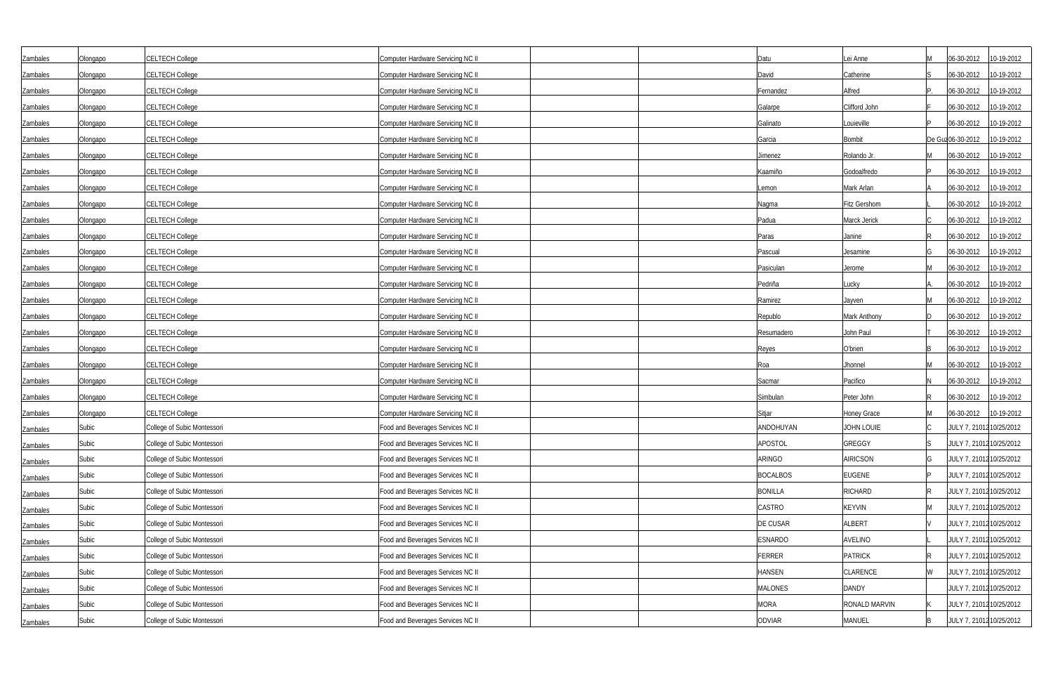| <b>Zambales</b> | <b>Olongapo</b> | <b>CELTECH College</b>      | Computer Hardware Servicing NC II        | Datu             | Lei Anne             | M   | 06-30-2012<br>10-19-2012       |
|-----------------|-----------------|-----------------------------|------------------------------------------|------------------|----------------------|-----|--------------------------------|
| <b>Zambales</b> | <b>Olongapo</b> | <b>CELTECH College</b>      | <b>Computer Hardware Servicing NC II</b> | David            | Catherine            | IS. | 06-30-2012<br>10-19-2012       |
| <b>Zambales</b> | <b>Olongapo</b> | <b>CELTECH College</b>      | <b>Computer Hardware Servicing NC II</b> | Fernandez        | Alfred               |     | 06-30-2012<br>10-19-2012       |
| <b>Zambales</b> | <b>Clongapo</b> | <b>CELTECH College</b>      | Computer Hardware Servicing NC II        | Galarpe          | Clifford John        |     | 06-30-2012<br>10-19-2012       |
| <b>Zambales</b> | <b>Olongapo</b> | <b>CELTECH College</b>      | Computer Hardware Servicing NC II        | Galinato         | Louieville           |     | 06-30-2012<br>10-19-2012       |
| Zambales        | <b>Olongapo</b> | <b>CELTECH College</b>      | Computer Hardware Servicing NC II        | Garcia           | Bombit               |     | De Gu 06-30-2012<br>10-19-2012 |
| Zambales        | Olongapo        | <b>CELTECH College</b>      | Computer Hardware Servicing NC II        | Jimenez          | Rolando Jr.          | M   | 06-30-2012<br>10-19-2012       |
| <b>Zambales</b> | Olongapo        | <b>CELTECH College</b>      | Computer Hardware Servicing NC II        | Kaamiño          | Godoalfredo          |     | 06-30-2012<br>10-19-2012       |
| <b>Zambales</b> | <b>Olongapo</b> | <b>CELTECH College</b>      | Computer Hardware Servicing NC II        | Lemon            | Mark Arlan           |     | 06-30-2012<br>10-19-2012       |
| <b>Zambales</b> | <b>Olongapo</b> | <b>CELTECH College</b>      | Computer Hardware Servicing NC II        | Nagma            | <b>Fitz Gershom</b>  |     | 06-30-2012<br>10-19-2012       |
| <b>Zambales</b> | <b>Olongapo</b> | <b>CELTECH College</b>      | Computer Hardware Servicing NC II        | Padua            | Marck Jerick         |     | 06-30-2012<br>10-19-2012       |
| <b>Zambales</b> | Olongapo        | <b>CELTECH College</b>      | Computer Hardware Servicing NC II        | Paras            | Janine               | IR. | 06-30-2012<br>10-19-2012       |
| <b>Zambales</b> | <b>Olongapo</b> | <b>CELTECH College</b>      | <b>Computer Hardware Servicing NC II</b> | Pascual          | Jesamine             | G   | 06-30-2012<br>10-19-2012       |
| <b>Zambales</b> | Olongapo        | <b>CELTECH College</b>      | Computer Hardware Servicing NC II        | Pasiculan        | Jerome               | M   | 06-30-2012<br>10-19-2012       |
| <b>Zambales</b> | Olongapo        | <b>CELTECH College</b>      | Computer Hardware Servicing NC II        | Pedriña          | Lucky                |     | 10-19-2012<br>06-30-2012       |
| <b>Zambales</b> | <b>Olongapo</b> | <b>CELTECH College</b>      | Computer Hardware Servicing NC II        | Ramirez          | Jayven               | M   | 06-30-2012<br>10-19-2012       |
| <b>Zambales</b> | Olongapo        | <b>CELTECH College</b>      | Computer Hardware Servicing NC II        | Republo          | <b>Mark Anthony</b>  | ID  | 06-30-2012<br>10-19-2012       |
| Zambales        | Olongapo        | <b>CELTECH College</b>      | Computer Hardware Servicing NC II        | Resumadero       | John Paul            |     | 06-30-2012<br>10-19-2012       |
| Zambales        | <b>Olongapo</b> | <b>CELTECH College</b>      | Computer Hardware Servicing NC II        | <b>Reyes</b>     | <b>O</b> brien       | IB. | 10-19-2012<br>06-30-2012       |
| Zambales        | <b>Olongapo</b> | <b>CELTECH College</b>      | Computer Hardware Servicing NC II        | Roa              | Jhonnel              | M   | 06-30-2012<br>10-19-2012       |
| <b>Zambales</b> | Olongapo        | <b>CELTECH College</b>      | Computer Hardware Servicing NC II        | Sacmar           | Pacifico             | N   | 06-30-2012<br>10-19-2012       |
| <b>Zambales</b> | <b>Olongapo</b> | <b>CELTECH College</b>      | <b>Computer Hardware Servicing NC II</b> | Simbulan         | Peter John           | IR. | 06-30-2012<br>10-19-2012       |
| <b>Zambales</b> | <b>Olongapo</b> | <b>CELTECH College</b>      | Computer Hardware Servicing NC II        | Sitjar           | <b>Honey Grace</b>   | M   | 06-30-2012<br>10-19-2012       |
| <b>Zambales</b> | Subic           | College of Subic Montessori | Food and Beverages Services NC II        | <b>ANDOHUYAN</b> | <b>JOHN LOUIE</b>    | C.  | JULY 7, 21012 10/25/2012       |
| Zambales        | Subic           | College of Subic Montessori | Food and Beverages Services NC II        | APOSTOL          | <b>GREGGY</b>        | lS  | JULY 7, 21012 10/25/2012       |
| <b>Zambales</b> | Subic           | College of Subic Montessori | Food and Beverages Services NC II        | <b>ARINGO</b>    | <b>AIRICSON</b>      | G   | JULY 7, 21012 10/25/2012       |
| <b>Zambales</b> | Subic           | College of Subic Montessori | Food and Beverages Services NC II        | <b>BOCALBOS</b>  | <b>EUGENE</b>        | D   | JULY 7, 21012 10/25/2012       |
| <b>Zambales</b> | Subic           | College of Subic Montessori | Food and Beverages Services NC II        | <b>BONILLA</b>   | <b>RICHARD</b>       | IR. | JULY 7, 21012 10/25/2012       |
| Zambales        | Subic           | College of Subic Montessori | Food and Beverages Services NC II        | <b>CASTRO</b>    | <b>KEYVIN</b>        |     | JULY 7, 21012 10/25/2012       |
| Zambales        | Subic           | College of Subic Montessori | Food and Beverages Services NC II        | <b>DE CUSAR</b>  | <b>ALBERT</b>        |     | JULY 7, 21012 10/25/2012       |
| Zambales        | Subic           | College of Subic Montessori | Food and Beverages Services NC II        | <b>ESNARDO</b>   | <b>AVELINO</b>       |     | JULY 7, 21012 10/25/2012       |
| Zambales        | Subic           | College of Subic Montessori | Food and Beverages Services NC II        | <b>FERRER</b>    | <b>PATRICK</b>       | R   | JULY 7, 21012 10/25/2012       |
| <b>Zambales</b> | Subic           | College of Subic Montessori | Food and Beverages Services NC II        | <b>HANSEN</b>    | <b>CLARENCE</b>      | W   | JULY 7, 21012 10/25/2012       |
| <b>Zambales</b> | Subic           | College of Subic Montessori | Food and Beverages Services NC II        | <b>MALONES</b>   | <b>DANDY</b>         |     | JULY 7, 21012 10/25/2012       |
| <b>Zambales</b> | Subic           | College of Subic Montessori | Food and Beverages Services NC II        | <b>MORA</b>      | <b>RONALD MARVIN</b> |     | JULY 7, 21012 10/25/2012       |
| Zambales        | Subic           | College of Subic Montessori | Food and Beverages Services NC II        | <b>ODVIAR</b>    | <b>MANUEL</b>        | ΙB  | JULY 7, 21012 10/25/2012       |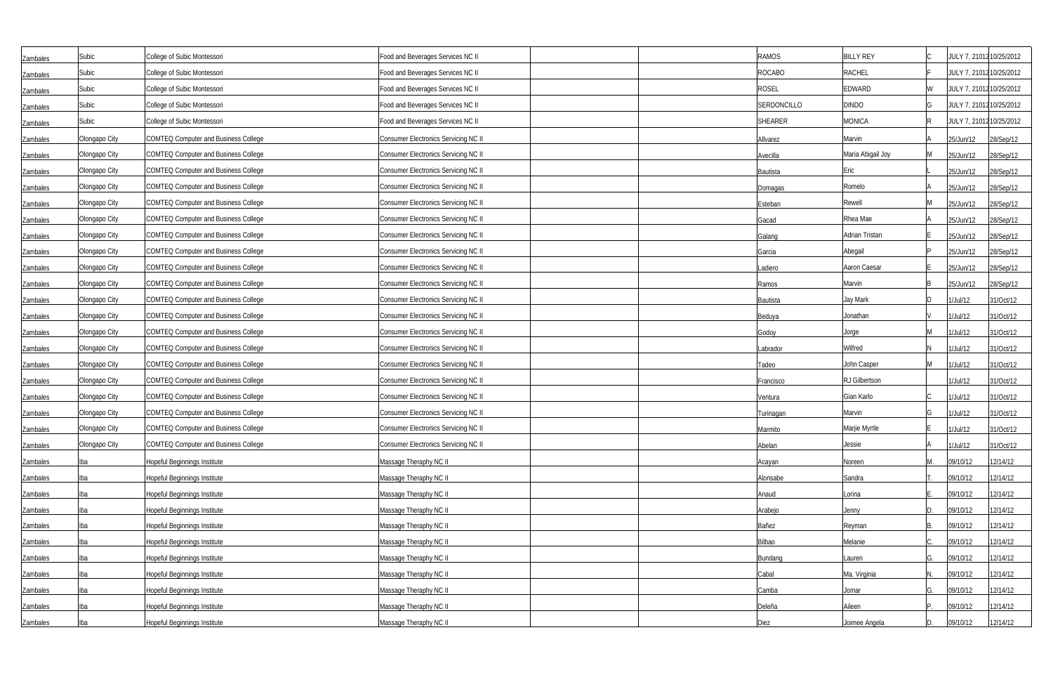| <b>Zambales</b> | Subic                | College of Subic Montessori                 | Food and Beverages Services NC II    | <b>RAMOS</b>   | <b>BILLY REY</b>      | C.  | JULY 7, 21012 10/25/2012 |           |
|-----------------|----------------------|---------------------------------------------|--------------------------------------|----------------|-----------------------|-----|--------------------------|-----------|
| <b>Zambales</b> | Subic                | College of Subic Montessori                 | Food and Beverages Services NC II    | <b>ROCABO</b>  | <b>RACHEL</b>         |     | JULY 7, 21012 10/25/2012 |           |
| Zambales        | Subic                | College of Subic Montessori                 | Food and Beverages Services NC II    | <b>ROSEL</b>   | <b>EDWARD</b>         |     | JULY 7, 21012 10/25/2012 |           |
| Zambales        | Subic                | College of Subic Montessori                 | Food and Beverages Services NC II    | SERDONCILLO    | <b>DINDO</b>          | G   | JULY 7, 21012 10/25/2012 |           |
| Zambales        | Subic                | College of Subic Montessori                 | Food and Beverages Services NC II    | <b>SHEARER</b> | <b>MONICA</b>         | R   | JULY 7, 21012 10/25/2012 |           |
| Zambales        | <b>Olongapo City</b> | <b>COMTEQ Computer and Business College</b> | Consumer Electronics Servicing NC II | Allvarez       | Marvin                |     | 25/Jun/12                | 28/Sep/12 |
| Zambales        | <b>Olongapo City</b> | <b>COMTEQ Computer and Business College</b> | Consumer Electronics Servicing NC II | Avecilla       | Maria Abigail Joy     | M   | 25/Jun/12                | 28/Sep/12 |
| Zambales        | <b>Olongapo City</b> | <b>COMTEQ Computer and Business College</b> | Consumer Electronics Servicing NC II | Bautista       | Eric                  |     | 25/Jun/12                | 28/Sep/12 |
| <b>Zambales</b> | <b>Olongapo City</b> | <b>COMTEQ Computer and Business College</b> | Consumer Electronics Servicing NC II | Domagas        | Romelo                |     | 25/Jun/12                | 28/Sep/12 |
| <b>Zambales</b> | <b>Olongapo City</b> | COMTEQ Computer and Business College        | Consumer Electronics Servicing NC II | Esteban        | Rewell                | M   | 25/Jun/12                | 28/Sep/12 |
| <b>Zambales</b> | <b>Olongapo City</b> | <b>COMTEQ Computer and Business College</b> | Consumer Electronics Servicing NC II | Gacad          | <b>Rhea Mae</b>       |     | 25/Jun/12                | 28/Sep/12 |
| Zambales        | <b>Olongapo City</b> | <b>COMTEQ Computer and Business College</b> | Consumer Electronics Servicing NC II | Galang         | <b>Adrian Tristan</b> | ΙE  | 25/Jun/12                | 28/Sep/12 |
| Zambales        | <b>Olongapo City</b> | <b>COMTEQ Computer and Business College</b> | Consumer Electronics Servicing NC II | Garcia         | Abegail               | ID  | 25/Jun/12                | 28/Sep/12 |
| Zambales        | <b>Olongapo City</b> | <b>COMTEQ Computer and Business College</b> | Consumer Electronics Servicing NC II | Ladiero        | Aaron Caesar          | IF  | 25/Jun/12                | 28/Sep/12 |
| <b>Zambales</b> | <b>Olongapo City</b> | <b>COMTEQ Computer and Business College</b> | Consumer Electronics Servicing NC II | Ramos          | Marvin                | B   | 25/Jun/12                | 28/Sep/12 |
| <b>Zambales</b> | Olongapo City        | <b>COMTEQ Computer and Business College</b> | Consumer Electronics Servicing NC II | Bautista       | <b>Jay Mark</b>       | ID  | 1/Jul/12                 | 31/Oct/12 |
| Zambales        | <b>Olongapo City</b> | <b>COMTEQ Computer and Business College</b> | Consumer Electronics Servicing NC II | Beduya         | Jonathan              |     | 1/Jul/12                 | 31/Oct/12 |
| <b>Zambales</b> | <b>Olongapo City</b> | COMTEQ Computer and Business College        | Consumer Electronics Servicing NC II | Godoy          | Jorge                 | M   | 1/Jul/12                 | 31/Oct/12 |
| Zambales        | <b>Olongapo City</b> | COMTEQ Computer and Business College        | Consumer Electronics Servicing NC II | Labrador       | Wilfred               |     | 1/Jul/12                 | 31/Oct/12 |
| Zambales        | <b>Olongapo City</b> | COMTEQ Computer and Business College        | Consumer Electronics Servicing NC II | Tadeo          | John Casper           | M   | 1/Jul/12                 | 31/Oct/12 |
| Zambales        | <b>Olongapo City</b> | <b>COMTEQ Computer and Business College</b> | Consumer Electronics Servicing NC II | Francisco      | RJ Gilbertson         |     | 1/Jul/12                 | 31/Oct/12 |
| Zambales        | <b>Olongapo City</b> | <b>COMTEQ Computer and Business College</b> | Consumer Electronics Servicing NC II | Ventura        | Gian Karlo            | ІС  | 1/Jul/12                 | 31/Oct/12 |
| <b>Zambales</b> | <b>Olongapo City</b> | <b>COMTEQ Computer and Business College</b> | Consumer Electronics Servicing NC II | Turinagan      | Marvin                | G   | 1/Jul/12                 | 31/Oct/12 |
| <b>Zambales</b> | <b>Olongapo City</b> | <b>COMTEQ Computer and Business College</b> | Consumer Electronics Servicing NC II | Marmito        | Marjie Myrtle         |     | /.Jul/12                 | 31/Oct/12 |
| Zambales        | <b>Olongapo City</b> | <b>COMTEQ Computer and Business College</b> | Consumer Electronics Servicing NC II | Abelan         | Jessie                | A   | 1/Jul/12                 | 31/Oct/12 |
| Zambales        | lba                  | Hopeful Beginnings Institute                | Massage Theraphy NC II               | Acayan         | Noreen                |     | 09/10/12                 | 12/14/12  |
| Zambales        | lba                  | Hopeful Beginnings Institute                | Massage Theraphy NC II               | Alonsabe       | Sandra                |     | 09/10/12                 | 12/14/12  |
| Zambales        | lba                  | Hopeful Beginnings Institute                | Massage Theraphy NC II               | Anaud          | Lorina                |     | 09/10/12                 | 12/14/12  |
| Zambales        | Iba                  | Hopeful Beginnings Institute                | Massage Theraphy NC II               | Arabejo        | Jenny                 | D.  | 09/10/12                 | 12/14/12  |
| <b>Zambales</b> | Iba                  | Hopeful Beginnings Institute                | Massage Theraphy NC II               | Bañez          | Reyman                | IB. | 09/10/12                 | 12/14/12  |
| <b>Zambales</b> | Iba                  | Hopeful Beginnings Institute                | Massage Theraphy NC II               | <b>Bilbao</b>  | Melanie               |     | 09/10/12                 | 12/14/12  |
| Zambales        | Iba                  | Hopeful Beginnings Institute                | Massage Theraphy NC II               | Bundang        | Lauren                | G.  | 09/10/12                 | 12/14/12  |
| Zambales        | Iba                  | Hopeful Beginnings Institute                | Massage Theraphy NC II               | Cabal          | Ma. Virginia          | N.  | 09/10/12                 | 12/14/12  |
| Zambales        | Iba                  | Hopeful Beginnings Institute                | Massage Theraphy NC II               | Camba          | Jomar                 | G.  | 09/10/12                 | 12/14/12  |
| Zambales        | lba                  | Hopeful Beginnings Institute                | Massage Theraphy NC II               | Deleña         | Aileen                | P   | 09/10/12                 | 12/14/12  |
| <b>Zambales</b> | lba                  | Hopeful Beginnings Institute                | Massage Theraphy NC II               | Diez           | Joimee Angela         | ID. | 09/10/12                 | 12/14/12  |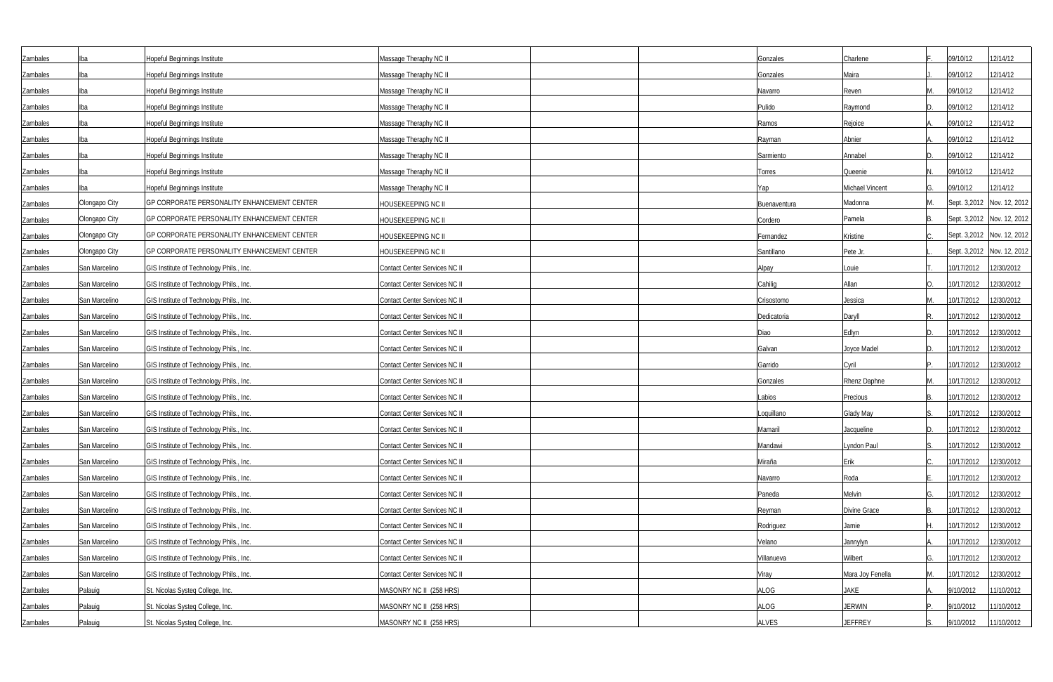| <b>Zambales</b> | lba                  | Hopeful Beginnings Institute                | Massage Theraphy NC II               | Gonzales      | Charlene            |    | 09/10/12   | 12/14/12                     |
|-----------------|----------------------|---------------------------------------------|--------------------------------------|---------------|---------------------|----|------------|------------------------------|
| Zambales        | lba                  | Hopeful Beginnings Institute                | Massage Theraphy NC II               | Gonzales      | Maira               |    | 09/10/12   | 12/14/12                     |
| <b>Zambales</b> | Iba                  | Hopeful Beginnings Institute                | Massage Theraphy NC II               | Navarro       | Reven               |    | 09/10/12   | 12/14/12                     |
| Zambales        | Iba                  | Hopeful Beginnings Institute                | Massage Theraphy NC II               | Pulido        | Raymond             |    | 09/10/12   | 12/14/12                     |
| <b>Zambales</b> | Iba                  | Hopeful Beginnings Institute                | Massage Theraphy NC II               | Ramos         | Rejoice             |    | 09/10/12   | 12/14/12                     |
| Zambales        | lba                  | Hopeful Beginnings Institute                | Massage Theraphy NC II               | Rayman        | Abnier              |    | 09/10/12   | 12/14/12                     |
| Zambales        | lba                  | Hopeful Beginnings Institute                | Massage Theraphy NC II               | Sarmiento     | Annabel             |    | 09/10/12   | 12/14/12                     |
| Zambales        | lba                  | Hopeful Beginnings Institute                | Massage Theraphy NC II               | <b>Torres</b> | Queenie             |    | 09/10/12   | 12/14/12                     |
| <b>Zambales</b> | lba                  | Hopeful Beginnings Institute                | Massage Theraphy NC II               | Yap           | Michael Vincent     | G. | 09/10/12   | 12/14/12                     |
| <b>Zambales</b> | <b>Olongapo City</b> | GP CORPORATE PERSONALITY ENHANCEMENT CENTER | <b>HOUSEKEEPING NC II</b>            | Buenaventura  | Madonna             |    |            | Sept. 3,2012 Nov. 12, 2012   |
| <b>Zambales</b> | <b>Olongapo City</b> | GP CORPORATE PERSONALITY ENHANCEMENT CENTER | <b>HOUSEKEEPING NC II</b>            | Cordero       | Pamela              |    |            | Sept. 3,2012 Nov. 12, 2012   |
| Zambales        | <b>Olongapo City</b> | GP CORPORATE PERSONALITY ENHANCEMENT CENTER | <b>HOUSEKEEPING NC II</b>            | Fernandez     | Kristine            |    |            | Sept. 3,2012 Nov. 12, 2012   |
| <b>Zambales</b> | <b>Olongapo City</b> | GP CORPORATE PERSONALITY ENHANCEMENT CENTER | <b>HOUSEKEEPING NC II</b>            | Santillano    | Pete Jr.            |    |            | Sept. 3,2012   Nov. 12, 2012 |
| <b>Zambales</b> | San Marcelino        | GIS Institute of Technology Phils., Inc.    | Contact Center Services NC II        | Alpay         | Louie               |    | 10/17/2012 | 12/30/2012                   |
| <b>Zambales</b> | San Marcelino        | GIS Institute of Technology Phils., Inc.    | Contact Center Services NC II        | Cahilig       | Allan               |    | 10/17/2012 | 12/30/2012                   |
| Zambales        | San Marcelino        | GIS Institute of Technology Phils., Inc.    | Contact Center Services NC II        | Crisostomo    | Jessica             |    | 10/17/2012 | 12/30/2012                   |
| <b>Zambales</b> | San Marcelino        | GIS Institute of Technology Phils., Inc.    | Contact Center Services NC II        | Dedicatoria   | Daryll              | R. | 10/17/2012 | 12/30/2012                   |
| Zambales        | San Marcelino        | GIS Institute of Technology Phils., Inc.    | Contact Center Services NC II        | Diao          | Edlyn               |    | 10/17/2012 | 12/30/2012                   |
| Zambales        | San Marcelino        | GIS Institute of Technology Phils., Inc.    | Contact Center Services NC II        | Galvan        | Joyce Madel         |    | 10/17/2012 | 12/30/2012                   |
| Zambales        | San Marcelino        | GIS Institute of Technology Phils., Inc.    | Contact Center Services NC II        | Garrido       | Cyril               |    | 10/17/2012 | 12/30/2012                   |
| Zambales        | San Marcelino        | GIS Institute of Technology Phils., Inc.    | Contact Center Services NC II        | Gonzales      | <b>Rhenz Daphne</b> | M. | 10/17/2012 | 12/30/2012                   |
| <b>Zambales</b> | San Marcelino        | GIS Institute of Technology Phils., Inc.    | Contact Center Services NC II        | Labios        | Precious            |    | 10/17/2012 | 12/30/2012                   |
| <b>Zambales</b> | San Marcelino        | GIS Institute of Technology Phils., Inc.    | <b>Contact Center Services NC II</b> | Loauillano    | Glady May           |    | 10/17/2012 | 12/30/2012                   |
| <b>Zambales</b> | San Marcelino        | GIS Institute of Technology Phils., Inc.    | Contact Center Services NC II        | Mamaril       | Jacqueline          |    | 10/17/2012 | 12/30/2012                   |
| <b>Zambales</b> | San Marcelino        | GIS Institute of Technology Phils., Inc.    | Contact Center Services NC II        | Mandawi       | Lyndon Paul         |    | 10/17/2012 | 12/30/2012                   |
| Zambales        | San Marcelino        | GIS Institute of Technology Phils., Inc.    | Contact Center Services NC II        | Miraña        | Erik                |    | 10/17/2012 | 12/30/2012                   |
| <b>Zambales</b> | San Marcelino        | GIS Institute of Technology Phils., Inc.    | Contact Center Services NC II        | Navarro       | Roda                |    | 10/17/2012 | 12/30/2012                   |
| <b>Zambales</b> | San Marcelino        | GIS Institute of Technology Phils., Inc.    | Contact Center Services NC II        | Paneda        | Melvin              |    | 10/17/2012 | 12/30/2012                   |
| <b>Zambales</b> | San Marcelino        | GIS Institute of Technology Phils., Inc.    | Contact Center Services NC II        | Reyman        | Divine Grace        |    | 10/17/2012 | 12/30/2012                   |
| Zambales        | San Marcelino        | GIS Institute of Technology Phils., Inc.    | Contact Center Services NC II        | Rodriguez     | Jamie               |    | 10/17/2012 | 12/30/2012                   |
| Zambales        | San Marcelino        | GIS Institute of Technology Phils., Inc.    | Contact Center Services NC II        | Velano        | Jannylyn            |    | 10/17/2012 | 12/30/2012                   |
| <b>Zambales</b> | San Marcelino        | GIS Institute of Technology Phils., Inc.    | Contact Center Services NC II        | Villanueva    | <b>Wilbert</b>      |    | 10/17/2012 | 12/30/2012                   |
| Zambales        | San Marcelino        | GIS Institute of Technology Phils., Inc.    | Contact Center Services NC II        | Viray         | Mara Joy Fenella    | M. | 10/17/2012 | 12/30/2012                   |
| Zambales        | Palauig              | St. Nicolas Systeq College, Inc.            | MASONRY NC II (258 HRS)              | <b>ALOG</b>   | <b>JAKE</b>         |    | 9/10/2012  | 11/10/2012                   |
| Zambales        | Palauig              | St. Nicolas Systeq College, Inc.            | MASONRY NC II (258 HRS)              | ALOG          | <b>JERWIN</b>       |    | 9/10/2012  | 11/10/2012                   |
| <b>Zambales</b> | Palauig              | St. Nicolas Systeq College, Inc.            | MASONRY NC II (258 HRS)              | <b>ALVES</b>  | <b>JEFFREY</b>      |    | 9/10/2012  | 11/10/2012                   |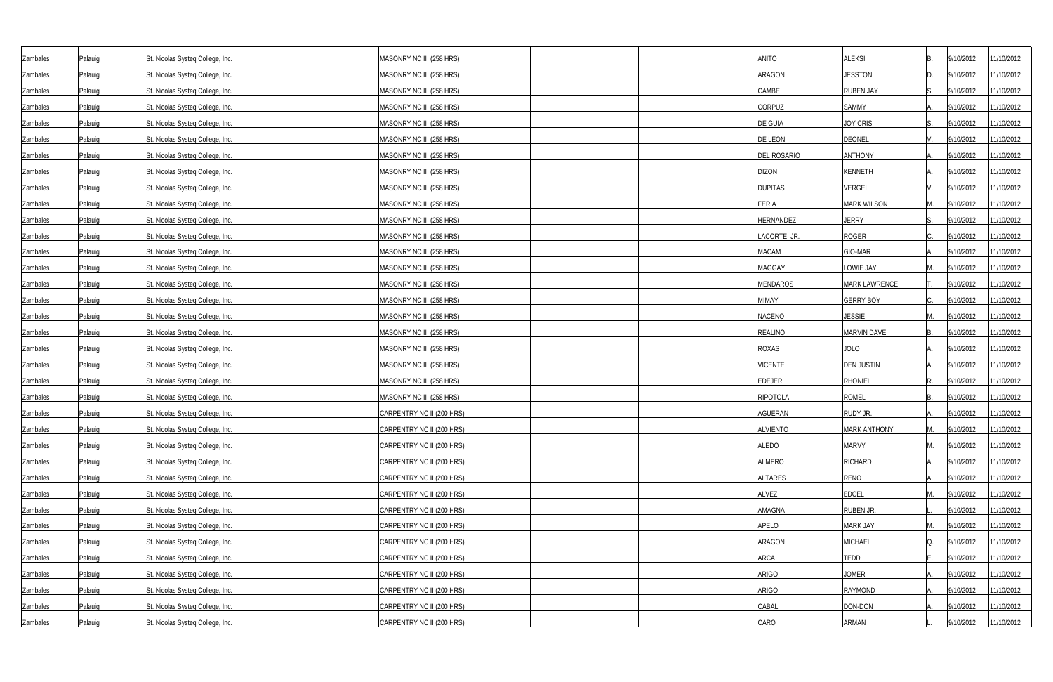| Zambales        | Palauig | St. Nicolas Systeq College, Inc. | MASONRY NC II (258 HRS)   | <b>ANITO</b>       | <b>ALEKSI</b>        | IB. | 9/10/2012 | 11/10/2012 |
|-----------------|---------|----------------------------------|---------------------------|--------------------|----------------------|-----|-----------|------------|
| <b>Zambales</b> | Palauig | St. Nicolas Systeq College, Inc. | MASONRY NC II (258 HRS)   | <b>ARAGON</b>      | <b>JESSTON</b>       | ID. | 9/10/2012 | 11/10/2012 |
| <b>Zambales</b> | Palauig | St. Nicolas Systeg College, Inc. | MASONRY NC II (258 HRS)   | <b>CAMBE</b>       | <b>RUBEN JAY</b>     | IS. | 9/10/2012 | 11/10/2012 |
| Zambales        | Palauig | St. Nicolas Systeq College, Inc. | MASONRY NC II (258 HRS)   | <b>CORPUZ</b>      | <b>SAMMY</b>         | IA. | 9/10/2012 | 11/10/2012 |
| Zambales        | Palauig | St. Nicolas Systeq College, Inc. | MASONRY NC II (258 HRS)   | <b>DE GUIA</b>     | <b>JOY CRIS</b>      | IS. | 9/10/2012 | 11/10/2012 |
| Zambales        | Palauig | St. Nicolas Systeq College, Inc. | MASONRY NC II (258 HRS)   | <b>DE LEON</b>     | <b>DEONEL</b>        |     | 9/10/2012 | 11/10/2012 |
| Zambales        | Palauig | St. Nicolas Systeq College, Inc. | MASONRY NC II (258 HRS)   | <b>DEL ROSARIO</b> | <b>ANTHONY</b>       | IA. | 9/10/2012 | 11/10/2012 |
| Zambales        | Palauig | St. Nicolas Systeq College, Inc. | MASONRY NC II (258 HRS)   | <b>DIZON</b>       | <b>KENNETH</b>       | IA. | 9/10/2012 | 11/10/2012 |
| Zambales        | Palauig | St. Nicolas Systeq College, Inc. | MASONRY NC II (258 HRS)   | <b>DUPITAS</b>     | <b>VERGEL</b>        |     | 9/10/2012 | 11/10/2012 |
| Zambales        | Palauig | St. Nicolas Systeq College, Inc. | MASONRY NC II (258 HRS)   | <b>FERIA</b>       | <b>MARK WILSON</b>   | M.  | 9/10/2012 | 11/10/2012 |
| <b>Zambales</b> | Palauig | St. Nicolas Systeq College, Inc. | MASONRY NC II (258 HRS)   | <b>HERNANDEZ</b>   | <b>JERRY</b>         | IS. | 9/10/2012 | 11/10/2012 |
| <b>Zambales</b> | Palauig | St. Nicolas Systeq College, Inc. | MASONRY NC II (258 HRS)   | LACORTE, JR.       | <b>ROGER</b>         |     | 9/10/2012 | 11/10/2012 |
| <b>Zambales</b> | Palauig | St. Nicolas Systeq College, Inc. | MASONRY NC II (258 HRS)   | <b>MACAM</b>       | <b>GIO-MAR</b>       |     | 9/10/2012 | 11/10/2012 |
| Zambales        | Palauig | St. Nicolas Systeq College, Inc. | MASONRY NC II (258 HRS)   | <b>MAGGAY</b>      | LOME JAY             | M.  | 9/10/2012 | 11/10/2012 |
| Zambales        | Palauig | St. Nicolas Systeq College, Inc. | MASONRY NC II (258 HRS)   | <b>MENDAROS</b>    | <b>MARK LAWRENCE</b> |     | 9/10/2012 | 11/10/2012 |
| Zambales        | Palauig | St. Nicolas Systeq College, Inc. | MASONRY NC II (258 HRS)   | <b>MIMAY</b>       | <b>GERRY BOY</b>     |     | 9/10/2012 | 11/10/2012 |
| Zambales        | Palauig | St. Nicolas Systeq College, Inc. | MASONRY NC II (258 HRS)   | <b>NACENO</b>      | <b>JESSIE</b>        | M.  | 9/10/2012 | 11/10/2012 |
| Zambales        | Palauig | St. Nicolas Systeq College, Inc. | MASONRY NC II (258 HRS)   | <b>REALINO</b>     | <b>MARVIN DAVE</b>   | IB. | 9/10/2012 | 11/10/2012 |
| Zambales        | Palauig | St. Nicolas Systeq College, Inc. | MASONRY NC II (258 HRS)   | <b>ROXAS</b>       | <b>JOLO</b>          | A.  | 9/10/2012 | 11/10/2012 |
| Zambales        | Palauig | St. Nicolas Systeq College, Inc. | MASONRY NC II (258 HRS)   | <b>VICENTE</b>     | <b>DEN JUSTIN</b>    | IA. | 9/10/2012 | 11/10/2012 |
| Zambales        | Palauig | St. Nicolas Systeq College, Inc. | MASONRY NC II (258 HRS)   | <b>EDEJER</b>      | <b>RHONEL</b>        | IR. | 9/10/2012 | 11/10/2012 |
| <b>Zambales</b> | Palauig | St. Nicolas Systeq College, Inc. | MASONRY NC II (258 HRS)   | <b>RIPOTOLA</b>    | <b>ROMEL</b>         | IB. | 9/10/2012 | 11/10/2012 |
| Zambales        | Palauig | St. Nicolas Systeq College, Inc. | CARPENTRY NC II (200 HRS) | <b>AGUERAN</b>     | <b>RUDY JR.</b>      |     | 9/10/2012 | 11/10/2012 |
| <b>Zambales</b> | Palauig | St. Nicolas Systeq College, Inc. | CARPENTRY NC II (200 HRS) | <b>ALVIENTO</b>    | <b>MARK ANTHONY</b>  |     | 9/10/2012 | 11/10/2012 |
| Zambales        | Palauig | St. Nicolas Systeq College, Inc. | CARPENTRY NC II (200 HRS) | <b>ALEDO</b>       | <b>MARVY</b>         | M.  | 9/10/2012 | 11/10/2012 |
| Zambales        | Palauig | St. Nicolas Systeq College, Inc. | CARPENTRY NC II (200 HRS) | <b>ALMERO</b>      | <b>RICHARD</b>       |     | 9/10/2012 | 11/10/2012 |
| <b>Zambales</b> | Palauig | St. Nicolas Systeq College, Inc. | CARPENTRY NC II (200 HRS) | <b>ALTARES</b>     | <b>RENO</b>          | A.  | 9/10/2012 | 11/10/2012 |
| <b>Zambales</b> | Palauig | St. Nicolas Systeq College, Inc. | CARPENTRY NC II (200 HRS) | <b>ALVEZ</b>       | <b>EDCEL</b>         | M.  | 9/10/2012 | 11/10/2012 |
| <b>Zambales</b> | Palauig | St. Nicolas Systeq College, Inc. | CARPENTRY NC II (200 HRS) | <b>AMAGNA</b>      | RUBEN JR.            |     | 9/10/2012 | 11/10/2012 |
| <b>Zambales</b> | Palauig | St. Nicolas Systeq College, Inc. | CARPENTRY NC II (200 HRS) | <b>APELO</b>       | <b>MARK JAY</b>      | M.  | 9/10/2012 | 11/10/2012 |
| Zambales        | Palauig | St. Nicolas Systeq College, Inc. | CARPENTRY NC II (200 HRS) | <b>ARAGON</b>      | <b>MICHAEL</b>       | Q   | 9/10/2012 | 11/10/2012 |
| <b>Zambales</b> | Palauig | St. Nicolas Systeq College, Inc. | CARPENTRY NC II (200 HRS) | <b>ARCA</b>        | <b>TEDD</b>          | IF. | 9/10/2012 | 11/10/2012 |
| Zambales        | Palauig | St. Nicolas Systeq College, Inc. | CARPENTRY NC II (200 HRS) | <b>ARIGO</b>       | <b>JOMER</b>         |     | 9/10/2012 | 11/10/2012 |
| <b>Zambales</b> | Palauig | St. Nicolas Systeq College, Inc. | CARPENTRY NC II (200 HRS) | <b>ARIGO</b>       | <b>RAYMOND</b>       |     | 9/10/2012 | 11/10/2012 |
| Zambales        | Palauig | St. Nicolas Systeq College, Inc. | CARPENTRY NC II (200 HRS) | <b>CABAL</b>       | <b>DON-DON</b>       |     | 9/10/2012 | 11/10/2012 |
| <b>Zambales</b> | Palauig | St. Nicolas Systeq College, Inc. | CARPENTRY NC II (200 HRS) | <b>CARO</b>        | <b>ARMAN</b>         |     | 9/10/2012 | 11/10/2012 |
|                 |         |                                  |                           |                    |                      |     |           |            |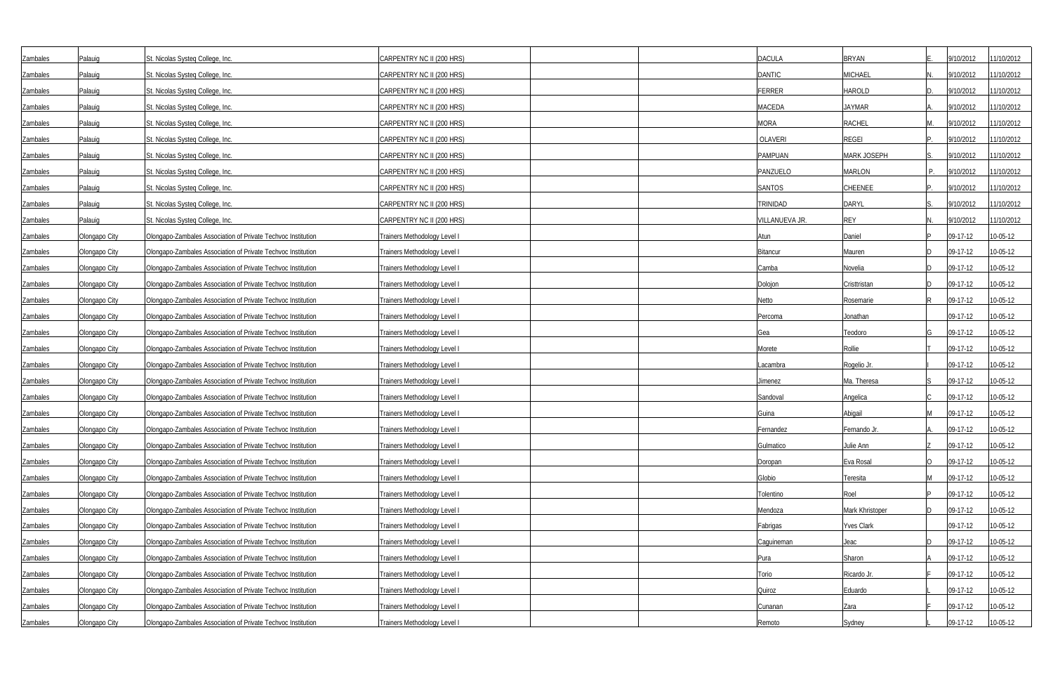| Zambales        | Palauig              | St. Nicolas Systeq College, Inc.                                    | CARPENTRY NC II (200 HRS)           | <b>DACULA</b>         | <b>BRYAN</b>      | IF.      | 9/10/2012 | 11/10/2012 |
|-----------------|----------------------|---------------------------------------------------------------------|-------------------------------------|-----------------------|-------------------|----------|-----------|------------|
| <b>Zambales</b> | Palauig              | St. Nicolas Systeq College, Inc.                                    | CARPENTRY NC II (200 HRS)           | <b>DANTIC</b>         | <b>MICHAEL</b>    | N.       | 9/10/2012 | 11/10/2012 |
| <b>Zambales</b> | Palauig              | St. Nicolas Systeq College, Inc.                                    | CARPENTRY NC II (200 HRS)           | <b>FERRER</b>         | <b>HAROLD</b>     | D.       | 9/10/2012 | 11/10/2012 |
| Zambales        | Palauig              | St. Nicolas Systeq College, Inc.                                    | CARPENTRY NC II (200 HRS)           | <b>MACEDA</b>         | <b>JAYMAR</b>     | IA.      | 9/10/2012 | 11/10/2012 |
| Zambales        | Palauig              | St. Nicolas Systeq College, Inc.                                    | CARPENTRY NC II (200 HRS)           | <b>MORA</b>           | <b>RACHEL</b>     | M.       | 9/10/2012 | 11/10/2012 |
| Zambales        | Palauig              | St. Nicolas Systeg College, Inc.                                    | CARPENTRY NC II (200 HRS)           | <b>OLAVERI</b>        | <b>REGEI</b>      | P.       | 9/10/2012 | 11/10/2012 |
| Zambales        | Palauig              | St. Nicolas Systeq College, Inc.                                    | CARPENTRY NC II (200 HRS)           | <b>PAMPUAN</b>        | MARK JOSEPH       | IS.      | 9/10/2012 | 11/10/2012 |
| Zambales        | Palauig              | St. Nicolas Systeq College, Inc.                                    | CARPENTRY NC II (200 HRS)           | PANZUELO              | <b>MARLON</b>     | P.       | 9/10/2012 | 11/10/2012 |
| Zambales        | Palauig              | St. Nicolas Systeq College, Inc.                                    | CARPENTRY NC II (200 HRS)           | <b>SANTOS</b>         | <b>CHEENEE</b>    | P.       | 9/10/2012 | 11/10/2012 |
| <b>Zambales</b> | Palauig              | St. Nicolas Systeq College, Inc.                                    | CARPENTRY NC II (200 HRS)           | <b>TRINIDAD</b>       | <b>DARYL</b>      | S.       | 9/10/2012 | 11/10/2012 |
| <b>Zambales</b> | Palauig              | St. Nicolas Systeq College, Inc.                                    | CARPENTRY NC II (200 HRS)           | <b>VILLANUEVA JR.</b> | <b>REY</b>        | N.       | 9/10/2012 | 11/10/2012 |
| <b>Zambales</b> | Olongapo City        | Olongapo-Zambales Association of Private Techvoc Institution        | <b>Trainers Methodology Level I</b> | Atun                  | Daniel            | D        | 09-17-12  | 10-05-12   |
| <b>Zambales</b> | Olongapo City        | Olongapo-Zambales Association of Private Techvoc Institution        | <b>Trainers Methodology Level I</b> | Bitancur              | Mauren            |          | 09-17-12  | 10-05-12   |
| <b>Zambales</b> | Olongapo City        | Olongapo-Zambales Association of Private Techvoc Institution        | Trainers Methodology Level I        | Camba                 | Novelia           |          | 09-17-12  | 10-05-12   |
| Zambales        | <b>Clongapo City</b> | Olongapo-Zambales Association of Private Techvoc Institution        | <b>Trainers Methodology Level I</b> | Dolojon               | Cristtristan      |          | 09-17-12  | 10-05-12   |
| Zambales        | Olongapo City        | Olongapo-Zambales Association of Private Techvoc Institution        | Trainers Methodology Level I        | Netto                 | Rosemarie         | lR.      | 09-17-12  | 10-05-12   |
| Zambales        | <b>Olongapo City</b> | Olongapo-Zambales Association of Private Techvoc Institution        | Trainers Methodology Level I        | Percoma               | Jonathan          |          | 09-17-12  | 10-05-12   |
| Zambales        | <b>Olongapo City</b> | Olongapo-Zambales Association of Private Techvoc Institution        | <b>Trainers Methodology Level I</b> | Gea                   | Teodoro           | G        | 09-17-12  | 10-05-12   |
| Zambales        | <b>Olongapo City</b> | Olongapo-Zambales Association of Private Techvoc Institution        | Trainers Methodology Level I        | Morete                | Rollie            |          | 09-17-12  | 10-05-12   |
| Zambales        | Olongapo City        | <b>Clongapo-Zambales Association of Private Techvoc Institution</b> | Trainers Methodology Level I        | Lacambra              | Rogelio Jr.       |          | 09-17-12  | 10-05-12   |
| Zambales        | Olongapo City        | <b>Olongapo-Zambales Association of Private Techvoc Institution</b> | <b>Trainers Methodology Level I</b> | <b>Jimenez</b>        | Ma. Theresa       | ls       | 09-17-12  | 10-05-12   |
| <b>Zambales</b> | Olongapo City        | Olongapo-Zambales Association of Private Techvoc Institution        | <b>Trainers Methodology Level I</b> | Sandoval              | Angelica          |          | 09-17-12  | 10-05-12   |
| <b>Zambales</b> | <b>Olongapo City</b> | Olongapo-Zambales Association of Private Techvoc Institution        | <b>Trainers Methodology Level I</b> | Guina                 | Abigail           | M        | 09-17-12  | 10-05-12   |
| <b>Zambales</b> | <b>Olongapo City</b> | Olongapo-Zambales Association of Private Techvoc Institution        | <b>Trainers Methodology Level I</b> | Fernandez             | Fernando Jr.      |          | 09-17-12  | 10-05-12   |
| Zambales        | <b>Clongapo City</b> | Olongapo-Zambales Association of Private Techvoc Institution        | <b>Trainers Methodology Level I</b> | Gulmatico             | Julie Ann         |          | 09-17-12  | 10-05-12   |
| <b>Zambales</b> | Olongapo City        | Olongapo-Zambales Association of Private Techvoc Institution        | <b>Trainers Methodology Level I</b> | Doropan               | Eva Rosal         | $\Omega$ | 09-17-12  | 10-05-12   |
| <b>Zambales</b> | <b>Olongapo City</b> | Olongapo-Zambales Association of Private Techvoc Institution        | Trainers Methodology Level I        | Globio                | Teresita          | M        | 09-17-12  | 10-05-12   |
| <b>Zambales</b> | <b>Olongapo City</b> | Olongapo-Zambales Association of Private Techvoc Institution        | <b>Trainers Methodology Level I</b> | Tolentino             | Roel              | Þ        | 09-17-12  | 10-05-12   |
| <b>Zambales</b> | <b>Clongapo City</b> | <b>Olongapo-Zambales Association of Private Techvoc Institution</b> | <b>Trainers Methodology Level I</b> | Mendoza               | Mark Khristoper   | ID.      | 09-17-12  | 10-05-12   |
| Zambales        | <b>Clongapo City</b> | Olongapo-Zambales Association of Private Techvoc Institution        | <b>Trainers Methodology Level I</b> | Fabrigas              | <b>Yves Clark</b> |          | 09-17-12  | 10-05-12   |
| Zambales        | Olongapo City        | Olongapo-Zambales Association of Private Techvoc Institution        | <b>Trainers Methodology Level I</b> | Caguineman            | Jeac              | ID       | 09-17-12  | 10-05-12   |
| Zambales        | <b>Clongapo City</b> | Olongapo-Zambales Association of Private Techvoc Institution        | <b>Trainers Methodology Level I</b> | Pura                  | Sharon            |          | 09-17-12  | 10-05-12   |
| Zambales        | <b>Olongapo City</b> | Olongapo-Zambales Association of Private Techvoc Institution        | Trainers Methodology Level I        | Torio                 | Ricardo Jr.       |          | 09-17-12  | 10-05-12   |
| Zambales        | <b>Olongapo City</b> | Olongapo-Zambales Association of Private Techvoc Institution        | Trainers Methodology Level I        | Quiroz                | Eduardo           |          | 09-17-12  | 10-05-12   |
| <b>Zambales</b> | Olongapo City        | Olongapo-Zambales Association of Private Techvoc Institution        | <b>Trainers Methodology Level I</b> | Cunanan               | Zara              |          | 09-17-12  | 10-05-12   |
| <b>Zambales</b> | <b>Olongapo City</b> | <b>Clongapo-Zambales Association of Private Techvoc Institution</b> | <b>Trainers Methodology Level I</b> | Remoto                | Sydney            |          | 09-17-12  | 10-05-12   |
|                 |                      |                                                                     |                                     |                       |                   |          |           |            |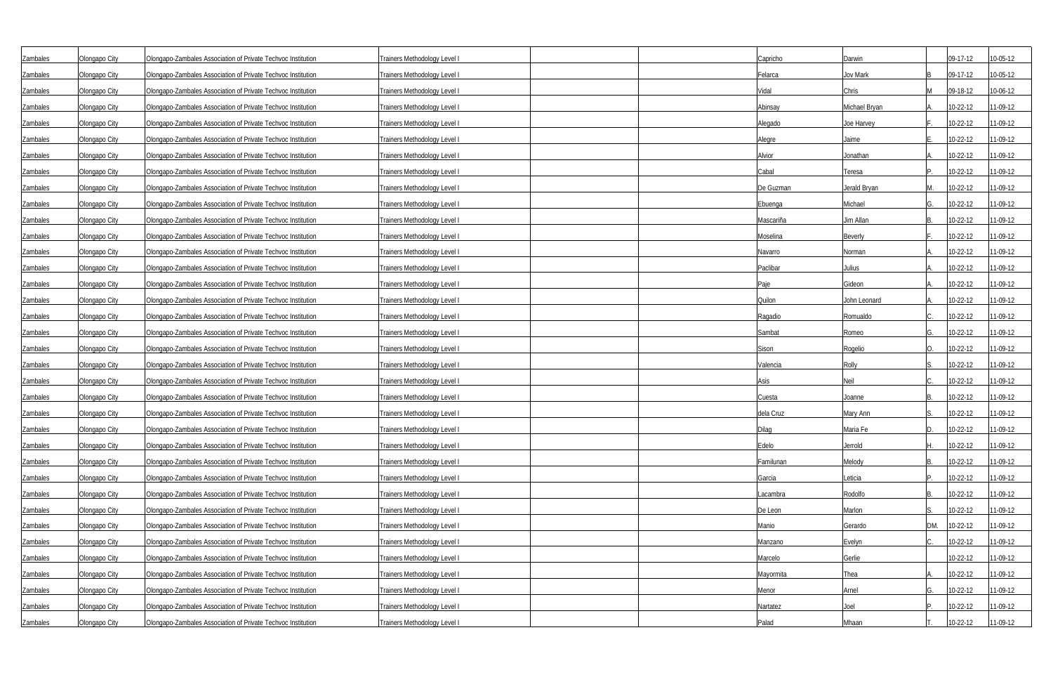| Zambales        | <b>Olongapo City</b> | Olongapo-Zambales Association of Private Techvoc Institution | Trainers Methodology Level I        | Capricho  | Darwin          |     | 09-17-12 | 10-05-12 |
|-----------------|----------------------|--------------------------------------------------------------|-------------------------------------|-----------|-----------------|-----|----------|----------|
| <b>Zambales</b> | <b>Olongapo City</b> | Olongapo-Zambales Association of Private Techvoc Institution | <b>Trainers Methodology Level I</b> | Felarca   | <b>Jov Mark</b> |     | 09-17-12 | 10-05-12 |
| <b>Zambales</b> | Olongapo City        | Olongapo-Zambales Association of Private Techvoc Institution | <b>Trainers Methodology Level I</b> | Vidal     | Chris           |     | 09-18-12 | 10-06-12 |
| <b>Zambales</b> | Olongapo City        | Olongapo-Zambales Association of Private Techvoc Institution | Trainers Methodology Level I        | Abinsay   | Michael Bryan   |     | 10-22-12 | 11-09-12 |
| Zambales        | <b>Olongapo City</b> | Olongapo-Zambales Association of Private Techvoc Institution | <b>Trainers Methodology Level I</b> | Alegado   | Joe Harvey      |     | 10-22-12 | 11-09-12 |
| Zambales        | Olongapo City        | Olongapo-Zambales Association of Private Techvoc Institution | Trainers Methodology Level I        | Alegre    | Jaime           |     | 10-22-12 | 11-09-12 |
| Zambales        | Olongapo City        | Olongapo-Zambales Association of Private Techvoc Institution | <b>Trainers Methodology Level I</b> | Alvior    | Jonathan        |     | 10-22-12 | 11-09-12 |
| Zambales        | Olongapo City        | Olongapo-Zambales Association of Private Techvoc Institution | Trainers Methodology Level I        | Cabal     | Teresa          |     | 10-22-12 | 11-09-12 |
| <b>Zambales</b> | Olongapo City        | Olongapo-Zambales Association of Private Techvoc Institution | Trainers Methodology Level I        | De Guzman | Jerald Bryan    |     | 10-22-12 | 11-09-12 |
| Zambales        | Olongapo City        | Olongapo-Zambales Association of Private Techvoc Institution | <b>Trainers Methodology Level I</b> | Ebuenga   | Michael         |     | 10-22-12 | 11-09-12 |
| Zambales        | Olongapo City        | Olongapo-Zambales Association of Private Techvoc Institution | Trainers Methodology Level I        | Mascariña | Jim Allan       |     | 10-22-12 | 11-09-12 |
| <b>Zambales</b> | Olongapo City        | Olongapo-Zambales Association of Private Techvoc Institution | Trainers Methodology Level I        | Moselina  | Beverly         |     | 10-22-12 | 11-09-12 |
| <b>Zambales</b> | Olongapo City        | Olongapo-Zambales Association of Private Techvoc Institution | Trainers Methodology Level I        | Navarro   | Norman          |     | 10-22-12 | 11-09-12 |
| Zambales        | Olongapo City        | Olongapo-Zambales Association of Private Techvoc Institution | <b>Trainers Methodology Level I</b> | Paclibar  | Julius          |     | 10-22-12 | 11-09-12 |
| <b>Zambales</b> | <b>Olongapo City</b> | Olongapo-Zambales Association of Private Techvoc Institution | <b>Trainers Methodology Level I</b> | Paje      | Gideon          |     | 10-22-12 | 11-09-12 |
| <b>Zambales</b> | <b>Olongapo City</b> | Olongapo-Zambales Association of Private Techvoc Institution | Trainers Methodology Level I        | Quilon    | John Leonard    |     | 10-22-12 | 11-09-12 |
| Zambales        | <b>Olongapo City</b> | Olongapo-Zambales Association of Private Techvoc Institution | <b>Trainers Methodology Level I</b> | Ragadio   | Romualdo        |     | 10-22-12 | 11-09-12 |
| <b>Zambales</b> | Olongapo City        | Olongapo-Zambales Association of Private Techvoc Institution | Trainers Methodology Level I        | Sambat    | Romeo           |     | 10-22-12 | 11-09-12 |
| Zambales        | Olongapo City        | Olongapo-Zambales Association of Private Techvoc Institution | <b>Trainers Methodology Level I</b> | Sison     | Rogelio         |     | 10-22-12 | 11-09-12 |
| <b>Zambales</b> | <b>Olongapo City</b> | Olongapo-Zambales Association of Private Techvoc Institution | Trainers Methodology Level I        | Valencia  | <b>Rolly</b>    |     | 10-22-12 | 11-09-12 |
| Zambales        | Olongapo City        | Olongapo-Zambales Association of Private Techvoc Institution | <b>Trainers Methodology Level I</b> | Asis      | Neil            |     | 10-22-12 | 11-09-12 |
| Zambales        | <b>Olongapo City</b> | Olongapo-Zambales Association of Private Techvoc Institution | Trainers Methodology Level I        | Cuesta    | Joanne          |     | 10-22-12 | 11-09-12 |
| <b>Zambales</b> | Olongapo City        | Olongapo-Zambales Association of Private Techvoc Institution | <b>Trainers Methodology Level I</b> | dela Cruz | Mary Ann        |     | 10-22-12 | 11-09-12 |
| <b>Zambales</b> | Olongano Citv        | Olongapo-Zambales Association of Private Techvoc Institution | Trainers Methodology Level I        | Dilaa     | Maria Fe        |     | 10-22-12 | 1-09-12  |
| Zambales        | <b>Olongapo City</b> | Olongapo-Zambales Association of Private Techvoc Institution | <b>Trainers Methodology Level I</b> | Edelo     | <b>Jerrold</b>  |     | 10-22-12 | 11-09-12 |
| <b>Zambales</b> | <b>Olongapo City</b> | Olongapo-Zambales Association of Private Techvoc Institution | <b>Trainers Methodology Level I</b> | Familunan | Melody          |     | 10-22-12 | 11-09-12 |
| <b>Zambales</b> | Olongapo City        | Olongapo-Zambales Association of Private Techvoc Institution | Trainers Methodology Level I        | Garcia    | Leticia         |     | 10-22-12 | 11-09-12 |
| <b>Zambales</b> | Olongapo City        | Olongapo-Zambales Association of Private Techvoc Institution | Trainers Methodology Level I        | Lacambra  | Rodolfo         |     | 10-22-12 | 11-09-12 |
| Zambales        | <b>Olongapo City</b> | Olongapo-Zambales Association of Private Techvoc Institution | <b>Trainers Methodology Level I</b> | De Leon   | Marlon          |     | 10-22-12 | 11-09-12 |
| Zambales        | <b>Olongapo City</b> | Olongapo-Zambales Association of Private Techvoc Institution | <b>Trainers Methodology Level I</b> | Manio     | Gerardo         | DM. | 10-22-12 | 11-09-12 |
| Zambales        | <b>Olongapo City</b> | Olongapo-Zambales Association of Private Techvoc Institution | <b>Trainers Methodology Level I</b> | Manzano   | Evelyn          |     | 10-22-12 | 11-09-12 |
| Zambales        | <b>Olongapo City</b> | Olongapo-Zambales Association of Private Techvoc Institution | <b>Trainers Methodology Level I</b> | Marcelo   | Gerlie          |     | 10-22-12 | 11-09-12 |
| Zambales        | Olongapo City        | Olongapo-Zambales Association of Private Techvoc Institution | <b>Trainers Methodology Level I</b> | Mayormita | Thea            |     | 10-22-12 | 11-09-12 |
| <b>Zambales</b> | <b>Olongapo City</b> | Olongapo-Zambales Association of Private Techvoc Institution | <b>Trainers Methodology Level I</b> | Menor     | Arnel           |     | 10-22-12 | 11-09-12 |
| Zambales        | Olongapo City        | Olongapo-Zambales Association of Private Techvoc Institution | Trainers Methodology Level I        | Nartatez  | Joel            |     | 10-22-12 | 11-09-12 |
| <b>Zambales</b> | Olongapo City        | Olongapo-Zambales Association of Private Techvoc Institution | Trainers Methodology Level I        | Palad     | Mhaan           |     | 10-22-12 | 11-09-12 |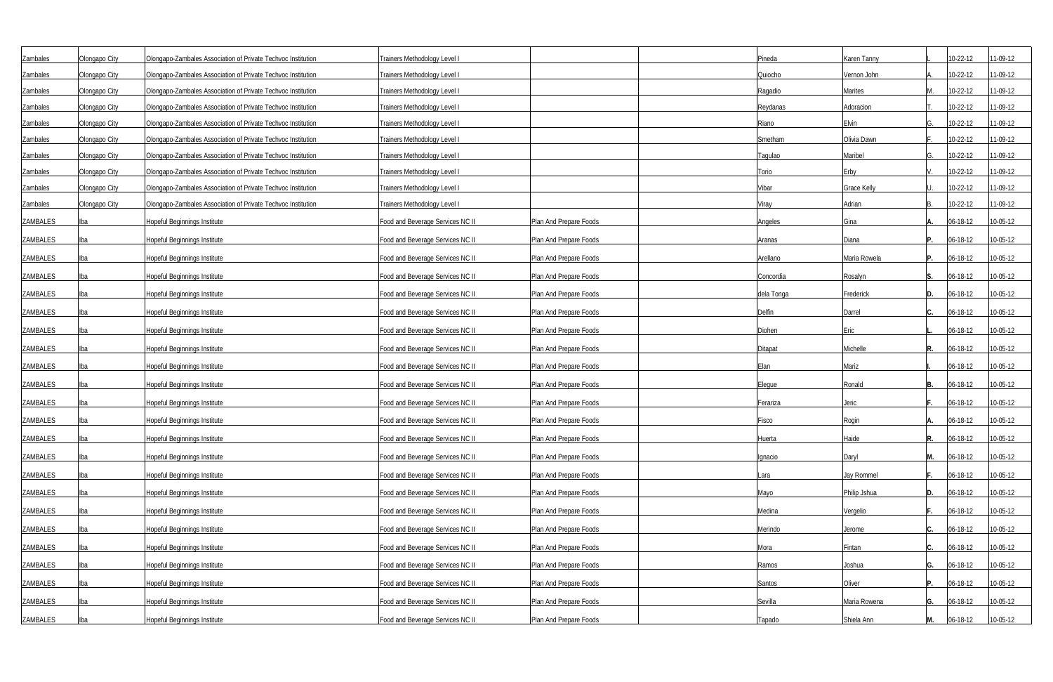| <b>Zambales</b> | Olongapo City        | Olongapo-Zambales Association of Private Techvoc Institution | <b>Trainers Methodology Level I</b>     |                        | Pineda         | Karen Tanny        |     | 10-22-12    | 11-09-12 |
|-----------------|----------------------|--------------------------------------------------------------|-----------------------------------------|------------------------|----------------|--------------------|-----|-------------|----------|
| Zambales        | Olongapo City        | Olongapo-Zambales Association of Private Techvoc Institution | Trainers Methodology Level I            |                        | Quiocho        | Vernon John        |     | 10-22-12    | 11-09-12 |
| <b>Zambales</b> | Olongapo City        | Olongapo-Zambales Association of Private Techvoc Institution | Trainers Methodology Level I            |                        | Ragadio        | <b>Marites</b>     | IM. | 10-22-12    | 11-09-12 |
| <b>Zambales</b> | Olongapo City        | Olongapo-Zambales Association of Private Techvoc Institution | Trainers Methodology Level I            |                        | Reydanas       | Adoracion          |     | 10-22-12    | 11-09-12 |
| <b>Zambales</b> | <b>Olongapo City</b> | Olongapo-Zambales Association of Private Techvoc Institution | <b>Trainers Methodology Level I</b>     |                        | Riano          | Elvin              |     | 10-22-12    | 11-09-12 |
| Zambales        | Olongapo City        | Olongapo-Zambales Association of Private Techvoc Institution | Trainers Methodology Level I            |                        | Smetham        | <b>Olivia Dawn</b> |     | 10-22-12    | 11-09-12 |
| <b>Zambales</b> | Olongapo City        | Olongapo-Zambales Association of Private Techvoc Institution | Trainers Methodology Level I            |                        | Taqulao        | Maribel            |     | 10-22-12    | 11-09-12 |
| <b>Zambales</b> | <b>Olongapo City</b> | Olongapo-Zambales Association of Private Techvoc Institution | Trainers Methodology Level I            |                        | Torio          | Erby               |     | 10-22-12    | 11-09-12 |
| <b>Zambales</b> | Olongapo City        | Olongapo-Zambales Association of Private Techvoc Institution | Trainers Methodology Level I            |                        | Vibar          | <b>Grace Kelly</b> |     | 10-22-12    | 11-09-12 |
| <b>Zambales</b> | Olongapo City        | Olongapo-Zambales Association of Private Techvoc Institution | Trainers Methodology Level I            |                        | Viray          | Adrian             |     | 10-22-12    | 11-09-12 |
| <b>ZAMBALES</b> | lba                  | Hopeful Beginnings Institute                                 | Food and Beverage Services NC II        | Plan And Prepare Foods | Angeles        | Gina               |     | 06-18-12    | 10-05-12 |
| <b>ZAMBALES</b> | lba                  | Hopeful Beginnings Institute                                 | Food and Beverage Services NC II        | Plan And Prepare Foods | Aranas         | Diana              |     | 06-18-12    | 10-05-12 |
| <b>ZAMBALES</b> | lba                  | Hopeful Beginnings Institute                                 | Food and Beverage Services NC II        | Plan And Prepare Foods | Arellano       | Maria Rowela       | IP. | 06-18-12    | 10-05-12 |
| <b>ZAMBALES</b> | lba                  | Hopeful Beginnings Institute                                 | Food and Beverage Services NC II        | Plan And Prepare Foods | Concordia      | Rosalyn            |     | 06-18-12    | 10-05-12 |
| <b>ZAMBALES</b> | lba                  | Hopeful Beginnings Institute                                 | Food and Beverage Services NC II        | Plan And Prepare Foods | dela Tonga     | Frederick          | D.  | 06-18-12    | 10-05-12 |
| <b>ZAMBALES</b> | lba                  | Hopeful Beginnings Institute                                 | Food and Beverage Services NC II        | Plan And Prepare Foods | Delfin         | Darrel             |     | 06-18-12    | 10-05-12 |
| <b>ZAMBALES</b> | lba                  | Hopeful Beginnings Institute                                 | <b>Food and Beverage Services NC II</b> | Plan And Prepare Foods | Diohen         | Eric               |     | 06-18-12    | 10-05-12 |
| <b>ZAMBALES</b> | lba                  | Hopeful Beginnings Institute                                 | Food and Beverage Services NC II        | Plan And Prepare Foods | <b>Ditapat</b> | Michelle           | R.  | 06-18-12    | 10-05-12 |
| <b>ZAMBALES</b> | lba                  | Hopeful Beginnings Institute                                 | Food and Beverage Services NC II        | Plan And Prepare Foods | Elan           | Mariz              |     | 06-18-12    | 10-05-12 |
| <b>ZAMBALES</b> | lba                  | Hopeful Beginnings Institute                                 | Food and Beverage Services NC II        | Plan And Prepare Foods | Elegue         | Ronald             |     | 06-18-12    | 10-05-12 |
| <b>ZAMBALES</b> | lba                  | Hopeful Beginnings Institute                                 | Food and Beverage Services NC II        | Plan And Prepare Foods | Ferariza       | Jeric              |     | 06-18-12    | 10-05-12 |
| <b>ZAMBALES</b> | lba                  | Hopeful Beginnings Institute                                 | Food and Beverage Services NC II        | Plan And Prepare Foods | Fisco          | Rogin              |     | 06-18-12    | 10-05-12 |
| <b>ZAMBALES</b> | Iba                  | Hopeful Beginnings Institute                                 | Food and Beverage Services NC II        | Plan And Prepare Foods | Huerta         | Haide              | R.  | 06-18-12    | 10-05-12 |
| <b>ZAMBALES</b> | lba                  | Hopeful Beginnings Institute                                 | Food and Beverage Services NC II        | Plan And Prepare Foods | Ignacio        | Daryl              | M.  | 06-18-12    | 10-05-12 |
| <b>ZAMBALES</b> | lba                  | <b>Hopeful Beginnings Institute</b>                          | Food and Beverage Services NC II        | Plan And Prepare Foods | Lara           | <b>Jay Rommel</b>  |     | 06-18-12    | 10-05-12 |
| <b>ZAMBALES</b> | Iba                  | Hopeful Beginnings Institute                                 | Food and Beverage Services NC II        | Plan And Prepare Foods | Mayo           | Philip Jshua       | ID. | 06-18-12    | 10-05-12 |
| <b>ZAMBALES</b> | lba                  | Hopeful Beginnings Institute                                 | Food and Beverage Services NC II        | Plan And Prepare Foods | Medina         | Vergelio           |     | 06-18-12    | 10-05-12 |
| <b>ZAMBALES</b> | lba                  | Hopeful Beginnings Institute                                 | Food and Beverage Services NC II        | Plan And Prepare Foods | Merindo        | <b>Jerome</b>      |     | 06-18-12    | 10-05-12 |
| <b>ZAMBALES</b> | lba                  | Hopeful Beginnings Institute                                 | Food and Beverage Services NC II        | Plan And Prepare Foods | Mora           | Fintan             |     | 06-18-12    | 10-05-12 |
| <b>ZAMBALES</b> | Iba                  | Hopeful Beginnings Institute                                 | Food and Beverage Services NC II        | Plan And Prepare Foods | Ramos          | Joshua             | G.  | 06-18-12    | 10-05-12 |
| <b>ZAMBALES</b> | lba                  | <b>Hopeful Beginnings Institute</b>                          | Food and Beverage Services NC II        | Plan And Prepare Foods | Santos         | Oliver             | IP. | 06-18-12    | 10-05-12 |
| <b>ZAMBALES</b> | lba                  | Hopeful Beginnings Institute                                 | Food and Beverage Services NC II        | Plan And Prepare Foods | Sevilla        | Maria Rowena       | IG. | 06-18-12    | 10-05-12 |
| <b>ZAMBALES</b> | lba                  | <b>Hopeful Beginnings Institute</b>                          | Food and Beverage Services NC II        | Plan And Prepare Foods | Tapado         | Shiela Ann         |     | ML 06-18-12 | 10-05-12 |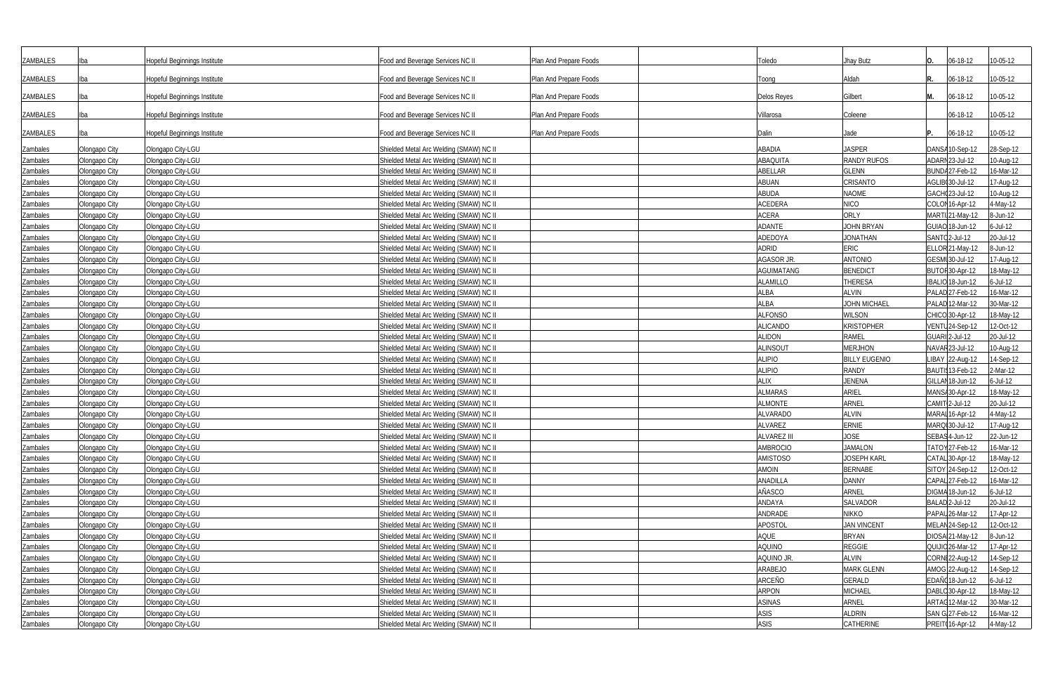| <b>ZAMBALES</b>             | lba                                          | Hopeful Beginnings Institute        | Food and Beverage Services NC II        | Plan And Prepare Foods | Toledo             | Jhay Butz            | 06-18-12<br>10-05-12<br><sup>o</sup>      |
|-----------------------------|----------------------------------------------|-------------------------------------|-----------------------------------------|------------------------|--------------------|----------------------|-------------------------------------------|
| <b>ZAMBALES</b>             | Iba                                          | Hopeful Beginnings Institute        | Food and Beverage Services NC II        | Plan And Prepare Foods | Toong              | Aldah                | D<br>06-18-12<br>10-05-12                 |
|                             |                                              |                                     |                                         |                        |                    |                      | M.                                        |
| <b>ZAMBALES</b>             | Iba                                          | Hopeful Beginnings Institute        | Food and Beverage Services NC II        | Plan And Prepare Foods | <b>Delos Reyes</b> | Gilbert              | 06-18-12<br>10-05-12                      |
| <b>ZAMBALES</b>             | lba                                          | Hopeful Beginnings Institute        | Food and Beverage Services NC II        | Plan And Prepare Foods | Villarosa          | Coleene              | 06-18-12<br>10-05-12                      |
| <b>ZAMBALES</b>             | Iba                                          | <b>Hopeful Beginnings Institute</b> | Food and Beverage Services NC II        | Plan And Prepare Foods | Dalin              | Jade                 | 06-18-12<br>10-05-12<br>Þ                 |
| <b>Zambales</b>             | <b>Olongapo City</b>                         | <b>Olongapo City-LGU</b>            | Shielded Metal Arc Welding (SMAW) NC II |                        | <b>ABADIA</b>      | <b>JASPER</b>        | DANS4 10-Sep-12<br>28-Sep-12              |
| Zambales                    | Olongapo City                                | <b>Olongapo City-LGU</b>            | Shielded Metal Arc Welding (SMAW) NC II |                        | <b>ABAQUITA</b>    | <b>RANDY RUFOS</b>   | ADAR 23-Jul-12<br>10-Aug-12               |
| Zambales                    | <b>Olongapo City</b>                         | <b>Olongapo City-LGU</b>            | Shielded Metal Arc Welding (SMAW) NC II |                        | <b>ABELLAR</b>     | <b>GLENN</b>         | BUND/27-Feb-12<br>16-Mar-12               |
| Zambales                    | <b>Olongapo City</b>                         | <b>Olongapo City-LGU</b>            | Shielded Metal Arc Welding (SMAW) NC II |                        | <b>ABUAN</b>       | <b>CRISANTO</b>      | AGLIB 30-Jul-12<br>17-Aug-12              |
| <b>Zambales</b>             | Olongapo City                                | <b>Olongapo City-LGU</b>            | Shielded Metal Arc Welding (SMAW) NC II |                        | <b>ABUDA</b>       | <b>NAOME</b>         | GACH 23-Jul-12<br>10-Aug-12               |
| <b>Zambales</b>             | <b>Olongapo City</b>                         | <b>Olongapo City-LGU</b>            | Shielded Metal Arc Welding (SMAW) NC II |                        | <b>ACEDERA</b>     | NCO                  | COLOR 16-Apr-12<br>4-May-12               |
| Zambales                    | <b>Olongapo City</b>                         | <b>Olongapo City-LGU</b>            | Shielded Metal Arc Welding (SMAW) NC II |                        | <b>ACERA</b>       | <b>ORLY</b>          | MARTI 21-May-12<br>8-Jun-12               |
| <b>Zambales</b>             | <b>Olongapo City</b>                         | <b>Olongapo City-LGU</b>            | Shielded Metal Arc Welding (SMAW) NC II |                        | <b>ADANTE</b>      | <b>JOHN BRYAN</b>    | GUIAO 18-Jun-12<br>6-Jul-12               |
| <b>Zambales</b>             | <b>Olongapo City</b>                         | <b>Olongapo City-LGU</b>            | Shielded Metal Arc Welding (SMAW) NC II |                        | <b>ADEDOYA</b>     | <b>UNHTAVIOL</b>     | SANTC <sub>2</sub> -Jul-12<br>20-Jul-12   |
| Zambales                    | <b>Olongapo City</b>                         | Olongapo City-LGU                   | Shielded Metal Arc Welding (SMAW) NC II |                        | <b>ADRID</b>       | <b>ERIC</b>          | ELLOR 21-May-12<br>8-Jun-12               |
| <b>Zambales</b>             | <b>Olongapo City</b>                         | Olongapo City-LGU                   | Shielded Metal Arc Welding (SMAW) NC II |                        | AGASOR JR.         | <b>ANTONIO</b>       | GESM 30-Jul-12<br>17-Aug-12               |
| <b>Zambales</b>             | <b>Olongapo City</b>                         | Olongapo City-LGU                   | Shielded Metal Arc Welding (SMAW) NC II |                        | <b>AGUIMATANG</b>  | <b>BENEDICT</b>      | BUTOR 30-Apr-12<br>18-May-12              |
| Zambales                    | <b>Olongapo City</b>                         | <b>Olongapo City-LGU</b>            | Shielded Metal Arc Welding (SMAW) NC II |                        | <b>ALAMILLO</b>    | <b>THERESA</b>       | IBALIC 18-Jun-12<br>6-Jul-12              |
| Zambales                    | <b>Olongapo City</b>                         | <b>Olongapo City-LGU</b>            | Shielded Metal Arc Welding (SMAW) NC II |                        | <b>ALBA</b>        | <b>ALVIN</b>         | PALAD <sub>27-Feb-12</sub><br>16-Mar-12   |
| Zambales                    | Olongapo City                                | <b>Olongapo City-LGU</b>            | Shielded Metal Arc Welding (SMAW) NC II |                        | <b>ALBA</b>        | <b>JOHN MICHAEL</b>  | <b>PALAD 12-Mar-12</b><br>30-Mar-12       |
| Zambales                    | <b>Olongapo City</b>                         | <b>Olongapo City-LGU</b>            | Shielded Metal Arc Welding (SMAW) NC II |                        | <b>ALFONSO</b>     | <b>WLSON</b>         | CHICC 30-Apr-12<br>18-May-12              |
| Zambales                    | <b>Olongapo City</b>                         | Olongapo City-LGU                   | Shielded Metal Arc Welding (SMAW) NC II |                        | <b>ALICANDO</b>    | KRISTOPHER           | VENTU <sub>24-Sep-12</sub><br>$12-Oct-12$ |
| <b>Zambales</b>             | <b>Olongapo City</b>                         | <b>Olongapo City-LGU</b>            | Shielded Metal Arc Welding (SMAW) NC II |                        | <b>ALIDON</b>      | <b>RAMEL</b>         | GUARI 2-Jul-12<br>20-Jul-12               |
| Zambales                    | Olongapo City                                | <b>Olongapo City-LGU</b>            | Shielded Metal Arc Welding (SMAW) NC II |                        | <b>ALINSOUT</b>    | <b>MERJHON</b>       | NAVAF 23-Jul-12<br>10-Aug-12              |
| <b>Zambales</b>             | <b>Olongapo City</b>                         | <b>Olongapo City-LGU</b>            | Shielded Metal Arc Welding (SMAW) NC II |                        | <b>ALIPIO</b>      | <b>BILLY EUGENIO</b> | LIBAY 22-Aug-12<br>14-Sep-12              |
| <b>Zambales</b>             | <b>Olongapo City</b>                         | Olongapo City-LGU                   | Shielded Metal Arc Welding (SMAW) NC II |                        | <b>ALIPIO</b>      | <b>RANDY</b>         | BAUTIS 13-Feb-12<br>2-Mar-12              |
| Zambales                    | <b>Olongapo City</b>                         | <b>Olongapo City-LGU</b>            | Shielded Metal Arc Welding (SMAW) NC II |                        | <b>ALIX</b>        | <b>JENENA</b>        | <b>GILLAM 18-Jun-12</b><br>6-Jul-12       |
| Zambales                    | Olongapo City                                | <b>Olongapo City-LGU</b>            | Shielded Metal Arc Welding (SMAW) NC II |                        | <b>ALMARAS</b>     | <b>ARIEL</b>         | MANS/30-Apr-12<br>18-May-12               |
| Zambales                    | <b>Olongapo City</b>                         | Olongapo City-LGU                   | Shielded Metal Arc Welding (SMAW) NC II |                        | <b>ALMONTE</b>     | <b>ARNEL</b>         | CAMIT 2-Jul-12<br>20-Jul-12               |
| Zambales                    | <b>Olongapo City</b>                         | Olongapo City-LGU                   | Shielded Metal Arc Welding (SMAW) NC II |                        | <b>ALVARADO</b>    | <b>ALVIN</b>         | <b>MARAI</b> 16-Apr-12<br>4-May-12        |
| <b>Zambales</b>             | <b>Olongapo City</b>                         | Olongapo City-LGU                   | Shielded Metal Arc Welding (SMAW) NC II |                        | <b>ALVAREZ</b>     | <b>ERNIE</b>         | MARQ 30-Jul-12<br>17-Aug-12               |
| <b>Zambales</b>             | <b>Olongapo City</b>                         | Olongapo City-LGU                   | Shielded Metal Arc Welding (SMAW) NC II |                        | <b>ALVAREZ III</b> | <b>JOSE</b>          | SEBAS4-Jun-12<br>22-Jun-12                |
| Zambales                    | <b>Olongapo City</b>                         | <b>Olongapo City-LGU</b>            | Shielded Metal Arc Welding (SMAW) NC II |                        | <b>AMBROCIO</b>    | <b>JAMALON</b>       | TATO 27-Feb-12<br>16-Mar-12               |
| Zambales                    | <b>Olongapo City</b>                         | <b>Olongapo City-LGU</b>            | Shielded Metal Arc Welding (SMAW) NC II |                        | <b>AMISTOSO</b>    | <b>JOSEPH KARL</b>   | CATAL 30-Apr-12<br>18-May-12              |
| <b>Zambales</b>             | <b>Olongapo City</b>                         | Olongapo City-LGU                   | Shielded Metal Arc Welding (SMAW) NC II |                        | <b>AMOIN</b>       | <b>BERNABE</b>       | SITOY 24-Sep-12<br>12-Oct-12              |
| Zambales                    | <b>Olongapo City</b>                         | <b>Olongapo City-LGU</b>            | Shielded Metal Arc Welding (SMAW) NC II |                        | <b>ANADILLA</b>    | <b>DANNY</b>         | CAPAL 27-Feb-12<br>16-Mar-12              |
| Zambales                    | <b>Olongapo City</b>                         | <b>Olongapo City-LGU</b>            | Shielded Metal Arc Welding (SMAW) NC II |                        | <b>AÑASCO</b>      | <b>ARNEL</b>         | <b>DIGM4 18-Jun-12</b><br>6-Jul-12        |
| Zambales                    | <b>Olongapo City</b>                         | Olongapo City-LGU                   | Shielded Metal Arc Welding (SMAW) NC II |                        | <b>ANDAYA</b>      | <b>SALVADOR</b>      | <b>BALAD</b> 2-Jul-12<br>20-Jul-12        |
| Zambales                    | Olongapo City                                | Olongapo City-LGU                   | Shielded Metal Arc Welding (SMAW) NC II |                        | <b>ANDRADE</b>     | <b>NIKKO</b>         | PAPAL 26-Mar-12<br>17-Apr-12              |
| <b>Zambales</b>             | <b>Olongapo City</b>                         | <b>Olongapo City-LGU</b>            | Shielded Metal Arc Welding (SMAW) NC II |                        | <b>APOSTOL</b>     | <b>JAN VINCENT</b>   | MELAN 24-Sep-12<br>12-Oct-12              |
| Zambales                    | <b>Olongapo City</b>                         | <b>Olongapo City-LGU</b>            | Shielded Metal Arc Welding (SMAW) NC II |                        | <b>AQUE</b>        | <b>BRYAN</b>         | DIOSA 21-May-12<br>8-Jun-12               |
| Zambales                    | <b>Olongapo City</b>                         | <b>Olongapo City-LGU</b>            | Shielded Metal Arc Welding (SMAW) NC II |                        | <b>AQUINO</b>      | <b>REGGIE</b>        | QUIJIC <sub>26-Mar-12</sub><br>17-Apr-12  |
| <b>Zambales</b>             | <b>Olongapo City</b>                         | <b>Olongapo City-LGU</b>            | Shielded Metal Arc Welding (SMAW) NC II |                        | AQUINO JR.         | <b>ALVIN</b>         | CORNI 22-Aug-12<br>14-Sep-12              |
| <b>Zambales</b>             | <b>Olongapo City</b>                         | <b>Olongapo City-LGU</b>            | Shielded Metal Arc Welding (SMAW) NC II |                        | <b>ARABEJO</b>     | <b>MARK GLENN</b>    | AMOG 22-Aug-12<br>14-Sep-12               |
| Zambales                    | <b>Olongapo City</b>                         | Olongapo City-LGU                   | Shielded Metal Arc Welding (SMAW) NC II |                        | <b>ARCEÑO</b>      | <b>GERALD</b>        | EDAÑ 18-Jun-12<br>6-Jul-12                |
| Zambales                    | <b>Olongapo City</b>                         | <b>Olongapo City-LGU</b>            | Shielded Metal Arc Welding (SMAW) NC II |                        | <b>ARPON</b>       | <b>MICHAEL</b>       | DABLC 30-Apr-12<br>18-May-12              |
|                             |                                              |                                     | Shielded Metal Arc Welding (SMAW) NC II |                        | <b>ASINAS</b>      | <b>ARNEL</b>         | ARTAC <sub>12-Mar-12</sub><br>30-Mar-12   |
| <b>Zambales</b><br>Zambales | <b>Clongapo City</b><br><b>Olongapo City</b> | <b>Olongapo City-LGU</b>            | Shielded Metal Arc Welding (SMAW) NC II |                        | <b>ASIS</b>        | <b>ALDRIN</b>        | SANG <sub>27-Feb-12</sub><br>16-Mar-12    |
|                             | Olongapo City                                | <b>Olongapo City-LGU</b>            | Shielded Metal Arc Welding (SMAW) NC II |                        | <b>ASIS</b>        | <b>CATHERINE</b>     | PREIT 16-Apr-12<br>4-May-12               |
| Zambales                    |                                              | <b>Olongapo City-LGU</b>            |                                         |                        |                    |                      |                                           |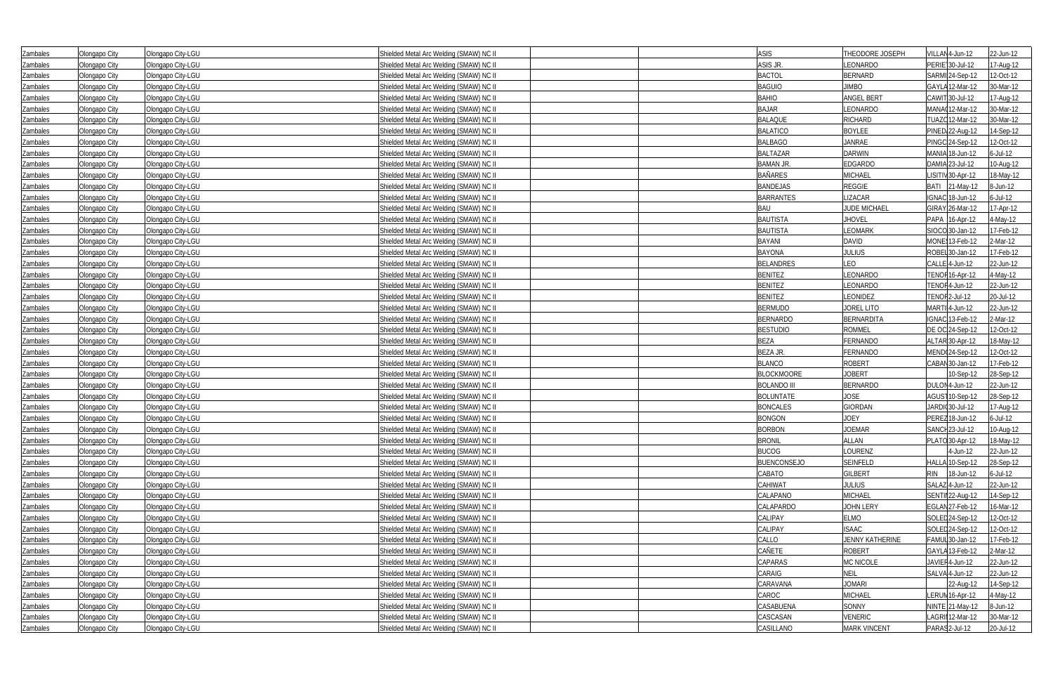| <b>Zambales</b> | <b>Olongapo City</b> | Olongapo City-LGU        | Shielded Metal Arc Welding (SMAW) NC II | <b>ASIS</b>        | THEODORE JOSEPH        | VILLAN <sub>4</sub> -Jun-12 | 22-Jun-12 |
|-----------------|----------------------|--------------------------|-----------------------------------------|--------------------|------------------------|-----------------------------|-----------|
| <b>Zambales</b> | Olongapo City        | Olongapo City-LGU        | Shielded Metal Arc Welding (SMAW) NC II | ASIS JR.           | <b>LEONARDO</b>        | PERIE 30-Jul-12             | 17-Aug-12 |
| <b>Zambales</b> | Olongapo City        | Olongapo City-LGU        | Shielded Metal Arc Welding (SMAW) NC II | <b>BACTOL</b>      | <b>BERNARD</b>         | SARM 24-Sep-12              | 12-Oct-12 |
| <b>Zambales</b> | <b>Olongapo City</b> | Olongapo City-LGU        | Shielded Metal Arc Welding (SMAW) NC II | <b>BAGUIO</b>      | <b>JIMBO</b>           | GAYLA 12-Mar-12             | 30-Mar-12 |
| Zambales        | <b>Olongapo City</b> | Olongapo City-LGU        | Shielded Metal Arc Welding (SMAW) NC II | <b>BAHIO</b>       | <b>ANGEL BERT</b>      | CAWT30-Jul-12               | 17-Aug-12 |
| <b>Zambales</b> | <b>Olongapo City</b> | Olongapo City-LGU        | Shielded Metal Arc Welding (SMAW) NC II | <b>BAJAR</b>       | LEONARDO               | <b>MANA 12-Mar-12</b>       | 30-Mar-12 |
| <b>Zambales</b> | <b>Olongapo City</b> | <b>Olongapo City-LGU</b> | Shielded Metal Arc Welding (SMAW) NC II | <b>BALAQUE</b>     | <b>RICHARD</b>         | TUAZC 12-Mar-12             | 30-Mar-12 |
| <b>Zambales</b> | Olongapo City        | Olongapo City-LGU        | Shielded Metal Arc Welding (SMAW) NC II | <b>BALATICO</b>    | <b>BOYLEE</b>          | PINED 22-Aug-12             | 14-Sep-12 |
| <b>Zambales</b> | Olongapo City        | Olongapo City-LGU        | Shielded Metal Arc Welding (SMAW) NC II | <b>BALBAGO</b>     | <b>JANRAE</b>          | PINGC 24-Sep-12             | 12-Oct-12 |
| Zambales        | <b>Olongapo City</b> | Olongapo City-LGU        | Shielded Metal Arc Welding (SMAW) NC II | <b>BALTAZAR</b>    | <b>DARWIN</b>          | <b>MANIA 18-Jun-12</b>      | 6-Jul-12  |
| <b>Zambales</b> | <b>Olongapo City</b> | Olongapo City-LGU        | Shielded Metal Arc Welding (SMAW) NC II | <b>BAMAN JR.</b>   | <b>EDGARDO</b>         | DAMIA 23-Jul-12             | 10-Aug-12 |
| Zambales        | <b>Olongapo City</b> | <b>Olongapo City-LGU</b> | Shielded Metal Arc Welding (SMAW) NC II | <b>BAÑARES</b>     | <b>MICHAEL</b>         | LISITI\30-Apr-12            | 18-May-12 |
| Zambales        | <b>Olongapo City</b> | <b>Olongapo City-LGU</b> | Shielded Metal Arc Welding (SMAW) NC II | <b>BANDEJAS</b>    | <b>REGGIE</b>          | <b>BATI</b> 21-May-12       | 8-Jun-12  |
| <b>Zambales</b> | <b>Olongapo City</b> | Olongapo City-LGU        | Shielded Metal Arc Welding (SMAW) NC II | <b>BARRANTES</b>   | <b>LIZACAR</b>         | IGNAC 18-Jun-12             | 6-Jul-12  |
| <b>Zambales</b> | <b>Olongapo City</b> | Olongapo City-LGU        | Shielded Metal Arc Welding (SMAW) NC II | <b>BAU</b>         | <b>JUDE MICHAEL</b>    | GIRAY 26-Mar-12             | 17-Apr-12 |
|                 | Olongapo City        | Olongapo City-LGU        | Shielded Metal Arc Welding (SMAW) NC II | <b>BAUTISTA</b>    | <b>JHOVEL</b>          | PAPA 16-Apr-12              | 4-May-12  |
| <b>Zambales</b> | Olongapo City        | Olongapo City-LGU        | Shielded Metal Arc Welding (SMAW) NC II | <b>BAUTISTA</b>    | <b>LEOMARK</b>         | SIOOC 30-Jan-12             | 17-Feb-12 |
| <b>Zambales</b> |                      |                          |                                         | <b>BAYAN</b>       | <b>DAVID</b>           | MONE: 13-Feb-12             |           |
| <b>Zambales</b> | <b>Olongapo City</b> | Olongapo City-LGU        | Shielded Metal Arc Welding (SMAW) NC II |                    |                        |                             | 2-Mar-12  |
| Zambales        | <b>Olongapo City</b> | Olongapo City-LGU        | Shielded Metal Arc Welding (SMAW) NC II | <b>BAYONA</b>      | <b>JULIUS</b>          | ROBEL 30-Jan-12             | 17-Feb-12 |
| Zambales        | <b>Olongapo City</b> | Olongapo City-LGU        | Shielded Metal Arc Welding (SMAW) NC II | <b>BELANDRES</b>   | LEO                    | CALLE 4-Jun-12              | 22-Jun-12 |
| <b>Zambales</b> | <b>Olongapo City</b> | Olongapo City-LGU        | Shielded Metal Arc Welding (SMAW) NC II | <b>BENITEZ</b>     | <b>LEONARDO</b>        | <b>TENOF 16-Apr-12</b>      | 4-May-12  |
| Zambales        | <b>Olongapo City</b> | Olongapo City-LGU        | Shielded Metal Arc Welding (SMAW) NC II | <b>BENITEZ</b>     | LEONARDO               | TENOF4-Jun-12               | 22-Jun-12 |
| Zambales        | <b>Olongapo City</b> | Olongapo City-LGU        | Shielded Metal Arc Welding (SMAW) NC II | <b>BENITEZ</b>     | LEONIDEZ               | TENOF 2-Jul-12              | 20-Jul-12 |
| <b>Zambales</b> | <b>Olongapo City</b> | Olongapo City-LGU        | Shielded Metal Arc Welding (SMAW) NC II | <b>BERMUDO</b>     | <b>JOREL LITO</b>      | MARTI 4-Jun-12              | 22-Jun-12 |
| Zambales        | Olongapo City        | Olongapo City-LGU        | Shielded Metal Arc Welding (SMAW) NC II | <b>BERNARDO</b>    | <b>BERNARDITA</b>      | IGNAC 13-Feb-12             | 2-Mar-12  |
| <b>Zambales</b> | <b>Olongapo City</b> | <b>Olongapo City-LGU</b> | Shielded Metal Arc Welding (SMAW) NC II | <b>BESTUDIO</b>    | <b>ROMMEL</b>          | $DE CO$ 24-Sep-12           | 12-Oct-12 |
| <b>Zambales</b> | <b>Olongapo City</b> | <b>Olongapo City-LGU</b> | Shielded Metal Arc Welding (SMAW) NC II | <b>BEZA</b>        | <b>FERNANDO</b>        | ALTAR 30-Apr-12             | 18-May-12 |
| <b>Zambales</b> | <b>Olongapo City</b> | Olongapo City-LGU        | Shielded Metal Arc Welding (SMAW) NC II | <b>BEZA JR.</b>    | <b>FERNANDO</b>        | MEND 24-Sep-12              | 12-Oct-12 |
| <b>Zambales</b> | Olongapo City        | Olongapo City-LGU        | Shielded Metal Arc Welding (SMAW) NC II | <b>BLANCO</b>      | <b>ROBERT</b>          | CABAN <sub>30</sub> -Jan-12 | 17-Feb-12 |
| <b>Zambales</b> | <b>Clongapo City</b> | Olongapo City-LGU        | Shielded Metal Arc Welding (SMAW) NC II | <b>BLOCKMOORE</b>  | <b>JOBERT</b>          | 10-Sep-12                   | 28-Sep-12 |
| Zambales        | Olongapo City        | <b>Olongapo City-LGU</b> | Shielded Metal Arc Welding (SMAW) NC II | <b>BOLANDO III</b> | <b>BERNARDO</b>        | DULON4-Jun-12               | 22-Jun-12 |
| <b>Zambales</b> | <b>Olongapo City</b> | Olongapo City-LGU        | Shielded Metal Arc Welding (SMAW) NC II | <b>BOLUNTATE</b>   | <b>JOSE</b>            | AGUST 10-Sep-12             | 28-Sep-12 |
| <b>Zambales</b> | <b>Olongapo City</b> | <b>Olongapo City-LGU</b> | Shielded Metal Arc Welding (SMAW) NC II | <b>BONCALES</b>    | <b>GIORDAN</b>         | JARDI 30-Jul-12             | 17-Aug-12 |
| <b>Zambales</b> | <b>Olongapo City</b> | <b>Olongapo City-LGU</b> | Shielded Metal Arc Welding (SMAW) NC II | <b>BONGON</b>      | <b>JOEY</b>            | PEREZ 18-Jun-12             | 6-Jul-12  |
| Zambales        | <b>Olongapo City</b> | <b>Olongapo City-LGU</b> | Shielded Metal Arc Welding (SMAW) NC II | <b>BORBON</b>      | <b>JOEMAR</b>          | SANCH <sub>23</sub> -Jul-12 | 10-Aug-12 |
| <b>Zambales</b> | Olongapo City        | Olongapo City-LGU        | Shielded Metal Arc Welding (SMAW) NC II | <b>BRONIL</b>      | <b>ALLAN</b>           | PLATC 30-Apr-12             | 18-May-12 |
| Zambales        | <b>Olongapo City</b> | Olongapo City-LGU        | Shielded Metal Arc Welding (SMAW) NC II | <b>BUCOG</b>       | LOURENZ                | 4-Jun-12                    | 22-Jun-12 |
| Zambales        | Olongapo City        | Olongapo City-LGU        | Shielded Metal Arc Welding (SMAW) NC II | <b>BUENCONSEJO</b> | SEINFELD               | HALLA 10-Sep-12             | 28-Sep-12 |
| Zambales        | <b>Olongapo City</b> | Olongapo City-LGU        | Shielded Metal Arc Welding (SMAW) NC II | <b>CABATO</b>      | GILBERT                | RIN 18-Jun-12               | 6-Jul-12  |
| Zambales        | <b>Olongapo City</b> | Olongapo City-LGU        | Shielded Metal Arc Welding (SMAW) NC II | <b>CAHIVAT</b>     | <b>JULIUS</b>          | SALAZ <sup>4</sup> -Jun-12  | 22-Jun-12 |
| <b>Zambales</b> | Olongapo City        | Olongapo City-LGU        | Shielded Metal Arc Welding (SMAW) NC II | <b>CALAPANO</b>    | <b>MICHAEL</b>         | SENTI 22-Aug-12             | 14-Sep-12 |
| Zambales        | <b>Olongapo City</b> | <b>Olongapo City-LGU</b> | Shielded Metal Arc Welding (SMAW) NC II | <b>CALAPARDO</b>   | <b>JOHN LERY</b>       | EGLAN <sub>27-Feb-12</sub>  | 16-Mar-12 |
| <b>Zambales</b> | <b>Olongapo City</b> | Olongapo City-LGU        | Shielded Metal Arc Welding (SMAW) NC II | <b>CALIPAY</b>     | <b>ELMO</b>            | SOLED 24-Sep-12             | 12-Oct-12 |
| <b>Zambales</b> | <b>Olongapo City</b> | Olongapo City-LGU        | Shielded Metal Arc Welding (SMAW) NC II | <b>CALIPAY</b>     | <b>ISAAC</b>           | SOLED <sub>24</sub> -Sep-12 | 12-Oct-12 |
| Zambales        | <b>Olongapo City</b> | <b>Olongapo City-LGU</b> | Shielded Metal Arc Welding (SMAW) NC II | <b>CALLO</b>       | <b>JENNY KATHERINE</b> | <b>FAMU</b> 30-Jan-12       | 17-Feb-12 |
| Zambales        | Olongapo City        | <b>Olongapo City-LGU</b> | Shielded Metal Arc Welding (SMAW) NC II | <b>CAÑETE</b>      | <b>ROBERT</b>          | GAYLA 13-Feb-12             | 2-Mar-12  |
| Zambales        | <b>Olongapo City</b> | Olongapo City-LGU        | Shielded Metal Arc Welding (SMAW) NC II | <b>CAPARAS</b>     | <b>MC NICOLE</b>       | JAVIER4-Jun-12              | 22-Jun-12 |
| <b>Zambales</b> | <b>Olongapo City</b> | <b>Olongapo City-LGU</b> | Shielded Metal Arc Welding (SMAW) NC II | <b>CARAIG</b>      | <b>NEIL</b>            | SALVA 4-Jun-12              | 22-Jun-12 |
| Zambales        | Olongapo City        | Olongapo City-LGU        | Shielded Metal Arc Welding (SMAW) NC II | <b>CARAVANA</b>    | <b>JOMARI</b>          | 22-Aug-12                   | 14-Sep-12 |
| <b>Zambales</b> | <b>Olongapo City</b> | Olongapo City-LGU        | Shielded Metal Arc Welding (SMAW) NC II | <b>CAROC</b>       | <b>MICHAEL</b>         | <b>LERUN 16-Apr-12</b>      | 4-May-12  |
| <b>Zambales</b> | Olongapo City        | Olongapo City-LGU        | Shielded Metal Arc Welding (SMAW) NC II | <b>CASABUENA</b>   | <b>SONNY</b>           | NINTE 21-May-12             | 8-Jun-12  |
| <b>Zambales</b> | <b>Olongapo City</b> | Olongapo City-LGU        | Shielded Metal Arc Welding (SMAW) NC II | <b>CASCASAN</b>    | <b>VENERIC</b>         | AGRI 12-Mar-12              | 30-Mar-12 |
| <b>Zambales</b> | Olongapo City        | Olongapo City-LGU        | Shielded Metal Arc Welding (SMAW) NC II | <b>CASILLANO</b>   | <b>MARK VINCENT</b>    | PARAS 2-Jul-12              | 20-Jul-12 |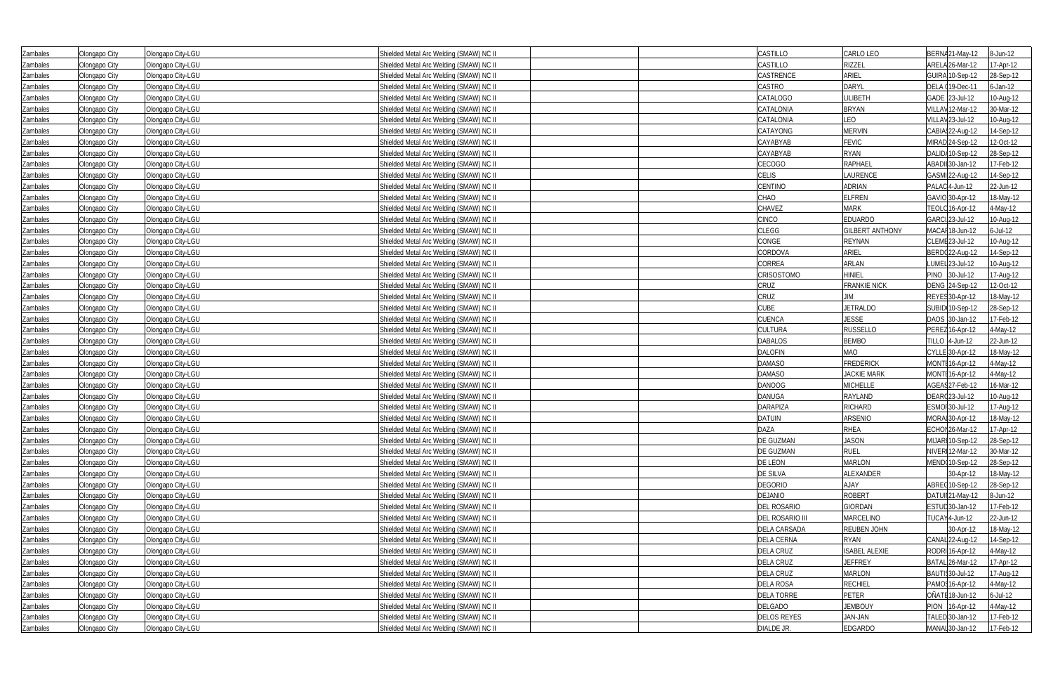| <b>Zambales</b> | <b>Clongapo City</b>                         | <b>Olongapo City-LGU</b> | Shielded Metal Arc Welding (SMAW) NC II | <b>CASTILLO</b>                  | <b>CARLO LEO</b>       | BERN421-May-12              | 8-Jun-12               |
|-----------------|----------------------------------------------|--------------------------|-----------------------------------------|----------------------------------|------------------------|-----------------------------|------------------------|
| <b>Zambales</b> | Olongapo City                                | Olongapo City-LGU        | Shielded Metal Arc Welding (SMAW) NC II | <b>CASTILLO</b>                  | <b>RIZZEL</b>          | ARELA 26-Mar-12             | 17-Apr-12              |
| <b>Zambales</b> | Olongapo City                                | Olongapo City-LGU        | Shielded Metal Arc Welding (SMAW) NC II | <b>CASTRENCE</b>                 | <b>ARIEL</b>           | GUIRA 10-Sep-12             | 28-Sep-12              |
| Zambales        | Olongapo City                                | Olongapo City-LGU        | Shielded Metal Arc Welding (SMAW) NC II | <b>CASTRO</b>                    | <b>DARYL</b>           | DELA (19-Dec-11             | $6$ -Jan-12            |
| Zambales        | <b>Olongapo City</b>                         | <b>Olongapo City-LGU</b> | Shielded Metal Arc Welding (SMAW) NC II | CATALOGO                         | <b>JUBETH</b>          | GADE 23-Jul-12              | 10-Aug-12              |
| <b>Zambales</b> | <b>Olongapo City</b>                         | Olongapo City-LGU        | Shielded Metal Arc Welding (SMAW) NC II | <b>CATALONIA</b>                 | <b>BRYAN</b>           | VILLA\ 12-Mar-12            | 30-Mar-12              |
| <b>Zambales</b> | <b>Olongapo City</b>                         | <b>Olongapo City-LGU</b> | Shielded Metal Arc Welding (SMAW) NC II | <b>CATALONIA</b>                 | LEO                    | VILLA\23-Jul-12             | 10-Aug-12              |
| Zambales        | Olongapo City                                | Olongapo City-LGU        | Shielded Metal Arc Welding (SMAW) NC II | <b>CATAYONG</b>                  | <b>MERVIN</b>          | CABIA 22-Aug-12             | 14-Sep-12              |
| <b>Zambales</b> | <b>Olongapo City</b>                         | Olongapo City-LGU        | Shielded Metal Arc Welding (SMAW) NC II | <b>CAYABYAB</b>                  | <b>FEVIC</b>           | MIRAD 24-Sep-12             | 12-Oct-12              |
| <b>Zambales</b> | <b>Olongapo City</b>                         | Olongapo City-LGU        | Shielded Metal Arc Welding (SMAW) NC II | <b>CAYABYAB</b>                  | <b>RYAN</b>            | DALID 10-Sep-12             | 28-Sep-12              |
| <b>Zambales</b> | <b>Olongapo City</b>                         | Olongapo City-LGU        | Shielded Metal Arc Welding (SMAW) NC II | CECOGO                           | <b>RAPHAEL</b>         | ABADI 30-Jan-12             | 17-Feb-12              |
| <b>Zambales</b> | <b>Olongapo City</b>                         | Olongapo City-LGU        | Shielded Metal Arc Welding (SMAW) NC II | <b>CELIS</b>                     | <b>LAURENCE</b>        | GASMI 22-Aug-12             | 14-Sep-12              |
| <b>Zambales</b> | <b>Olongapo City</b>                         | Olongapo City-LGU        | Shielded Metal Arc Welding (SMAW) NC II | <b>CENTINO</b>                   | <b>ADRIAN</b>          | PALAC <sub>4</sub> -Jun-12  | 22-Jun-12              |
| <b>Zambales</b> | <b>Olongapo City</b>                         | Olongapo City-LGU        | Shielded Metal Arc Welding (SMAW) NC II | <b>CHAO</b>                      | <b>ELFREN</b>          | GAVIO 30-Apr-12             | 18-May-12              |
| <b>Zambales</b> | <b>Olongapo City</b>                         | Olongapo City-LGU        | Shielded Metal Arc Welding (SMAW) NC II | <b>CHAVEZ</b>                    | <b>MARK</b>            | TEOLO 16-Apr-12             | 4-May-12               |
| Zambales        | <b>Olongapo City</b>                         | <b>Olongapo City-LGU</b> | Shielded Metal Arc Welding (SMAW) NC II | <b>CINCO</b>                     | <b>EDUARDO</b>         | GARC 23-Jul-12              | 10-Aug-12              |
| <b>Zambales</b> | Olongapo City                                | <b>Olongapo City-LGU</b> | Shielded Metal Arc Welding (SMAW) NC II | <b>CLEGG</b>                     | <b>GILBERT ANTHONY</b> | MACAI 18-Jun-12             | 6-Jul-12               |
| <b>Zambales</b> | <b>Olongapo City</b>                         | Olongapo City-LGU        | Shielded Metal Arc Welding (SMAW) NC II | <b>CONGE</b>                     | <b>REYNAN</b>          | CLEME 23-Jul-12             | 10-Aug-12              |
| <b>Zambales</b> | <b>Olongapo City</b>                         | Olongapo City-LGU        | Shielded Metal Arc Welding (SMAW) NC II | <b>CORDOVA</b>                   | <b>ARIEL</b>           | BERD 22-Aug-12              | 14-Sep-12              |
|                 |                                              |                          |                                         | <b>CORREA</b>                    | ARLAN                  | <b>UMEL 23-Jul-12</b>       |                        |
| <b>Zambales</b> | <b>Olongapo City</b><br><b>Olongapo City</b> | Olongapo City-LGU        | Shielded Metal Arc Welding (SMAW) NC II |                                  | <b>HINEL</b>           | PINO 30-Jul-12              | 10-Aug-12<br>17-Aug-12 |
| <b>Zambales</b> |                                              | Olongapo City-LGU        | Shielded Metal Arc Welding (SMAW) NC II | <b>CRISOSTOMO</b><br><b>CRUZ</b> |                        |                             |                        |
| <b>Zambales</b> | <b>Olongapo City</b>                         | Olongapo City-LGU        | Shielded Metal Arc Welding (SMAW) NC II |                                  | <b>FRANKIE NICK</b>    | DENG 24-Sep-12              | 12-Oct-12              |
| <b>Zambales</b> | <b>Olongapo City</b>                         | Olongapo City-LGU        | Shielded Metal Arc Welding (SMAW) NC II | <b>CRUZ</b>                      | ЛIИ                    | REYES 30-Apr-12             | 18-May-12              |
| Zambales        | <b>Olongapo City</b>                         | Olongapo City-LGU        | Shielded Metal Arc Welding (SMAW) NC II | <b>CUBE</b>                      | <b>JETRALDO</b>        | SUBID 10-Sep-12             | 28-Sep-12              |
| <b>Zambales</b> | Olongapo City                                | Olongapo City-LGU        | Shielded Metal Arc Welding (SMAW) NC II | <b>CUENCA</b>                    | <b>JESSE</b>           | DAOS 30-Jan-12              | 17-Feb-12              |
| Zambales        | <b>Olongapo City</b>                         | <b>Olongapo City-LGU</b> | Shielded Metal Arc Welding (SMAW) NC II | <b>CULTURA</b>                   | <b>RUSSELLO</b>        | PEREZ 16-Apr-12             | 4-May-12               |
| Zambales        | <b>Olongapo City</b>                         | Olongapo City-LGU        | Shielded Metal Arc Welding (SMAW) NC II | <b>DABALOS</b>                   | <b>BEMBO</b>           | $TLLO$ 4-Jun-12             | 22-Jun-12              |
| <b>Zambales</b> | <b>Olongapo City</b>                         | Olongapo City-LGU        | Shielded Metal Arc Welding (SMAW) NC II | <b>DALOFIN</b>                   | <b>MAO</b>             | CYLLE 30-Apr-12             | 18-May-12              |
| <b>Zambales</b> | <b>Olongapo City</b>                         | Olongapo City-LGU        | Shielded Metal Arc Welding (SMAW) NC II | <b>DAMASO</b>                    | <b>FREDERICK</b>       | MONTI 16-Apr-12             | 4-May-12               |
| <b>Zambales</b> | <b>Olongapo City</b>                         | Olongapo City-LGU        | Shielded Metal Arc Welding (SMAW) NC II | <b>DAMASO</b>                    | <b>JACKIE MARK</b>     | <b>MONTI 16-Apr-12</b>      | 4-May-12               |
| <b>Zambales</b> | Olongapo City                                | Olongapo City-LGU        | Shielded Metal Arc Welding (SMAW) NC II | <b>DANOOG</b>                    | <b>MICHELLE</b>        | AGEAS <sub>27-Feb-12</sub>  | 16-Mar-12              |
| <b>Zambales</b> | <b>Olongapo City</b>                         | Olongapo City-LGU        | Shielded Metal Arc Welding (SMAW) NC II | <b>DANUGA</b>                    | <b>RAYLAND</b>         | DEAR 23-Jul-12              | 10-Aug-12              |
| <b>Zambales</b> | <b>Olongapo City</b>                         | <b>Olongapo City-LGU</b> | Shielded Metal Arc Welding (SMAW) NC II | <b>DARAPIZA</b>                  | <b>RICHARD</b>         | <b>ESMOI 30-Jul-12</b>      | 17-Aug-12              |
| <b>Zambales</b> | <b>Olongapo City</b>                         | Olongapo City-LGU        | Shielded Metal Arc Welding (SMAW) NC II | <b>DATUIN</b>                    | <b>ARSENIO</b>         | VIORAI 30-Apr-12            | 18-May-12              |
| Zambales        | <b>Olongapo City</b>                         | <b>Olongapo City-LGU</b> | Shielded Metal Arc Welding (SMAW) NC II | DAZA                             | <b>RHEA</b>            | <b>ECHO</b> 26-Mar-12       | 17-Apr-12              |
| <b>Zambales</b> | Olongapo City                                | Olongapo City-LGU        | Shielded Metal Arc Welding (SMAW) NC II | DE GUZMAN                        | <b>JASON</b>           | MIJARI 10-Sep-12            | 28-Sep-12              |
| Zambales        | <b>Clongapo City</b>                         | Olongapo City-LGU        | Shielded Metal Arc Welding (SMAW) NC II | <b>DE GUZMAN</b>                 | <b>RUEL</b>            | <b>NIVER 12-Mar-12</b>      | 30-Mar-12              |
| Zambales        | Olongapo City                                | Olongapo City-LGU        | Shielded Metal Arc Welding (SMAW) NC II | <b>DE LEON</b>                   | <b>MARLON</b>          | MEND 10-Sep-12              | 28-Sep-12              |
| Zambales        | <b>Olongapo City</b>                         | Olongapo City-LGU        | Shielded Metal Arc Welding (SMAW) NC II | <b>DE SILVA</b>                  | <b>ALEXANDER</b>       | 30-Apr-12                   | 18-May-12              |
| <b>Zambales</b> | <b>Olongapo City</b>                         | Olongapo City-LGU        | Shielded Metal Arc Welding (SMAW) NC II | <b>DEGORIO</b>                   | <b>AJAY</b>            | ABREQ 10-Sep-12             | 28-Sep-12              |
| <b>Zambales</b> | <b>Olongapo City</b>                         | Olongapo City-LGU        | Shielded Metal Arc Welding (SMAW) NC II | <b>DEJANIO</b>                   | <b>ROBERT</b>          | DATUI 21-May-12             | 8-Jun-12               |
| <b>Zambales</b> | <b>Clongapo City</b>                         | Olongapo City-LGU        | Shielded Metal Arc Welding (SMAW) NC II | <b>DEL ROSARIO</b>               | <b>GIORDAN</b>         | ESTUD <sub>30</sub> -Jan-12 | 17-Feb-12              |
| Zambales        | <b>Olongapo City</b>                         | Olongapo City-LGU        | Shielded Metal Arc Welding (SMAW) NC II | <b>DEL ROSARIO III</b>           | <b>MARCELINO</b>       | TUCAY4-Jun-12               | 22-Jun-12              |
| Zambales        | <b>Olongapo City</b>                         | Olongapo City-LGU        | Shielded Metal Arc Welding (SMAW) NC II | <b>DELA CARSADA</b>              | <b>REUBEN JOHN</b>     | 30-Apr-12                   | 18-May-12              |
| Zambales        | <b>Olongapo City</b>                         | Olongapo City-LGU        | Shielded Metal Arc Welding (SMAW) NC II | <b>DELA CERNA</b>                | <b>RYAN</b>            | CANAL 22-Aug-12             | 14-Sep-12              |
| Zambales        | <b>Clongapo City</b>                         | Olongapo City-LGU        | Shielded Metal Arc Welding (SMAW) NC II | <b>DELA CRUZ</b>                 | <b>ISABEL ALEXIE</b>   | RODRI 16-Apr-12             | 4-May-12               |
| <b>Zambales</b> | <b>Olongapo City</b>                         | <b>Olongapo City-LGU</b> | Shielded Metal Arc Welding (SMAW) NC II | <b>DELA CRUZ</b>                 | <b>JEFFREY</b>         | <b>BATAL 26-Mar-12</b>      | 17-Apr-12              |
| <b>Zambales</b> | <b>Clongapo City</b>                         | <b>Olongapo City-LGU</b> | Shielded Metal Arc Welding (SMAW) NC II | <b>DELA CRUZ</b>                 | <b>MARLON</b>          | <b>BAUTI</b> 30-Jul-12      | 17-Aug-12              |
| Zambales        | Olongapo City                                | Olongapo City-LGU        | Shielded Metal Arc Welding (SMAW) NC II | <b>DELA ROSA</b>                 | <b>RECHIEL</b>         | PAMO: 16-Apr-12             | 4-May-12               |
| <b>Zambales</b> | <b>Olongapo City</b>                         | Olongapo City-LGU        | Shielded Metal Arc Welding (SMAW) NC II | <b>DELA TORRE</b>                | <b>PETER</b>           | OÑATE 18-Jun-12             | 6-Jul-12               |
| <b>Zambales</b> | <b>Olongapo City</b>                         | Olongapo City-LGU        | Shielded Metal Arc Welding (SMAW) NC II | <b>DELGADO</b>                   | <b>JEMBOUY</b>         | PION 16-Apr-12              | 4-May-12               |
| Zambales        | <b>Olongapo City</b>                         | Olongapo City-LGU        | Shielded Metal Arc Welding (SMAW) NC II | <b>DELOS REYES</b>               | <b>JAN-JAN</b>         | TALED 30-Jan-12             | 17-Feb-12              |
| Zambales        | Olongapo City                                | Olongapo City-LGU        | Shielded Metal Arc Welding (SMAW) NC II | <b>DIALDE JR.</b>                | <b>EDGARDO</b>         | <b>MANAI</b> 30-Jan-12      | 17-Feb-12              |
|                 |                                              |                          |                                         |                                  |                        |                             |                        |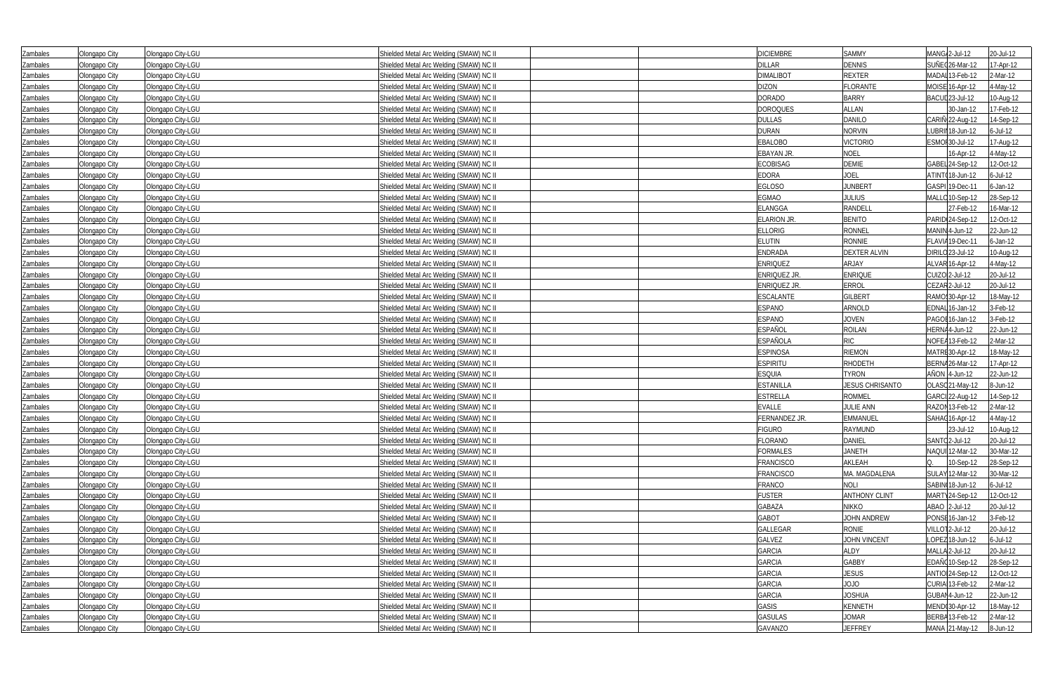| Zambales        | <b>Clongapo City</b> | <b>Olongapo City-LGU</b> | Shielded Metal Arc Welding (SMAW) NC II | <b>DICIEMBRE</b>    | <b>SAMMY</b>           | MANG 2-Jul-12               | 20-Jul-12   |
|-----------------|----------------------|--------------------------|-----------------------------------------|---------------------|------------------------|-----------------------------|-------------|
| Zambales        | <b>Olongapo City</b> | Olongapo City-LGU        | Shielded Metal Arc Welding (SMAW) NC II | <b>DILLAR</b>       | <b>DENNIS</b>          | <b>SUÑE(26-Mar-12</b>       | 17-Apr-12   |
| Zambales        | Olongapo City        | Olongapo City-LGU        | Shielded Metal Arc Welding (SMAW) NC II | <b>DIMALIBOT</b>    | <b>REXTER</b>          | MADAL 13-Feb-12             | 2-Mar-12    |
| <b>Zambales</b> | <b>Olongapo City</b> | <b>Olongapo City-LGU</b> | Shielded Metal Arc Welding (SMAW) NC II | <b>DIZON</b>        | <b>FLORANTE</b>        | MOISE 16-Apr-12             | 4-May-12    |
| <b>Zambales</b> | <b>Olongapo City</b> | Olongapo City-LGU        | Shielded Metal Arc Welding (SMAW) NC II | <b>DORADO</b>       | <b>BARRY</b>           | <b>BACUL</b> 23-Jul-12      | 10-Aug-12   |
| Zambales        | <b>Olongapo City</b> | Olongapo City-LGU        | Shielded Metal Arc Welding (SMAW) NC II | <b>DOROQUES</b>     | ALLAN                  | 30-Jan-12                   | 17-Feb-12   |
| Zambales        | <b>Olongapo City</b> | <b>Olongapo City-LGU</b> | Shielded Metal Arc Welding (SMAW) NC II | <b>DULLAS</b>       | DANILO                 | CARIÑ 22-Aug-12             | 14-Sep-12   |
| <b>Zambales</b> | <b>Olongapo City</b> | Olongapo City-LGU        | Shielded Metal Arc Welding (SMAW) NC II | <b>DURAN</b>        | <b>NORVIN</b>          | UBRII 18-Jun-12             | 6-Jul-12    |
| Zambales        | <b>Olongapo City</b> | <b>Olongapo City-LGU</b> | Shielded Metal Arc Welding (SMAW) NC II | <b>EBALOBO</b>      | <b>VICTORIO</b>        | <b>ESMOI 30-Jul-12</b>      | 17-Aug-12   |
| Zambales        | <b>Olongapo City</b> | <b>Olongapo City-LGU</b> | Shielded Metal Arc Welding (SMAW) NC II | <b>EBAYAN JR.</b>   | <b>NOEL</b>            | 16-Apr-12                   | 4-May-12    |
| Zambales        | <b>Olongapo City</b> | <b>Olongapo City-LGU</b> | Shielded Metal Arc Welding (SMAW) NC II | <b>ECOBISAG</b>     | <b>DEMIE</b>           | GABEL 24-Sep-12             | 12-Oct-12   |
| <b>Zambales</b> | <b>Olongapo City</b> | <b>Olongapo City-LGU</b> | Shielded Metal Arc Welding (SMAW) NC II | <b>EDORA</b>        | <b>JOEL</b>            | ATINT(18-Jun-12             | 6-Jul-12    |
| <b>Zambales</b> | <b>Olongapo City</b> | Olongapo City-LGU        | Shielded Metal Arc Welding (SMAW) NC II | EGLOSO              | <b>JUNBERT</b>         | GASPI 19-Dec-11             | $6$ -Jan-12 |
| Zambales        | <b>Olongapo City</b> | <b>Olongapo City-LGU</b> | Shielded Metal Arc Welding (SMAW) NC II | <b>EGMAO</b>        | <b>JULIUS</b>          | MALLO 10-Sep-12             | 28-Sep-12   |
| Zambales        | <b>Clongapo City</b> | <b>Olongapo City-LGU</b> | Shielded Metal Arc Welding (SMAW) NC II | <b>ELANGGA</b>      | RANDELL                | 27-Feb-12                   | 16-Mar-12   |
| <b>Zambales</b> | <b>Olongapo City</b> | <b>Olongapo City-LGU</b> | Shielded Metal Arc Welding (SMAW) NC II | <b>ELARION JR.</b>  | <b>BENITO</b>          | PARID 24-Sep-12             | 12-Oct-12   |
| Zambales        | <b>Olongapo City</b> | <b>Olongapo City-LGU</b> | Shielded Metal Arc Welding (SMAW) NC II | <b>ELLORIG</b>      | <b>RONNEL</b>          | MANIN 4-Jun-12              | 22-Jun-12   |
| Zambales        | <b>Olongapo City</b> | <b>Olongapo City-LGU</b> | Shielded Metal Arc Welding (SMAW) NC II | <b>ELUTIN</b>       | <b>RONNIE</b>          | FLAVIA 19-Dec-11            | $6$ -Jan-12 |
| Zambales        | <b>Olongapo City</b> | <b>Olongapo City-LGU</b> | Shielded Metal Arc Welding (SMAW) NC II | <b>ENDRADA</b>      | <b>DEXTER ALVIN</b>    | DIRILC 23-Jul-12            | 10-Aug-12   |
| <b>Zambales</b> | <b>Olongapo City</b> | <b>Olongapo City-LGU</b> | Shielded Metal Arc Welding (SMAW) NC II | <b>ENRIQUEZ</b>     | <b>ARJAY</b>           | ALVAR 16-Apr-12             | 4-May-12    |
| Zambales        | <b>Olongapo City</b> | <b>Olongapo City-LGU</b> | Shielded Metal Arc Welding (SMAW) NC II | <b>ENRIQUEZ JR.</b> | <b>ENRIQUE</b>         | <b>CUIZO 2-Jul-12</b>       | 20-Jul-12   |
| Zambales        | <b>Olongapo City</b> | <b>Olongapo City-LGU</b> | Shielded Metal Arc Welding (SMAW) NC II | <b>ENRIQUEZ JR.</b> | <b>ERROL</b>           | CEZAR <sub>2</sub> -Jul-12  | 20-Jul-12   |
| Zambales        | <b>Olongapo City</b> | Olongapo City-LGU        | Shielded Metal Arc Welding (SMAW) NC II | <b>ESCALANTE</b>    | <b>GILBERT</b>         | RAMO 30-Apr-12              | 18-May-12   |
| Zambales        | <b>Olongapo City</b> | Olongapo City-LGU        | Shielded Metal Arc Welding (SMAW) NC II | <b>ESPANO</b>       | <b>ARNOLD</b>          | <b>EDNAL</b> 16-Jan-12      | 3-Feb-12    |
| <b>Zambales</b> | <b>Olongapo City</b> | Olongapo City-LGU        | Shielded Metal Arc Welding (SMAW) NC II | <b>ESPANO</b>       | <b>JOVEN</b>           | PAGOI 16-Jan-12             | 3-Feb-12    |
| <b>Zambales</b> | <b>Olongapo City</b> | <b>Clongapo City-LGU</b> | Shielded Metal Arc Welding (SMAW) NC II | <b>ESPAÑOL</b>      | <b>ROILAN</b>          | HERN44-Jun-12               | 22-Jun-12   |
| Zambales        | <b>Olongapo City</b> | Olongapo City-LGU        | Shielded Metal Arc Welding (SMAW) NC II | <b>ESPAÑOLA</b>     | <b>RIC</b>             | NOFE413-Feb-12              | 2-Mar-12    |
| Zambales        | <b>Olongapo City</b> | Olongapo City-LGU        | Shielded Metal Arc Welding (SMAW) NC II | <b>ESPINOSA</b>     | <b>RIEMON</b>          | MATRE30-Apr-12              | 18-May-12   |
| Zambales        | Olongapo City        | <b>Olongapo City-LGU</b> | Shielded Metal Arc Welding (SMAW) NC II | <b>ESPIRITU</b>     | <b>RHODETH</b>         | BERN4 26-Mar-12             | 17-Apr-12   |
| Zambales        | <b>Olongapo City</b> | <b>Olongapo City-LGU</b> | Shielded Metal Arc Welding (SMAW) NC II | <b>ESQUIA</b>       | <b>TYRON</b>           | AÑON 4-Jun-12               | 22-Jun-12   |
| Zambales        | <b>Olongapo City</b> | <b>Olongapo City-LGU</b> | Shielded Metal Arc Welding (SMAW) NC II | <b>ESTANILLA</b>    | <b>JESUS CHRISANTO</b> | OLASC 21-May-12             | 8-Jun-12    |
| Zambales        | <b>Olongapo City</b> | Olongapo City-LGU        | Shielded Metal Arc Welding (SMAW) NC II | <b>ESTRELLA</b>     | <b>ROMMEL</b>          | GARCI 22-Aug-12             | 14-Sep-12   |
| <b>Zambales</b> | <b>Olongapo City</b> | <b>Olongapo City-LGU</b> | Shielded Metal Arc Welding (SMAW) NC II | <b>EVALLE</b>       | <b>JULIE ANN</b>       | RAZON <sub>13</sub> -Feb-12 | 2-Mar-12    |
| <b>Zambales</b> | <b>Olongapo City</b> | Olongapo City-LGU        | Shielded Metal Arc Welding (SMAW) NC II | FERNANDEZ JR.       | <b>EMMANUEL</b>        | SAHAC 16-Apr-12             | 4-May-12    |
| Zambales        | <b>Olongapo City</b> | <b>Olongapo City-LGU</b> | Shielded Metal Arc Welding (SMAW) NC II | <b>FIGURO</b>       | <b>RAYMUND</b>         | 23-Jul-12                   | 10-Aug-12   |
| Zambales        | <b>Olongapo City</b> | <b>Olongapo City-LGU</b> | Shielded Metal Arc Welding (SMAW) NC II | <b>FLORANO</b>      | <b>DANIEL</b>          | SANTQ <sub>2</sub> -Jul-12  | 20-Jul-12   |
| Zambales        | <b>Olongapo City</b> | Olongapo City-LGU        | Shielded Metal Arc Welding (SMAW) NC II | <b>FORMALES</b>     | <b>JANETH</b>          | NAQUI 12-Mar-12             | 30-Mar-12   |
| Zambales        | <b>Olongapo City</b> | Olongapo City-LGU        | Shielded Metal Arc Welding (SMAW) NC II | <b>FRANCISCO</b>    | AKLEAH                 | $\cap$<br>10-Sep-12         | 28-Sep-12   |
| Zambales        | <b>Olongapo City</b> | <b>Olongapo City-LGU</b> | Shielded Metal Arc Welding (SMAW) NC II | <b>FRANCISCO</b>    | <b>MA MAGDALENA</b>    | <b>SULAY 12-Mar-12</b>      | 30-Mar-12   |
| Zambales        | <b>Olongapo City</b> | <b>Olongapo City-LGU</b> | Shielded Metal Arc Welding (SMAW) NC II | <b>FRANCO</b>       | <b>NOLI</b>            | SABIN 18-Jun-12             | 6-Jul-12    |
| Zambales        | <b>Olongapo City</b> | <b>Olongapo City-LGU</b> | Shielded Metal Arc Welding (SMAW) NC II | <b>FUSTER</b>       | <b>ANTHONY CLINT</b>   | MART 24-Sep-12              | 12-Oct-12   |
| Zambales        | <b>Olongapo City</b> | <b>Olongapo City-LGU</b> | Shielded Metal Arc Welding (SMAW) NC II | <b>GABAZA</b>       | <b>NIKKO</b>           | ABAO 2-Jul-12               | 20-Jul-12   |
| Zambales        | <b>Olongapo City</b> | Olongapo City-LGU        | Shielded Metal Arc Welding (SMAW) NC II | <b>GABOT</b>        | <b>JOHN ANDREW</b>     | <b>PONSE 16-Jan-12</b>      | $3$ -Feb-12 |
| Zambales        | <b>Olongapo City</b> | Olongapo City-LGU        | Shielded Metal Arc Welding (SMAW) NC II | <b>GALLEGAR</b>     | <b>RONIE</b>           | VILLO 2-Jul-12              | 20-Jul-12   |
| Zambales        | <b>Olongapo City</b> | <b>Olongapo City-LGU</b> | Shielded Metal Arc Welding (SMAW) NC II | <b>GALVEZ</b>       | <b>JOHN VINCENT</b>    | LOPEZ 18-Jun-12             | 6-Jul-12    |
| Zambales        | <b>Olongapo City</b> | <b>Olongapo City-LGU</b> | Shielded Metal Arc Welding (SMAW) NC II | <b>GARCIA</b>       | <b>ALDY</b>            | MALLA <sub>2</sub> -Jul-12  | 20-Jul-12   |
| Zambales        | <b>Clongapo City</b> | <b>Olongapo City-LGU</b> | Shielded Metal Arc Welding (SMAW) NC II | <b>GARCIA</b>       | <b>GABBY</b>           | EDAÑ 10-Sep-12              | 28-Sep-12   |
| Zambales        | <b>Olongapo City</b> | Olongapo City-LGU        | Shielded Metal Arc Welding (SMAW) NC II | <b>GARCIA</b>       | <b>JESUS</b>           | ANTIO 24-Sep-12             | 12-Oct-12   |
| Zambales        | <b>Olongapo City</b> | <b>Olongapo City-LGU</b> | Shielded Metal Arc Welding (SMAW) NC II | <b>GARCIA</b>       | <b>OUOL</b>            | CURIA 13-Feb-12             | 2-Mar-12    |
| Zambales        | <b>Olongapo City</b> | <b>Olongapo City-LGU</b> | Shielded Metal Arc Welding (SMAW) NC II | <b>GARCIA</b>       | <b>JOSHUA</b>          | GUBAN 4-Jun-12              | 22-Jun-12   |
| Zambales        | <b>Olongapo City</b> | Olongapo City-LGU        | Shielded Metal Arc Welding (SMAW) NC II | <b>GASIS</b>        | <b>KENNETH</b>         | MEND 30-Apr-12              | 18-May-12   |
| Zambales        | <b>Olongapo City</b> | Olongapo City-LGU        | Shielded Metal Arc Welding (SMAW) NC II | <b>GASULAS</b>      | <b>JOMAR</b>           | BERB413-Feb-12              | 2-Mar-12    |
| <b>Zambales</b> | <b>Olongapo City</b> | <b>Olongapo City-LGU</b> | Shielded Metal Arc Welding (SMAW) NC II | <b>GAVANZO</b>      | <b>JEFFREY</b>         | <b>MANA 21-May-12</b>       | 8-Jun-12    |
|                 |                      |                          |                                         |                     |                        |                             |             |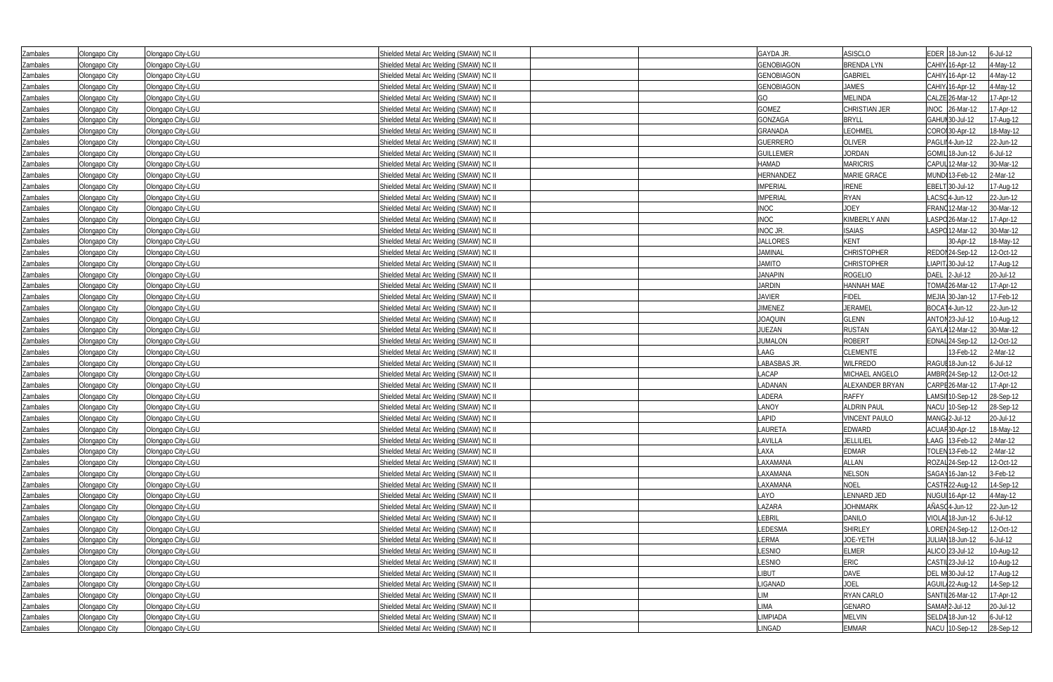| Zambales        | <b>Olongapo City</b> | <b>Clongapo City-LGU</b> | Shielded Metal Arc Welding (SMAW) NC II                                            | GAYDA JR.                          | <b>ASISCLO</b>        | $EDER$ 18-Jun-12                  | 6-Jul-12              |
|-----------------|----------------------|--------------------------|------------------------------------------------------------------------------------|------------------------------------|-----------------------|-----------------------------------|-----------------------|
| <b>Zambales</b> | <b>Olongapo City</b> | <b>Olongapo City-LGU</b> | Shielded Metal Arc Welding (SMAW) NC II                                            | <b>GENOBIAGON</b>                  | <b>BRENDALYN</b>      | CAHIY 16-Apr-12                   | 4-May-12              |
| Zambales        | <b>Olongapo City</b> | Olongapo City-LGU        | Shielded Metal Arc Welding (SMAW) NC II                                            | <b>GENOBIAGON</b>                  | <b>GABRIEL</b>        | CAHIY 16-Apr-12                   | 4-May-12              |
| Zambales        | <b>Olongapo City</b> | <b>Olongapo City-LGU</b> | Shielded Metal Arc Welding (SMAW) NC II                                            | <b>GENOBIAGON</b>                  | <b>JAMES</b>          | CAHIY 16-Apr-12                   | 4-May-12              |
| <b>Zambales</b> | <b>Olongapo City</b> | Olongapo City-LGU        | Shielded Metal Arc Welding (SMAW) NC II                                            | GO.                                | <b>MELINDA</b>        | CALZE 26-Mar-12                   | 17-Apr-12             |
| <b>Zambales</b> | <b>Olongapo City</b> | <b>Olongapo City-LGU</b> | Shielded Metal Arc Welding (SMAW) NC II                                            | <b>GOMEZ</b>                       | CHRISTIAN JER         | INOC 26-Mar-12                    | 17-Apr-12             |
| <b>Zambales</b> | Olongapo City        | Olongapo City-LGU        | Shielded Metal Arc Welding (SMAW) NC II                                            | <b>GONZAGA</b>                     | <b>BRYLL</b>          | GAHUI 30-Jul-12                   | 17-Aug-12             |
| Zambales        | Olongapo City        | Olongapo City-LGU        | Shielded Metal Arc Welding (SMAW) NC II                                            | <b>GRANADA</b>                     | <b>LEOHMEL</b>        | COROI 30-Apr-12                   | 18-May-12             |
| Zambales        | Olongapo City        | Olongapo City-LGU        | Shielded Metal Arc Welding (SMAW) NC II                                            | <b>GUERRERO</b>                    | <b>QUVER</b>          | PAGLI 4-Jun-12                    | 22-Jun-12             |
| <b>Zambales</b> | Olongapo City        | Olongapo City-LGU        | Shielded Metal Arc Welding (SMAW) NC II                                            | <b>GUILLEMER</b>                   | <b>JORDAN</b>         | GOMIL 18-Jun-12                   | 6-Jul-12              |
| Zambales        | <b>Olongapo City</b> | <b>Olongapo City-LGU</b> | Shielded Metal Arc Welding (SMAW) NC II                                            | <b>HAMAD</b>                       | <b>MARICRIS</b>       | CAPUL 12-Mar-12                   | 30-Mar-12             |
| <b>Zambales</b> | Olongapo City        | Olongapo City-LGU        | Shielded Metal Arc Welding (SMAW) NC II                                            | <b>HERNANDEZ</b>                   | <b>MARIE GRACE</b>    | MUND 13-Feb-12                    | 2-Mar-12              |
| <b>Zambales</b> | <b>Olongapo City</b> | <b>Olongapo City-LGU</b> | Shielded Metal Arc Welding (SMAW) NC II                                            | <b>IMPERIAL</b>                    | <b>IRENE</b>          | EBELT30-Jul-12                    | 17-Aug-12             |
| Zambales        | <b>Olongapo City</b> | <b>Olongapo City-LGU</b> | Shielded Metal Arc Welding (SMAW) NC II                                            | <b>IMPERIAL</b>                    | <b>RYAN</b>           | ACSC 4-Jun-12                     | 22-Jun-12             |
| Zambales        | Olongapo City        | <b>Clongapo City-LGU</b> | Shielded Metal Arc Welding (SMAW) NC II                                            | <b>INOC</b>                        | <b>JOEY</b>           | FRANO 12-Mar-12                   | 30-Mar-12             |
| <b>Zambales</b> | Olongapo City        | Olongapo City-LGU        | Shielded Metal Arc Welding (SMAW) NC II                                            | <b>INOC</b>                        | KIMBERLY ANN          | ASPC <sub>26</sub> -Mar-12        | 17-Apr-12             |
| Zambales        | Olongapo City        | Olongapo City-LGU        | Shielded Metal Arc Welding (SMAW) NC II                                            | INOC JR.                           | <b>ISAIAS</b>         | LASPC 12-Mar-12                   | 30-Mar-12             |
| Zambales        | <b>Olongapo City</b> | <b>Olongapo City-LGU</b> | Shielded Metal Arc Welding (SMAW) NC II                                            | <b>JALLORES</b>                    | <b>KENT</b>           | 30-Apr-12                         | 18-May-12             |
| Zambales        | <b>Olongapo City</b> | <b>Olongapo City-LGU</b> | Shielded Metal Arc Welding (SMAW) NC II                                            | <b>JAMINAL</b>                     | <b>CHRISTOPHER</b>    | REDOI 24-Sep-12                   | 12-Oct-12             |
| <b>Zambales</b> | Olongapo City        | Olongapo City-LGU        | Shielded Metal Arc Welding (SMAW) NC II                                            | <b>JAMITO</b>                      | <b>CHRISTOPHER</b>    | LIAPIT 30-Jul-12                  | 17-Aug-12             |
| Zambales        | Olongapo City        | Olongapo City-LGU        | Shielded Metal Arc Welding (SMAW) NC II                                            | <b>JANAPIN</b>                     | <b>ROGELIO</b>        | DAEL 2-Jul-12                     | 20-Jul-12             |
| Zambales        | Olongapo City        | <b>Olongapo City-LGU</b> | Shielded Metal Arc Welding (SMAW) NC II                                            | <b>JARDIN</b>                      | <b>HANNAH MAE</b>     | TOMAI 26-Mar-12                   | 17-Apr-12             |
| Zambales        | Olongapo City        | Olongapo City-LGU        | Shielded Metal Arc Welding (SMAW) NC II                                            | <b>JAMER</b>                       | <b>FIDEL</b>          | MEJIA 30-Jan-12                   | 17-Feb-12             |
| Zambales        | Olongapo City        | Olongapo City-LGU        | Shielded Metal Arc Welding (SMAW) NC II                                            | <b>JIMENEZ</b>                     | <b>JERAMEL</b>        | <b>BOCA14-Jun-12</b>              | 22-Jun-12             |
| <b>Zambales</b> | Olongapo City        | Olongapo City-LGU        | Shielded Metal Arc Welding (SMAW) NC II                                            | <b>JOAQUIN</b>                     | <b>GLENN</b>          | ANTON 23-Jul-12                   | 10-Aug-12             |
| <b>Zambales</b> | <b>Olongapo City</b> | <b>Olongapo City-LGU</b> | Shielded Metal Arc Welding (SMAW) NC II                                            | <b>JUEZAN</b>                      | <b>RUSTAN</b>         | GAYLA 12-Mar-12                   | 30-Mar-12             |
| <b>Zambales</b> | <b>Olongapo City</b> | <b>Olongapo City-LGU</b> | Shielded Metal Arc Welding (SMAW) NC II                                            | <b>JUMALON</b>                     | <b>ROBERT</b>         | EDNAL 24-Sep-12                   | 12-Oct-12             |
| <b>Zambales</b> | Olongapo City        | Olongapo City-LGU        | Shielded Metal Arc Welding (SMAW) NC II                                            | <b>LAAG</b>                        | <b>CLEMENTE</b>       | 13-Feb-12                         | 2-Mar-12              |
| <b>Zambales</b> | Olongapo City        | <b>Olongapo City-LGU</b> | Shielded Metal Arc Welding (SMAW) NC II                                            | LABASBAS JR.                       | <b>WILFREDO</b>       | RAGUE 18-Jun-12                   | 6-Jul-12              |
| Zambales        | Olongapo City        | <b>Olongapo City-LGU</b> | Shielded Metal Arc Welding (SMAW) NC II                                            | <b>LACAP</b>                       | <b>MICHAEL ANGELO</b> | AMBR 24-Sep-12                    | 12-Oct-12             |
| <b>Zambales</b> | <b>Olongapo City</b> | <b>Olongapo City-LGU</b> | Shielded Metal Arc Welding (SMAW) NC II                                            | <b>LADANAN</b>                     | ALEXANDER BRYAN       | CARPE 26-Mar-12                   | 17-Apr-12             |
| <b>Zambales</b> | <b>Olongapo City</b> | <b>Olongapo City-LGU</b> | Shielded Metal Arc Welding (SMAW) NC II                                            | <b>LADERA</b>                      | <b>RAFFY</b>          | LAMSII 10-Sep-12                  | 28-Sep-12             |
| Zambales        | <b>Olongapo City</b> | <b>Olongapo City-LGU</b> | Shielded Metal Arc Welding (SMAW) NC II                                            | <b>LANOY</b>                       | <b>ALDRIN PAUL</b>    | NACU 10-Sep-12                    | 28-Sep-12             |
| <b>Zambales</b> | <b>Olongapo City</b> | <b>Olongapo City-LGU</b> | Shielded Metal Arc Welding (SMAW) NC II                                            | <b>LAPID</b>                       | <b>VINCENT PAULO</b>  | MANG 2-Jul-12                     | 20-Jul-12             |
| Zambales        | <b>Olongapo City</b> | <b>Olongapo City-LGU</b> | Shielded Metal Arc Welding (SMAW) NC II                                            | <b>LAURETA</b>                     | <b>EDWARD</b>         | ACUAF30-Apr-12                    | 18-May-12             |
| Zambales        | Olongapo City        | <b>Olongapo City-LGU</b> | Shielded Metal Arc Welding (SMAW) NC II                                            | <b>LAVILLA</b>                     | <b>JELLILIEL</b>      | LAAG 13-Feb-12                    | 2-Mar-12              |
| Zambales        | Olongapo City        | Olongapo City-LGU        | Shielded Metal Arc Welding (SMAW) NC II                                            | LAXA                               | <b>EDMAR</b>          | TOLEN 13-Feb-12                   | 2-Mar-12              |
| Zambales        | Olongapo City        | Olongapo City-LGU        | Shielded Metal Arc Welding (SMAW) NC II                                            | LAXAMANA                           | <b>ALLAN</b>          | ROZAL 24-Sep-12                   | 12-Oct-12             |
|                 |                      |                          |                                                                                    |                                    | <b>NELSON</b>         | SAGAY 16-Jan-12                   |                       |
| Zambales        | Olongapo City        | Olongapo City-LGU        | Shielded Metal Arc Welding (SMAW) NC II<br>Shielded Metal Arc Welding (SMAW) NC II | <b>LAXAMANA</b><br><b>LAXAMANA</b> | <b>NOEL</b>           | CASTF 22-Aug-12                   | 3-Feb-12<br>14-Sep-12 |
| Zambales        | <b>Olongapo City</b> | <b>Clongapo City-LGU</b> |                                                                                    |                                    | <b>LENNARD JED</b>    |                                   |                       |
| <b>Zambales</b> | Olongapo City        | Olongapo City-LGU        | Shielded Metal Arc Welding (SMAW) NC II                                            | LAYO                               |                       | NUGUI 16-Apr-12<br>AÑASC 4-Jun-12 | 4-May-12              |
| <b>Zambales</b> | <b>Olongapo City</b> | Olongapo City-LGU        | Shielded Metal Arc Welding (SMAW) NC II                                            | <b>LAZARA</b>                      | <b>JOHNMARK</b>       |                                   | 22-Jun-12             |
| Zambales        | Olongapo City        | <b>Clongapo City-LGU</b> | Shielded Metal Arc Welding (SMAW) NC II                                            | LEBRIL                             | DANILO                | VIOLAI 18-Jun-12                  | 6-Jul-12              |
| Zambales        | <b>Olongapo City</b> | <b>Clongapo City-LGU</b> | Shielded Metal Arc Welding (SMAW) NC II                                            | <b>LEDESMA</b>                     | <b>SHIRLEY</b>        | LOREN <sub>24-Sep-12</sub>        | 12-Oct-12             |
| Zambales        | Olongapo City        | Olongapo City-LGU        | Shielded Metal Arc Welding (SMAW) NC II                                            | <b>LERMA</b>                       | <b>JOE-YETH</b>       | JULIAN 18-Jun-12                  | 6-Jul-12              |
| Zambales        | Olongapo City        | Olongapo City-LGU        | Shielded Metal Arc Welding (SMAW) NC II                                            | <b>LESNIO</b>                      | <b>ELMER</b>          | ALICO 23-Jul-12                   | 10-Aug-12             |
| Zambales        | <b>Olongapo City</b> | <b>Clongapo City-LGU</b> | Shielded Metal Arc Welding (SMAW) NC II                                            | LESNIO                             | <b>ERIC</b>           | CASTI 23-Jul-12                   | 10-Aug-12             |
| Zambales        | Olongapo City        | <b>Olongapo City-LGU</b> | Shielded Metal Arc Welding (SMAW) NC II                                            | <b>LIBUT</b>                       | <b>DAVE</b>           | <b>DEL M 30-Jul-12</b>            | 17-Aug-12             |
| Zambales        | Olongapo City        | <b>Olongapo City-LGU</b> | Shielded Metal Arc Welding (SMAW) NC II                                            | <b>LIGANAD</b>                     | <b>JOEL</b>           | AGUIL 22-Aug-12                   | 14-Sep-12             |
| Zambales        | Olongapo City        | <b>Olongapo City-LGU</b> | Shielded Metal Arc Welding (SMAW) NC II                                            | <b>LIM</b>                         | <b>RYAN CARLO</b>     | SANTI 26-Mar-12                   | 17-Apr-12             |
| Zambales        | Olongapo City        | Olongapo City-LGU        | Shielded Metal Arc Welding (SMAW) NC II                                            | <b>LIMA</b>                        | <b>GENARO</b>         | <b>SAMAN</b> 2-Jul-12             | 20-Jul-12             |
| Zambales        | Olongapo City        | <b>Clongapo City-LGU</b> | Shielded Metal Arc Welding (SMAW) NC II                                            | <b>LIMPIADA</b>                    | <b>MELVIN</b>         | SELDA 18-Jun-12                   | 6-Jul-12              |
| <b>Zambales</b> | Olongapo City        | Olongapo City-LGU        | Shielded Metal Arc Welding (SMAW) NC II                                            | <b>LINGAD</b>                      | <b>EMMAR</b>          | NACU 10-Sep-12                    | 28-Sep-12             |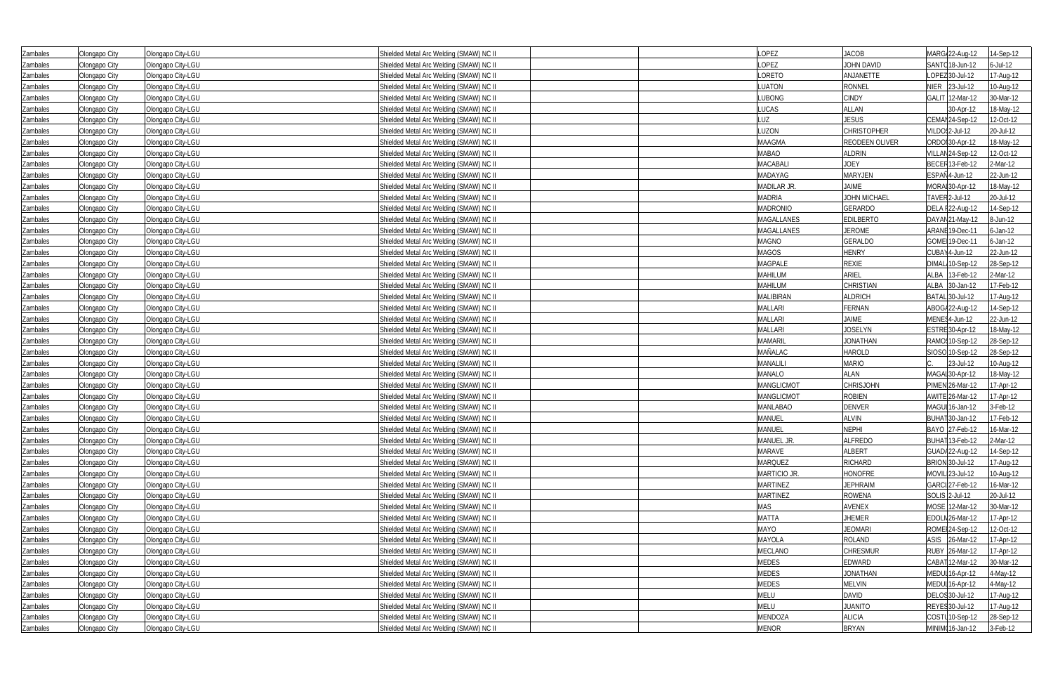| <b>Zambales</b> | Olongapo City        | Olongapo City-LGU        | Shielded Metal Arc Welding (SMAW) NC II | <b>LOPEZ</b>       | <b>JACOB</b>          | MARG 22-Aug-12              | 14-Sep-12   |
|-----------------|----------------------|--------------------------|-----------------------------------------|--------------------|-----------------------|-----------------------------|-------------|
| Zambales        | <b>Olongapo City</b> | Olongapo City-LGU        | Shielded Metal Arc Welding (SMAW) NC II | <b>LOPEZ</b>       | <b>JOHN DAVID</b>     | SANTO 18-Jun-12             | 6-Jul-12    |
| Zambales        | <b>Olongapo City</b> | Olongapo City-LGU        | Shielded Metal Arc Welding (SMAW) NC II | <b>LORETO</b>      | <b>ANJANETTE</b>      | OPEZ 30-Jul-12              | 17-Aug-12   |
| Zambales        | Olongapo City        | <b>Olongapo City-LGU</b> | Shielded Metal Arc Welding (SMAW) NC II | <b>LUATON</b>      | <b>RONNEL</b>         | NIER 23-Jul-12              | 10-Aug-12   |
| Zambales        | <b>Olongapo City</b> | <b>Olongapo City-LGU</b> | Shielded Metal Arc Welding (SMAW) NC II | <b>LUBONG</b>      | <b>CINDY</b>          | GALIT 12-Mar-12             | 30-Mar-12   |
| <b>Zambales</b> | <b>Olongapo City</b> | Olongapo City-LGU        | Shielded Metal Arc Welding (SMAW) NC II | <b>LUCAS</b>       | ALLAN                 | 30-Apr-12                   | 18-May-12   |
| <b>Zambales</b> | Olongapo City        | Olongapo City-LGU        | Shielded Metal Arc Welding (SMAW) NC II | LUZ                | <b>JESUS</b>          | CEMAI 24-Sep-12             | 12-Oct-12   |
| <b>Zambales</b> | <b>Olongapo City</b> | Olongapo City-LGU        | Shielded Metal Arc Welding (SMAW) NC II | <b>LUZON</b>       | <b>CHRISTOPHER</b>    | VILDO 2-Jul-12              | 20-Jul-12   |
| <b>Zambales</b> | <b>Olongapo City</b> | Olongapo City-LGU        | Shielded Metal Arc Welding (SMAW) NC II | <b>MAAGMA</b>      | <b>REODEEN OLIVER</b> | ORDOI 30-Apr-12             | 18-May-12   |
| <b>Zambales</b> | Olongapo City        | Olongapo City-LGU        | Shielded Metal Arc Welding (SMAW) NC II | <b>MABAO</b>       | <b>ALDRIN</b>         | VILLAN 24-Sep-12            | 12-Oct-12   |
| <b>Zambales</b> | <b>Olongapo City</b> | Olongapo City-LGU        | Shielded Metal Arc Welding (SMAW) NC II | <b>MACABALI</b>    | <b>JOEY</b>           | BECER 13-Feb-12             | 2-Mar-12    |
| Zambales        | <b>Olongapo City</b> | Olongapo City-LGU        | Shielded Metal Arc Welding (SMAW) NC II | <b>MADAYAG</b>     | <b>MARYJEN</b>        | ESPAÑ4-Jun-12               | 22-Jun-12   |
| <b>Zambales</b> | <b>Olongapo City</b> | Olongapo City-LGU        | Shielded Metal Arc Welding (SMAW) NC II | <b>MADILAR JR.</b> | <b>JAIME</b>          | <b>MORA</b> 30-Apr-12       | 18-May-12   |
| <b>Zambales</b> | <b>Olongapo City</b> | Olongapo City-LGU        | Shielded Metal Arc Welding (SMAW) NC II | <b>MADRIA</b>      | <b>JOHN MICHAEL</b>   | <b>TAVER 2-Jul-12</b>       | 20-Jul-12   |
| <b>Zambales</b> | Olongapo City        | Olongapo City-LGU        | Shielded Metal Arc Welding (SMAW) NC II | <b>MADRONIO</b>    | <b>GERARDO</b>        | DELA P22-Aug-12             | 14-Sep-12   |
| <b>Zambales</b> | <b>Olongapo City</b> | Olongapo City-LGU        | Shielded Metal Arc Welding (SMAW) NC II | <b>MAGALLANES</b>  | <b>EDILBERTO</b>      | DAYAN 21-May-12             | 8-Jun-12    |
| <b>Zambales</b> | Olongapo City        | Olongapo City-LGU        | Shielded Metal Arc Welding (SMAW) NC II | <b>MAGALLANES</b>  | <b>JEROME</b>         | ARANE 19-Dec-11             | $6$ -Jan-12 |
| <b>Zambales</b> | <b>Olongapo City</b> | Olongapo City-LGU        | Shielded Metal Arc Welding (SMAW) NC II | <b>MAGNO</b>       | <b>GERALDO</b>        | GOME 19-Dec-11              | $6$ -Jan-12 |
| <b>Zambales</b> | Olongapo City        | Olongapo City-LGU        | Shielded Metal Arc Welding (SMAW) NC II | <b>MAGOS</b>       | <b>HENRY</b>          | CUBAY 4-Jun-12              | 22-Jun-12   |
| <b>Zambales</b> | Olongapo City        | Olongapo City-LGU        | Shielded Metal Arc Welding (SMAW) NC II | <b>MAGPALE</b>     | <b>REXIE</b>          | <b>DIMAL 10-Sep-12</b>      | 28-Sep-12   |
| <b>Zambales</b> | Olongapo City        | Olongapo City-LGU        | Shielded Metal Arc Welding (SMAW) NC II | <b>MAHILUM</b>     | <b>ARIEL</b>          | ALBA 13-Feb-12              | 2-Mar-12    |
| <b>Zambales</b> | <b>Olongapo City</b> | Olongapo City-LGU        | Shielded Metal Arc Welding (SMAW) NC II | <b>MAHILUM</b>     | <b>CHRISTIAN</b>      | ALBA 30-Jan-12              | 17-Feb-12   |
| Zambales        | <b>Olongapo City</b> | Olongapo City-LGU        | Shielded Metal Arc Welding (SMAW) NC II | <b>MALIBIRAN</b>   | <b>ALDRICH</b>        | BATAL 30-Jul-12             | 17-Aug-12   |
| <b>Zambales</b> | Olongapo City        | Olongapo City-LGU        | Shielded Metal Arc Welding (SMAW) NC II | <b>MALLARI</b>     | <b>FERNAN</b>         | ABOG 22-Aug-12              | 14-Sep-12   |
| Zambales        | <b>Olongapo City</b> | <b>Olongapo City-LGU</b> | Shielded Metal Arc Welding (SMAW) NC II | <b>MALLARI</b>     | <b>JAIME</b>          | MENES4-Jun-12               | 22-Jun-12   |
| <b>Zambales</b> | <b>Olongapo City</b> | Olongapo City-LGU        | Shielded Metal Arc Welding (SMAW) NC II | <b>MALLARI</b>     | <b>JOSELYN</b>        | <b>ESTRE 30-Apr-12</b>      | 18-May-12   |
| <b>Zambales</b> | <b>Olongapo City</b> | Olongapo City-LGU        | Shielded Metal Arc Welding (SMAW) NC II | <b>MAMARIL</b>     | <b>UAHTA/IOL</b>      | RAMO 10-Sep-12              | 28-Sep-12   |
| <b>Zambales</b> | <b>Olongapo City</b> | Olongapo City-LGU        | Shielded Metal Arc Welding (SMAW) NC II | <b>MAÑALAC</b>     | <b>HAROLD</b>         | SIOSO 10-Sep-12             | 28-Sep-12   |
| <b>Zambales</b> | Olongapo City        | Olongapo City-LGU        | Shielded Metal Arc Welding (SMAW) NC II | MANALILI           | <b>MARIO</b>          | 23-Jul-12                   | 10-Aug-12   |
| <b>Zambales</b> | Olongapo City        | Olongapo City-LGU        | Shielded Metal Arc Welding (SMAW) NC II | <b>MANALO</b>      | <b>ALAN</b>           | MAGAI 30-Apr-12             | 18-May-12   |
| <b>Zambales</b> | Olongapo City        | Olongapo City-LGU        | Shielded Metal Arc Welding (SMAW) NC II | <b>MANGLICMOT</b>  | <b>CHRISJOHN</b>      | PIMEN 26-Mar-12             | 17-Apr-12   |
| Zambales        | <b>Olongapo City</b> | Olongapo City-LGU        | Shielded Metal Arc Welding (SMAW) NC II | <b>MANGLICMOT</b>  | <b>ROBIEN</b>         | AWTE 26-Mar-12              | 17-Apr-12   |
| <b>Zambales</b> | <b>Olongapo City</b> | <b>Olongapo City-LGU</b> | Shielded Metal Arc Welding (SMAW) NC II | <b>MANLABAO</b>    | <b>DENVER</b>         | MAGUI 16-Jan-12             | 3-Feb-12    |
| Zambales        | <b>Olongapo City</b> | <b>Olongapo City-LGU</b> | Shielded Metal Arc Welding (SMAW) NC II | <b>MANUEL</b>      | <b>ALVIN</b>          | <b>BUHA130-Jan-12</b>       | 17-Feb-12   |
| <b>Zambales</b> | Olongapo Citv        | <b>Olongapo City-LGU</b> | Shielded Metal Arc Welding (SMAW) NC II | <b>MANUEL</b>      | <b>NEPHI</b>          | BAYO 27-Feb-12              | 16-Mar-12   |
| <b>Zambales</b> | Olongapo City        | Olongapo City-LGU        | Shielded Metal Arc Welding (SMAW) NC II | MANUEL JR.         | <b>ALFREDO</b>        | BUHAT 13-Feb-12             | 2-Mar-12    |
| <b>Zambales</b> | <b>Olongapo City</b> | Olongapo City-LGU        | Shielded Metal Arc Welding (SMAW) NC II | <b>MARAVE</b>      | <b>ALBERT</b>         | GUAD 22-Aug-12              | 14-Sep-12   |
| <b>Zambales</b> | <b>Olongapo City</b> | Olongapo City-LGU        | Shielded Metal Arc Welding (SMAW) NC II | <b>MARQUEZ</b>     | <b>RICHARD</b>        | <b>BRION 30-Jul-12</b>      | 17-Aug-12   |
| <b>Zambales</b> | Olongapo City        | Olongapo City-LGU        | Shielded Metal Arc Welding (SMAW) NC II | MARTICIO JR.       | <b>HONOFRE</b>        | MOVIL 23-Jul-12             | 10-Aug-12   |
| <b>Zambales</b> | Olongapo City        | Olongapo City-LGU        | Shielded Metal Arc Welding (SMAW) NC II | <b>MARTINEZ</b>    | <b>JEPHRAIM</b>       | GARCI 27-Feb-12             | 16-Mar-12   |
| Zambales        | Olongapo City        | Olongapo City-LGU        | Shielded Metal Arc Welding (SMAW) NC II | <b>MARTINEZ</b>    | <b>ROWENA</b>         | <b>SOLIS 2-Jul-12</b>       | 20-Jul-12   |
| Zambales        | <b>Olongapo City</b> | Olongapo City-LGU        | Shielded Metal Arc Welding (SMAW) NC II | <b>MAS</b>         | <b>AVENEX</b>         | MOSE 12-Mar-12              | 30-Mar-12   |
| Zambales        | <b>Olongapo City</b> | Olongapo City-LGU        | Shielded Metal Arc Welding (SMAW) NC II | <b>MATTA</b>       | <b>JHEMER</b>         | EDOLN <sub>26</sub> -Mar-12 | 17-Apr-12   |
| Zambales        | <b>Olongapo City</b> | Olongapo City-LGU        | Shielded Metal Arc Welding (SMAW) NC II | <b>MAYO</b>        | <b>JEOMARI</b>        | ROME 24-Sep-12              | 12-Oct-12   |
| Zambales        | <b>Olongapo City</b> | Olongapo City-LGU        | Shielded Metal Arc Welding (SMAW) NC II | <b>MAYOLA</b>      | <b>ROLAND</b>         | ASIS 26-Mar-12              | 17-Apr-12   |
| <b>Zambales</b> | <b>Olongapo City</b> | Olongapo City-LGU        | Shielded Metal Arc Welding (SMAW) NC II | <b>MECLANO</b>     | <b>CHRESMUR</b>       | <b>RUBY</b> 26-Mar-12       | 17-Apr-12   |
| <b>Zambales</b> | <b>Olongapo City</b> | Olongapo City-LGU        | Shielded Metal Arc Welding (SMAW) NC II | <b>MEDES</b>       | <b>EDWARD</b>         | CABAT 12-Mar-12             | 30-Mar-12   |
| <b>Zambales</b> | <b>Olongapo City</b> | Olongapo City-LGU        | Shielded Metal Arc Welding (SMAW) NC II | <b>MEDES</b>       | <b>UNHTAVIOL</b>      | MEDUI 16-Apr-12             | 4-May-12    |
| <b>Zambales</b> | Olongapo City        | Olongapo City-LGU        | Shielded Metal Arc Welding (SMAW) NC II | <b>MEDES</b>       | <b>MELVIN</b>         | <b>MEDUI 16-Apr-12</b>      | 4-May-12    |
| <b>Zambales</b> | <b>Olongapo City</b> | Olongapo City-LGU        | Shielded Metal Arc Welding (SMAW) NC II | <b>MELU</b>        | <b>DAVID</b>          | DELOS 30-Jul-12             | 17-Aug-12   |
| Zambales        | <b>Olongapo City</b> | Olongapo City-LGU        | Shielded Metal Arc Welding (SMAW) NC II | <b>MELU</b>        | <b>JUANITO</b>        | REYES 30-Jul-12             | 17-Aug-12   |
| Zambales        | <b>Olongapo City</b> | <b>Olongapo City-LGU</b> | Shielded Metal Arc Welding (SMAW) NC II | <b>MENDOZA</b>     | <b>ALICIA</b>         | COSTU 10-Sep-12             | 28-Sep-12   |
| <b>Zambales</b> | <b>Olongapo City</b> | <b>Olongapo City-LGU</b> | Shielded Metal Arc Welding (SMAW) NC II | <b>MENOR</b>       | <b>BRYAN</b>          | <b>MINIM 16-Jan-12</b>      | 3-Feb-12    |
|                 |                      |                          |                                         |                    |                       |                             |             |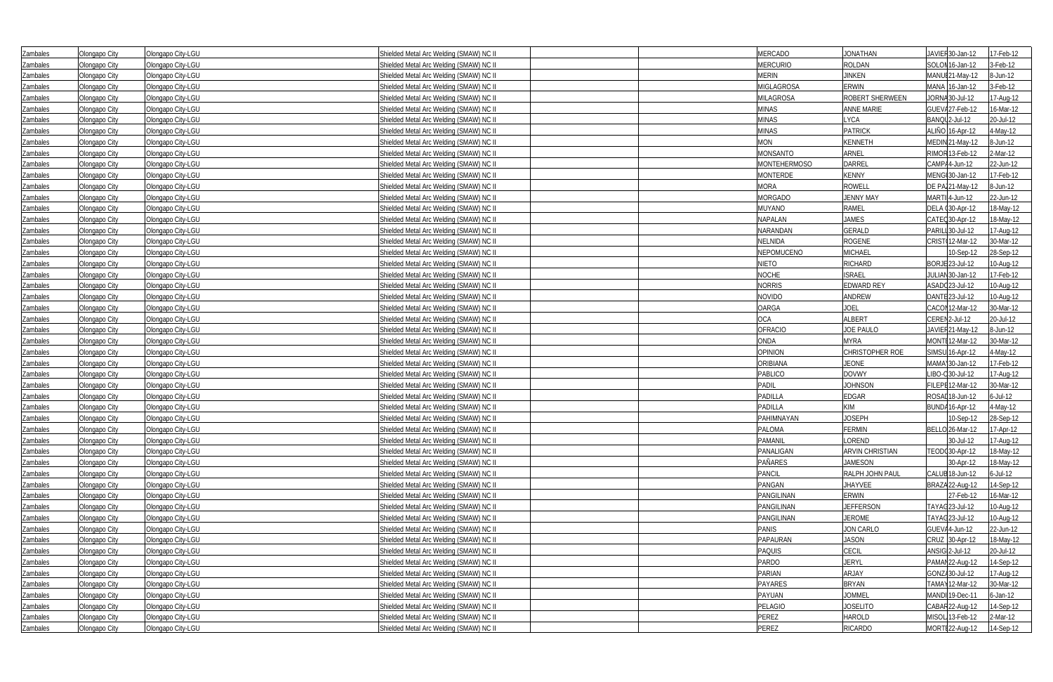| Zambales        | <b>Olongapo City</b> | <b>Olongapo City-LGU</b> | Shielded Metal Arc Welding (SMAW) NC II | <b>MERCADO</b>      | <b>IAHTANOL</b>   | JAVIER30-Jan-12              | 17-Feb-12         |
|-----------------|----------------------|--------------------------|-----------------------------------------|---------------------|-------------------|------------------------------|-------------------|
| Zambales        | Olongapo City        | Olongapo City-LGU        | Shielded Metal Arc Welding (SMAW) NC II | <b>MERCURIO</b>     | <b>ROLDAN</b>     | SOLON 16-Jan-12              | $3$ -Feb-12       |
| Zambales        | Olongapo City        | Olongapo City-LGU        | Shielded Metal Arc Welding (SMAW) NC II | <b>MERIN</b>        | <b>JINKEN</b>     | MANUL21-May-12               | $B\text{-Jun-12}$ |
| Zambales        | Olongapo City        | Olongapo City-LGU        | Shielded Metal Arc Welding (SMAW) NC II | <b>MIGLAGROSA</b>   | <b>ERWN</b>       | MANA 16-Jan-12               | $3$ -Feb-12       |
| <b>Zambales</b> | Olongapo City        | Olongapo City-LGU        | Shielded Metal Arc Welding (SMAW) NC II | <b>MILAGROSA</b>    | ROBERT SHERWEEN   | JORN4 30-Jul-12              | 17-Aug-12         |
| Zambales        | Olongapo City        | <b>Clongapo City-LGU</b> | Shielded Metal Arc Welding (SMAW) NC II | <b>MINAS</b>        | <b>ANNE MARIE</b> | GUEV/27-Feb-12               | 16-Mar-12         |
| Zambales        | <b>Olongapo City</b> | Olongapo City-LGU        | Shielded Metal Arc Welding (SMAW) NC II | <b>MINAS</b>        | LYCA              | <b>BANQ</b> 2-Jul-12         | 20-Jul-12         |
| <b>Zambales</b> | Olongapo City        | Olongapo City-LGU        | Shielded Metal Arc Welding (SMAW) NC II | <b>MINAS</b>        | <b>PATRICK</b>    | ALIÑO 16-Apr-12              | 4-May-12          |
| Zambales        | Olongapo City        | <b>Olongapo City-LGU</b> | Shielded Metal Arc Welding (SMAW) NC II | <b>MON</b>          | <b>KENNETH</b>    | MEDIN 21-May-12              | 8-Jun-12          |
| Zambales        | <b>Olongapo City</b> | Olongapo City-LGU        | Shielded Metal Arc Welding (SMAW) NC II | <b>MONSANTO</b>     | <b>ARNEL</b>      | RIMOR <sub>13</sub> -Feb-12  | 2-Mar-12          |
| Zambales        | <b>Olongapo City</b> | <b>Olongapo City-LGU</b> | Shielded Metal Arc Welding (SMAW) NC II | <b>MONTEHERMOSO</b> | <b>DARREL</b>     | CAMP/4-Jun-12                | 22-Jun-12         |
| <b>Zambales</b> | <b>Olongapo City</b> | Olongapo City-LGU        | Shielded Metal Arc Welding (SMAW) NC II | <b>MONTERDE</b>     | <b>KENNY</b>      | MENG 30-Jan-12               | 17-Feb-12         |
| Zambales        | <b>Olongapo City</b> | <b>Olongapo City-LGU</b> | Shielded Metal Arc Welding (SMAW) NC II | <b>MORA</b>         | <b>ROWELL</b>     | DE PA 21-May-12              | 8-Jun-12          |
| Zambales        | <b>Olongapo City</b> | <b>Olongapo City-LGU</b> | Shielded Metal Arc Welding (SMAW) NC II | <b>MORGADO</b>      | <b>JENNY MAY</b>  | MART 4-Jun-12                | 22-Jun-12         |
| <b>Zambales</b> | <b>Olongapo City</b> | Olongapo City-LGU        | Shielded Metal Arc Welding (SMAW) NC II | <b>MUYANO</b>       | <b>RAMEL</b>      | DELA 30-Apr-12               | 18-May-12         |
| Zambales        | Olongapo City        | Olongapo City-LGU        | Shielded Metal Arc Welding (SMAW) NC II | <b>NAPALAN</b>      | <b>JAMES</b>      | CATEC 30-Apr-12              | 18-May-12         |
| Zambales        | Olongapo City        | Olongapo City-LGU        | Shielded Metal Arc Welding (SMAW) NC II | <b>NARANDAN</b>     | <b>GERALD</b>     | PARIL 30-Jul-12              | 17-Aug-12         |
| <b>Zambales</b> | Olongapo City        | Olongapo City-LGU        | Shielded Metal Arc Welding (SMAW) NC II | <b>NELNIDA</b>      | <b>ROGENE</b>     | <b>CRIST 12-Mar-12</b>       | 30-Mar-12         |
| Zambales        | <b>Olongapo City</b> | <b>Olongapo City-LGU</b> | Shielded Metal Arc Welding (SMAW) NC II | <b>NEPOMUCENO</b>   | <b>MICHAEL</b>    | 10-Sep-12                    | 28-Sep-12         |
| <b>Zambales</b> | Olongapo City        | Olongapo City-LGU        | Shielded Metal Arc Welding (SMAW) NC II | <b>NETO</b>         | <b>RICHARD</b>    | <b>BORJE</b> 23-Jul-12       | 10-Aug-12         |
| <b>Zambales</b> | Olongapo City        | Olongapo City-LGU        | Shielded Metal Arc Welding (SMAW) NC II | <b>NOCHE</b>        | <b>ISRAEL</b>     | JULIAN30-Jan-12              | 17-Feb-12         |
| Zambales        | Olongapo City        | <b>Clongapo City-LGU</b> | Shielded Metal Arc Welding (SMAW) NC II | <b>NORRIS</b>       | <b>EDWARD REY</b> | ASADC 23-Jul-12              | 10-Aug-12         |
| Zambales        | <b>Olongapo City</b> | <b>Olongapo City-LGU</b> | Shielded Metal Arc Welding (SMAW) NC II | NOVIDO              | <b>ANDREW</b>     | DANTE 23-Jul-12              | 10-Aug-12         |
| Zambales        | Olongapo City        | Olongapo City-LGU        | Shielded Metal Arc Welding (SMAW) NC II | <b>OARGA</b>        | <b>JOEL</b>       | CACO 12-Mar-12               | 30-Mar-12         |
| Zambales        | Olongapo City        | Olongapo City-LGU        | Shielded Metal Arc Welding (SMAW) NC II | <b>CCA</b>          | <b>ALBERT</b>     | CEREN 2-Jul-12               | 20-Jul-12         |
| Zambales        | <b>Olongapo City</b> | <b>Olongapo City-LGU</b> | Shielded Metal Arc Welding (SMAW) NC II | <b>OFRACIO</b>      | <b>JOE PAULO</b>  | JAVIEF <sub>21</sub> -May-12 | 8-Jun-12          |
| <b>Zambales</b> | <b>Olongapo City</b> | <b>Olongapo City-LGU</b> | Shielded Metal Arc Welding (SMAW) NC II | <b>ONDA</b>         | <b>MYRA</b>       | MONTI 12-Mar-12              | 30-Mar-12         |
| Zambales        | Olongapo City        | Olongapo City-LGU        | Shielded Metal Arc Welding (SMAW) NC II | <b>OPINION</b>      | CHRISTOPHER ROE   | SIMSU 16-Apr-12              | 4-May-12          |
| <b>Zambales</b> | Olongapo City        | Olongapo City-LGU        | Shielded Metal Arc Welding (SMAW) NC II | <b>ORIBIANA</b>     | <b>JEONE</b>      | MAMA 30-Jan-12               | 17-Feb-12         |
| Zambales        | Olongapo City        | Olongapo City-LGU        | Shielded Metal Arc Welding (SMAW) NC II | PABLICO             | <b>DOWWY</b>      | LIBO-C30-Jul-12              | 17-Aug-12         |
| Zambales        | Olongapo City        | Olongapo City-LGU        | Shielded Metal Arc Welding (SMAW) NC II | PADIL               | <b>JOHNSON</b>    | <b>FILEPE 12-Mar-12</b>      | 30-Mar-12         |
| Zambales        | <b>Olongapo City</b> | Olongapo City-LGU        | Shielded Metal Arc Welding (SMAW) NC II | <b>PADILLA</b>      | <b>EDGAR</b>      | ROSAI 18-Jun-12              | 6-Jul-12          |
| <b>Zambales</b> | Olongapo City        | Olongapo City-LGU        | Shielded Metal Arc Welding (SMAW) NC II | <b>PADILLA</b>      | KІM               | <b>BUNDA</b> 16-Apr-12       | 4-May-12          |
| Zambales        | <b>Olongapo City</b> | Olongapo City-LGU        | Shielded Metal Arc Welding (SMAW) NC II | PAHIMNAYAN          | <b>JOSEPH</b>     | 10-Sep-12                    | 28-Sep-12         |
| Zambales        | <b>Olongapo City</b> | <b>Olongapo City-LGU</b> | Shielded Metal Arc Welding (SMAW) NC II | <b>PALOMA</b>       | <b>FERMIN</b>     | BELLO <sub>26</sub> -Mar-12  | 17-Apr-12         |
| Zambales        | Olongapo City        | <b>Olongapo City-LGU</b> | Shielded Metal Arc Welding (SMAW) NC II | <b>PAMANIL</b>      | <b>LOREND</b>     | 30-Jul-12                    | 17-Aug-12         |
| Zambales        | Olongapo City        | Olongapo City-LGU        | Shielded Metal Arc Welding (SMAW) NC II | <b>PANALIGAN</b>    | ARVIN CHRISTIAN   | TEOD 30-Apr-12               | 18-May-12         |
| Zambales        | Olongapo City        | Olongapo City-LGU        | Shielded Metal Arc Welding (SMAW) NC II | <b>PAÑARES</b>      | <b>JAMESON</b>    | 30-Apr-12                    | 18-May-12         |
| Zambales        | Olongapo City        | Olongapo City-LGU        | Shielded Metal Arc Welding (SMAW) NC II | <b>PANCIL</b>       | RALPH JOHN PAUL   | CALUE 18-Jun-12              | 6-Jul-12          |
| Zambales        | <b>Olongapo City</b> | <b>Olongapo City-LGU</b> | Shielded Metal Arc Welding (SMAW) NC II | <b>PANGAN</b>       | <b>JHAYVEE</b>    | BRAZA 22-Aug-12              | 14-Sep-12         |
| Zambales        | <b>Olongapo City</b> | Olongapo City-LGU        | Shielded Metal Arc Welding (SMAW) NC II | <b>PANGILINAN</b>   | <b>ERWIN</b>      | 27-Feb-12                    | 16-Mar-12         |
| Zambales        | Olongapo City        | Olongapo City-LGU        | Shielded Metal Arc Welding (SMAW) NC II | <b>PANGILINAN</b>   | <b>JEFFERSON</b>  | TAYAG 23-Jul-12              | 10-Aug-12         |
| Zambales        | Olongapo City        | <b>Olongapo City-LGU</b> | Shielded Metal Arc Welding (SMAW) NC II | <b>PANGILINAN</b>   | <b>JEROME</b>     | TAYAC 23-Jul-12              | 10-Aug-12         |
| Zambales        | Olongapo City        | <b>Olongapo City-LGU</b> | Shielded Metal Arc Welding (SMAW) NC II | PANIS               | <b>JON CARLO</b>  | GUEV/4-Jun-12                | 22-Jun-12         |
| Zambales        | <b>Olongapo City</b> | Olongapo City-LGU        | Shielded Metal Arc Welding (SMAW) NC II | <b>PAPAURAN</b>     | <b>JASON</b>      | CRUZ 30-Apr-12               | 18-May-12         |
| Zambales        | <b>Olongapo City</b> | Olongapo City-LGU        | Shielded Metal Arc Welding (SMAW) NC II | <b>PAQUIS</b>       | <b>CECIL</b>      | <b>ANSIG 2-Jul-12</b>        | 20-Jul-12         |
| Zambales        | Olongapo City        | <b>Olongapo City-LGU</b> | Shielded Metal Arc Welding (SMAW) NC II | PARDO               | <b>JERYL</b>      | PAMA 22-Aug-12               | 14-Sep-12         |
| Zambales        | <b>Olongapo City</b> | <b>Olongapo City-LGU</b> | Shielded Metal Arc Welding (SMAW) NC II | <b>PARIAN</b>       | <b>ARJAY</b>      | GONZ 30-Jul-12               | 17-Aug-12         |
| Zambales        | Olongapo City        | Olongapo City-LGU        | Shielded Metal Arc Welding (SMAW) NC II | <b>PAYARES</b>      | <b>BRYAN</b>      | TAMA\12-Mar-12               | 30-Mar-12         |
| Zambales        | Olongapo City        | Olongapo City-LGU        | Shielded Metal Arc Welding (SMAW) NC II | <b>PAYUAN</b>       | <b>JOMMEL</b>     | MANDI 19-Dec-11              | 6-Jan-12          |
| Zambales        | Olongapo City        | <b>Olongapo City-LGU</b> | Shielded Metal Arc Welding (SMAW) NC II | <b>PELAGIO</b>      | <b>JOSELITO</b>   | CABAF 22-Aug-12              | 14-Sep-12         |
| Zambales        | <b>Olongapo City</b> | Olongapo City-LGU        | Shielded Metal Arc Welding (SMAW) NC II | PEREZ               | <b>HAROLD</b>     | MISOL 13-Feb-12              | 2-Mar-12          |
| Zambales        | Olongapo City        | <b>Olongapo City-LGU</b> | Shielded Metal Arc Welding (SMAW) NC II | PEREZ               | <b>RICARDO</b>    | MORTI 22-Aug-12              | 14-Sep-12         |
|                 |                      |                          |                                         |                     |                   |                              |                   |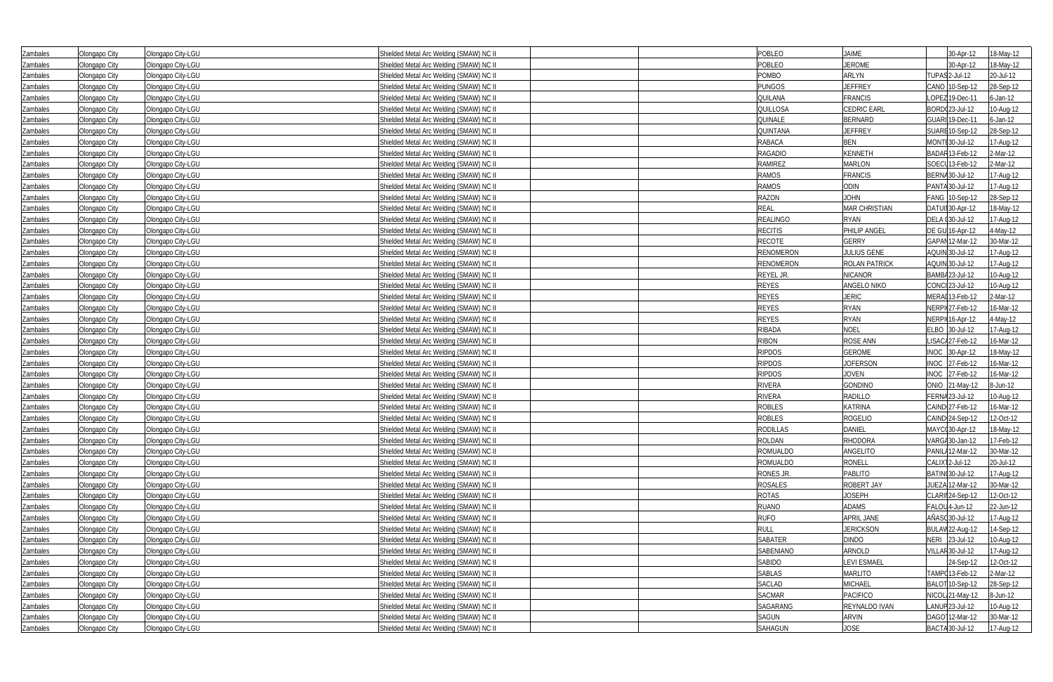| <b>Zambales</b> | <b>Clongapo City</b> | Olongapo City-LGU        | Shielded Metal Arc Welding (SMAW) NC II | <b>POBLEO</b>    | <b>JAIME</b>         | 30-Apr-12                   | 18-May-12             |
|-----------------|----------------------|--------------------------|-----------------------------------------|------------------|----------------------|-----------------------------|-----------------------|
| <b>Zambales</b> | <b>Olongapo City</b> | Olongapo City-LGU        | Shielded Metal Arc Welding (SMAW) NC II | <b>POBLEO</b>    | <b>JEROME</b>        | 30-Apr-12                   | 18-May-12             |
| Zambales        | <b>Olongapo City</b> | Olongapo City-LGU        | Shielded Metal Arc Welding (SMAW) NC II | <b>POMBO</b>     | <b>ARLYN</b>         | TUPAS 2-Jul-12              | 20-Jul-12             |
| Zambales        | <b>Olongapo City</b> | Olongapo City-LGU        | Shielded Metal Arc Welding (SMAW) NC II | <b>PUNGOS</b>    | <b>JEFFREY</b>       | CANO 10-Sep-12              | 28-Sep-12             |
| <b>Zambales</b> | <b>Olongapo City</b> | Olongapo City-LGU        | Shielded Metal Arc Welding (SMAW) NC II | <b>QUILANA</b>   | <b>FRANCIS</b>       | OPEZ 19-Dec-11              | $6$ -Jan-12           |
| <b>Zambales</b> | <b>Olongapo City</b> | Olongapo City-LGU        | Shielded Metal Arc Welding (SMAW) NC II | <b>QUILLOSA</b>  | <b>CEDRIC EARL</b>   | <b>BORD</b> (23-Jul-12      | 10-Aug-12             |
| <b>Zambales</b> | <b>Olongapo City</b> | Olongapo City-LGU        | Shielded Metal Arc Welding (SMAW) NC II | <b>QUINALE</b>   | <b>BERNARD</b>       | GUARI 19-Dec-11             | 6-Jan-12              |
| <b>Zambales</b> | <b>Olongapo City</b> | Olongapo City-LGU        | Shielded Metal Arc Welding (SMAW) NC II | <b>QUINTANA</b>  | <b>JEFFREY</b>       | SUARE 10-Sep-12             | 28-Sep-12             |
| <b>Zambales</b> | <b>Olongapo City</b> | Olongapo City-LGU        | Shielded Metal Arc Welding (SMAW) NC II | <b>RABACA</b>    | <b>BEN</b>           | MONT 30-Jul-12              | 17-Aug-12             |
| <b>Zambales</b> | <b>Olongapo City</b> | <b>Olongapo City-LGU</b> | Shielded Metal Arc Welding (SMAW) NC II | <b>RAGADIO</b>   | <b>KENNETH</b>       | BADAF <sub>13</sub> -Feb-12 | $2$ -Mar-12           |
| <b>Zambales</b> | <b>Olongapo City</b> | <b>Olongapo City-LGU</b> | Shielded Metal Arc Welding (SMAW) NC II | <b>RAMIREZ</b>   | <b>MARLON</b>        | SOECL <sub>13</sub> -Feb-12 | 2-Mar-12              |
| <b>Zambales</b> | <b>Olongapo City</b> | Olongapo City-LGU        | Shielded Metal Arc Welding (SMAW) NC II | <b>RAMOS</b>     | <b>FRANCIS</b>       | BERN430-Jul-12              | 17-Aug-12             |
| <b>Zambales</b> | <b>Olongapo City</b> | Olongapo City-LGU        | Shielded Metal Arc Welding (SMAW) NC II | <b>RAMOS</b>     | <b>ODIN</b>          | PANTA 30-Jul-12             | 17-Aug-12             |
| <b>Zambales</b> | <b>Olongapo City</b> | Olongapo City-LGU        | Shielded Metal Arc Welding (SMAW) NC II | <b>RAZON</b>     | <b>JOHN</b>          | <b>FANG 10-Sep-12</b>       | 28-Sep-12             |
| Zambales        | <b>Olongapo City</b> | Olongapo City-LGU        | Shielded Metal Arc Welding (SMAW) NC II | <b>REAL</b>      | <b>MAR CHRISTIAN</b> | DATUI 30-Apr-12             | 18-May-12             |
| <b>Zambales</b> | <b>Olongapo City</b> | Olongapo City-LGU        | Shielded Metal Arc Welding (SMAW) NC II | <b>REALINGO</b>  | <b>RYAN</b>          | DELA (30-Jul-12             | 17-Aug-12             |
| <b>Zambales</b> | <b>Olongapo City</b> | <b>Olongapo City-LGU</b> | Shielded Metal Arc Welding (SMAW) NC II | <b>RECITIS</b>   | PHILIP ANGEL         | DE GU 16-Apr-12             | 4-May-12              |
| Zambales        | <b>Olongapo City</b> | Olongapo City-LGU        | Shielded Metal Arc Welding (SMAW) NC II | <b>RECOTE</b>    | <b>GERRY</b>         | GAPAN 12-Mar-12             | 30-Mar-12             |
| <b>Zambales</b> | <b>Olongapo City</b> | Olongapo City-LGU        | Shielded Metal Arc Welding (SMAW) NC II | <b>RENOMERON</b> | <b>JULIUS GENE</b>   | AQUIN 30-Jul-12             | 17-Aug-12             |
|                 | <b>Olongapo City</b> | Olongapo City-LGU        |                                         | <b>RENOMERON</b> | <b>ROLAN PATRICK</b> | AQUIN 30-Jul-12             | 17-Aug-12             |
| <b>Zambales</b> | Olongapo City        | Olongapo City-LGU        | Shielded Metal Arc Welding (SMAW) NC II | <b>REYEL JR.</b> | <b>NICANOR</b>       | <b>BAMB</b> 23-Jul-12       | 10-Aug-12             |
| <b>Zambales</b> |                      |                          | Shielded Metal Arc Welding (SMAW) NC II | <b>REYES</b>     | <b>ANGELO NIKO</b>   | CONC 23-Jul-12              |                       |
| <b>Zambales</b> | <b>Olongapo City</b> | Olongapo City-LGU        | Shielded Metal Arc Welding (SMAW) NC II |                  | <b>JERIC</b>         | MERAI 13-Feb-12             | 10-Aug-12             |
| Zambales        | <b>Olongapo City</b> | <b>Olongapo City-LGU</b> | Shielded Metal Arc Welding (SMAW) NC II | <b>REYES</b>     |                      |                             | $2$ -Mar-12           |
| <b>Zambales</b> | <b>Olongapo City</b> | Olongapo City-LGU        | Shielded Metal Arc Welding (SMAW) NC II | <b>REYES</b>     | <b>RYAN</b>          | NERPI <sup>27-Feb-12</sup>  | 16-Mar-12             |
| <b>Zambales</b> | <b>Olongapo City</b> | Olongapo City-LGU        | Shielded Metal Arc Welding (SMAW) NC II | <b>REYES</b>     | <b>RYAN</b>          | NERPI <sup>16-Apr-12</sup>  | 4-May-12              |
| Zambales        | <b>Olongapo City</b> | <b>Olongapo City-LGU</b> | Shielded Metal Arc Welding (SMAW) NC II | <b>RIBADA</b>    | NOEL                 | $E L B O$ 30-Jul-12         | 17-Aug-12             |
| <b>Zambales</b> | <b>Olongapo City</b> | Olongapo City-LGU        | Shielded Metal Arc Welding (SMAW) NC II | <b>RIBON</b>     | ROSE ANN             | USAC/27-Feb-12              | 16-Mar-12             |
| Zambales        | <b>Clongapo City</b> | <b>Olongapo City-LGU</b> | Shielded Metal Arc Welding (SMAW) NC II | <b>RIPDOS</b>    | <b>GEROME</b>        | INOC 30-Apr-12              | 18-May-12             |
| <b>Zambales</b> | Olongapo City        | <b>Olongapo City-LGU</b> | Shielded Metal Arc Welding (SMAW) NC II | <b>RIPDOS</b>    | <b>JOFERSON</b>      | INOC 27-Feb-12              | 16-Mar-12             |
| <b>Zambales</b> | Olongapo City        | Olongapo City-LGU        | Shielded Metal Arc Welding (SMAW) NC II | <b>RIPDOS</b>    | <b>JOVEN</b>         | INOC 27-Feb-12              | 16-Mar-12             |
| <b>Zambales</b> | <b>Olongapo City</b> | <b>Olongapo City-LGU</b> | Shielded Metal Arc Welding (SMAW) NC II | <b>RIVERA</b>    | GONDINO              | ONIO 21-May-12              | $8\text{-}$ Jun $-12$ |
| Zambales        | <b>Olongapo City</b> | Olongapo City-LGU        | Shielded Metal Arc Welding (SMAW) NC II | <b>RIVERA</b>    | RADILLO              | FERN4 23-Jul-12             | 10-Aug-12             |
| <b>Zambales</b> | <b>Olongapo City</b> | Olongapo City-LGU        | Shielded Metal Arc Welding (SMAW) NC II | <b>ROBLES</b>    | <b>KATRINA</b>       | CAIND 27-Feb-12             | 16-Mar-12             |
| <b>Zambales</b> | <b>Olongapo City</b> | Olongapo City-LGU        | Shielded Metal Arc Welding (SMAW) NC II | <b>ROBLES</b>    | <b>ROGELIO</b>       | CAIND 24-Sep-12             | 12-Oct-12             |
| Zambales        | <b>Olongapo City</b> | Olongapo City-LGU        | Shielded Metal Arc Welding (SMAW) NC II | <b>RODILLAS</b>  | <b>DANIEL</b>        | MAYO 30-Apr-12              | 18-Mav-12             |
| <b>Zambales</b> | Olongapo City        | Olongapo City-LGU        | Shielded Metal Arc Welding (SMAW) NC II | <b>ROLDAN</b>    | <b>RHODORA</b>       | VARG 30-Jan-12              | 17-Feb-12             |
| Zambales        | Olongapo City        | Olongapo City-LGU        | Shielded Metal Arc Welding (SMAW) NC II | <b>ROMUALDO</b>  | ANGELITO             | <b>PANIL/12-Mar-12</b>      | 30-Mar-12             |
| <b>Zambales</b> | <b>Olongapo City</b> | Olongapo City-LGU        | Shielded Metal Arc Welding (SMAW) NC II | <b>ROMUALDO</b>  | <b>RONELL</b>        | CALIX 2-Jul-12              | 20-Jul-12             |
| Zambales        | <b>Clongapo City</b> | <b>Olongapo City-LGU</b> | Shielded Metal Arc Welding (SMAW) NC II | RONES JR.        | PABLITO              | <b>BATING 30-Jul-12</b>     | 17-Aug-12             |
| <b>Zambales</b> | <b>Olongapo City</b> | <b>Olongapo City-LGU</b> | Shielded Metal Arc Welding (SMAW) NC II | <b>ROSALES</b>   | <b>ROBERT JAY</b>    | JUEZA 12-Mar-12             | 30-Mar-12             |
| Zambales        | Olongapo City        | Olongapo City-LGU        | Shielded Metal Arc Welding (SMAW) NC II | <b>ROTAS</b>     | <b>JOSEPH</b>        | CLARI 24-Sep-12             | 12-Oct-12             |
| <b>Zambales</b> | <b>Olongapo City</b> | Olongapo City-LGU        | Shielded Metal Arc Welding (SMAW) NC II | <b>RUANO</b>     | <b>ADAMS</b>         | $FALOU$ 4-Jun-12            | 22-Jun-12             |
| Zambales        | <b>Olongapo City</b> | Olongapo City-LGU        | Shielded Metal Arc Welding (SMAW) NC II | <b>RUFO</b>      | APRIL JANE           | AÑASC30-Jul-12              | 17-Aug-12             |
| Zambales        | <b>Olongapo City</b> | Olongapo City-LGU        | Shielded Metal Arc Welding (SMAW) NC II | <b>RULL</b>      | <b>JERICKSON</b>     | BULAV <sub>22</sub> -Aug-12 | 14-Sep-12             |
| Zambales        | <b>Olongapo City</b> | Olongapo City-LGU        | Shielded Metal Arc Welding (SMAW) NC II | <b>SABATER</b>   | <b>DINDO</b>         | NERI 23-Jul-12              | 10-Aug-12             |
| <b>Zambales</b> | <b>Olongapo City</b> | Olongapo City-LGU        | Shielded Metal Arc Welding (SMAW) NC II | <b>SABENIANO</b> | <b>ARNOLD</b>        | VILLAF30-Jul-12             | 17-Aug-12             |
| Zambales        | <b>Olongapo City</b> | <b>Olongapo City-LGU</b> | Shielded Metal Arc Welding (SMAW) NC II | <b>SABIDO</b>    | <b>LEVI ESMAEL</b>   | 24-Sep-12                   | $12-Oct-12$           |
| Zambales        | <b>Olongapo City</b> | <b>Olongapo City-LGU</b> | Shielded Metal Arc Welding (SMAW) NC II | <b>SABLAS</b>    | <b>MARLITO</b>       | TAMP(13-Feb-12              | 2-Mar-12              |
| <b>Zambales</b> | Olongapo City        | Olongapo City-LGU        | Shielded Metal Arc Welding (SMAW) NC II | <b>SACLAD</b>    | <b>MICHAEL</b>       | BALOT 10-Sep-12             | 28-Sep-12             |
| <b>Zambales</b> | <b>Olongapo City</b> | Olongapo City-LGU        | Shielded Metal Arc Welding (SMAW) NC II | <b>SACMAR</b>    | PACIFICO             | NICOL 21-May-12             | 8-Jun-12              |
| <b>Zambales</b> | <b>Olongapo City</b> | Olongapo City-LGU        | Shielded Metal Arc Welding (SMAW) NC II | <b>SAGARANG</b>  | <b>REYNALDO IVAN</b> | LANUF23-Jul-12              | 10-Aug-12             |
| Zambales        | <b>Olongapo City</b> | Olongapo City-LGU        | Shielded Metal Arc Welding (SMAW) NC II | <b>SAGUN</b>     | <b>ARVIN</b>         | DAGO 12-Mar-12              | 30-Mar-12             |
| <b>Zambales</b> | <b>Clongapo City</b> | <b>Olongapo City-LGU</b> | Shielded Metal Arc Welding (SMAW) NC II | <b>SAHAGUN</b>   | <b>JOSE</b>          | BACTA 30-Jul-12             | 17-Aug-12             |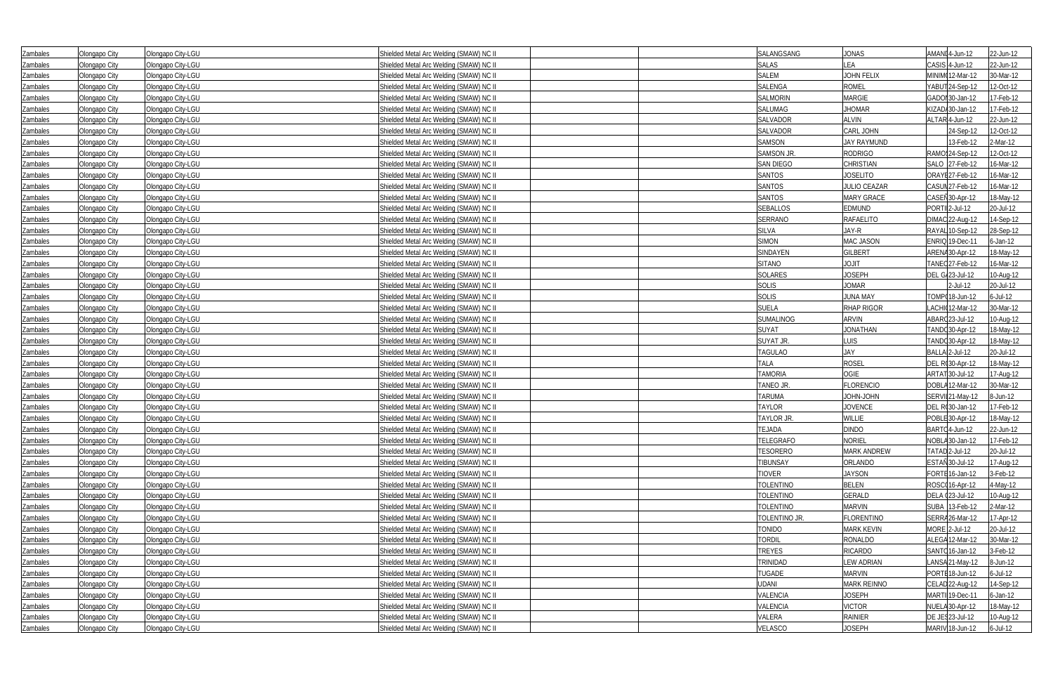| Zambales        | <b>Olongapo City</b> | <b>Olongapo City-LGU</b> | Shielded Metal Arc Welding (SMAW) NC II | <b>SALANGSANG</b> | <b>JONAS</b>        | AMANI 4-Jun-12             | 22-Jun-12             |
|-----------------|----------------------|--------------------------|-----------------------------------------|-------------------|---------------------|----------------------------|-----------------------|
| Zambales        | Olongapo City        | Olongapo City-LGU        | Shielded Metal Arc Welding (SMAW) NC II | <b>SALAS</b>      | LEA                 | CASIS 4-Jun-12             | 22-Jun-12             |
| Zambales        | Olongapo City        | Olongapo City-LGU        | Shielded Metal Arc Welding (SMAW) NC II | <b>SALEM</b>      | <b>JOHN FELIX</b>   | <b>MINIM 12-Mar-12</b>     | 30-Mar-12             |
| Zambales        | Olongapo City        | Olongapo City-LGU        | Shielded Metal Arc Welding (SMAW) NC II | <b>SALENGA</b>    | <b>ROMEL</b>        | YABUT 24-Sep-12            | 12-Oct-12             |
| <b>Zambales</b> | Olongapo City        | Olongapo City-LGU        | Shielded Metal Arc Welding (SMAW) NC II | <b>SALMORIN</b>   | <b>MARGIE</b>       | GADOI 30-Jan-12            | 17-Feb-12             |
| Zambales        | Olongapo City        | <b>Clongapo City-LGU</b> | Shielded Metal Arc Welding (SMAW) NC II | <b>SALUMAG</b>    | <b>JHOMAR</b>       | KIZAD 30-Jan-12            | 17-Feb-12             |
| Zambales        | <b>Olongapo City</b> | Olongapo City-LGU        | Shielded Metal Arc Welding (SMAW) NC II | <b>SALVADOR</b>   | <b>ALVIN</b>        | ALTAR4-Jun-12              | 22-Jun-12             |
| <b>Zambales</b> | Olongapo City        | Olongapo City-LGU        | Shielded Metal Arc Welding (SMAW) NC II | <b>SALVADOR</b>   | CARL JOHN           | 24-Sep-12                  | 12-Oct-12             |
| Zambales        | Olongapo City        | <b>Olongapo City-LGU</b> | Shielded Metal Arc Welding (SMAW) NC II | <b>SAMSON</b>     | <b>JAY RAYMUND</b>  | 13-Feb-12                  | 2-Mar-12              |
| Zambales        | <b>Olongapo City</b> | Olongapo City-LGU        | Shielded Metal Arc Welding (SMAW) NC II | SAMSON JR.        | <b>RODRIGO</b>      | RAMO 24-Sep-12             | 12-Oct-12             |
| Zambales        | <b>Olongapo City</b> | <b>Olongapo City-LGU</b> | Shielded Metal Arc Welding (SMAW) NC II | SAN DIEGO         | <b>CHRISTIAN</b>    | SALO 27-Feb-12             | 16-Mar-12             |
| <b>Zambales</b> | <b>Olongapo City</b> | <b>Olongapo City-LGU</b> | Shielded Metal Arc Welding (SMAW) NC II | <b>SANTOS</b>     | <b>JOSELITO</b>     | ORAYE 27-Feb-12            | 16-Mar-12             |
| Zambales        | <b>Olongapo City</b> | <b>Olongapo City-LGU</b> | Shielded Metal Arc Welding (SMAW) NC II | <b>SANTOS</b>     | <b>JULIO CEAZAR</b> | CASUN <sub>27-Feb-12</sub> | 16-Mar-12             |
| Zambales        | <b>Olongapo City</b> | <b>Olongapo City-LGU</b> | Shielded Metal Arc Welding (SMAW) NC II | <b>SANTOS</b>     | <b>MARY GRACE</b>   | CASEÑ 30-Apr-12            | 18-May-12             |
| <b>Zambales</b> | <b>Olongapo City</b> | Olongapo City-LGU        | Shielded Metal Arc Welding (SMAW) NC II | <b>SEBALLOS</b>   | <b>EDMUND</b>       | <b>PORTI 2-Jul-12</b>      | 20-Jul-12             |
| Zambales        | Olongapo City        | Olongapo City-LGU        | Shielded Metal Arc Welding (SMAW) NC II | <b>SERRANO</b>    | <b>RAFAELITO</b>    | DIMAC 22-Aug-12            | 14-Sep-12             |
| Zambales        | Olongapo City        | Olongapo City-LGU        | Shielded Metal Arc Welding (SMAW) NC II | <b>SILVA</b>      | <b>JAY-R</b>        | RAYAL 10-Sep-12            | 28-Sep-12             |
| <b>Zambales</b> | Olongapo City        | Olongapo City-LGU        | Shielded Metal Arc Welding (SMAW) NC II | <b>SIMON</b>      | MAC JASON           | ENRIQ 19-Dec-11            | 6-Jan-12              |
| Zambales        | <b>Olongapo City</b> | <b>Olongapo City-LGU</b> | Shielded Metal Arc Welding (SMAW) NC II | <b>SINDAYEN</b>   | <b>GILBERT</b>      | AREN430-Apr-12             | 18-May-12             |
|                 |                      |                          |                                         | <b>SITANO</b>     | <b>TILOL</b>        | TANEC <sub>27-Feb-12</sub> | 16-Mar-12             |
| <b>Zambales</b> | Olongapo City        | Olongapo City-LGU        | Shielded Metal Arc Welding (SMAW) NC II | <b>SOLARES</b>    | <b>JOSEPH</b>       | <b>DEL G 23-Jul-12</b>     |                       |
| <b>Zambales</b> | Olongapo City        | Olongapo City-LGU        | Shielded Metal Arc Welding (SMAW) NC II |                   |                     |                            | 10-Aug-12             |
| Zambales        | Olongapo City        | <b>Olongapo City-LGU</b> | Shielded Metal Arc Welding (SMAW) NC II | SOLIS             | <b>JOMAR</b>        | $2$ -Jul-12                | 20-Jul-12             |
| Zambales        | <b>Olongapo City</b> | <b>Olongapo City-LGU</b> | Shielded Metal Arc Welding (SMAW) NC II | SOLIS             | <b>JUNA MAY</b>     | TOMP 18-Jun-12             | 6-Jul-12              |
| Zambales        | Olongapo City        | Olongapo City-LGU        | Shielded Metal Arc Welding (SMAW) NC II | SUELA             | <b>RHAP RIGOR</b>   | LACHI 12-Mar-12            | 30-Mar-12             |
| Zambales        | Olongapo City        | Olongapo City-LGU        | Shielded Metal Arc Welding (SMAW) NC II | <b>SUMALINOG</b>  | <b>ARVIN</b>        | ABAR 23-Jul-12             | 10-Aug-12             |
| Zambales        | <b>Olongapo City</b> | <b>Olongapo City-LGU</b> | Shielded Metal Arc Welding (SMAW) NC II | <b>SUYAT</b>      | <b>UNHTAVIOL</b>    | <b>TANDC 30-Apr-12</b>     | 18-May-12             |
| <b>Zambales</b> | <b>Olongapo City</b> | <b>Olongapo City-LGU</b> | Shielded Metal Arc Welding (SMAW) NC II | SUYAT JR.         | <b>LUIS</b>         | TANDC 30-Apr-12            | 18-May-12             |
| Zambales        | Olongapo City        | Olongapo City-LGU        | Shielded Metal Arc Welding (SMAW) NC II | <b>TAGULAO</b>    | JAY                 | <b>BALLA</b> 2-Jul-12      | 20-Jul-12             |
| <b>Zambales</b> | Olongapo City        | Olongapo City-LGU        | Shielded Metal Arc Welding (SMAW) NC II | <b>TALA</b>       | <b>ROSEL</b>        | DEL R 30-Apr-12            | 18-May-12             |
| Zambales        | Olongapo City        | Olongapo City-LGU        | Shielded Metal Arc Welding (SMAW) NC II | <b>TAMORIA</b>    | <b>OGIE</b>         | ARTAT 30-Jul-12            | 17-Aug-12             |
| Zambales        | Olongapo City        | <b>Olongapo City-LGU</b> | Shielded Metal Arc Welding (SMAW) NC II | TANEO JR.         | FLORENCIO           | DOBLA 12-Mar-12            | 30-Mar-12             |
| Zambales        | <b>Olongapo City</b> | Olongapo City-LGU        | Shielded Metal Arc Welding (SMAW) NC II | <b>TARUMA</b>     | <b>JOHN-JOHN</b>    | SERVI 21-May-12            | $8\text{-}$ Jun $-12$ |
| <b>Zambales</b> | Olongapo City        | <b>Olongapo City-LGU</b> | Shielded Metal Arc Welding (SMAW) NC II | <b>TAYLOR</b>     | <b>JOVENCE</b>      | DEL RI30-Jan-12            | 17-Feb-12             |
| Zambales        | <b>Olongapo City</b> | Olongapo City-LGU        | Shielded Metal Arc Welding (SMAW) NC II | TAYLOR JR.        | <b>WILLIE</b>       | POBLE 30-Apr-12            | 18-May-12             |
| Zambales        | <b>Olongapo City</b> | <b>Olongapo City-LGU</b> | Shielded Metal Arc Welding (SMAW) NC II | <b>TEJADA</b>     | <b>DINDO</b>        | BARTO 4-Jun-12             | 22-Jun-12             |
| Zambales        | Olongapo City        | <b>Olongapo City-LGU</b> | Shielded Metal Arc Welding (SMAW) NC II | <b>TELEGRAFO</b>  | <b>NORIEL</b>       | NOBLA 30-Jan-12            | 17-Feb-12             |
| Zambales        | Olongapo City        | Olongapo City-LGU        | Shielded Metal Arc Welding (SMAW) NC II | <b>TESORERO</b>   | <b>MARK ANDREW</b>  | TATAD 2-Jul-12             | 20-Jul-12             |
| Zambales        | Olongapo City        | Olongapo City-LGU        | Shielded Metal Arc Welding (SMAW) NC II | <b>TIBUNSAY</b>   | ORLANDO             | <b>ESTAN 30-Jul-12</b>     | 17-Aug-12             |
| Zambales        | Olongapo City        | Olongapo City-LGU        | Shielded Metal Arc Welding (SMAW) NC II | <b>TIOVER</b>     | <b>JAYSON</b>       | FORTE 16-Jan-12            | 3-Feb-12              |
| Zambales        | <b>Olongapo City</b> | <b>Olongapo City-LGU</b> | Shielded Metal Arc Welding (SMAW) NC II | <b>TOLENTINO</b>  | <b>BELEN</b>        | ROSCO 16-Apr-12            | 4-May-12              |
| Zambales        | <b>Olongapo City</b> | Olongapo City-LGU        | Shielded Metal Arc Welding (SMAW) NC II | <b>TOLENTINO</b>  | <b>GERALD</b>       | DELA (23-Jul-12            | 10-Aug-12             |
| Zambales        | Olongapo City        | Olongapo City-LGU        | Shielded Metal Arc Welding (SMAW) NC II | <b>TOLENTINO</b>  | <b>MARVIN</b>       | <b>SUBA</b> 13-Feb-12      | 2-Mar-12              |
| Zambales        | Olongapo City        | <b>Olongapo City-LGU</b> | Shielded Metal Arc Welding (SMAW) NC II | TOLENTINO JR.     | <b>FLORENTINO</b>   | <b>SERR4 26-Mar-12</b>     | 17-Apr-12             |
| Zambales        | Olongapo City        | <b>Olongapo City-LGU</b> | Shielded Metal Arc Welding (SMAW) NC II | <b>TONIDO</b>     | <b>MARK KEVIN</b>   | $MORE$ 2-Jul-12            | 20-Jul-12             |
| Zambales        | <b>Olongapo City</b> | Olongapo City-LGU        | Shielded Metal Arc Welding (SMAW) NC II | <b>TORDIL</b>     | <b>RONALDO</b>      | ALEGA 12-Mar-12            | 30-Mar-12             |
| Zambales        | <b>Olongapo City</b> | Olongapo City-LGU        | Shielded Metal Arc Welding (SMAW) NC II | <b>TREYES</b>     | <b>RICARDO</b>      | SANTO 16-Jan-12            | $3$ -Feb-12           |
| Zambales        | Olongapo City        | <b>Olongapo City-LGU</b> | Shielded Metal Arc Welding (SMAW) NC II | <b>TRINDAD</b>    | <b>LEW ADRIAN</b>   | LANSA 21-May-12            | 8-Jun-12              |
| Zambales        | <b>Olongapo City</b> | <b>Olongapo City-LGU</b> | Shielded Metal Arc Welding (SMAW) NC II | <b>TUGADE</b>     | <b>MARVIN</b>       | <b>PORTE 18-Jun-12</b>     | 6-Jul-12              |
| Zambales        | Olongapo City        | Olongapo City-LGU        | Shielded Metal Arc Welding (SMAW) NC II | <b>UDAN</b>       | <b>MARK REINNO</b>  | CELAD 22-Aug-12            | 14-Sep-12             |
| <b>Zambales</b> | Olongapo City        | Olongapo City-LGU        | Shielded Metal Arc Welding (SMAW) NC II | <b>VALENCIA</b>   | <b>JOSEPH</b>       | MARTI 19-Dec-11            | 6-Jan-12              |
| Zambales        | Olongapo City        | <b>Olongapo City-LGU</b> | Shielded Metal Arc Welding (SMAW) NC II | <b>VALENCIA</b>   | <b>VICTOR</b>       | NUELA 30-Apr-12            | 18-May-12             |
| Zambales        | <b>Olongapo City</b> | Olongapo City-LGU        | Shielded Metal Arc Welding (SMAW) NC II | <b>VALERA</b>     | <b>RAINIER</b>      | DE JES 23-Jul-12           | 10-Aug-12             |
| Zambales        | Olongapo City        | <b>Olongapo City-LGU</b> | Shielded Metal Arc Welding (SMAW) NC II | <b>VELASCO</b>    | <b>JOSEPH</b>       | MARIV 18-Jun-12            | 6-Jul-12              |
|                 |                      |                          |                                         |                   |                     |                            |                       |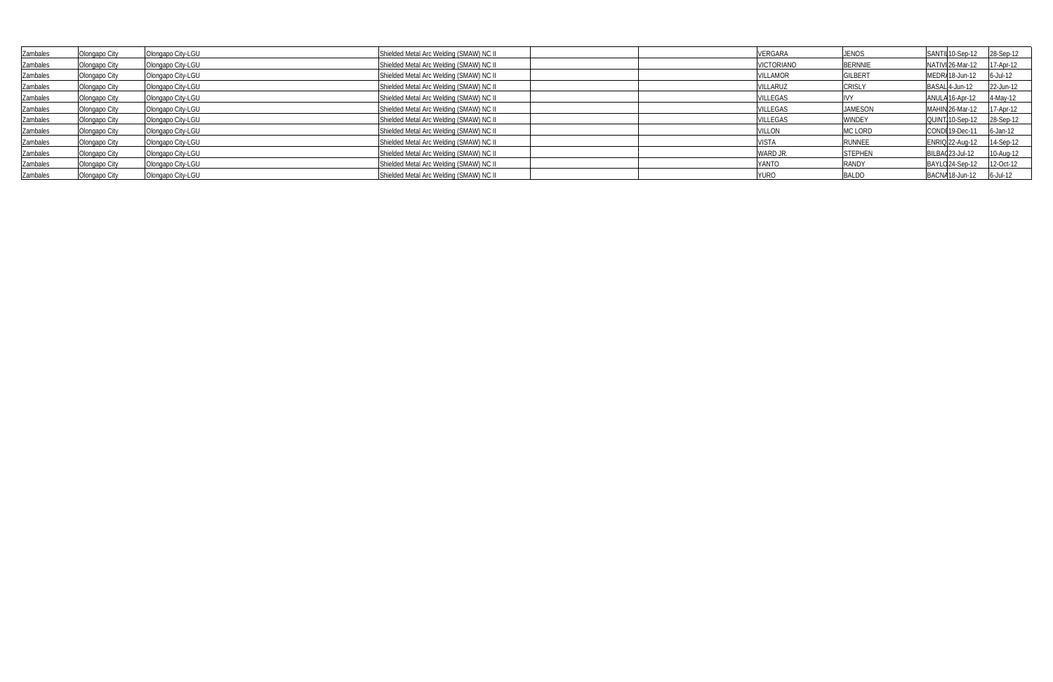| Zambales        | <b>Olongapo City</b> | Olongapo City-LGU        | Shielded Metal Arc Welding (SMAW) NC II | <b>VERGARA</b>    | <b>JENOS</b>   | SANTI 10-Sep-12        | 28-Sep-12       |
|-----------------|----------------------|--------------------------|-----------------------------------------|-------------------|----------------|------------------------|-----------------|
| Zambales        | <b>Olongapo City</b> | <b>Olongapo City-LGU</b> | Shielded Metal Arc Welding (SMAW) NC II | <b>VICTORIANO</b> | <b>BERNNIE</b> | NATIVI26-Mar-12        | 17-Apr-12       |
| Zambales        | <b>Olongapo City</b> | Olongapo City-LGU        | Shielded Metal Arc Welding (SMAW) NC II | <b>VILLAMOR</b>   | <b>GILBERT</b> | MEDR 18-Jun-12         | <b>6-Jul-12</b> |
| Zambales        | <b>Olongapo City</b> | Olongapo City-LGU        | Shielded Metal Arc Welding (SMAW) NC II | <b>VILLARUZ</b>   | <b>CRISLY</b>  | BASAL 4-Jun-12         | 22-Jun-12       |
| <b>Zambales</b> | Olongapo City        | <b>Olongapo City-LGU</b> | Shielded Metal Arc Welding (SMAW) NC II | <b>VILLEGAS</b>   | <b>IM</b>      | ANULA 16-Apr-12        | 4-May-12        |
| <b>Zambales</b> | <b>Olongapo City</b> | <b>Olongapo City-LGU</b> | Shielded Metal Arc Welding (SMAW) NC II | <b>VILLEGAS</b>   | <b>JAMESON</b> | MAHIN 26-Mar-12        | 17-Apr-12       |
| Zambales        | <b>Olongapo City</b> | <b>Olongapo City-LGU</b> | Shielded Metal Arc Welding (SMAW) NC II | <b>VILLEGAS</b>   | <b>WNDEY</b>   | QUINT 10-Sep-12        | 28-Sep-12       |
| Zambales        | <b>Olongapo City</b> | <b>Olongapo City-LGU</b> | Shielded Metal Arc Welding (SMAW) NC II | <b>VILLON</b>     | <b>MCLORD</b>  | CONDI 19-Dec-11        | 6-Jan-12        |
| Zambales        | <b>Olongapo City</b> | <b>Olongapo City-LGU</b> | Shielded Metal Arc Welding (SMAW) NC II | <b>VISTA</b>      | <b>RUNNEE</b>  | ENRIQ 22-Aug-12        | 14-Sep-12       |
| Zambales        | <b>Olongapo City</b> | <b>Olongapo City-LGU</b> | Shielded Metal Arc Welding (SMAW) NC II | WARD JR.          | <b>STEPHEN</b> | <b>BILBAC23-Jul-12</b> | 10-Aug-12       |
| Zambales        | <b>Olongapo City</b> | <b>Olongapo City-LGU</b> | Shielded Metal Arc Welding (SMAW) NC II | <b>YANTO</b>      | <b>RANDY</b>   | BAYLC 24-Sep-12        | $12-cot-12$     |
| <b>Zambales</b> | <b>Olongapo City</b> | <b>Olongapo City-LGU</b> | Shielded Metal Arc Welding (SMAW) NC II | <b>YURO</b>       | <b>BALDO</b>   | BACN418-Jun-12         | 6-Jul-12        |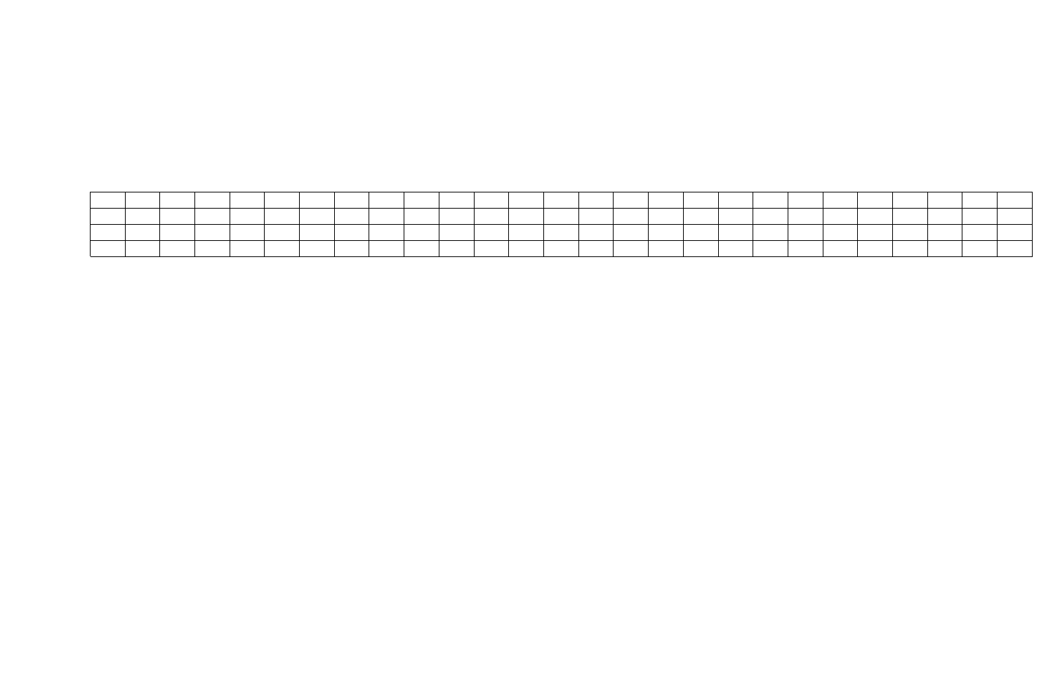|                                                                                 |  |  |  |  |  |  |  | $\blacksquare$ . The contract of the contract of the contract of the contract of the contract of the contract of the contract of the contract of the contract of the contract of the contract of the contract of the contract of the |  |  |                                                                                                                     |  |
|---------------------------------------------------------------------------------|--|--|--|--|--|--|--|--------------------------------------------------------------------------------------------------------------------------------------------------------------------------------------------------------------------------------------|--|--|---------------------------------------------------------------------------------------------------------------------|--|
| the contract of the contract of the contract of the contract of the contract of |  |  |  |  |  |  |  |                                                                                                                                                                                                                                      |  |  |                                                                                                                     |  |
| ┠╼╼╾╾╾╾╾╅╾╾╾╾╾╾                                                                 |  |  |  |  |  |  |  |                                                                                                                                                                                                                                      |  |  | and the contract of the contract of the contract of the contract of the contract of the contract of the contract of |  |
|                                                                                 |  |  |  |  |  |  |  |                                                                                                                                                                                                                                      |  |  |                                                                                                                     |  |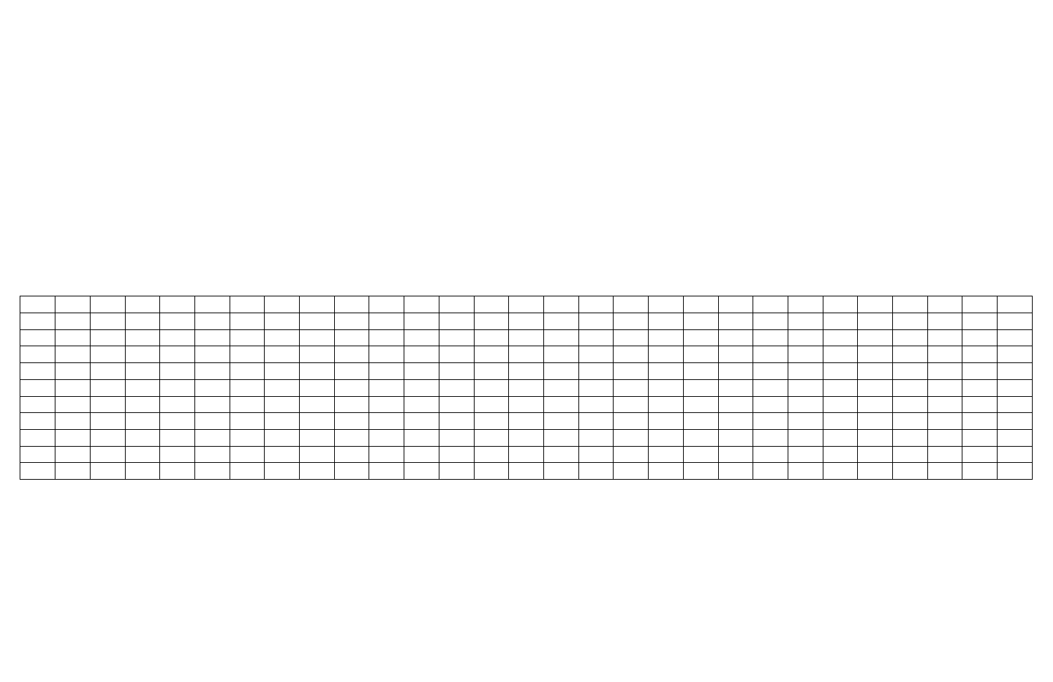|  |  |  |  |  |  | <u> 1989 - Johann Stone, Amerikaansk politiker (* 1958)</u> |  |  |  |
|--|--|--|--|--|--|-------------------------------------------------------------|--|--|--|
|  |  |  |  |  |  |                                                             |  |  |  |
|  |  |  |  |  |  |                                                             |  |  |  |
|  |  |  |  |  |  |                                                             |  |  |  |
|  |  |  |  |  |  |                                                             |  |  |  |
|  |  |  |  |  |  |                                                             |  |  |  |
|  |  |  |  |  |  |                                                             |  |  |  |
|  |  |  |  |  |  |                                                             |  |  |  |
|  |  |  |  |  |  |                                                             |  |  |  |
|  |  |  |  |  |  |                                                             |  |  |  |
|  |  |  |  |  |  |                                                             |  |  |  |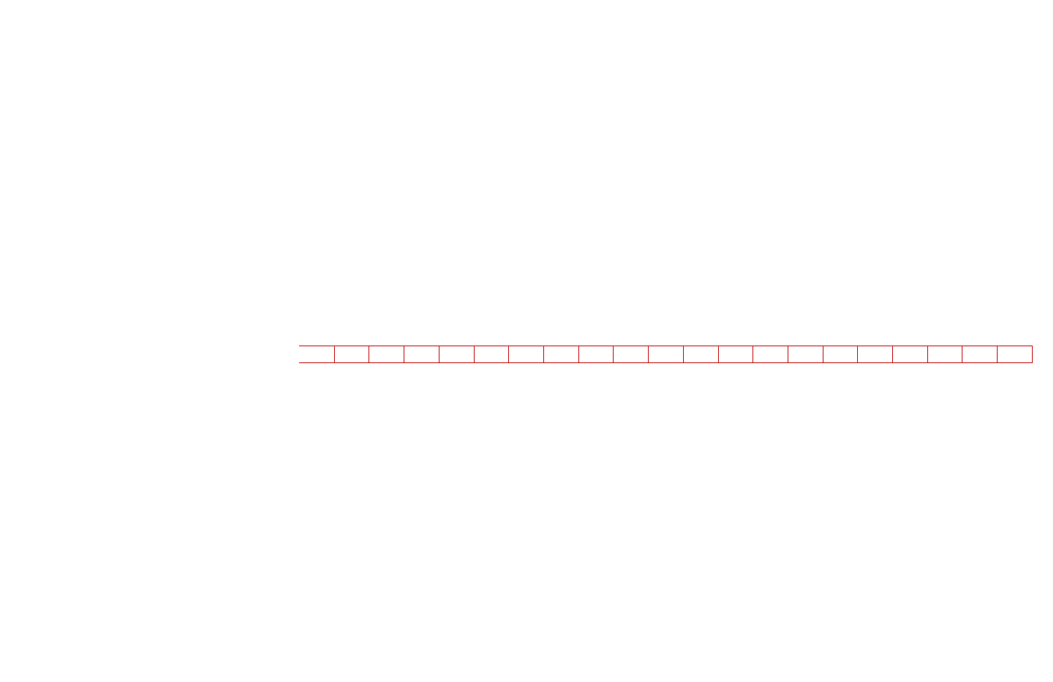| the contract of the contract of the contract of the contract of the contract of the contract of the contract of | and the contract of the contract of the contract of the contract of the contract of the contract of the contract of the contract of the contract of the contract of the contract of the contract of the contract of the contra | the contract of the contract of the contract of the contract of the contract of the contract of the contract of |  | the contract of the contract of the contract of the contract of the contract of the contract of the contract of | the contract of the contract of the contract of the contract of the contract of the contract of the contract of | the contract of the contract of the contract of the contract of the contract of the contract of the contract of |  |  |  |  |  |
|-----------------------------------------------------------------------------------------------------------------|--------------------------------------------------------------------------------------------------------------------------------------------------------------------------------------------------------------------------------|-----------------------------------------------------------------------------------------------------------------|--|-----------------------------------------------------------------------------------------------------------------|-----------------------------------------------------------------------------------------------------------------|-----------------------------------------------------------------------------------------------------------------|--|--|--|--|--|
|                                                                                                                 |                                                                                                                                                                                                                                |                                                                                                                 |  |                                                                                                                 |                                                                                                                 |                                                                                                                 |  |  |  |  |  |
|                                                                                                                 |                                                                                                                                                                                                                                |                                                                                                                 |  |                                                                                                                 |                                                                                                                 |                                                                                                                 |  |  |  |  |  |
|                                                                                                                 |                                                                                                                                                                                                                                |                                                                                                                 |  |                                                                                                                 |                                                                                                                 |                                                                                                                 |  |  |  |  |  |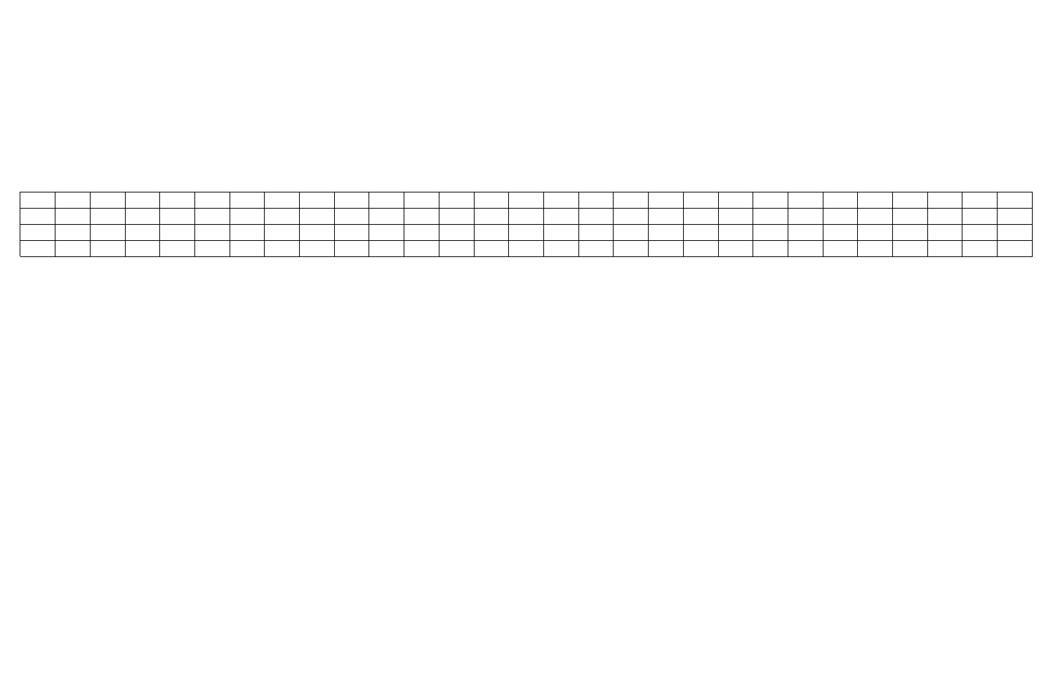| the contract of the contract of the contract of the contract of the contract of the contract of the contract of |  |  |  |  |  |  |  |  |  |  |                                                                                                                 |                                                                                                                 |
|-----------------------------------------------------------------------------------------------------------------|--|--|--|--|--|--|--|--|--|--|-----------------------------------------------------------------------------------------------------------------|-----------------------------------------------------------------------------------------------------------------|
|                                                                                                                 |  |  |  |  |  |  |  |  |  |  |                                                                                                                 |                                                                                                                 |
|                                                                                                                 |  |  |  |  |  |  |  |  |  |  |                                                                                                                 | the contract of the contract of the contract of the contract of the contract of the contract of the contract of |
|                                                                                                                 |  |  |  |  |  |  |  |  |  |  | the contract of the contract of the contract of the contract of the contract of the contract of the contract of |                                                                                                                 |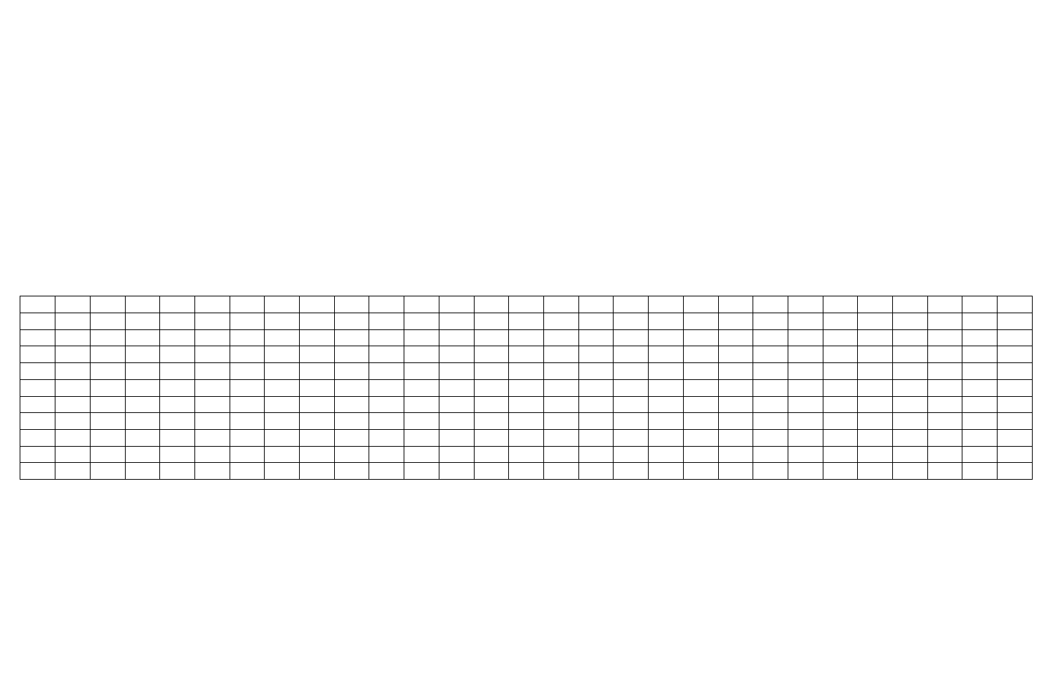|  |  |  |  |  |  | <u> 1989 - Johann Stone, Amerikaansk politiker (* 1958)</u> |  |  |  |
|--|--|--|--|--|--|-------------------------------------------------------------|--|--|--|
|  |  |  |  |  |  |                                                             |  |  |  |
|  |  |  |  |  |  |                                                             |  |  |  |
|  |  |  |  |  |  |                                                             |  |  |  |
|  |  |  |  |  |  |                                                             |  |  |  |
|  |  |  |  |  |  |                                                             |  |  |  |
|  |  |  |  |  |  |                                                             |  |  |  |
|  |  |  |  |  |  |                                                             |  |  |  |
|  |  |  |  |  |  |                                                             |  |  |  |
|  |  |  |  |  |  |                                                             |  |  |  |
|  |  |  |  |  |  |                                                             |  |  |  |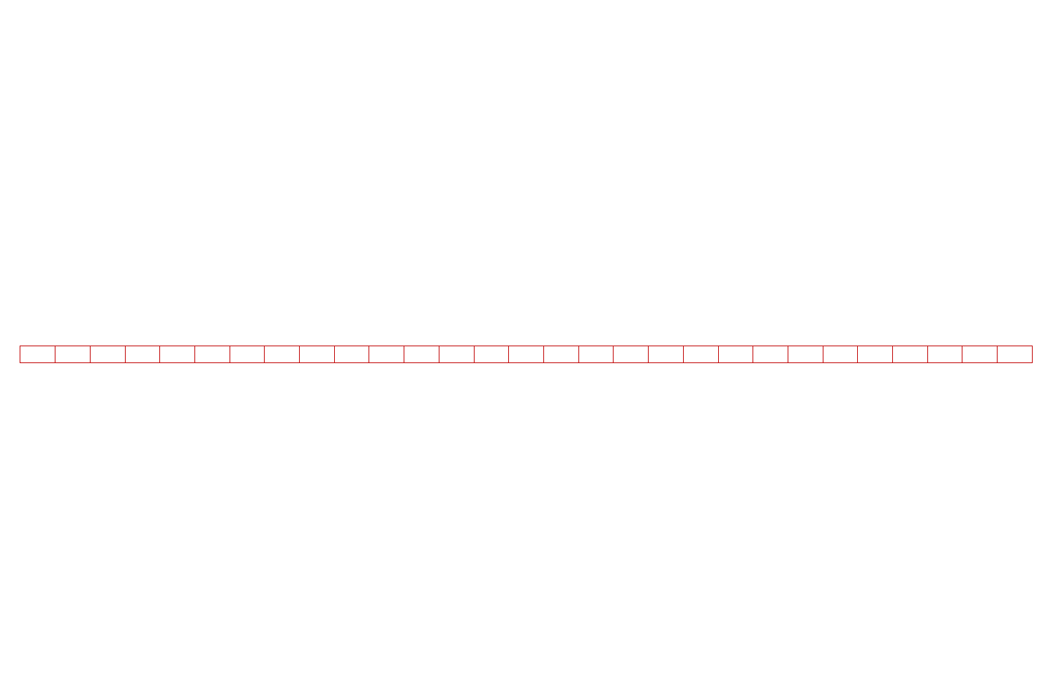|  |  |  |  |  |  | the contract of the contract of the |  |  |  |  |
|--|--|--|--|--|--|-------------------------------------|--|--|--|--|
|  |  |  |  |  |  |                                     |  |  |  |  |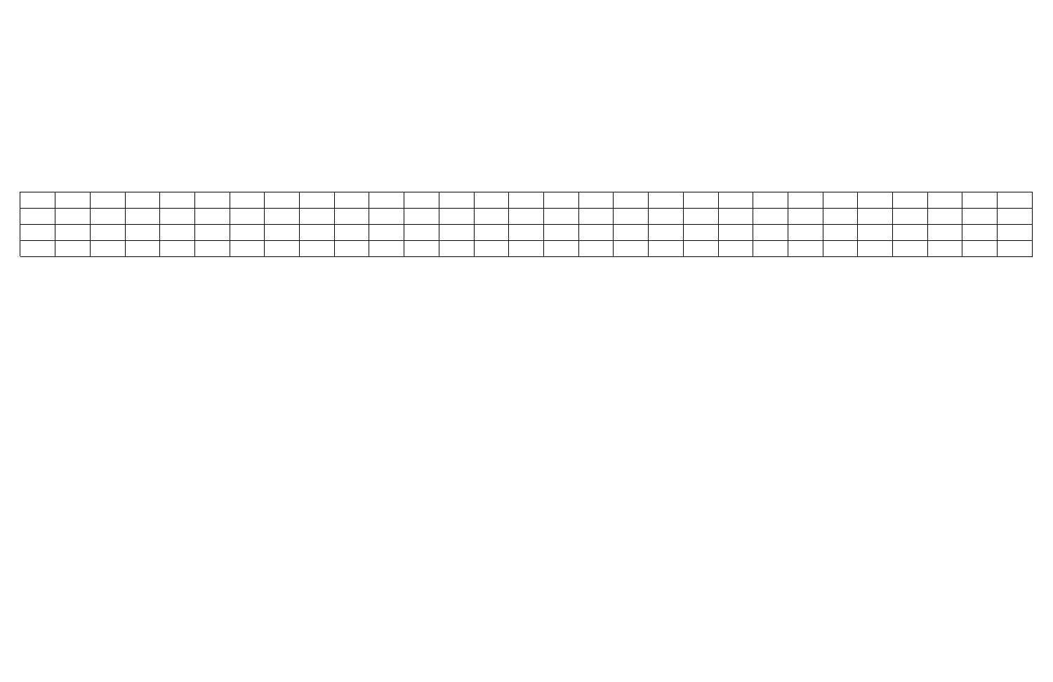| the contract of the contract of the contract of the contract of the contract of the contract of the contract of |  |  |  |  |  |  |  |  |  |  |                                                                                                                 |                                                                                                                 |
|-----------------------------------------------------------------------------------------------------------------|--|--|--|--|--|--|--|--|--|--|-----------------------------------------------------------------------------------------------------------------|-----------------------------------------------------------------------------------------------------------------|
|                                                                                                                 |  |  |  |  |  |  |  |  |  |  |                                                                                                                 |                                                                                                                 |
|                                                                                                                 |  |  |  |  |  |  |  |  |  |  |                                                                                                                 | the contract of the contract of the contract of the contract of the contract of the contract of the contract of |
|                                                                                                                 |  |  |  |  |  |  |  |  |  |  | the contract of the contract of the contract of the contract of the contract of the contract of the contract of |                                                                                                                 |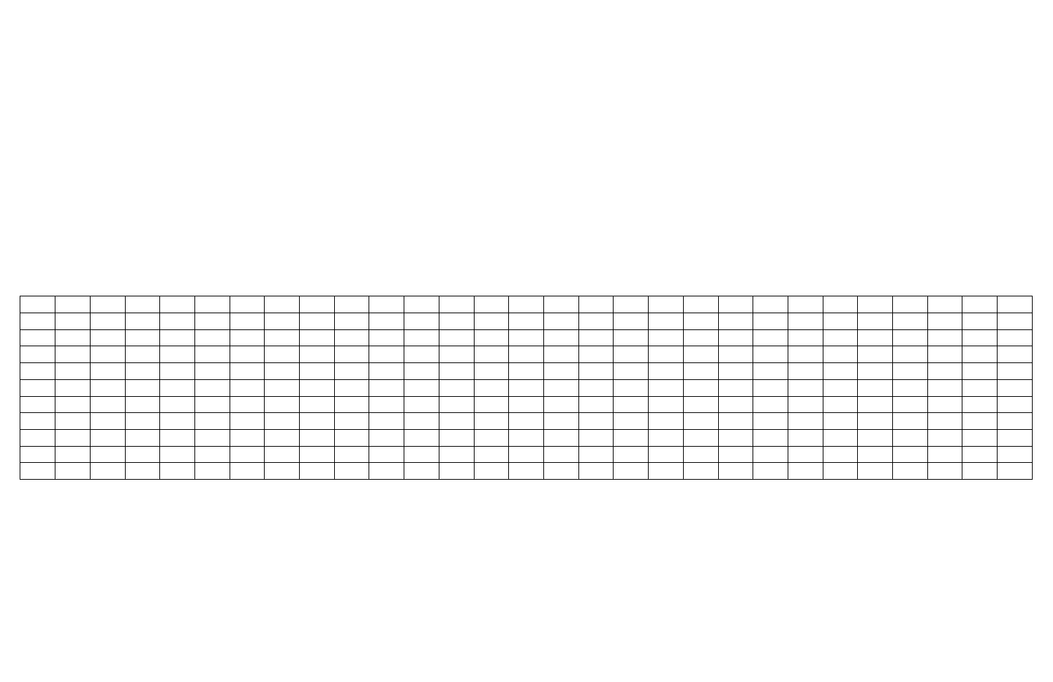|  |  |  |  |  |  | <u> 1989 - Johann Stone, Amerikaansk politiker (* 1958)</u> |  |  |  |
|--|--|--|--|--|--|-------------------------------------------------------------|--|--|--|
|  |  |  |  |  |  |                                                             |  |  |  |
|  |  |  |  |  |  |                                                             |  |  |  |
|  |  |  |  |  |  |                                                             |  |  |  |
|  |  |  |  |  |  |                                                             |  |  |  |
|  |  |  |  |  |  |                                                             |  |  |  |
|  |  |  |  |  |  |                                                             |  |  |  |
|  |  |  |  |  |  |                                                             |  |  |  |
|  |  |  |  |  |  |                                                             |  |  |  |
|  |  |  |  |  |  |                                                             |  |  |  |
|  |  |  |  |  |  |                                                             |  |  |  |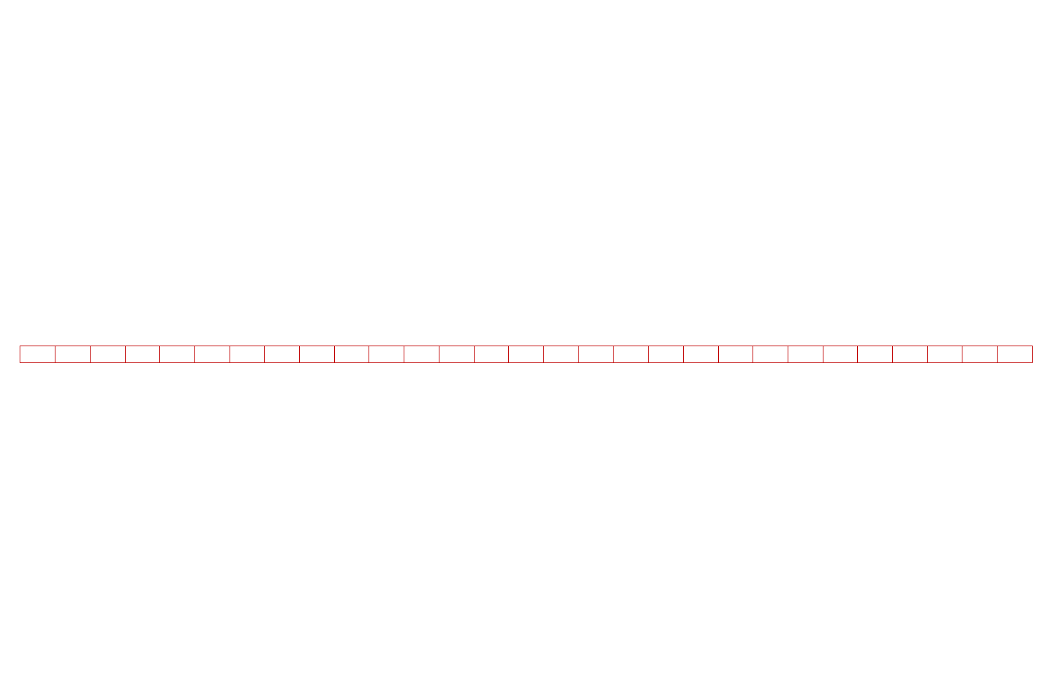|  |  |  |  |  |  | the contract of the contract of the |  |  |  |  |
|--|--|--|--|--|--|-------------------------------------|--|--|--|--|
|  |  |  |  |  |  |                                     |  |  |  |  |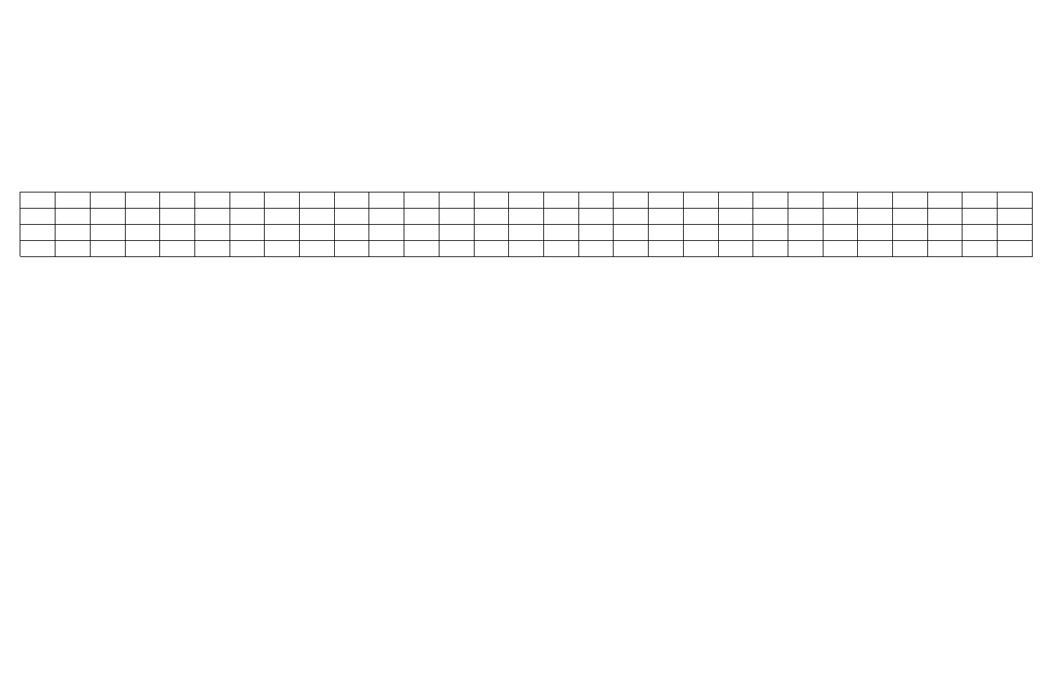| the contract of the contract of the contract of the contract of the contract of the contract of the contract of |  |  |  |  |  |  |  |  |  |  |                                                                                                                 |                                                                                                                 |
|-----------------------------------------------------------------------------------------------------------------|--|--|--|--|--|--|--|--|--|--|-----------------------------------------------------------------------------------------------------------------|-----------------------------------------------------------------------------------------------------------------|
|                                                                                                                 |  |  |  |  |  |  |  |  |  |  |                                                                                                                 |                                                                                                                 |
|                                                                                                                 |  |  |  |  |  |  |  |  |  |  |                                                                                                                 | the contract of the contract of the contract of the contract of the contract of the contract of the contract of |
|                                                                                                                 |  |  |  |  |  |  |  |  |  |  | the contract of the contract of the contract of the contract of the contract of the contract of the contract of |                                                                                                                 |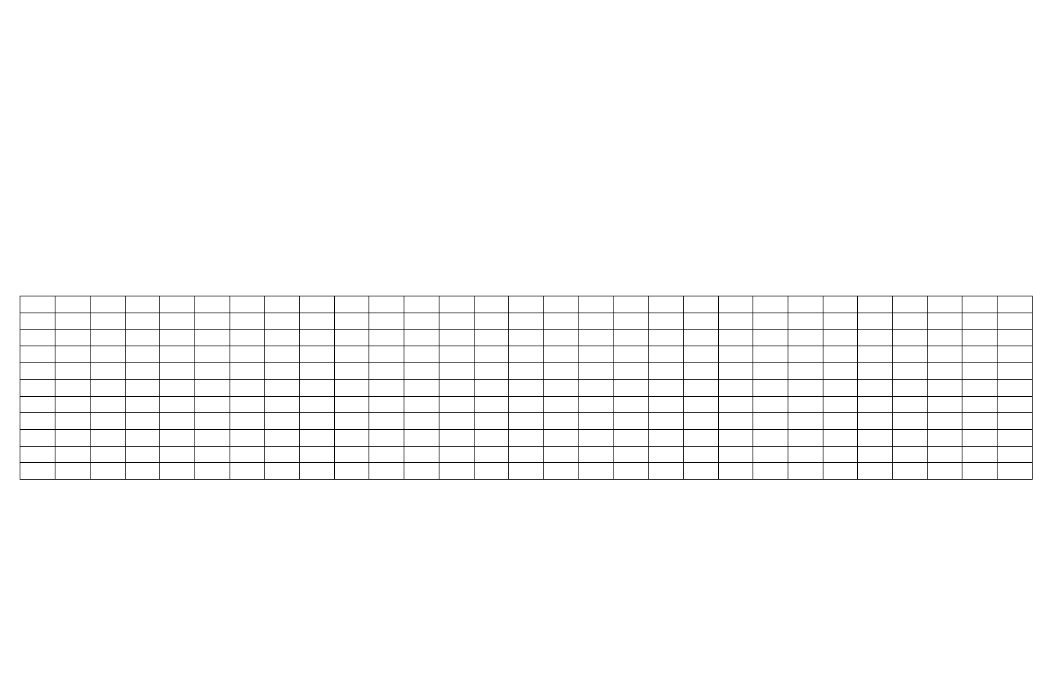|  |  |  |  |  |  | <u> 1989 - Johann Stone, Amerikaansk politiker (* 1958)</u> |  |  |  |
|--|--|--|--|--|--|-------------------------------------------------------------|--|--|--|
|  |  |  |  |  |  |                                                             |  |  |  |
|  |  |  |  |  |  |                                                             |  |  |  |
|  |  |  |  |  |  |                                                             |  |  |  |
|  |  |  |  |  |  |                                                             |  |  |  |
|  |  |  |  |  |  |                                                             |  |  |  |
|  |  |  |  |  |  |                                                             |  |  |  |
|  |  |  |  |  |  |                                                             |  |  |  |
|  |  |  |  |  |  |                                                             |  |  |  |
|  |  |  |  |  |  |                                                             |  |  |  |
|  |  |  |  |  |  |                                                             |  |  |  |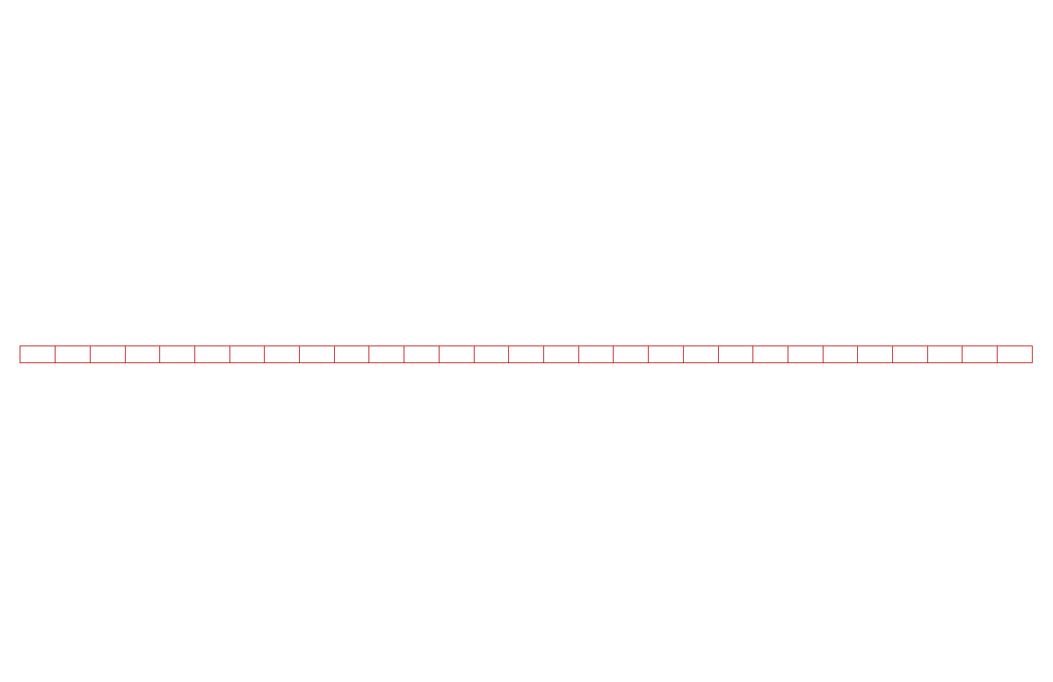|  |  |  |  |  |  | the company's company's company's |  |  |  |  |
|--|--|--|--|--|--|-----------------------------------|--|--|--|--|
|  |  |  |  |  |  |                                   |  |  |  |  |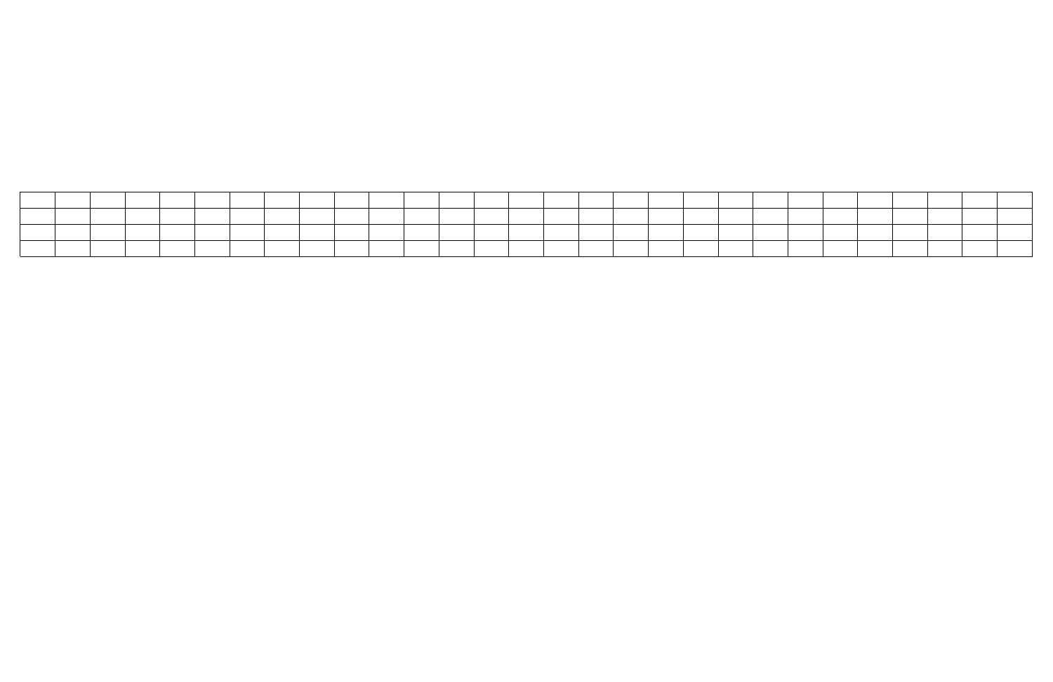| the contract of the contract of the contract of the contract of the contract of the contract of the contract of |  |  |  |  |  |  |  |  |  |  |                                                                                                                 |                                                                                                                 |
|-----------------------------------------------------------------------------------------------------------------|--|--|--|--|--|--|--|--|--|--|-----------------------------------------------------------------------------------------------------------------|-----------------------------------------------------------------------------------------------------------------|
|                                                                                                                 |  |  |  |  |  |  |  |  |  |  |                                                                                                                 |                                                                                                                 |
|                                                                                                                 |  |  |  |  |  |  |  |  |  |  |                                                                                                                 | the contract of the contract of the contract of the contract of the contract of the contract of the contract of |
|                                                                                                                 |  |  |  |  |  |  |  |  |  |  | the contract of the contract of the contract of the contract of the contract of the contract of the contract of |                                                                                                                 |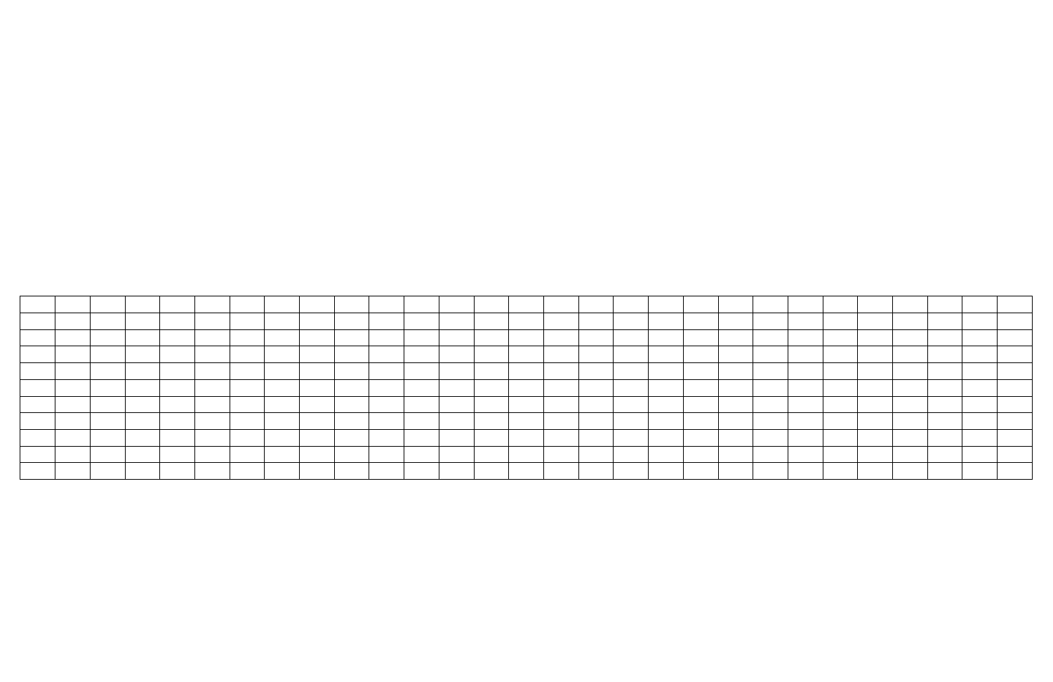|  |  |  |  |  |  | <u> 1989 - Johann Stone, Amerikaansk politiker (* 1958)</u> |  |  |  |
|--|--|--|--|--|--|-------------------------------------------------------------|--|--|--|
|  |  |  |  |  |  |                                                             |  |  |  |
|  |  |  |  |  |  |                                                             |  |  |  |
|  |  |  |  |  |  |                                                             |  |  |  |
|  |  |  |  |  |  |                                                             |  |  |  |
|  |  |  |  |  |  |                                                             |  |  |  |
|  |  |  |  |  |  |                                                             |  |  |  |
|  |  |  |  |  |  |                                                             |  |  |  |
|  |  |  |  |  |  |                                                             |  |  |  |
|  |  |  |  |  |  |                                                             |  |  |  |
|  |  |  |  |  |  |                                                             |  |  |  |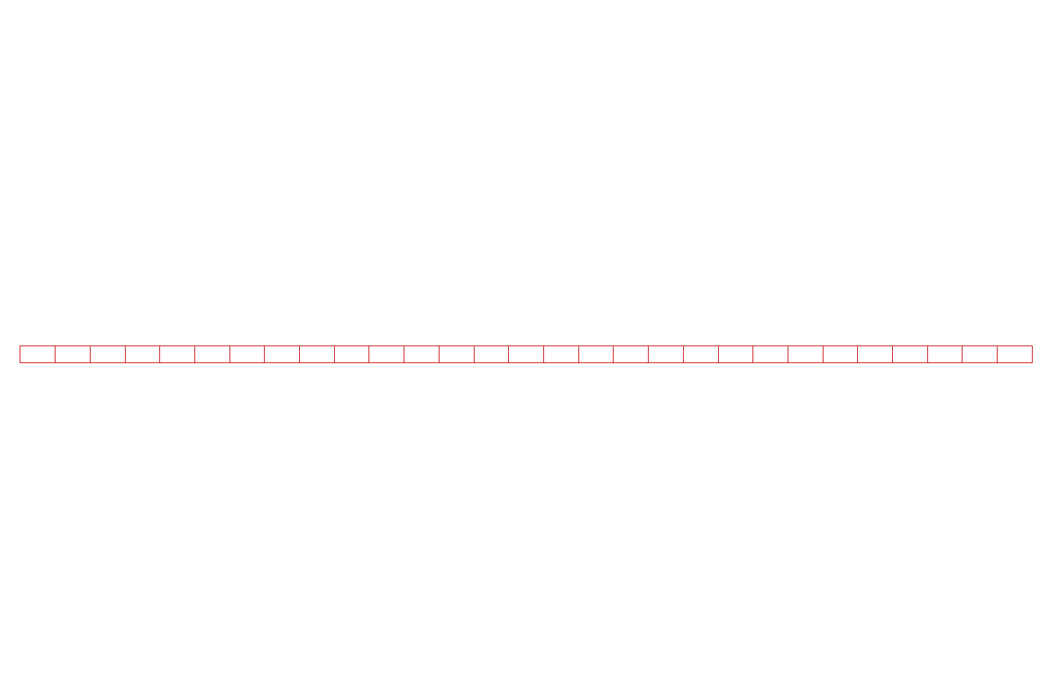|  |  |  |  |  |  | the contract of the contract of the |  |  |  |  |
|--|--|--|--|--|--|-------------------------------------|--|--|--|--|
|  |  |  |  |  |  |                                     |  |  |  |  |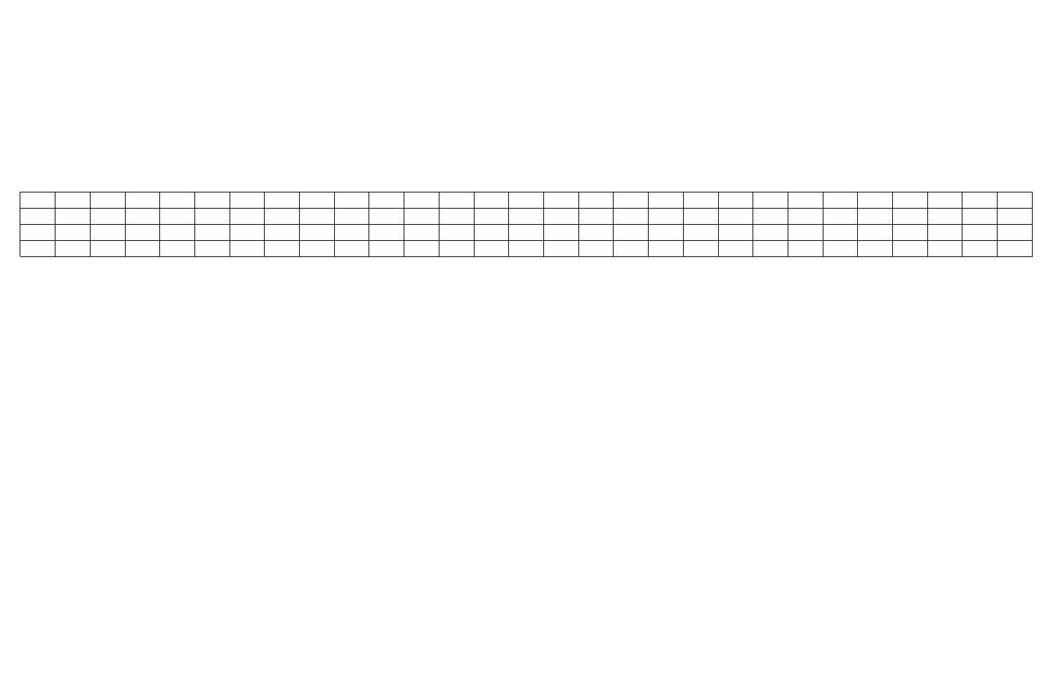| the contract of the contract of the contract of the contract of the contract of the contract of the contract of |  |  |  |  |  |  |  |  |  |  |                                                                                                                 |                                                                                                                 |
|-----------------------------------------------------------------------------------------------------------------|--|--|--|--|--|--|--|--|--|--|-----------------------------------------------------------------------------------------------------------------|-----------------------------------------------------------------------------------------------------------------|
|                                                                                                                 |  |  |  |  |  |  |  |  |  |  |                                                                                                                 |                                                                                                                 |
|                                                                                                                 |  |  |  |  |  |  |  |  |  |  |                                                                                                                 | the contract of the contract of the contract of the contract of the contract of the contract of the contract of |
|                                                                                                                 |  |  |  |  |  |  |  |  |  |  | the contract of the contract of the contract of the contract of the contract of the contract of the contract of |                                                                                                                 |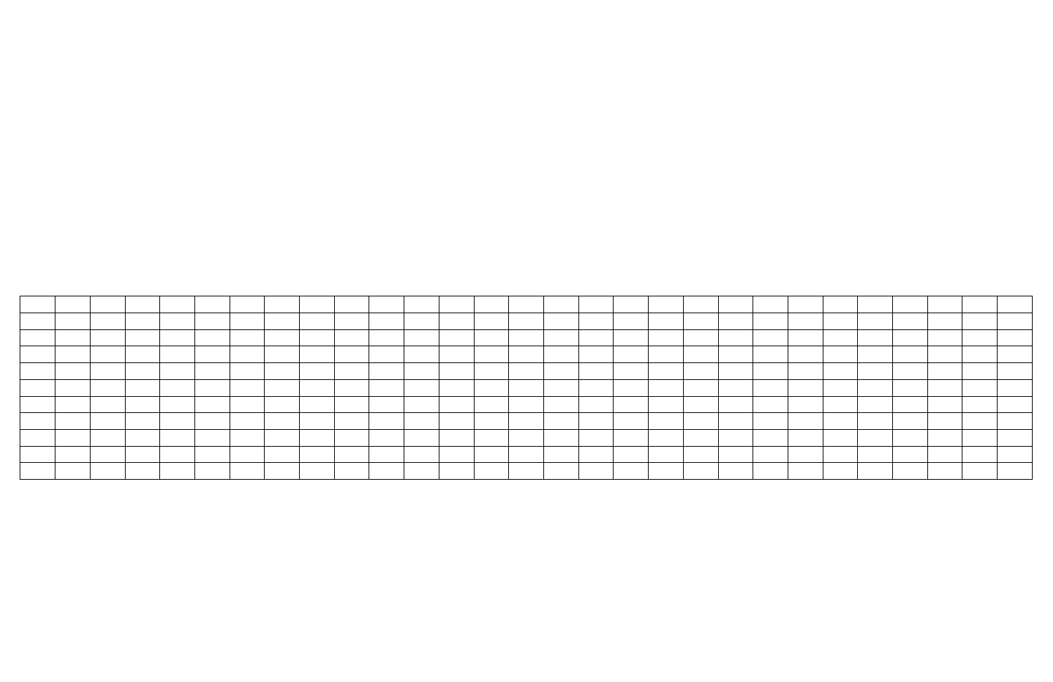|  |  |  |  |  |  | <u> 1989 - Johann Stone, Amerikaansk politiker (* 1958)</u> |  |  |  |
|--|--|--|--|--|--|-------------------------------------------------------------|--|--|--|
|  |  |  |  |  |  |                                                             |  |  |  |
|  |  |  |  |  |  |                                                             |  |  |  |
|  |  |  |  |  |  |                                                             |  |  |  |
|  |  |  |  |  |  |                                                             |  |  |  |
|  |  |  |  |  |  |                                                             |  |  |  |
|  |  |  |  |  |  |                                                             |  |  |  |
|  |  |  |  |  |  |                                                             |  |  |  |
|  |  |  |  |  |  |                                                             |  |  |  |
|  |  |  |  |  |  |                                                             |  |  |  |
|  |  |  |  |  |  |                                                             |  |  |  |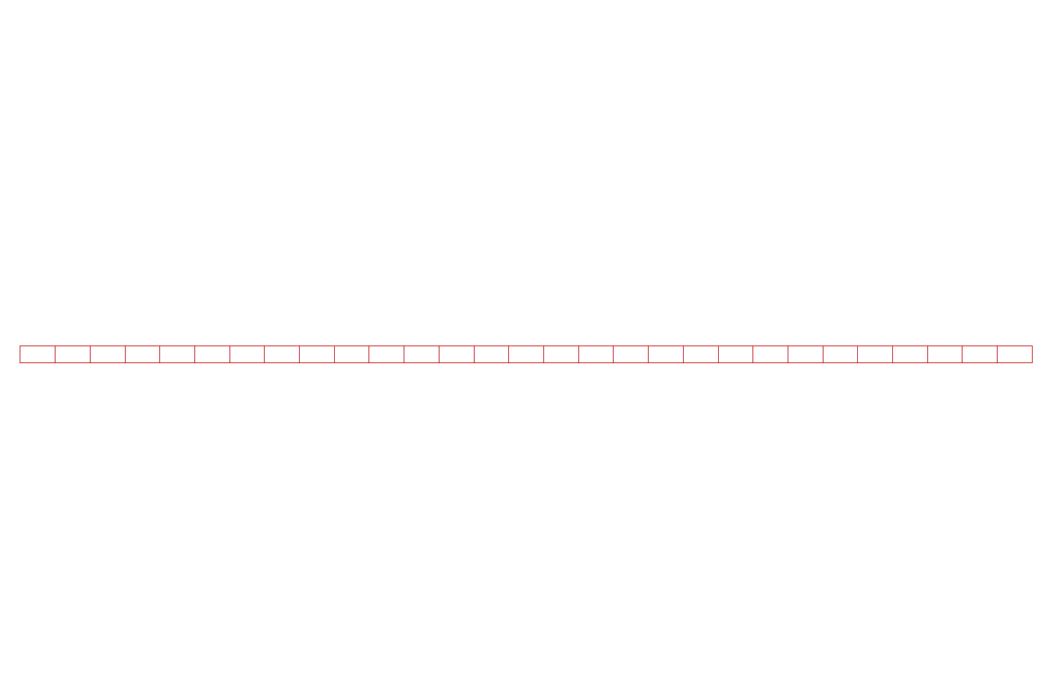|  |  |  |  |  |  | the contract of the contract of the |  |  |  |  |
|--|--|--|--|--|--|-------------------------------------|--|--|--|--|
|  |  |  |  |  |  |                                     |  |  |  |  |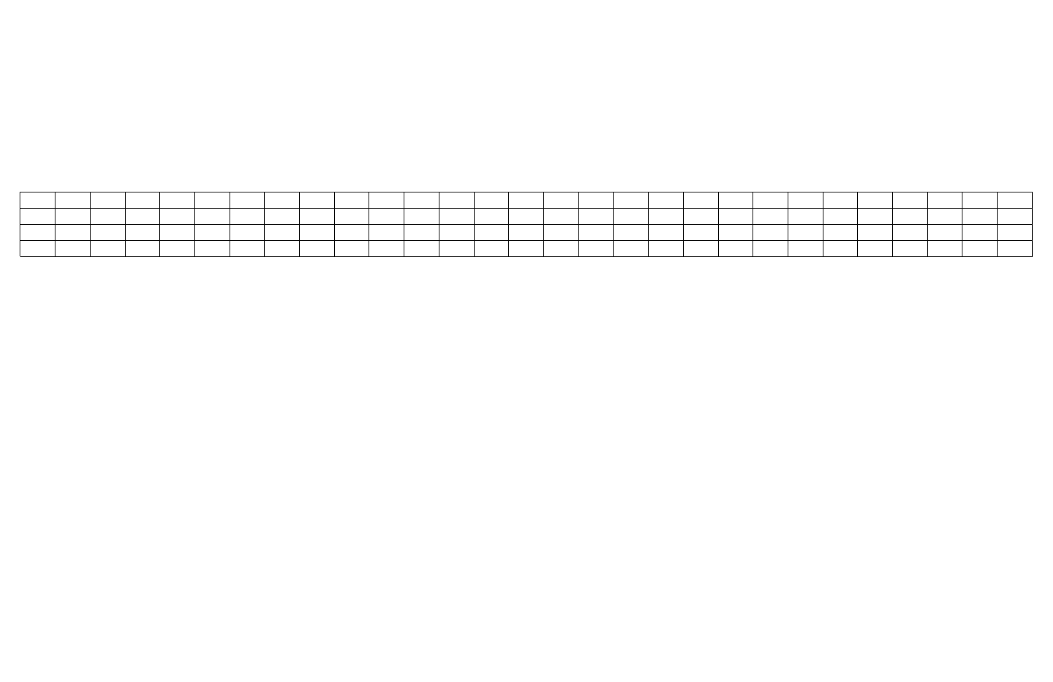| the contract of the contract of the contract of the contract of the contract of the contract of the contract of |  |  |  |  |  |  |  |  |  |  |                                                                                                                 |                                                                                                                 |
|-----------------------------------------------------------------------------------------------------------------|--|--|--|--|--|--|--|--|--|--|-----------------------------------------------------------------------------------------------------------------|-----------------------------------------------------------------------------------------------------------------|
|                                                                                                                 |  |  |  |  |  |  |  |  |  |  |                                                                                                                 |                                                                                                                 |
|                                                                                                                 |  |  |  |  |  |  |  |  |  |  |                                                                                                                 | the contract of the contract of the contract of the contract of the contract of the contract of the contract of |
|                                                                                                                 |  |  |  |  |  |  |  |  |  |  | the contract of the contract of the contract of the contract of the contract of the contract of the contract of |                                                                                                                 |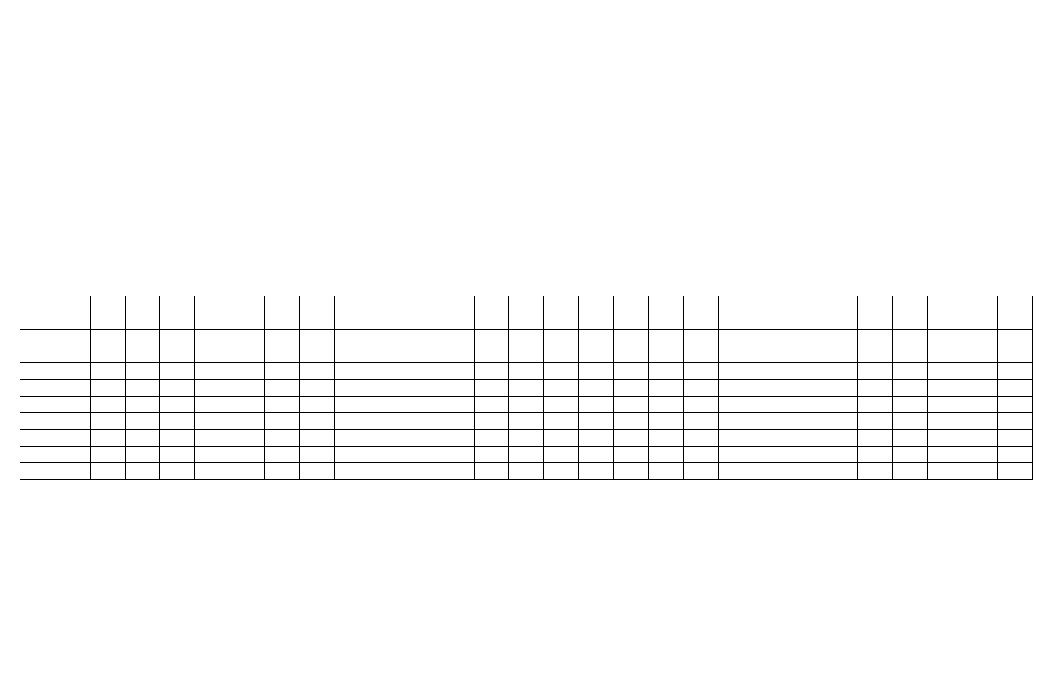|  |  |  |  |  |  | <u> 1989 - Johann Stone, Amerikaansk politiker (* 1958)</u> |  |  |  |
|--|--|--|--|--|--|-------------------------------------------------------------|--|--|--|
|  |  |  |  |  |  |                                                             |  |  |  |
|  |  |  |  |  |  |                                                             |  |  |  |
|  |  |  |  |  |  |                                                             |  |  |  |
|  |  |  |  |  |  |                                                             |  |  |  |
|  |  |  |  |  |  |                                                             |  |  |  |
|  |  |  |  |  |  |                                                             |  |  |  |
|  |  |  |  |  |  |                                                             |  |  |  |
|  |  |  |  |  |  |                                                             |  |  |  |
|  |  |  |  |  |  |                                                             |  |  |  |
|  |  |  |  |  |  |                                                             |  |  |  |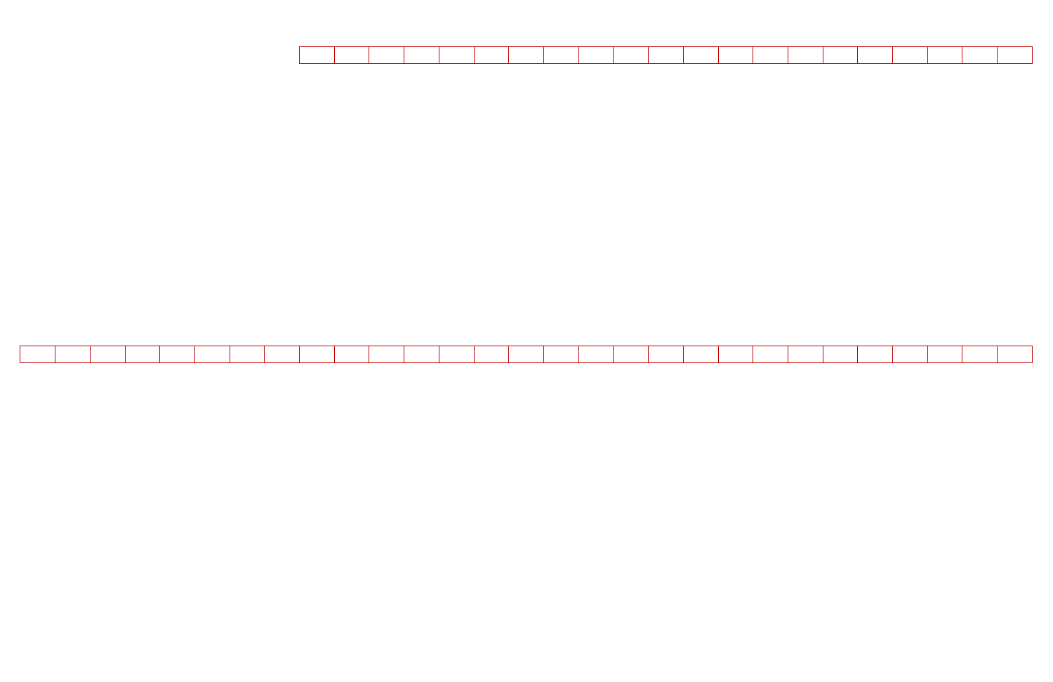|  |  |  |  |  |  |  |  | <u> 1999 - Johann Stoff, die staat van die Stoff van die Stoff van die Stoff van die Stoff van die Stoff van die S</u> |  |  |
|--|--|--|--|--|--|--|--|------------------------------------------------------------------------------------------------------------------------|--|--|
|  |  |  |  |  |  |  |  |                                                                                                                        |  |  |
|  |  |  |  |  |  |  |  |                                                                                                                        |  |  |
|  |  |  |  |  |  |  |  |                                                                                                                        |  |  |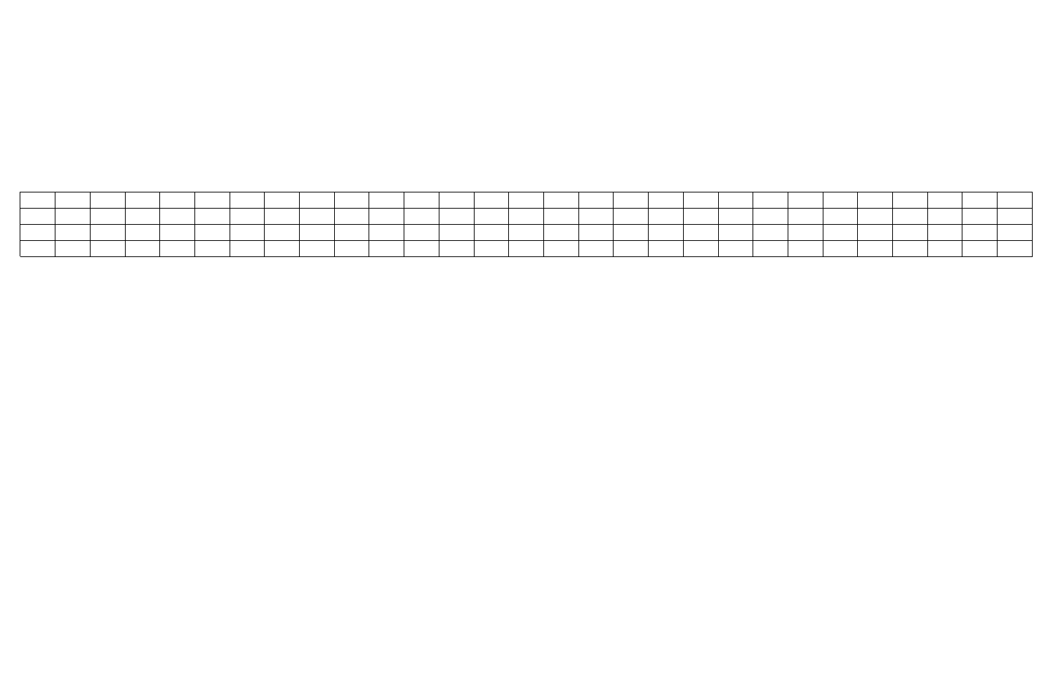| the contract of the contract of the contract of the contract of the contract of the contract of the contract of |  |  |  |  |  |  |  |  |  |  |                                                                                                                 |                                                                                                                 |
|-----------------------------------------------------------------------------------------------------------------|--|--|--|--|--|--|--|--|--|--|-----------------------------------------------------------------------------------------------------------------|-----------------------------------------------------------------------------------------------------------------|
|                                                                                                                 |  |  |  |  |  |  |  |  |  |  |                                                                                                                 |                                                                                                                 |
|                                                                                                                 |  |  |  |  |  |  |  |  |  |  |                                                                                                                 | the contract of the contract of the contract of the contract of the contract of the contract of the contract of |
|                                                                                                                 |  |  |  |  |  |  |  |  |  |  | the contract of the contract of the contract of the contract of the contract of the contract of the contract of |                                                                                                                 |